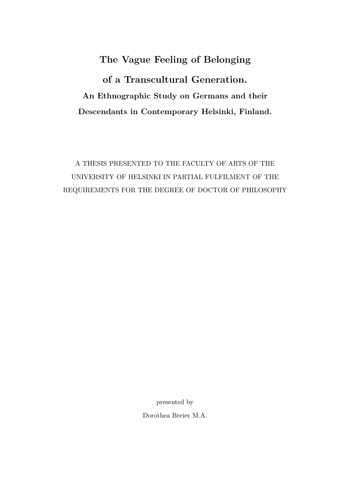**The Vague Feeling of Belonging of a Transcultural Generation. An Ethnographic Study on Germans and their Descendants in Contemporary Helsinki, Finland.**

A THESIS PRESENTED TO THE FACULTY OF ARTS OF THE UNIVERSITY OF HELSINKI IN PARTIAL FULFILMENT OF THE REQUIREMENTS FOR THE DEGREE OF DOCTOR OF PHILOSOPHY

presented by

Dorothea Breier M.A.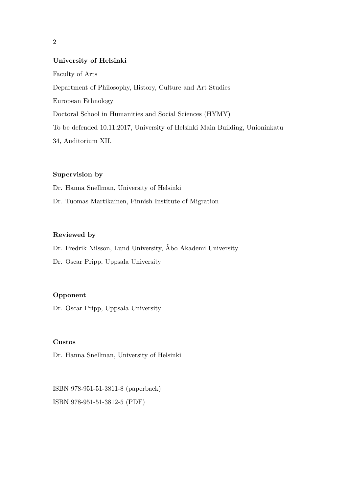### **University of Helsinki**

Faculty of Arts Department of Philosophy, History, Culture and Art Studies European Ethnology Doctoral School in Humanities and Social Sciences (HYMY) To be defended 10.11.2017, University of Helsinki Main Building, Unioninkatu 34, Auditorium XII.

### **Supervision by**

Dr. Hanna Snellman, University of Helsinki

Dr. Tuomas Martikainen, Finnish Institute of Migration

### **Reviewed by**

Dr. Fredrik Nilsson, Lund University, Åbo Akademi University

Dr. Oscar Pripp, Uppsala University

### **Opponent**

Dr. Oscar Pripp, Uppsala University

### **Custos**

Dr. Hanna Snellman, University of Helsinki

ISBN 978-951-51-3811-8 (paperback) ISBN 978-951-51-3812-5 (PDF)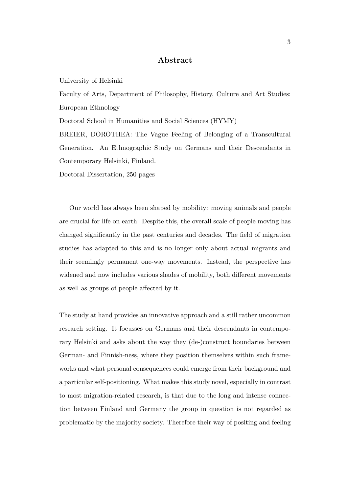### **Abstract**

University of Helsinki

Faculty of Arts, Department of Philosophy, History, Culture and Art Studies: European Ethnology

Doctoral School in Humanities and Social Sciences (HYMY)

BREIER, DOROTHEA: The Vague Feeling of Belonging of a Transcultural Generation. An Ethnographic Study on Germans and their Descendants in Contemporary Helsinki, Finland.

Doctoral Dissertation, 250 pages

Our world has always been shaped by mobility: moving animals and people are crucial for life on earth. Despite this, the overall scale of people moving has changed significantly in the past centuries and decades. The field of migration studies has adapted to this and is no longer only about actual migrants and their seemingly permanent one-way movements. Instead, the perspective has widened and now includes various shades of mobility, both different movements as well as groups of people affected by it.

The study at hand provides an innovative approach and a still rather uncommon research setting. It focusses on Germans and their descendants in contemporary Helsinki and asks about the way they (de-)construct boundaries between German- and Finnish-ness, where they position themselves within such frameworks and what personal consequences could emerge from their background and a particular self-positioning. What makes this study novel, especially in contrast to most migration-related research, is that due to the long and intense connection between Finland and Germany the group in question is not regarded as problematic by the majority society. Therefore their way of positing and feeling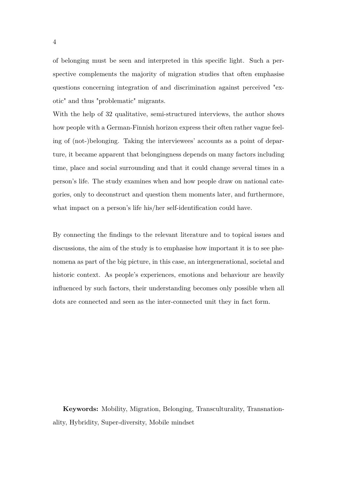of belonging must be seen and interpreted in this specific light. Such a perspective complements the majority of migration studies that often emphasise questions concerning integration of and discrimination against perceived "exotic" and thus "problematic" migrants.

With the help of 32 qualitative, semi-structured interviews, the author shows how people with a German-Finnish horizon express their often rather vague feeling of (not-)belonging. Taking the interviewees' accounts as a point of departure, it became apparent that belongingness depends on many factors including time, place and social surrounding and that it could change several times in a person's life. The study examines when and how people draw on national categories, only to deconstruct and question them moments later, and furthermore, what impact on a person's life his/her self-identification could have.

By connecting the findings to the relevant literature and to topical issues and discussions, the aim of the study is to emphasise how important it is to see phenomena as part of the big picture, in this case, an intergenerational, societal and historic context. As people's experiences, emotions and behaviour are heavily influenced by such factors, their understanding becomes only possible when all dots are connected and seen as the inter-connected unit they in fact form.

**Keywords:** Mobility, Migration, Belonging, Transculturality, Transnationality, Hybridity, Super-diversity, Mobile mindset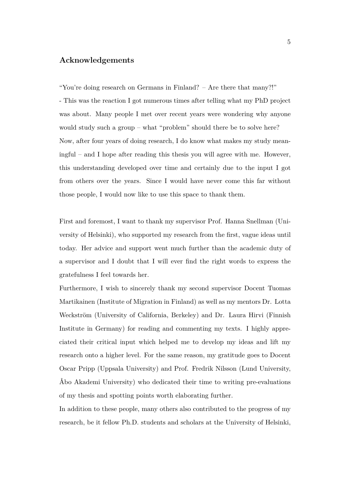### **Acknowledgements**

"You're doing research on Germans in Finland? – Are there that many?!" - This was the reaction I got numerous times after telling what my PhD project was about. Many people I met over recent years were wondering why anyone would study such a group – what "problem" should there be to solve here? Now, after four years of doing research, I do know what makes my study meaningful – and I hope after reading this thesis you will agree with me. However, this understanding developed over time and certainly due to the input I got from others over the years. Since I would have never come this far without those people, I would now like to use this space to thank them.

First and foremost, I want to thank my supervisor Prof. Hanna Snellman (University of Helsinki), who supported my research from the first, vague ideas until today. Her advice and support went much further than the academic duty of a supervisor and I doubt that I will ever find the right words to express the gratefulness I feel towards her.

Furthermore, I wish to sincerely thank my second supervisor Docent Tuomas Martikainen (Institute of Migration in Finland) as well as my mentors Dr. Lotta Weckström (University of California, Berkeley) and Dr. Laura Hirvi (Finnish Institute in Germany) for reading and commenting my texts. I highly appreciated their critical input which helped me to develop my ideas and lift my research onto a higher level. For the same reason, my gratitude goes to Docent Oscar Pripp (Uppsala University) and Prof. Fredrik Nilsson (Lund University, Åbo Akademi University) who dedicated their time to writing pre-evaluations of my thesis and spotting points worth elaborating further.

In addition to these people, many others also contributed to the progress of my research, be it fellow Ph.D. students and scholars at the University of Helsinki,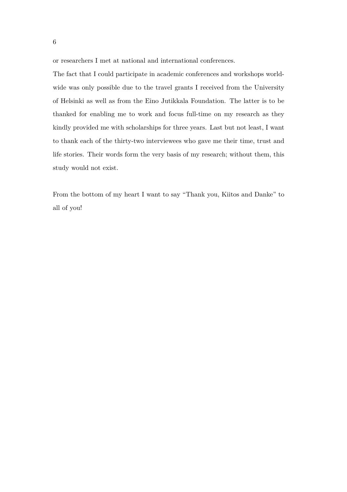or researchers I met at national and international conferences.

The fact that I could participate in academic conferences and workshops worldwide was only possible due to the travel grants I received from the University of Helsinki as well as from the Eino Jutikkala Foundation. The latter is to be thanked for enabling me to work and focus full-time on my research as they kindly provided me with scholarships for three years. Last but not least, I want to thank each of the thirty-two interviewees who gave me their time, trust and life stories. Their words form the very basis of my research; without them, this study would not exist.

From the bottom of my heart I want to say "Thank you, Kiitos and Danke" to all of you!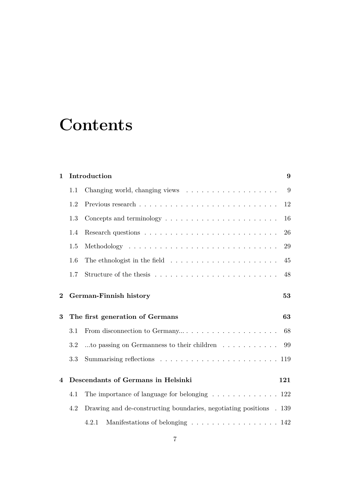# **Contents**

| $\mathbf{1}$ |     | Introduction<br>9                                                                    |    |  |  |  |
|--------------|-----|--------------------------------------------------------------------------------------|----|--|--|--|
|              | 1.1 |                                                                                      | 9  |  |  |  |
|              | 1.2 |                                                                                      | 12 |  |  |  |
|              | 1.3 |                                                                                      | 16 |  |  |  |
|              | 1.4 |                                                                                      | 26 |  |  |  |
|              | 1.5 |                                                                                      | 29 |  |  |  |
|              | 1.6 | The ethnologist in the field $\ldots \ldots \ldots \ldots \ldots \ldots \ldots$      | 45 |  |  |  |
|              | 1.7 |                                                                                      | 48 |  |  |  |
| $\bf{2}$     |     | German-Finnish history<br>53                                                         |    |  |  |  |
| 3            |     | The first generation of Germans                                                      |    |  |  |  |
|              | 3.1 | From disconnection to Germany                                                        | 68 |  |  |  |
|              | 3.2 | to passing on Germanness to their children $\dots \dots \dots$                       |    |  |  |  |
|              | 3.3 |                                                                                      |    |  |  |  |
| 4            |     | Descendants of Germans in Helsinki<br>121                                            |    |  |  |  |
|              | 4.1 | The importance of language for belonging $\dots \dots \dots \dots \dots 122$         |    |  |  |  |
|              | 4.2 | Drawing and de-constructing boundaries, negotiating positions . 139                  |    |  |  |  |
|              |     | Manifestations of belonging $\ldots \ldots \ldots \ldots \ldots \ldots 142$<br>4.2.1 |    |  |  |  |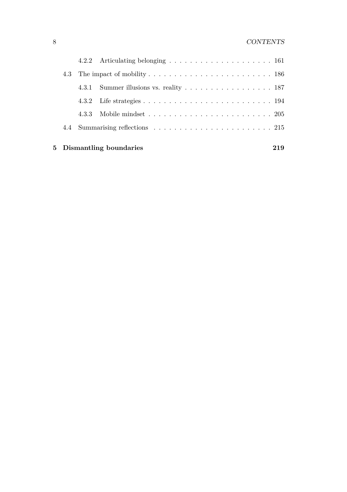### 8 CONTENTS

| 5 Dismantling boundaries |       |                                        |  |  |
|--------------------------|-------|----------------------------------------|--|--|
|                          |       |                                        |  |  |
|                          | 4.3.3 |                                        |  |  |
|                          |       |                                        |  |  |
|                          |       | 4.3.1 Summer illusions vs. reality 187 |  |  |
| 4.3                      |       |                                        |  |  |
|                          |       |                                        |  |  |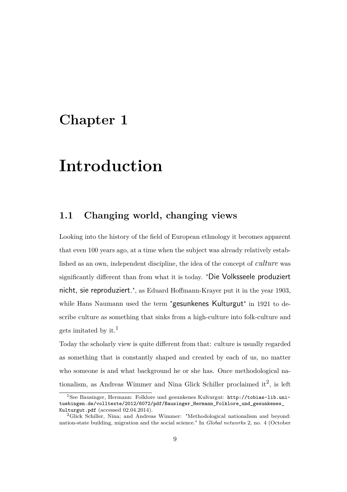# **Chapter 1**

# **Introduction**

# **1.1 Changing world, changing views**

Looking into the history of the field of European ethnology it becomes apparent that even 100 years ago, at a time when the subject was already relatively established as an own, independent discipline, the idea of the concept of *culture* was significantly different than from what it is today. "Die Volksseele produziert nicht, sie reproduziert.", as Eduard Hoffmann-Krayer put it in the year 1903, while Hans Naumann used the term "gesunkenes Kulturgut" in 1921 to describe culture as something that sinks from a high-culture into folk-culture and gets imitated by it.<sup>1</sup>

Today the scholarly view is quite different from that: culture is usually regarded as something that is constantly shaped and created by each of us, no matter who someone is and what background he or she has. Once methodological nationalism, as Andreas Wimmer and Nina Glick Schiller proclaimed  $it^2$ , is left

<sup>1</sup>See Bausinger, Hermann: Folklore und gesunkenes Kulturgut: http://tobias-lib.unituebingen.de/volltexte/2012/6072/pdf/Bausinger\_Hermann\_Folklore\_und\_gesunkenes\_<br>Kulturgut.pdf (accessed 02.04.2014).

 ${}^{2}$ Glick Schiller, Nina; and Andreas Wimmer: "Methodological nationalism and beyond: nation-state building, migration and the social science." In *Global networks* 2, no. 4 (October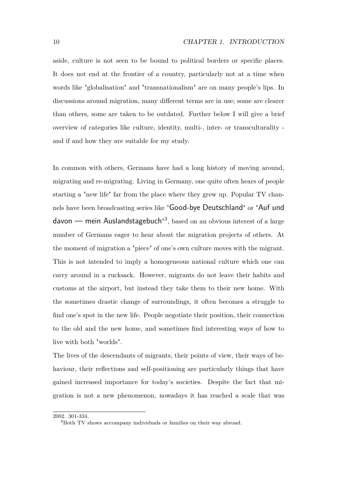aside, culture is not seen to be bound to political borders or specific places. It does not end at the frontier of a country, particularly not at a time when words like "globalisation" and "transnationalism" are on many people's lips. In discussions around migration, many different terms are in use; some are clearer than others, some are taken to be outdated. Further below I will give a brief overview of categories like culture, identity, multi-, inter- or transculturality and if and how they are suitable for my study.

In common with others, Germans have had a long history of moving around, migrating and re-migrating. Living in Germany, one quite often hears of people starting a "new life" far from the place where they grew up. Popular TV channels have been broadcasting series like "Good-bye Deutschland" or "Auf und davon — mein Auslandstagebuch<sup>13</sup>, based on an obvious interest of a large number of Germans eager to hear about the migration projects of others. At the moment of migration a "piece" of one's own culture moves with the migrant. This is not intended to imply a homogeneous national culture which one can carry around in a rucksack. However, migrants do not leave their habits and customs at the airport, but instead they take them to their new home. With the sometimes drastic change of surroundings, it often becomes a struggle to find one's spot in the new life. People negotiate their position, their connection to the old and the new home, and sometimes find interesting ways of how to live with both "worlds".

The lives of the descendants of migrants, their points of view, their ways of behaviour, their reflections and self-positioning are particularly things that have gained increased importance for today's societies. Despite the fact that migration is not a new phenomenon, nowadays it has reached a scale that was

<sup>2002. 301-334.</sup>  $3Both$  TV shows accompany individuals or families on their way abroad.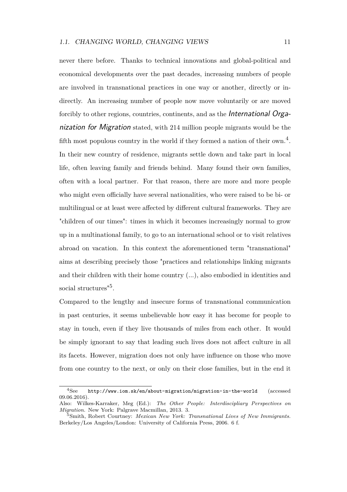never there before. Thanks to technical innovations and global-political and economical developments over the past decades, increasing numbers of people are involved in transnational practices in one way or another, directly or indirectly. An increasing number of people now move voluntarily or are moved forcibly to other regions, countries, continents, and as the International Organization for Migration stated, with 214 million people migrants would be the fifth most populous country in the world if they formed a nation of their own.<sup>4</sup>. In their new country of residence, migrants settle down and take part in local life, often leaving family and friends behind. Many found their own families, often with a local partner. For that reason, there are more and more people who might even officially have several nationalities, who were raised to be bi- or multilingual or at least were affected by different cultural frameworks. They are "children of our times": times in which it becomes increasingly normal to grow up in a multinational family, to go to an international school or to visit relatives abroad on vacation. In this context the aforementioned term "transnational" aims at describing precisely those "practices and relationships linking migrants and their children with their home country (...), also embodied in identities and social structures<sup>"5</sup>.

Compared to the lengthy and insecure forms of transnational communication in past centuries, it seems unbelievable how easy it has become for people to stay in touch, even if they live thousands of miles from each other. It would be simply ignorant to say that leading such lives does not affect culture in all its facets. However, migration does not only have influence on those who move from one country to the next, or only on their close families, but in the end it

<sup>4</sup>See http://www.iom.sk/en/about-migration/migration-in-the-world (accessed 09.06.2016).

Also: Wilkes-Karraker, Meg (Ed.): *The Other People: Interdiscipliary Perspectives on*

<sup>&</sup>lt;sup>5</sup> Smith, Robert Courtney: *Mexican New York: Transnational Lives of New Immigrants.* Berkeley/Los Angeles/London: University of California Press, 2006. 6 f.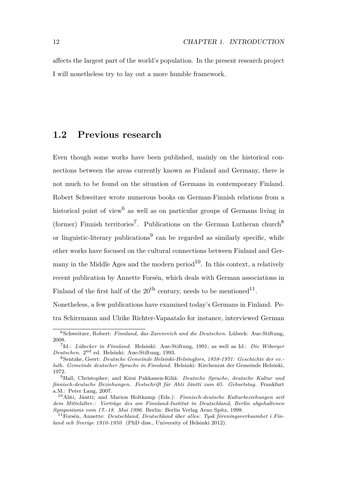affects the largest part of the world's population. In the present research project I will nonetheless try to lay out a more humble framework.

# **1.2 Previous research**

Even though some works have been published, mainly on the historical connections between the areas currently known as Finland and Germany, there is not much to be found on the situation of Germans in contemporary Finland. Robert Schweitzer wrote numerous books on German-Finnish relations from a historical point of view<sup>6</sup> as well as on particular groups of Germans living in (former) Finnish territories<sup>7</sup>. Publications on the German Lutheran church<sup>8</sup> or linguistic-literary publications<sup>9</sup> can be regarded as similarly specific, while other works have focused on the cultural connections between Finland and Germany in the Middle Ages and the modern period<sup>10</sup>. In this context, a relatively recent publication by Annette Forsén, which deals with German associations in Finland of the first half of the  $20^{th}$  century, needs to be mentioned<sup>11</sup>. Nonetheless, a few publications have examined today's Germans in Finland. Pe-

tra Schirrmann and Ulrike Richter-Vapaatalo for instance, interviewed German

<sup>6</sup>Schweitzer, Robert: *Finnland, das Zarenreich und die Deutschen.* Lübeck: Aue-Stiftung,

<sup>2008.</sup> <sup>7</sup>Id.: *Lübecker in Finnland.* Helsinki: Aue-Stiftung, 1991; as well as Id.: *Die Wiborger*

<sup>&</sup>lt;sup>8</sup> Sentzke, Geert: *Deutsche Gemeinde Helsinki-Helsingfors, 1858-1971: Geschichte der ev.luth. Gemeinde deutscher Sprache in Finnland.* Helsinki: Kirchenrat der Gemeinde Helsinki, 1972. <sup>9</sup>Hall, Christopher; and Kirsi Pakkanen-Kiliä: *Deutsche Sprache, deutsche Kultur und*

*finnisch-deutsche Beziehungen. Festschrift für Ahti Jäntti zum 65. Geburtstag.* Frankfurt

<sup>&</sup>lt;sup>10</sup>Ahti, Jäntti; and Marion Holtkamp (Eds.): *Finnisch-deutsche Kulturbeziehungen seit dem Mittelalter.: Vorträge des am Finnland-Institut in Deutschland, Berlin abgehaltenen*

<sup>&</sup>lt;sup>11</sup> Forsén, Annette: *Deutschland, Deutschland über alles: Tysk föreningsverksamhet i Finland och Sverige 1910-1950.* (PhD diss., University of Helsinki 2012).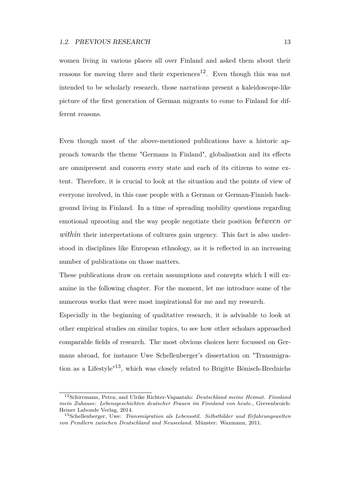women living in various places all over Finland and asked them about their reasons for moving there and their experiences<sup>12</sup>. Even though this was not intended to be scholarly research, those narrations present a kaleidoscope-like picture of the first generation of German migrants to come to Finland for different reasons.

Even though most of the above-mentioned publications have a historic approach towards the theme "Germans in Finland", globalisation and its effects are omnipresent and concern every state and each of its citizens to some extent. Therefore, it is crucial to look at the situation and the points of view of everyone involved, in this case people with a German or German-Finnish background living in Finland. In a time of spreading mobility questions regarding emotional uprooting and the way people negotiate their position *between or within* their interpretations of cultures gain urgency. This fact is also understood in disciplines like European ethnology, as it is reflected in an increasing number of publications on those matters.

These publications draw on certain assumptions and concepts which I will examine in the following chapter. For the moment, let me introduce some of the numerous works that were most inspirational for me and my research.

Especially in the beginning of qualitative research, it is advisable to look at other empirical studies on similar topics, to see how other scholars approached comparable fields of research. The most obvious choices here focussed on Germans abroad, for instance Uwe Schellenberger's dissertation on "Transmigration as a Lifestyle<sup> $13$ </sup>, which was closely related to Brigitte Bönisch-Brednichs

<sup>12</sup>Schirrmann, Petra; and Ulrike Richter-Vapaatalo: *Deutschland meine Heimat. Finnland mein Zuhause: Lebensgeschichten deutscher Frauen im Finnland von heute.*, Grevenbroich:

<sup>&</sup>lt;sup>13</sup>Schellenberger, Uwe: *Transmigration als Lebensstil. Selbstbilder und Erfahrungswelten von Pendlern zwischen Deutschland und Neuseeland.* Münster: Waxmann, 2011.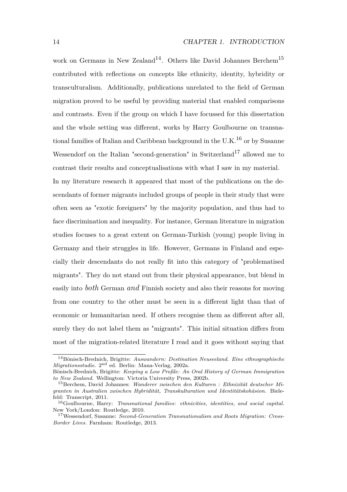work on Germans in New Zealand<sup>14</sup>. Others like David Johannes Berchem<sup>15</sup> contributed with reflections on concepts like ethnicity, identity, hybridity or transculturalism. Additionally, publications unrelated to the field of German migration proved to be useful by providing material that enabled comparisons and contrasts. Even if the group on which I have focussed for this dissertation and the whole setting was different, works by Harry Goulbourne on transnational families of Italian and Caribbean background in the U.K.<sup>16</sup> or by Susanne Wessendorf on the Italian "second-generation" in Switzerland<sup>17</sup> allowed me to contrast their results and conceptualisations with what I saw in my material.

In my literature research it appeared that most of the publications on the descendants of former migrants included groups of people in their study that were often seen as "exotic foreigners" by the majority population, and thus had to face discrimination and inequality. For instance, German literature in migration studies focuses to a great extent on German-Turkish (young) people living in Germany and their struggles in life. However, Germans in Finland and especially their descendants do not really fit into this category of "problematised migrants". They do not stand out from their physical appearance, but blend in easily into *both* German *and* Finnish society and also their reasons for moving from one country to the other must be seen in a different light than that of economic or humanitarian need. If others recognise them as different after all, surely they do not label them as "migrants". This initial situation differs from most of the migration-related literature I read and it goes without saying that

<sup>14</sup>Bönisch-Brednich, Brigitte: *Auswandern: Destination Neuseeland. Eine ethnographische Migrationsstudie.* 2nd ed. Berlin: Mana-Verlag, 2002a.

Bönisch-Brednich, Brigitte: *Keeping a Low Profile: An Oral History of German Immigration to New Zealand.* Wellington: Victoria University Press, 2002b. <sup>15</sup>Berchem, David Johannes: *Wanderer zwischen den Kulturen : Ethnizität deutscher Mi-*

*granten in Australien zwischen Hybridität, Transkulturation und Identitätskohäsion.* Biele-

feld: Transcript, 2011.<br><sup>16</sup>Goulbourne, Harry: *Transnational families: ethnicities, identities, and social capital.*<br>New York/London: Routledge, 2010.

<sup>&</sup>lt;sup>17</sup>Wessendorf, Susanne: *Second-Generation Transnationalism and Roots Migration: Cross-Border Lives.* Farnham: Routledge, 2013.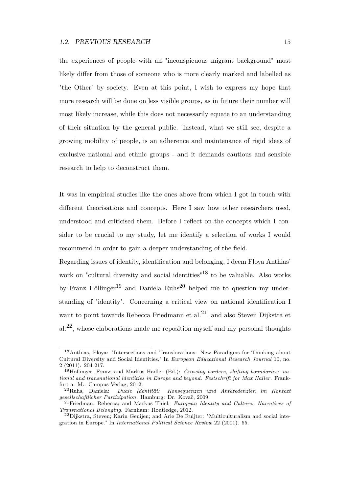the experiences of people with an "inconspicuous migrant background" most likely differ from those of someone who is more clearly marked and labelled as "the Other" by society. Even at this point, I wish to express my hope that more research will be done on less visible groups, as in future their number will most likely increase, while this does not necessarily equate to an understanding of their situation by the general public. Instead, what we still see, despite a growing mobility of people, is an adherence and maintenance of rigid ideas of exclusive national and ethnic groups - and it demands cautious and sensible research to help to deconstruct them.

It was in empirical studies like the ones above from which I got in touch with different theorisations and concepts. Here I saw how other researchers used, understood and criticised them. Before I reflect on the concepts which I consider to be crucial to my study, let me identify a selection of works I would recommend in order to gain a deeper understanding of the field.

Regarding issues of identity, identification and belonging, I deem Floya Anthias' work on "cultural diversity and social identities"<sup>18</sup> to be valuable. Also works by Franz Höllinger<sup>19</sup> and Daniela Ruhs<sup>20</sup> helped me to question my understanding of "identity". Concerning a critical view on national identification I want to point towards Rebecca Friedmann et al. $^{21}$ , and also Steven Dijkstra et al.<sup>22</sup>, whose elaborations made me reposition myself and my personal thoughts

<sup>18</sup>Anthias, Floya: "Intersections and Translocations: New Paradigms for Thinking about Cultural Diversity and Social Identities." In *European Educational Research Journal* 10, no.

<sup>&</sup>lt;sup>19</sup>Höllinger, Franz; and Markus Hadler (Ed.): *Crossing borders, shifting boundaries: national and transnational identities in Europe and beyond. Festschrift for Max Haller.* Frank-

<sup>&</sup>lt;sup>20</sup>Ruhs, Daniela: *Duale Identität: Konsequenzen und Antezedenzien im Kontext* gesellschaftlicher Partizipation. Hamburg: Dr. Kovač. 2009.

<sup>&</sup>lt;sup>21</sup> Friedman, Rebecca; and Markus Thiel: *European Identity and Culture: Narratives of Transnational Belonging.* Farnham: Routledge, 2012.

<sup>&</sup>lt;sup>22</sup>Dijkstra, Steven; Karin Geuijen; and Arie De Ruijter: "Multiculturalism and social integration in Europe." In *International Political Science Review* 22 (2001). 55.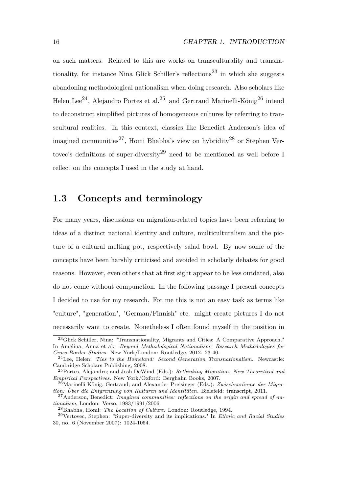on such matters. Related to this are works on transculturality and transnationality, for instance Nina Glick Schiller's reflections<sup>23</sup> in which she suggests abandoning methodological nationalism when doing research. Also scholars like Helen Lee<sup>24</sup>, Alejandro Portes et al.<sup>25</sup> and Gertraud Marinelli-König<sup>26</sup> intend to deconstruct simplified pictures of homogeneous cultures by referring to transcultural realities. In this context, classics like Benedict Anderson's idea of imagined communities<sup>27</sup>, Homi Bhabha's view on hybridity<sup>28</sup> or Stephen Vertovec's definitions of super-diversity<sup>29</sup> need to be mentioned as well before I reflect on the concepts I used in the study at hand.

## **1.3 Concepts and terminology**

For many years, discussions on migration-related topics have been referring to ideas of a distinct national identity and culture, multiculturalism and the picture of a cultural melting pot, respectively salad bowl. By now some of the concepts have been harshly criticised and avoided in scholarly debates for good reasons. However, even others that at first sight appear to be less outdated, also do not come without compunction. In the following passage I present concepts I decided to use for my research. For me this is not an easy task as terms like "culture", "generation", "German/Finnish" etc. might create pictures I do not necessarily want to create. Nonetheless I often found myself in the position in

<sup>23</sup>Glick Schiller, Nina: "Transnationality, Migrants and Cities: A Comparative Approach." In Amelina, Anna et al.: *Beyond Methodological Nationalism: Research Methodologies for*

<sup>&</sup>lt;sup>24</sup> Lee, Helen: *Ties to the Homeland: Second Generation Transnationalism.* Newcastle: Cambridge Scholars Publishing, 2008.<br><sup>25</sup>Portes, Alejandro; and Josh DeWind (Eds.): *Rethinking Migration: New Theoretical and* 

*Empirical Perspectives.* New York/Oxford: Berghahn Books, 2007.<br><sup>26</sup>Marinelli-König, Gertraud; and Alexander Preisinger (Eds.): *Zwischenräume der Migration: Über die Entgrenzung von Kulturen und Identitäten.* Bielefeld:

<sup>&</sup>lt;sup>27</sup> Anderson, Benedict: *Imagined communities: reflections on the origin and spread of nationalism*, London: Verso, 1983/1991/2006.<br><sup>28</sup>Bhabha, Homi: *The Location of Culture.* London: Routledge, 1994.<br><sup>29</sup>Vertovec, Stephen: "Super-diversity and its implications." In *Ethnic and Racial Studies* 

<sup>30,</sup> no. 6 (November 2007): 1024-1054.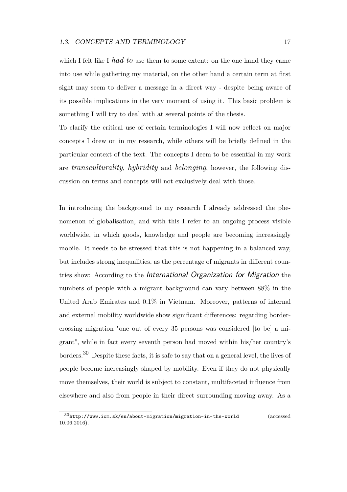which I felt like I *had to* use them to some extent: on the one hand they came into use while gathering my material, on the other hand a certain term at first sight may seem to deliver a message in a direct way - despite being aware of its possible implications in the very moment of using it. This basic problem is something I will try to deal with at several points of the thesis.

To clarify the critical use of certain terminologies I will now reflect on major concepts I drew on in my research, while others will be briefly defined in the particular context of the text. The concepts I deem to be essential in my work are *transculturality*, *hybridity* and *belonging*, however, the following discussion on terms and concepts will not exclusively deal with those.

In introducing the background to my research I already addressed the phenomenon of globalisation, and with this I refer to an ongoing process visible worldwide, in which goods, knowledge and people are becoming increasingly mobile. It needs to be stressed that this is not happening in a balanced way, but includes strong inequalities, as the percentage of migrants in different countries show: According to the International Organization for Migration the numbers of people with a migrant background can vary between 88% in the United Arab Emirates and 0.1% in Vietnam. Moreover, patterns of internal and external mobility worldwide show significant differences: regarding bordercrossing migration "one out of every 35 persons was considered [to be] a migrant", while in fact every seventh person had moved within his/her country's borders.<sup>30</sup> Despite these facts, it is safe to say that on a general level, the lives of people become increasingly shaped by mobility. Even if they do not physically move themselves, their world is subject to constant, multifaceted influence from elsewhere and also from people in their direct surrounding moving away. As a

 $30$ http://www.iom.sk/en/about-migration/migration-in-the-world (accessed 10.06.2016).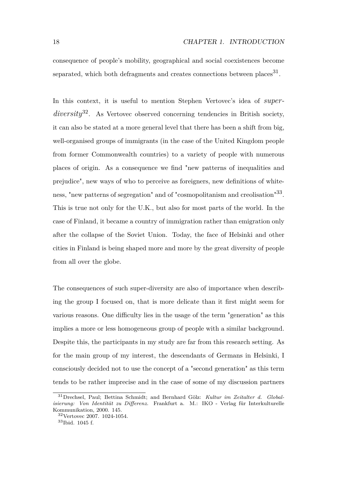consequence of people's mobility, geographical and social coexistences become separated, which both defragments and creates connections between places<sup>31</sup>.

In this context, it is useful to mention Stephen Vertovec's idea of *super*diversity<sup>32</sup>. As Vertovec observed concerning tendencies in British society, it can also be stated at a more general level that there has been a shift from big, well-organised groups of immigrants (in the case of the United Kingdom people from former Commonwealth countries) to a variety of people with numerous places of origin. As a consequence we find "new patterns of inequalities and prejudice", new ways of who to perceive as foreigners, new definitions of whiteness, "new patterns of segregation" and of "cosmopolitanism and creolisation"<sup>33</sup>. This is true not only for the U.K., but also for most parts of the world. In the case of Finland, it became a country of immigration rather than emigration only after the collapse of the Soviet Union. Today, the face of Helsinki and other cities in Finland is being shaped more and more by the great diversity of people from all over the globe.

The consequences of such super-diversity are also of importance when describing the group I focused on, that is more delicate than it first might seem for various reasons. One difficulty lies in the usage of the term "generation" as this implies a more or less homogeneous group of people with a similar background. Despite this, the participants in my study are far from this research setting. As for the main group of my interest, the descendants of Germans in Helsinki, I consciously decided not to use the concept of a "second generation" as this term tends to be rather imprecise and in the case of some of my discussion partners

<sup>31</sup>Drechsel, Paul; Bettina Schmidt; and Bernhard Gölz: *Kultur im Zeitalter d. Globalisierung: Von Identität zu Differenz.* Frankfurt a. M.: IKO - Verlag für Interkulturelle

 $32$  Vertovec 2007. 1024-1054.<br> $33$ <sub>Ibid.</sub> 1045 f.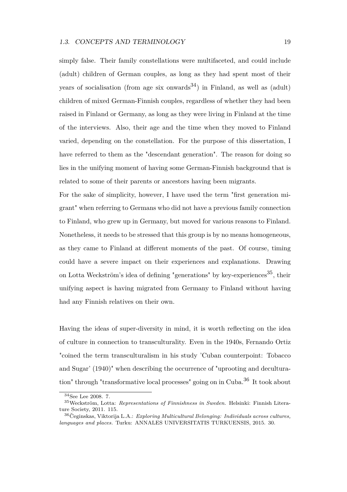simply false. Their family constellations were multifaceted, and could include (adult) children of German couples, as long as they had spent most of their years of socialisation (from age six onwards<sup>34</sup>) in Finland, as well as (adult) children of mixed German-Finnish couples, regardless of whether they had been raised in Finland or Germany, as long as they were living in Finland at the time of the interviews. Also, their age and the time when they moved to Finland varied, depending on the constellation. For the purpose of this dissertation, I have referred to them as the "descendant generation". The reason for doing so lies in the unifying moment of having some German-Finnish background that is related to some of their parents or ancestors having been migrants.

For the sake of simplicity, however, I have used the term "first generation migrant" when referring to Germans who did not have a previous family connection to Finland, who grew up in Germany, but moved for various reasons to Finland. Nonetheless, it needs to be stressed that this group is by no means homogeneous, as they came to Finland at different moments of the past. Of course, timing could have a severe impact on their experiences and explanations. Drawing on Lotta Weckström's idea of defining "generations" by key-experiences<sup>35</sup>, their unifying aspect is having migrated from Germany to Finland without having had any Finnish relatives on their own.

Having the ideas of super-diversity in mind, it is worth reflecting on the idea of culture in connection to transculturality. Even in the 1940s, Fernando Ortiz "coined the term transculturalism in his study 'Cuban counterpoint: Tobacco and Sugar' (1940)" when describing the occurrence of "uprooting and deculturation" through "transformative local processes" going on in Cuba.<sup>36</sup> It took about

<sup>34</sup>See Lee 2008. 7. <sup>35</sup>Weckström, Lotta: *Representations of Finnishness in Sweden.* Helsinki: Finnish Literature Society, 2011. 115.

 $36$ Čeginskas, Viktorija L.A.: *Exploring Multicultural Belonging: Individuals across cultures*, *languages and places.* Turku: ANNALES UNIVERSITATIS TURKUENSIS, 2015. 30.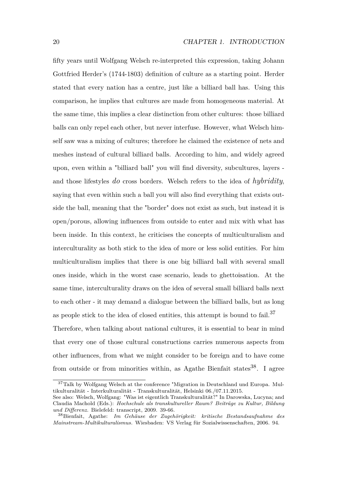fifty years until Wolfgang Welsch re-interpreted this expression, taking Johann Gottfried Herder's (1744-1803) definition of culture as a starting point. Herder stated that every nation has a centre, just like a billiard ball has. Using this comparison, he implies that cultures are made from homogeneous material. At the same time, this implies a clear distinction from other cultures: those billiard balls can only repel each other, but never interfuse. However, what Welsch himself saw was a mixing of cultures; therefore he claimed the existence of nets and meshes instead of cultural billiard balls. According to him, and widely agreed upon, even within a "billiard ball" you will find diversity, subcultures, layers and those lifestyles *do* cross borders. Welsch refers to the idea of *hybridity*, saying that even within such a ball you will also find everything that exists outside the ball, meaning that the "border" does not exist as such, but instead it is open/porous, allowing influences from outside to enter and mix with what has been inside. In this context, he criticises the concepts of multiculturalism and interculturality as both stick to the idea of more or less solid entities. For him multiculturalism implies that there is one big billiard ball with several small ones inside, which in the worst case scenario, leads to ghettoisation. At the same time, interculturality draws on the idea of several small billiard balls next to each other - it may demand a dialogue between the billiard balls, but as long as people stick to the idea of closed entities, this attempt is bound to fail.<sup>37</sup> Therefore, when talking about national cultures, it is essential to bear in mind that every one of those cultural constructions carries numerous aspects from other influences, from what we might consider to be foreign and to have come from outside or from minorities within, as Agathe Bienfait states  $38$ . I agree

<sup>37</sup>Talk by Wolfgang Welsch at the conference "Migration in Deutschland und Europa. Multikulturalität - Interkulturalität - Transkulturalität, Helsinki 06./07.11.2015.

See also: Welsch, Wolfgang: "Was ist eigentlich Transkulturalität?" In Darowska, Lucyna; and Claudia Machold (Eds.): *Hochschule als transkultureller Raum? Beiträge zu Kultur, Bildung*

<sup>&</sup>lt;sup>38</sup>Bienfait, Agathe: *Im Gehäuse der Zugehörigkeit: kritische Bestandsaufnahme des Mainstream-Multikulturalismus.* Wiesbaden: VS Verlag für Sozialwissenschaften, 2006. 94.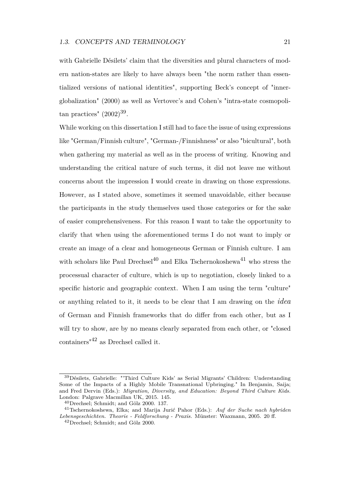with Gabrielle Désilets' claim that the diversities and plural characters of modern nation-states are likely to have always been "the norm rather than essentialized versions of national identities", supporting Beck's concept of "innerglobalization" (2000) as well as Vertovec's and Cohen's "intra-state cosmopolitan practices"  $(2002)^{39}$ .

While working on this dissertation I still had to face the issue of using expressions like "German/Finnish culture", "German-/Finnishness" or also "bicultural", both when gathering my material as well as in the process of writing. Knowing and understanding the critical nature of such terms, it did not leave me without concerns about the impression I would create in drawing on those expressions. However, as I stated above, sometimes it seemed unavoidable, either because the participants in the study themselves used those categories or for the sake of easier comprehensiveness. For this reason I want to take the opportunity to clarify that when using the aforementioned terms I do not want to imply or create an image of a clear and homogeneous German or Finnish culture. I am with scholars like Paul Drechsel<sup>40</sup> and Elka Tschernokoshewa<sup>41</sup> who stress the processual character of culture, which is up to negotiation, closely linked to a specific historic and geographic context. When I am using the term "culture" or anything related to it, it needs to be clear that I am drawing on the *idea* of German and Finnish frameworks that do differ from each other, but as I will try to show, are by no means clearly separated from each other, or "closed" containers"<sup>42</sup> as Drechsel called it.

<sup>39</sup>Désilets, Gabrielle: "'Third Culture Kids' as Serial Migrants' Children: Understanding Some of the Impacts of a Highly Mobile Transnational Upbringing." In Benjamin, Saija; and Fred Dervin (Eds.): *Migration, Diversity, and Education: Beyond Third Culture Kids.*

<sup>&</sup>lt;sup>40</sup> Drechsel; Schmidt; and Gölz 2000. 137.<br><sup>41</sup> Tschernokoshewa, Elka; and Marija Jurić Pahor (Eds.): *Auf der Suche nach hybriden Lebensgeschichten. Theorie - Feldforschung - Praxis.* Münster: Waxmann, 2005. 20 ff. <sup>42</sup>Drechsel; Schmidt; and Gölz 2000.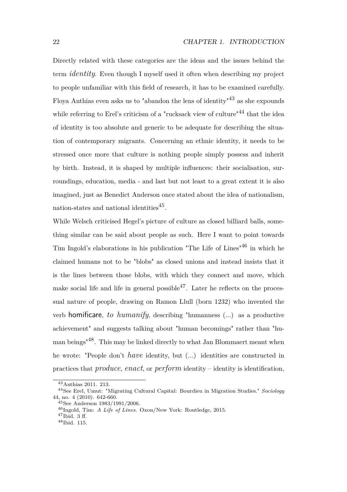Directly related with these categories are the ideas and the issues behind the term *identity*. Even though I myself used it often when describing my project to people unfamiliar with this field of research, it has to be examined carefully. Floya Anthias even asks us to "abandon the lens of identity"<sup>43</sup> as she expounds while referring to Erel's criticism of a "rucksack view of culture"  $44$  that the idea of identity is too absolute and generic to be adequate for describing the situation of contemporary migrants. Concerning an ethnic identity, it needs to be stressed once more that culture is nothing people simply possess and inherit by birth. Instead, it is shaped by multiple influences: their socialisation, surroundings, education, media - and last but not least to a great extent it is also imagined, just as Benedict Anderson once stated about the idea of nationalism, nation-states and national identities<sup>45</sup>.

While Welsch criticised Hegel's picture of culture as closed billiard balls, something similar can be said about people as such. Here I want to point towards Tim Ingold's elaborations in his publication "The Life of Lines"<sup>46</sup> in which he claimed humans not to be "blobs" as closed unions and instead insists that it is the lines between those blobs, with which they connect and move, which make social life and life in general possible  $4^7$ . Later he reflects on the processual nature of people, drawing on Ramon Llull (born 1232) who invented the verb homificare, *to humanify*, describing "humanness (...) as a productive achievement" and suggests talking about "human becomings" rather than "human beings<sup>"48</sup>. This may be linked directly to what Jan Blommaert meant when he wrote: "People don't *have* identity, but (...) identities are constructed in practices that *produce*, *enact*, or *perform* identity – identity is identification,

<sup>43</sup>Anthias 2011. 213. <sup>44</sup>See Erel, Umut: "Migrating Cultural Capital: Bourdieu in Migration Studies." *Sociology*

<sup>&</sup>lt;sup>45</sup>See Anderson 1983/1991/2006.<br><sup>46</sup>Ingold, Tim: *A Life of Lines.* Oxon/New York: Routledge, 2015.<br><sup>47</sup>Ibid. 3 ff.<br><sup>48</sup>Ibid. 115.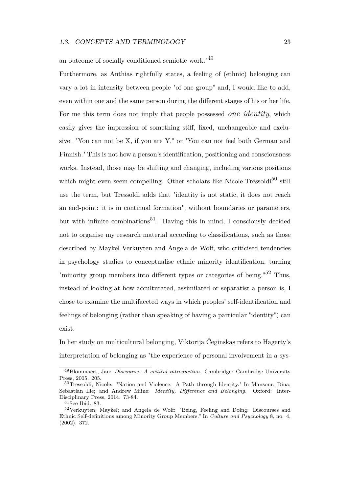#### 1.3. CONCEPTS AND TERMINOLOGY 23

an outcome of socially conditioned semiotic work."<sup>49</sup>

Furthermore, as Anthias rightfully states, a feeling of (ethnic) belonging can vary a lot in intensity between people "of one group" and, I would like to add, even within one and the same person during the different stages of his or her life. For me this term does not imply that people possessed *one identity*, which easily gives the impression of something stiff, fixed, unchangeable and exclusive. "You can not be X, if you are Y." or "You can not feel both German and Finnish." This is not how a person's identification, positioning and consciousness works. Instead, those may be shifting and changing, including various positions which might even seem compelling. Other scholars like Nicole Tressoldi $^{50}$  still use the term, but Tressoldi adds that "identity is not static, it does not reach an end-point: it is in continual formation", without boundaries or parameters, but with infinite combinations<sup>51</sup>. Having this in mind, I consciously decided not to organise my research material according to classifications, such as those described by Maykel Verkuyten and Angela de Wolf, who criticised tendencies in psychology studies to conceptualise ethnic minority identification, turning "minority group members into different types or categories of being."<sup>52</sup> Thus, instead of looking at how acculturated, assimilated or separatist a person is, I chose to examine the multifaceted ways in which peoples' self-identification and feelings of belonging (rather than speaking of having a particular "identity") can exist.

In her study on multicultural belonging, Viktorija Ceginskas refers to Hagerty's ˘ interpretation of belonging as "the experience of personal involvement in a sys-

<sup>49</sup>Blommaert, Jan: *Discourse: A critical introduction.* Cambridge: Cambridge University

<sup>&</sup>lt;sup>50</sup>Tressoldi, Nicole: "Nation and Violence. A Path through Identity." In Mansour, Dina; Sebastian Ille; and Andrew Miine: *Identity, Difference and Belonging.* Oxford: Inter-

 $51$ See Ibid. 83.<br> $52$ Verkuyten, Maykel; and Angela de Wolf: "Being, Feeling and Doing: Discourses and Ethnic Self-definitions among Minority Group Members." In *Culture and Psychology* 8, no. 4, (2002). 372.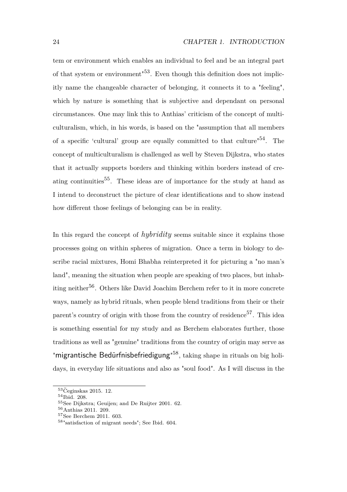tem or environment which enables an individual to feel and be an integral part of that system or environment<sup> $53$ </sup>. Even though this definition does not implicitly name the changeable character of belonging, it connects it to a "feeling", which by nature is something that is subjective and dependant on personal circumstances. One may link this to Anthias' criticism of the concept of multiculturalism, which, in his words, is based on the "assumption that all members of a specific 'cultural' group are equally committed to that culture"54. The concept of multiculturalism is challenged as well by Steven Dijkstra, who states that it actually supports borders and thinking within borders instead of creating continuities<sup>55</sup>. These ideas are of importance for the study at hand as I intend to deconstruct the picture of clear identifications and to show instead how different those feelings of belonging can be in reality.

In this regard the concept of *hybridity* seems suitable since it explains those processes going on within spheres of migration. Once a term in biology to describe racial mixtures, Homi Bhabha reinterpreted it for picturing a "no man's land", meaning the situation when people are speaking of two places, but inhabiting neither<sup>56</sup>. Others like David Joachim Berchem refer to it in more concrete ways, namely as hybrid rituals, when people blend traditions from their or their parent's country of origin with those from the country of residence<sup>57</sup>. This idea is something essential for my study and as Berchem elaborates further, those traditions as well as "genuine" traditions from the country of origin may serve as "migrantische Bedürfnisbefriedigung"<sup>58</sup>, taking shape in rituals on big holidays, in everyday life situations and also as "soul food". As I will discuss in the

 $^{53}$ Čeginskas 2015. 12.<br> $^{54}$ Ibid. 208.

<sup>&</sup>lt;sup>55</sup>See Dijkstra; Geuijen; and De Ruijter 2001. 62.  $56$ Anthias 2011. 209.  $57$ See Berchem 2011. 603.  $58$  "satisfaction of migrant needs"; See Ibid. 604.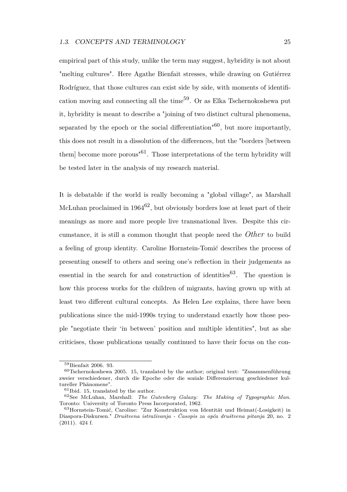empirical part of this study, unlike the term may suggest, hybridity is not about "melting cultures". Here Agathe Bienfait stresses, while drawing on Gutiérrez Rodríguez, that those cultures can exist side by side, with moments of identification moving and connecting all the time<sup>59</sup>. Or as Elka Tschernokoshewa put it, hybridity is meant to describe a "joining of two distinct cultural phenomena, separated by the epoch or the social differentiation<sup> $60$ </sup>, but more importantly, this does not result in a dissolution of the differences, but the "borders [between them] become more porous<sup> $61$ </sup>. Those interpretations of the term hybridity will be tested later in the analysis of my research material.

It is debatable if the world is really becoming a "global village", as Marshall McLuhan proclaimed in  $1964^{62}$ , but obviously borders lose at least part of their meanings as more and more people live transnational lives. Despite this circumstance, it is still a common thought that people need the *Other* to build a feeling of group identity. Caroline Hornstein-Tomić describes the process of presenting oneself to others and seeing one's reflection in their judgements as essential in the search for and construction of identities $^{63}$ . The question is how this process works for the children of migrants, having grown up with at least two different cultural concepts. As Helen Lee explains, there have been publications since the mid-1990s trying to understand exactly how those people "negotiate their 'in between' position and multiple identities", but as she criticises, those publications usually continued to have their focus on the con-

 $^{59}\rm{Bienfait}$  2006. 93. 60Tschernokoshewa 2005. 15, translated by the author; original text: "Zusammenführung" zweier verschiedener, durch die Epoche oder die soziale Differenzierung geschiedener kul-

<sup>&</sup>lt;sup>61</sup>Ibid. 15, translated by the author.<br><sup>62</sup>See McLuhan, Marshall: *The Gutenberg Galaxy: The Making of Typographic Man.*<br>Toronto: University of Toronto Press Incorporated, 1962.

<sup>&</sup>lt;sup>63</sup>Hornstein-Tomić, Caroline: "Zur Konstruktion von Identität und Heimat(-Losigkeit) in Diaspora-Diskursen." *Društvena istraživanja - Časopis za opća društvena pitanja* 20, no. 2 (2011). 424 f.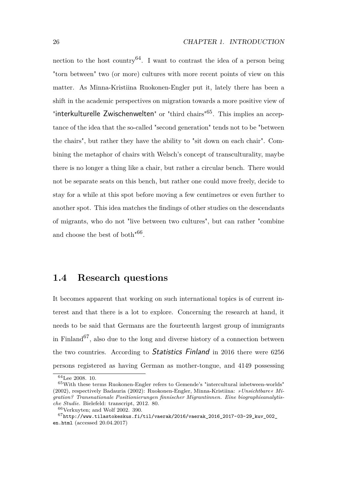nection to the host country<sup>64</sup>. I want to contrast the idea of a person being "torn between" two (or more) cultures with more recent points of view on this matter. As Minna-Kristiina Ruokonen-Engler put it, lately there has been a shift in the academic perspectives on migration towards a more positive view of "interkulturelle Zwischenwelten" or "third chairs"<sup>65</sup>. This implies an acceptance of the idea that the so-called "second generation" tends not to be "between the chairs", but rather they have the ability to "sit down on each chair". Combining the metaphor of chairs with Welsch's concept of transculturality, maybe there is no longer a thing like a chair, but rather a circular bench. There would not be separate seats on this bench, but rather one could move freely, decide to stay for a while at this spot before moving a few centimetres or even further to another spot. This idea matches the findings of other studies on the descendants of migrants, who do not "live between two cultures", but can rather "combine and choose the best of both<sup>"66</sup>.

### **1.4 Research questions**

It becomes apparent that working on such international topics is of current interest and that there is a lot to explore. Concerning the research at hand, it needs to be said that Germans are the fourteenth largest group of immigrants in Finland<sup>67</sup>, also due to the long and diverse history of a connection between the two countries. According to **Statistics Finland** in 2016 there were 6256 persons registered as having German as mother-tongue, and 4149 possessing

 $64$  Lee 2008. 10.<br> $65$ With these terms Ruokonen-Engler refers to Gemende's "intercultural inbetween-worlds" (2002), respectively Badauria (2002): Ruokonen-Engler, Minna-Kristiina: *»Unsichtbare« Migration? Transnationale Positionierungen finnischer Migrantinnen. Eine biographieanalytische Studie.* Bielefeld: transcript, 2012. 80. <sup>66</sup>Verkuyten; and Wolf 2002. 390. <sup>67</sup>http://www.tilastokeskus.fi/til/vaerak/2016/vaerak\_2016\_2017-03-29\_kuv\_002\_

en.html (accessed 20.04.2017)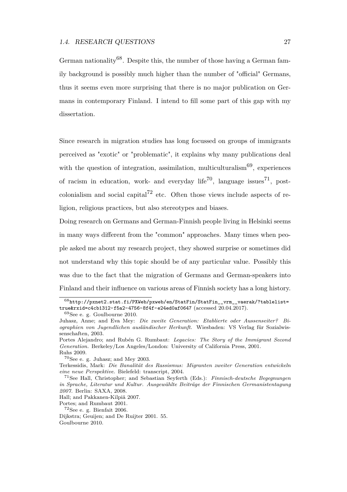German nationality<sup>68</sup>. Despite this, the number of those having a German family background is possibly much higher than the number of "official" Germans, thus it seems even more surprising that there is no major publication on Germans in contemporary Finland. I intend to fill some part of this gap with my dissertation.

Since research in migration studies has long focussed on groups of immigrants perceived as "exotic" or "problematic", it explains why many publications deal with the question of integration, assimilation, multiculturalism $^{69}$ , experiences of racism in education, work- and everyday life<sup>70</sup>, language issues<sup>71</sup>, postcolonialism and social capital<sup>72</sup> etc. Often those views include aspects of religion, religious practices, but also stereotypes and biases.

Doing research on Germans and German-Finnish people living in Helsinki seems in many ways different from the "common" approaches. Many times when people asked me about my research project, they showed surprise or sometimes did not understand why this topic should be of any particular value. Possibly this was due to the fact that the migration of Germans and German-speakers into Finland and their influence on various areas of Finnish society has a long history.

Hall; and Pakkanen-Kilpiä 2007.

 $^{68}$ http://pxnet2.stat.fi/PXWeb/pxweb/en/StatFin/StatFin\_\_vrm\_\_vaerak/?tablelist= <code>true</code>&rxid=c4cb1312-f5a2-4756-8f4f-e24ed0af0647 (accessed 20.04.2017).  $^{69}\text{See}$ e. g. Goulbourne 2010.

Juhasz, Anne; and Eva Mey: *Die zweite Generation: Etablierte oder Aussenseiter? Biographien von Jugendlichen ausländischer Herkunft.* Wiesbaden: VS Verlag für Sozialwissenschaften, 2003.

Portes Alejandro; and Rubén G. Rumbaut: *Legacies: The Story of the Immigrant Second Generation.* Berkeley/Los Angeles/London: University of California Press, 2001.

Ruhs 2009.<br> $^{70}$ See e. g. Juhasz; and Mey 2003.

Terkessidis, Mark: *Die Banalität des Rassismus: Migranten zweiter Generation entwickeln eine neue Perspektive.* Bielefeld: transcript, 2004. <sup>71</sup>See Hall, Christopher; and Sebastian Seyferth (Eds.): *Finnisch-deutsche Begegnungen*

*in Sprache, Literatur und Kultur. Ausgewählte Beiträge der Finnischen Germanistentagung 2007.* Berlin: SAXA, 2008.

Portes; and Rumbaut 2001.<br><sup>72</sup>See e. g. Bienfait 2006.

Dijkstra; Geuijen; and De Ruijter 2001. 55. Goulbourne 2010.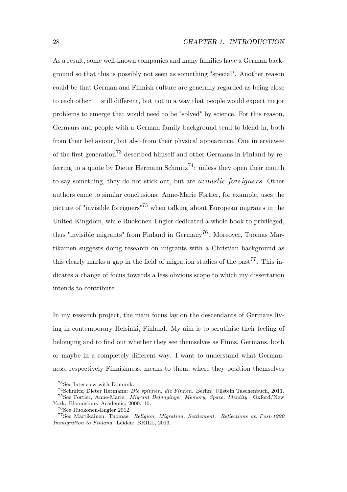As a result, some well-known companies and many families have a German background so that this is possibly not seen as something "special". Another reason could be that German and Finnish culture are generally regarded as being close to each other — still different, but not in a way that people would expect major problems to emerge that would need to be "solved" by science. For this reason, Germans and people with a German family background tend to blend in, both from their behaviour, but also from their physical appearance. One interviewee of the first generation<sup>73</sup> described himself and other Germans in Finland by referring to a quote by Dieter Hermann Schmitz<sup>74</sup>: unless they open their mouth to say something, they do not stick out, but are *acoustic foreigners*. Other authors came to similar conclusions: Anne-Marie Fortier, for example, uses the picture of "invisible foreigners"<sup>75</sup> when talking about European migrants in the United Kingdom, while Ruokonen-Engler dedicated a whole book to privileged, thus "invisible migrants" from Finland in Germany<sup>76</sup>. Moreover, Tuomas Martikainen suggests doing research on migrants with a Christian background as this clearly marks a gap in the field of migration studies of the past<sup>77</sup>. This indicates a change of focus towards a less obvious scope to which my dissertation intends to contribute.

In my research project, the main focus lay on the descendants of Germans living in contemporary Helsinki, Finland. My aim is to scrutinise their feeling of belonging and to find out whether they see themselves as Finns, Germans, both or maybe in a completely different way. I want to understand what Germanness, respectively Finnishness, means to them, where they position themselves

<sup>73</sup>See Interview with Dominik. <sup>74</sup>Schmitz, Dieter Hermann: *Die spinnen, die Finnen.* Berlin: Ullstein Taschenbuch, 2011. <sup>75</sup>See Fortier, Anne-Marie: *Migrant Belongings: Memory, Space, Identity.* Oxford/New

<sup>&</sup>lt;sup>76</sup>See Ruokonen-Engler 2012.<br><sup>77</sup>See Martikainen, Tuomas: *Religion, Migration, Settlement. Reflections on Post-1990 Immigration to Finland.* Leiden: BRILL, 2013.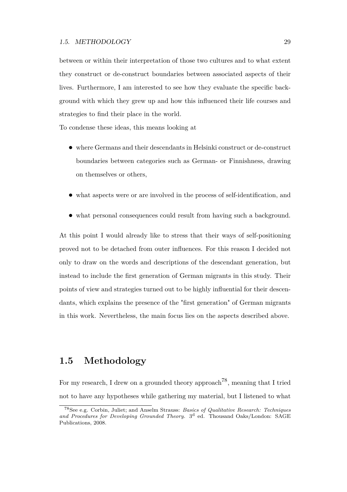between or within their interpretation of those two cultures and to what extent they construct or de-construct boundaries between associated aspects of their lives. Furthermore, I am interested to see how they evaluate the specific background with which they grew up and how this influenced their life courses and strategies to find their place in the world.

To condense these ideas, this means looking at

- where Germans and their descendants in Helsinki construct or de-construct boundaries between categories such as German- or Finnishness, drawing on themselves or others,
- what aspects were or are involved in the process of self-identification, and
- what personal consequences could result from having such a background.

At this point I would already like to stress that their ways of self-positioning proved not to be detached from outer influences. For this reason I decided not only to draw on the words and descriptions of the descendant generation, but instead to include the first generation of German migrants in this study. Their points of view and strategies turned out to be highly influential for their descendants, which explains the presence of the "first generation" of German migrants in this work. Nevertheless, the main focus lies on the aspects described above.

# **1.5 Methodology**

For my research, I drew on a grounded theory approach<sup>78</sup>, meaning that I tried not to have any hypotheses while gathering my material, but I listened to what

<sup>78</sup>See e.g. Corbin, Juliet; and Anselm Strauss: *Basics of Qualitative Research: Techniques and Procedures for Developing Grounded Theory.* 3<sup>d</sup> ed. Thousand Oaks/London: SAGE Publications, 2008.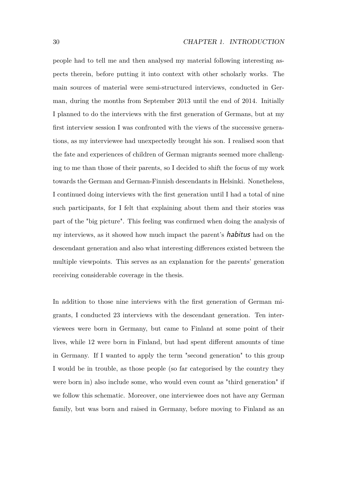people had to tell me and then analysed my material following interesting aspects therein, before putting it into context with other scholarly works. The main sources of material were semi-structured interviews, conducted in German, during the months from September 2013 until the end of 2014. Initially I planned to do the interviews with the first generation of Germans, but at my first interview session I was confronted with the views of the successive generations, as my interviewee had unexpectedly brought his son. I realised soon that the fate and experiences of children of German migrants seemed more challenging to me than those of their parents, so I decided to shift the focus of my work towards the German and German-Finnish descendants in Helsinki. Nonetheless, I continued doing interviews with the first generation until I had a total of nine such participants, for I felt that explaining about them and their stories was part of the "big picture". This feeling was confirmed when doing the analysis of my interviews, as it showed how much impact the parent's **habitus** had on the descendant generation and also what interesting differences existed between the multiple viewpoints. This serves as an explanation for the parents' generation receiving considerable coverage in the thesis.

In addition to those nine interviews with the first generation of German migrants, I conducted 23 interviews with the descendant generation. Ten interviewees were born in Germany, but came to Finland at some point of their lives, while 12 were born in Finland, but had spent different amounts of time in Germany. If I wanted to apply the term "second generation" to this group I would be in trouble, as those people (so far categorised by the country they were born in) also include some, who would even count as "third generation" if we follow this schematic. Moreover, one interviewee does not have any German family, but was born and raised in Germany, before moving to Finland as an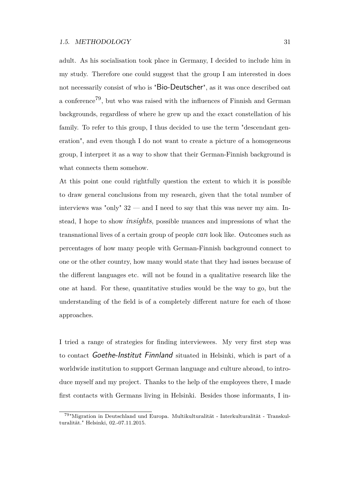adult. As his socialisation took place in Germany, I decided to include him in my study. Therefore one could suggest that the group I am interested in does not necessarily consist of who is "Bio-Deutscher", as it was once described oat a conference<sup>79</sup>, but who was raised with the influences of Finnish and German backgrounds, regardless of where he grew up and the exact constellation of his family. To refer to this group, I thus decided to use the term "descendant generation", and even though I do not want to create a picture of a homogeneous group, I interpret it as a way to show that their German-Finnish background is what connects them somehow.

At this point one could rightfully question the extent to which it is possible to draw general conclusions from my research, given that the total number of interviews was "only"  $32$  — and I need to say that this was never my aim. Instead, I hope to show *insights*, possible nuances and impressions of what the transnational lives of a certain group of people *can* look like. Outcomes such as percentages of how many people with German-Finnish background connect to one or the other country, how many would state that they had issues because of the different languages etc. will not be found in a qualitative research like the one at hand. For these, quantitative studies would be the way to go, but the understanding of the field is of a completely different nature for each of those approaches.

I tried a range of strategies for finding interviewees. My very first step was to contact Goethe-Institut Finnland situated in Helsinki, which is part of a worldwide institution to support German language and culture abroad, to introduce myself and my project. Thanks to the help of the employees there, I made first contacts with Germans living in Helsinki. Besides those informants, I in-

<sup>79</sup>"Migration in Deutschland und Europa. Multikulturalität - Interkulturalität - Transkulturalität." Helsinki, 02.-07.11.2015.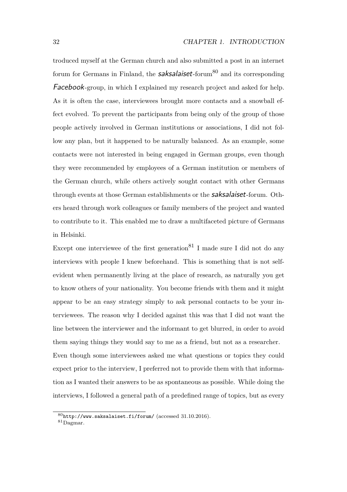troduced myself at the German church and also submitted a post in an internet forum for Germans in Finland, the **saksalaiset**-forum<sup>80</sup> and its corresponding Facebook-group, in which I explained my research project and asked for help. As it is often the case, interviewees brought more contacts and a snowball effect evolved. To prevent the participants from being only of the group of those people actively involved in German institutions or associations, I did not follow any plan, but it happened to be naturally balanced. As an example, some contacts were not interested in being engaged in German groups, even though they were recommended by employees of a German institution or members of the German church, while others actively sought contact with other Germans through events at those German establishments or the **saksalaiset**-forum. Others heard through work colleagues or family members of the project and wanted to contribute to it. This enabled me to draw a multifaceted picture of Germans in Helsinki.

Except one interviewee of the first generation  $81$  I made sure I did not do any interviews with people I knew beforehand. This is something that is not selfevident when permanently living at the place of research, as naturally you get to know others of your nationality. You become friends with them and it might appear to be an easy strategy simply to ask personal contacts to be your interviewees. The reason why I decided against this was that I did not want the line between the interviewer and the informant to get blurred, in order to avoid them saying things they would say to me as a friend, but not as a researcher. Even though some interviewees asked me what questions or topics they could expect prior to the interview, I preferred not to provide them with that information as I wanted their answers to be as spontaneous as possible. While doing the interviews, I followed a general path of a predefined range of topics, but as every

 $^{80}{\rm http://www.saksalaiset.fi/forum/}$  (accessed 31.10.2016).  $^{81}{\rm Dagmar}.$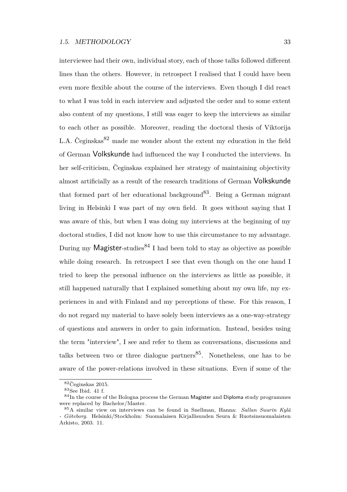interviewee had their own, individual story, each of those talks followed different lines than the others. However, in retrospect I realised that I could have been even more flexible about the course of the interviews. Even though I did react to what I was told in each interview and adjusted the order and to some extent also content of my questions, I still was eager to keep the interviews as similar to each other as possible. Moreover, reading the doctoral thesis of Viktorija L.A. Ceginskas $^{82}$  made me wonder about the extent my education in the field of German Volkskunde had influenced the way I conducted the interviews. In her self-criticism, Ceginskas explained her strategy of maintaining objectivity almost artificially as a result of the research traditions of German Volkskunde that formed part of her educational background<sup>83</sup>. Being a German migrant living in Helsinki I was part of my own field. It goes without saying that I was aware of this, but when I was doing my interviews at the beginning of my doctoral studies, I did not know how to use this circumstance to my advantage. During my **Magister-**studies<sup>84</sup> I had been told to stay as objective as possible while doing research. In retrospect I see that even though on the one hand I tried to keep the personal influence on the interviews as little as possible, it still happened naturally that I explained something about my own life, my experiences in and with Finland and my perceptions of these. For this reason, I do not regard my material to have solely been interviews as a one-way-strategy of questions and answers in order to gain information. Instead, besides using the term "interview", I see and refer to them as conversations, discussions and talks between two or three dialogue partners<sup>85</sup>. Nonetheless, one has to be aware of the power-relations involved in these situations. Even if some of the

 $^{82}$ Čeginskas 2015.<br> $^{83}$ See Ibid. 41 f.

 $84$ In the course of the Bologna process the German Magister and Diploma study programmes were replaced by Bachelor/Master. <sup>85</sup>A similar view on interviews can be found in Snellman, Hanna: *Sallan Suurin Kylä*

*<sup>-</sup> Göteborg.* Helsinki/Stockholm: Suomalaisen Kirjallisuuden Seura & Ruotsinsuomalaisten Arkisto, 2003. 11.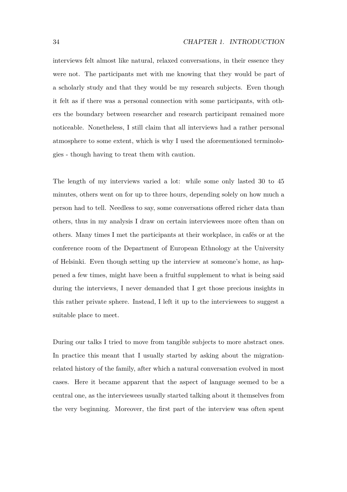interviews felt almost like natural, relaxed conversations, in their essence they were not. The participants met with me knowing that they would be part of a scholarly study and that they would be my research subjects. Even though it felt as if there was a personal connection with some participants, with others the boundary between researcher and research participant remained more noticeable. Nonetheless, I still claim that all interviews had a rather personal atmosphere to some extent, which is why I used the aforementioned terminologies - though having to treat them with caution.

The length of my interviews varied a lot: while some only lasted 30 to 45 minutes, others went on for up to three hours, depending solely on how much a person had to tell. Needless to say, some conversations offered richer data than others, thus in my analysis I draw on certain interviewees more often than on others. Many times I met the participants at their workplace, in cafés or at the conference room of the Department of European Ethnology at the University of Helsinki. Even though setting up the interview at someone's home, as happened a few times, might have been a fruitful supplement to what is being said during the interviews, I never demanded that I get those precious insights in this rather private sphere. Instead, I left it up to the interviewees to suggest a suitable place to meet.

During our talks I tried to move from tangible subjects to more abstract ones. In practice this meant that I usually started by asking about the migrationrelated history of the family, after which a natural conversation evolved in most cases. Here it became apparent that the aspect of language seemed to be a central one, as the interviewees usually started talking about it themselves from the very beginning. Moreover, the first part of the interview was often spent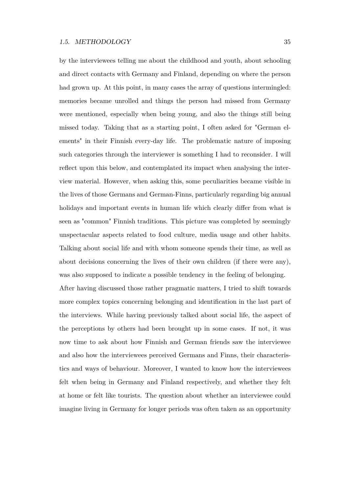by the interviewees telling me about the childhood and youth, about schooling and direct contacts with Germany and Finland, depending on where the person had grown up. At this point, in many cases the array of questions intermingled: memories became unrolled and things the person had missed from Germany were mentioned, especially when being young, and also the things still being missed today. Taking that as a starting point, I often asked for "German elements" in their Finnish every-day life. The problematic nature of imposing such categories through the interviewer is something I had to reconsider. I will reflect upon this below, and contemplated its impact when analysing the interview material. However, when asking this, some peculiarities became visible in the lives of those Germans and German-Finns, particularly regarding big annual holidays and important events in human life which clearly differ from what is seen as "common" Finnish traditions. This picture was completed by seemingly unspectacular aspects related to food culture, media usage and other habits. Talking about social life and with whom someone spends their time, as well as about decisions concerning the lives of their own children (if there were any), was also supposed to indicate a possible tendency in the feeling of belonging.

After having discussed those rather pragmatic matters, I tried to shift towards more complex topics concerning belonging and identification in the last part of the interviews. While having previously talked about social life, the aspect of the perceptions by others had been brought up in some cases. If not, it was now time to ask about how Finnish and German friends saw the interviewee and also how the interviewees perceived Germans and Finns, their characteristics and ways of behaviour. Moreover, I wanted to know how the interviewees felt when being in Germany and Finland respectively, and whether they felt at home or felt like tourists. The question about whether an interviewee could imagine living in Germany for longer periods was often taken as an opportunity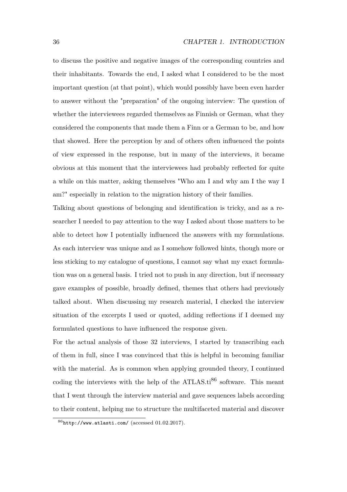to discuss the positive and negative images of the corresponding countries and their inhabitants. Towards the end, I asked what I considered to be the most important question (at that point), which would possibly have been even harder to answer without the "preparation" of the ongoing interview: The question of whether the interviewees regarded themselves as Finnish or German, what they considered the components that made them a Finn or a German to be, and how that showed. Here the perception by and of others often influenced the points of view expressed in the response, but in many of the interviews, it became obvious at this moment that the interviewees had probably reflected for quite a while on this matter, asking themselves "Who am I and why am I the way I am?" especially in relation to the migration history of their families.

Talking about questions of belonging and identification is tricky, and as a researcher I needed to pay attention to the way I asked about those matters to be able to detect how I potentially influenced the answers with my formulations. As each interview was unique and as I somehow followed hints, though more or less sticking to my catalogue of questions, I cannot say what my exact formulation was on a general basis. I tried not to push in any direction, but if necessary gave examples of possible, broadly defined, themes that others had previously talked about. When discussing my research material, I checked the interview situation of the excerpts I used or quoted, adding reflections if I deemed my formulated questions to have influenced the response given.

For the actual analysis of those 32 interviews, I started by transcribing each of them in full, since I was convinced that this is helpful in becoming familiar with the material. As is common when applying grounded theory, I continued coding the interviews with the help of the  $ATLAS.ti^{86}$  software. This meant that I went through the interview material and gave sequences labels according to their content, helping me to structure the multifaceted material and discover

 $86$ http://www.atlasti.com/ (accessed 01.02.2017).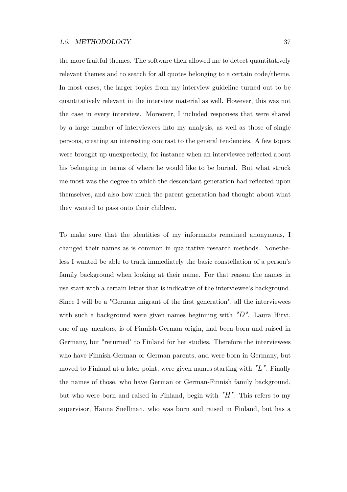the more fruitful themes. The software then allowed me to detect quantitatively relevant themes and to search for all quotes belonging to a certain code/theme. In most cases, the larger topics from my interview guideline turned out to be quantitatively relevant in the interview material as well. However, this was not the case in every interview. Moreover, I included responses that were shared by a large number of interviewees into my analysis, as well as those of single persons, creating an interesting contrast to the general tendencies. A few topics were brought up unexpectedly, for instance when an interviewee reflected about his belonging in terms of where he would like to be buried. But what struck me most was the degree to which the descendant generation had reflected upon themselves, and also how much the parent generation had thought about what they wanted to pass onto their children.

To make sure that the identities of my informants remained anonymous, I changed their names as is common in qualitative research methods. Nonetheless I wanted be able to track immediately the basic constellation of a person's family background when looking at their name. For that reason the names in use start with a certain letter that is indicative of the interviewee's background. Since I will be a "German migrant of the first generation", all the interviewees with such a background were given names beginning with *"D"*. Laura Hirvi, one of my mentors, is of Finnish-German origin, had been born and raised in Germany, but "returned" to Finland for her studies. Therefore the interviewees who have Finnish-German or German parents, and were born in Germany, but moved to Finland at a later point, were given names starting with *"L"*. Finally the names of those, who have German or German-Finnish family background, but who were born and raised in Finland, begin with *"H"*. This refers to my supervisor, Hanna Snellman, who was born and raised in Finland, but has a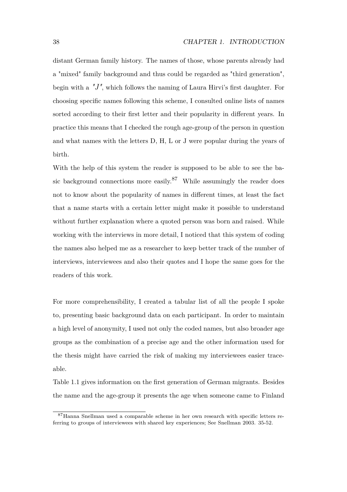distant German family history. The names of those, whose parents already had a "mixed" family background and thus could be regarded as "third generation", begin with a *"J"*, which follows the naming of Laura Hirvi's first daughter. For choosing specific names following this scheme, I consulted online lists of names sorted according to their first letter and their popularity in different years. In practice this means that I checked the rough age-group of the person in question and what names with the letters D, H, L or J were popular during the years of birth.

With the help of this system the reader is supposed to be able to see the basic background connections more easily.<sup>87</sup> While assumingly the reader does not to know about the popularity of names in different times, at least the fact that a name starts with a certain letter might make it possible to understand without further explanation where a quoted person was born and raised. While working with the interviews in more detail, I noticed that this system of coding the names also helped me as a researcher to keep better track of the number of interviews, interviewees and also their quotes and I hope the same goes for the readers of this work.

For more comprehensibility, I created a tabular list of all the people I spoke to, presenting basic background data on each participant. In order to maintain a high level of anonymity, I used not only the coded names, but also broader age groups as the combination of a precise age and the other information used for the thesis might have carried the risk of making my interviewees easier traceable.

Table 1.1 gives information on the first generation of German migrants. Besides the name and the age-group it presents the age when someone came to Finland

<sup>87</sup>Hanna Snellman used a comparable scheme in her own research with specific letters referring to groups of interviewees with shared key experiences; See Snellman 2003. 35-52.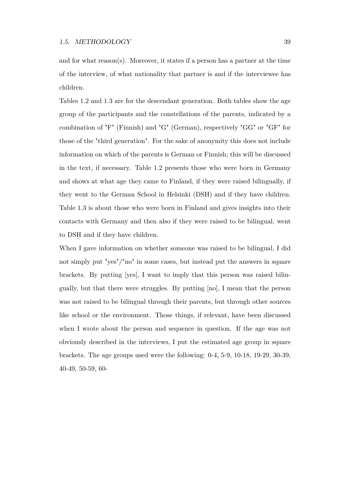and for what reason(s). Moreover, it states if a person has a partner at the time of the interview, of what nationality that partner is and if the interviewee has children.

Tables 1.2 and 1.3 are for the descendant generation. Both tables show the age group of the participants and the constellations of the parents, indicated by a combination of "F" (Finnish) and "G" (German), respectively "GG" or "GF" for those of the "third generation". For the sake of anonymity this does not include information on which of the parents is German or Finnish; this will be discussed in the text, if necessary. Table 1.2 presents those who were born in Germany and shows at what age they came to Finland, if they were raised bilingually, if they went to the German School in Helsinki (DSH) and if they have children. Table 1.3 is about those who were born in Finland and gives insights into their contacts with Germany and then also if they were raised to be bilingual, went to DSH and if they have children.

When I gave information on whether someone was raised to be bilingual, I did not simply put "yes"/"no" in some cases, but instead put the answers in square brackets. By putting [yes], I want to imply that this person was raised bilingually, but that there were struggles. By putting [no], I mean that the person was not raised to be bilingual through their parents, but through other sources like school or the environment. Those things, if relevant, have been discussed when I wrote about the person and sequence in question. If the age was not obviously described in the interviews, I put the estimated age group in square brackets. The age groups used were the following: 0-4, 5-9, 10-18, 19-29, 30-39, 40-49, 50-59, 60-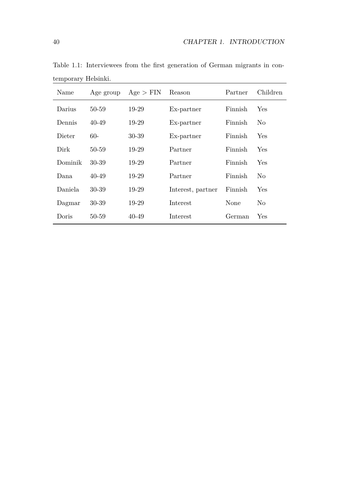| Name    | Age group | Age > FIN | Reason            | Partner | Children.      |
|---------|-----------|-----------|-------------------|---------|----------------|
| Darius  | 50-59     | 19-29     | Ex-partner        | Finnish | Yes            |
| Dennis  | 40-49     | 19-29     | Ex-partner        | Finnish | N <sub>0</sub> |
| Dieter  | $60-$     | 30-39     | Ex-partner        | Finnish | Yes            |
| Dirk    | 50-59     | 19-29     | Partner           | Finnish | Yes            |
| Dominik | 30-39     | 19-29     | Partner           | Finnish | Yes            |
| Dana.   | 40-49     | 19-29     | Partner           | Finnish | $N_{\Omega}$   |
| Daniela | 30-39     | 19-29     | Interest, partner | Finnish | Yes            |
| Dagmar  | 30-39     | 19-29     | Interest          | None    | N <sub>0</sub> |
| Doris   | 50-59     | 40-49     | Interest          | German  | Yes            |

Table 1.1: Interviewees from the first generation of German migrants in contemporary Helsinki.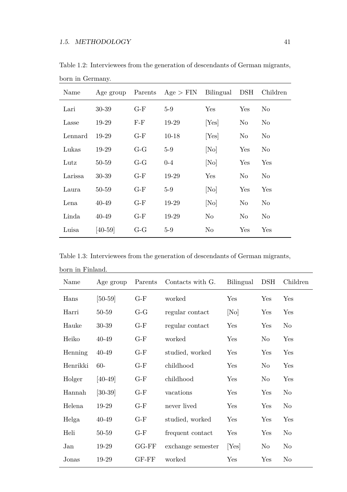| Name    | Age group Parents |       | Age > FIN | Bilingual | DSH            | Children |
|---------|-------------------|-------|-----------|-----------|----------------|----------|
| Lari    | 30-39             | $G-F$ | $5-9$     | Yes       | Yes            | No       |
| Lasse   | 19-29             | $F-F$ | 19-29     | [Yes]     | N <sub>o</sub> | No       |
| Lennard | 19-29             | $G-F$ | $10 - 18$ | [Yes]     | No             | No       |
| Lukas   | 19-29             | $G-G$ | $5-9$     | [No]      | Yes            | $\rm No$ |
| Lutz    | 50-59             | $G-G$ | $0 - 4$   | [No]      | Yes            | Yes      |
| Larissa | 30-39             | $G-F$ | 19-29     | Yes       | No             | No       |
| Laura   | 50-59             | $G-F$ | $5-9$     | [No]      | Yes            | Yes      |
| Lena    | 40-49             | $G-F$ | 19-29     | [No]      | $\rm No$       | No       |
| Linda   | 40-49             | $G-F$ | 19-29     | No        | No             | No       |
| Luisa   | $[40-59]$         | $G-G$ | $5-9$     | No        | Yes            | Yes      |

Table 1.2: Interviewees from the generation of descendants of German migrants, born in Germany.

Table 1.3: Interviewees from the generation of descendants of German migrants,

| born in Finland. |                |         |                   |           |            |                |  |
|------------------|----------------|---------|-------------------|-----------|------------|----------------|--|
| Name             | Age group      | Parents | Contacts with G.  | Bilingual | <b>DSH</b> | Children       |  |
| Hans             | $[50-59]$      | $G-F$   | worked            | Yes       | Yes        | Yes            |  |
| Harri            | 50-59          | $G-G$   | regular contact   | [No]      | Yes        | Yes            |  |
| Hauke            | 30-39          | $G-F$   | regular contact   | Yes       | Yes        | No             |  |
| Heiko            | 40-49          | $G-F$   | worked            | Yes       | No         | Yes            |  |
| Henning          | 40-49          | $G-F$   | studied, worked   | Yes       | Yes        | Yes            |  |
| Henrikki         | $60 -$         | $G-F$   | childhood         | Yes       | $\rm No$   | Yes            |  |
| Holger           | $[40 - 49]$    | $G-F$   | childhood         | Yes       | No         | Yes            |  |
| Hannah           | $[30-39]$      | $G-F$   | vacations         | Yes       | Yes        | N <sub>o</sub> |  |
| Helena           | 19-29          | $G-F$   | never lived       | Yes       | Yes        | No             |  |
| Helga            | 40-49          | $G-F$   | studied, worked   | Yes       | Yes        | Yes            |  |
| Heli             | $50\hbox{-}59$ | $G-F$   | frequent contact  | Yes       | Yes        | No             |  |
| Jan              | 19-29          | $GG-FF$ | exchange semester | [Yes]     | No         | No             |  |
| Jonas            | 19-29          | GF-FF   | worked            | Yes       | Yes        | No             |  |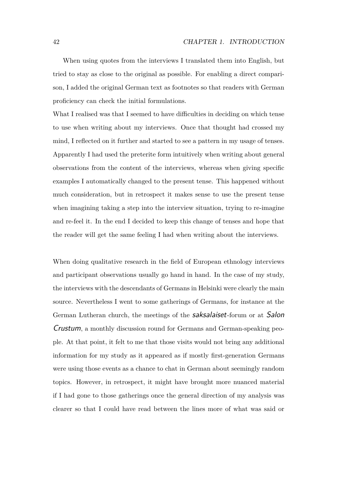When using quotes from the interviews I translated them into English, but tried to stay as close to the original as possible. For enabling a direct comparison, I added the original German text as footnotes so that readers with German proficiency can check the initial formulations.

What I realised was that I seemed to have difficulties in deciding on which tense to use when writing about my interviews. Once that thought had crossed my mind, I reflected on it further and started to see a pattern in my usage of tenses. Apparently I had used the preterite form intuitively when writing about general observations from the content of the interviews, whereas when giving specific examples I automatically changed to the present tense. This happened without much consideration, but in retrospect it makes sense to use the present tense when imagining taking a step into the interview situation, trying to re-imagine and re-feel it. In the end I decided to keep this change of tenses and hope that the reader will get the same feeling I had when writing about the interviews.

When doing qualitative research in the field of European ethnology interviews and participant observations usually go hand in hand. In the case of my study, the interviews with the descendants of Germans in Helsinki were clearly the main source. Nevertheless I went to some gatherings of Germans, for instance at the German Lutheran church, the meetings of the **saksalaiset**-forum or at **Salon** Crustum, a monthly discussion round for Germans and German-speaking people. At that point, it felt to me that those visits would not bring any additional information for my study as it appeared as if mostly first-generation Germans were using those events as a chance to chat in German about seemingly random topics. However, in retrospect, it might have brought more nuanced material if I had gone to those gatherings once the general direction of my analysis was clearer so that I could have read between the lines more of what was said or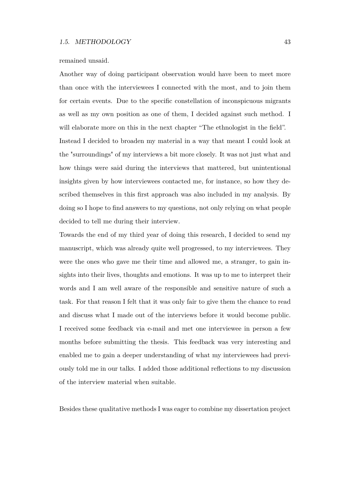remained unsaid.

Another way of doing participant observation would have been to meet more than once with the interviewees I connected with the most, and to join them for certain events. Due to the specific constellation of inconspicuous migrants as well as my own position as one of them, I decided against such method. I will elaborate more on this in the next chapter "The ethnologist in the field". Instead I decided to broaden my material in a way that meant I could look at the "surroundings" of my interviews a bit more closely. It was not just what and how things were said during the interviews that mattered, but unintentional insights given by how interviewees contacted me, for instance, so how they described themselves in this first approach was also included in my analysis. By doing so I hope to find answers to my questions, not only relying on what people decided to tell me during their interview.

Towards the end of my third year of doing this research, I decided to send my manuscript, which was already quite well progressed, to my interviewees. They were the ones who gave me their time and allowed me, a stranger, to gain insights into their lives, thoughts and emotions. It was up to me to interpret their words and I am well aware of the responsible and sensitive nature of such a task. For that reason I felt that it was only fair to give them the chance to read and discuss what I made out of the interviews before it would become public. I received some feedback via e-mail and met one interviewee in person a few months before submitting the thesis. This feedback was very interesting and enabled me to gain a deeper understanding of what my interviewees had previously told me in our talks. I added those additional reflections to my discussion of the interview material when suitable.

Besides these qualitative methods I was eager to combine my dissertation project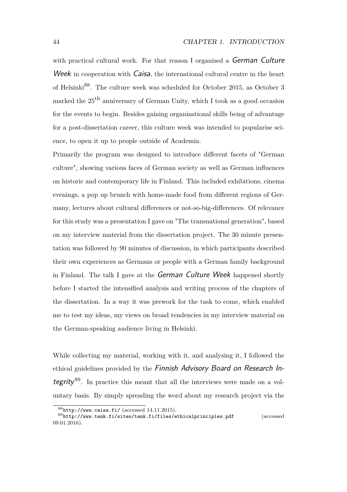with practical cultural work. For that reason I organised a **German Culture** Week in cooperation with *Caisa*, the international cultural centre in the heart of Helsinki $^{88}$ . The culture week was scheduled for October 2015, as October 3 marked the  $25<sup>th</sup>$  anniversary of German Unity, which I took as a good occasion for the events to begin. Besides gaining organisational skills being of advantage for a post-dissertation career, this culture week was intended to popularise science, to open it up to people outside of Academia.

Primarily the program was designed to introduce different facets of "German culture", showing various faces of German society as well as German influences on historic and contemporary life in Finland. This included exhibitions, cinema evenings, a pop up brunch with home-made food from different regions of Germany, lectures about cultural differences or not-so-big-differences. Of relevance for this study was a presentation I gave on "The transnational generation", based on my interview material from the dissertation project. The 30 minute presentation was followed by 90 minutes of discussion, in which participants described their own experiences as Germans or people with a German family background in Finland. The talk I gave at the German Culture Week happened shortly before I started the intensified analysis and writing process of the chapters of the dissertation. In a way it was prework for the task to come, which enabled me to test my ideas, my views on broad tendencies in my interview material on the German-speaking audience living in Helsinki.

While collecting my material, working with it, and analysing it, I followed the ethical guidelines provided by the Finnish Advisory Board on Research Integrity  $89$ . In practice this meant that all the interviews were made on a voluntary basis. By simply spreading the word about my research project via the

 $88$ http://www.caisa.fi/ (accessed 14.11.2015).<br> $89$ http://www.tenk.fi/sites/tenk.fi/files/ethicalprinciples.pdf (accessed 09.01.2016).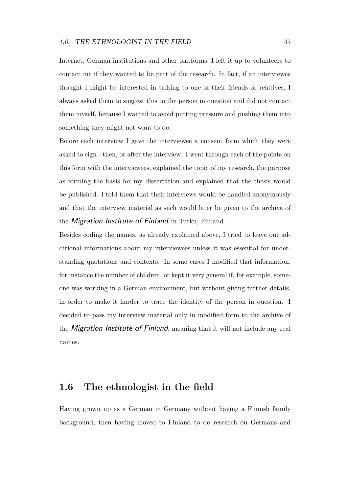Internet, German institutions and other platforms, I left it up to volunteers to contact me if they wanted to be part of the research. In fact, if an interviewee thought I might be interested in talking to one of their friends or relatives, I always asked them to suggest this to the person in question and did not contact them myself, because I wanted to avoid putting pressure and pushing them into something they might not want to do.

Before each interview I gave the interviewee a consent form which they were asked to sign - then, or after the interview. I went through each of the points on this form with the interviewees, explained the topic of my research, the purpose as forming the basis for my dissertation and explained that the thesis would be published. I told them that their interviews would be handled anonymously and that the interview material as such would later be given to the archive of the Migration Institute of Finland in Turku, Finland.

Besides coding the names, as already explained above, I tried to leave out additional informations about my interviewees unless it was essential for understanding quotations and contexts. In some cases I modified that information, for instance the number of children, or kept it very general if, for example, someone was working in a German environment, but without giving further details, in order to make it harder to trace the identity of the person in question. I decided to pass my interview material only in modified form to the archive of the Migration Institute of Finland, meaning that it will not include any real names.

#### **1.6 The ethnologist in the field**

Having grown up as a German in Germany without having a Finnish family background, then having moved to Finland to do research on Germans and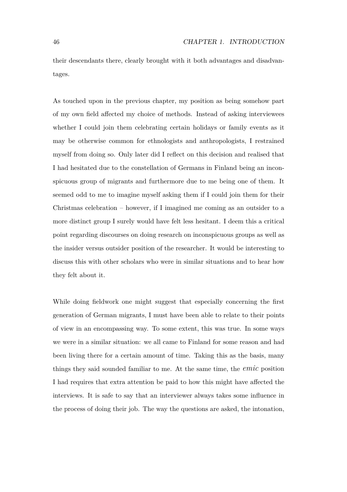their descendants there, clearly brought with it both advantages and disadvantages.

As touched upon in the previous chapter, my position as being somehow part of my own field affected my choice of methods. Instead of asking interviewees whether I could join them celebrating certain holidays or family events as it may be otherwise common for ethnologists and anthropologists, I restrained myself from doing so. Only later did I reflect on this decision and realised that I had hesitated due to the constellation of Germans in Finland being an inconspicuous group of migrants and furthermore due to me being one of them. It seemed odd to me to imagine myself asking them if I could join them for their Christmas celebration – however, if I imagined me coming as an outsider to a more distinct group I surely would have felt less hesitant. I deem this a critical point regarding discourses on doing research on inconspicuous groups as well as the insider versus outsider position of the researcher. It would be interesting to discuss this with other scholars who were in similar situations and to hear how they felt about it.

While doing fieldwork one might suggest that especially concerning the first generation of German migrants, I must have been able to relate to their points of view in an encompassing way. To some extent, this was true. In some ways we were in a similar situation: we all came to Finland for some reason and had been living there for a certain amount of time. Taking this as the basis, many things they said sounded familiar to me. At the same time, the *emic* position I had requires that extra attention be paid to how this might have affected the interviews. It is safe to say that an interviewer always takes some influence in the process of doing their job. The way the questions are asked, the intonation,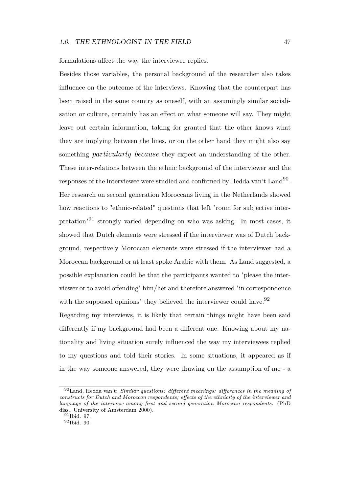formulations affect the way the interviewee replies.

Besides those variables, the personal background of the researcher also takes influence on the outcome of the interviews. Knowing that the counterpart has been raised in the same country as oneself, with an assumingly similar socialisation or culture, certainly has an effect on what someone will say. They might leave out certain information, taking for granted that the other knows what they are implying between the lines, or on the other hand they might also say something *particularly because* they expect an understanding of the other. These inter-relations between the ethnic background of the interviewer and the responses of the interviewee were studied and confirmed by Hedda van't Land<sup>90</sup>. Her research on second generation Moroccans living in the Netherlands showed how reactions to "ethnic-related" questions that left "room for subjective interpretation"<sup>91</sup> strongly varied depending on who was asking. In most cases, it showed that Dutch elements were stressed if the interviewer was of Dutch background, respectively Moroccan elements were stressed if the interviewer had a Moroccan background or at least spoke Arabic with them. As Land suggested, a possible explanation could be that the participants wanted to "please the interviewer or to avoid offending" him/her and therefore answered "in correspondence with the supposed opinions" they believed the interviewer could have.<sup>92</sup>

Regarding my interviews, it is likely that certain things might have been said differently if my background had been a different one. Knowing about my nationality and living situation surely influenced the way my interviewees replied to my questions and told their stories. In some situations, it appeared as if in the way someone answered, they were drawing on the assumption of me - a

<sup>90</sup>Land, Hedda van't: *Similar questions: different meanings: differences in the meaning of constructs for Dutch and Moroccan respondents; effects of the ethnicity of the interviewer and language of the interview among first and second generation Moroccan respondents.* (PhD diss., University of Amsterdam 2000).<br> $^{91}$ Ibid. 97.<br> $^{92}$ Ibid. 90.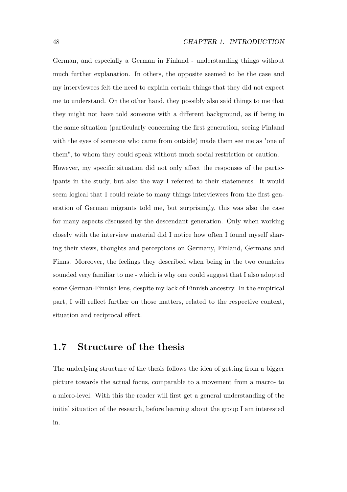German, and especially a German in Finland - understanding things without much further explanation. In others, the opposite seemed to be the case and my interviewees felt the need to explain certain things that they did not expect me to understand. On the other hand, they possibly also said things to me that they might not have told someone with a different background, as if being in the same situation (particularly concerning the first generation, seeing Finland with the eyes of someone who came from outside) made them see me as "one of them", to whom they could speak without much social restriction or caution.

However, my specific situation did not only affect the responses of the participants in the study, but also the way I referred to their statements. It would seem logical that I could relate to many things interviewees from the first generation of German migrants told me, but surprisingly, this was also the case for many aspects discussed by the descendant generation. Only when working closely with the interview material did I notice how often I found myself sharing their views, thoughts and perceptions on Germany, Finland, Germans and Finns. Moreover, the feelings they described when being in the two countries sounded very familiar to me - which is why one could suggest that I also adopted some German-Finnish lens, despite my lack of Finnish ancestry. In the empirical part, I will reflect further on those matters, related to the respective context, situation and reciprocal effect.

#### **1.7 Structure of the thesis**

The underlying structure of the thesis follows the idea of getting from a bigger picture towards the actual focus, comparable to a movement from a macro- to a micro-level. With this the reader will first get a general understanding of the initial situation of the research, before learning about the group I am interested in.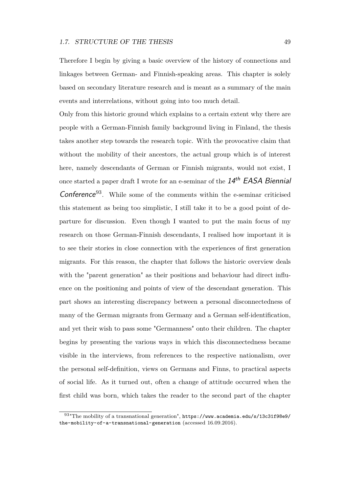Therefore I begin by giving a basic overview of the history of connections and linkages between German- and Finnish-speaking areas. This chapter is solely based on secondary literature research and is meant as a summary of the main events and interrelations, without going into too much detail.

Only from this historic ground which explains to a certain extent why there are people with a German-Finnish family background living in Finland, the thesis takes another step towards the research topic. With the provocative claim that without the mobility of their ancestors, the actual group which is of interest here, namely descendants of German or Finnish migrants, would not exist, I once started a paper draft I wrote for an e-seminar of the  $14<sup>th</sup>$  EASA Biennial **Conference**<sup>93</sup>. While some of the comments within the e-seminar criticised this statement as being too simplistic, I still take it to be a good point of departure for discussion. Even though I wanted to put the main focus of my research on those German-Finnish descendants, I realised how important it is to see their stories in close connection with the experiences of first generation migrants. For this reason, the chapter that follows the historic overview deals with the "parent generation" as their positions and behaviour had direct influence on the positioning and points of view of the descendant generation. This part shows an interesting discrepancy between a personal disconnectedness of many of the German migrants from Germany and a German self-identification, and yet their wish to pass some "Germanness" onto their children. The chapter begins by presenting the various ways in which this disconnectedness became visible in the interviews, from references to the respective nationalism, over the personal self-definition, views on Germans and Finns, to practical aspects of social life. As it turned out, often a change of attitude occurred when the first child was born, which takes the reader to the second part of the chapter

<sup>93</sup>"The mobility of a transnational generation", https://www.academia.edu/s/13c31f98e9/ the-mobility-of-a-transnational-generation (accessed 16.09.2016).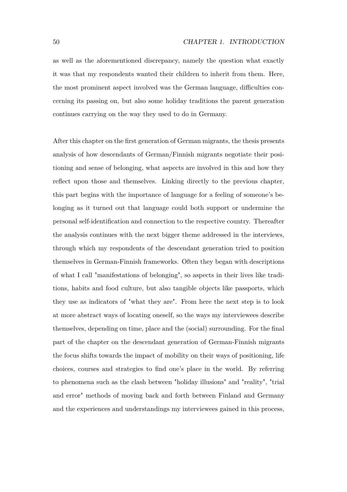as well as the aforementioned discrepancy, namely the question what exactly it was that my respondents wanted their children to inherit from them. Here, the most prominent aspect involved was the German language, difficulties concerning its passing on, but also some holiday traditions the parent generation continues carrying on the way they used to do in Germany.

After this chapter on the first generation of German migrants, the thesis presents analysis of how descendants of German/Finnish migrants negotiate their positioning and sense of belonging, what aspects are involved in this and how they reflect upon those and themselves. Linking directly to the previous chapter, this part begins with the importance of language for a feeling of someone's belonging as it turned out that language could both support or undermine the personal self-identification and connection to the respective country. Thereafter the analysis continues with the next bigger theme addressed in the interviews, through which my respondents of the descendant generation tried to position themselves in German-Finnish frameworks. Often they began with descriptions of what I call "manifestations of belonging", so aspects in their lives like traditions, habits and food culture, but also tangible objects like passports, which they use as indicators of "what they are". From here the next step is to look at more abstract ways of locating oneself, so the ways my interviewees describe themselves, depending on time, place and the (social) surrounding. For the final part of the chapter on the descendant generation of German-Finnish migrants the focus shifts towards the impact of mobility on their ways of positioning, life choices, courses and strategies to find one's place in the world. By referring to phenomena such as the clash between "holiday illusions" and "reality", "trial and error" methods of moving back and forth between Finland and Germany and the experiences and understandings my interviewees gained in this process,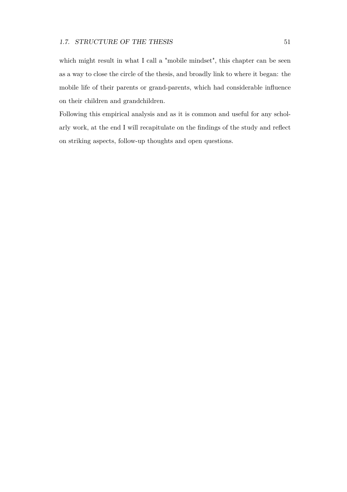which might result in what I call a "mobile mindset", this chapter can be seen as a way to close the circle of the thesis, and broadly link to where it began: the mobile life of their parents or grand-parents, which had considerable influence on their children and grandchildren.

Following this empirical analysis and as it is common and useful for any scholarly work, at the end I will recapitulate on the findings of the study and reflect on striking aspects, follow-up thoughts and open questions.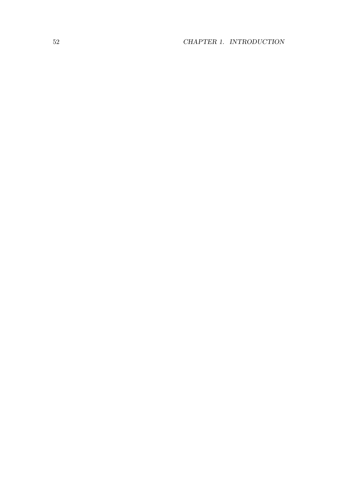CHAPTER 1. INTRODUCTION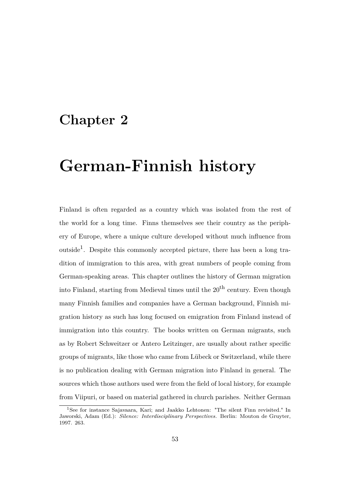### **Chapter 2**

# **German-Finnish history**

Finland is often regarded as a country which was isolated from the rest of the world for a long time. Finns themselves see their country as the periphery of Europe, where a unique culture developed without much influence from outside<sup>1</sup>. Despite this commonly accepted picture, there has been a long tradition of immigration to this area, with great numbers of people coming from German-speaking areas. This chapter outlines the history of German migration into Finland, starting from Medieval times until the  $20<sup>th</sup>$  century. Even though many Finnish families and companies have a German background, Finnish migration history as such has long focused on emigration from Finland instead of immigration into this country. The books written on German migrants, such as by Robert Schweitzer or Antero Leitzinger, are usually about rather specific groups of migrants, like those who came from Lübeck or Switzerland, while there is no publication dealing with German migration into Finland in general. The sources which those authors used were from the field of local history, for example from Viipuri, or based on material gathered in church parishes. Neither German

<sup>&</sup>lt;sup>1</sup>See for instance Sajavaara, Kari; and Jaakko Lehtonen: "The silent Finn revisited." In Jaworski, Adam (Ed.): *Silence: Interdisciplinary Perspectives.* Berlin: Mouton de Gruyter, 1997. 263.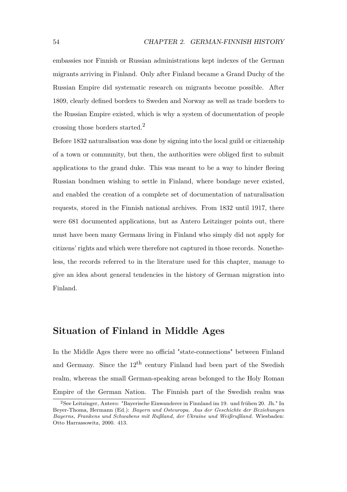embassies nor Finnish or Russian administrations kept indexes of the German migrants arriving in Finland. Only after Finland became a Grand Duchy of the Russian Empire did systematic research on migrants become possible. After 1809, clearly defined borders to Sweden and Norway as well as trade borders to the Russian Empire existed, which is why a system of documentation of people crossing those borders started.<sup>2</sup>

Before 1832 naturalisation was done by signing into the local guild or citizenship of a town or community, but then, the authorities were obliged first to submit applications to the grand duke. This was meant to be a way to hinder fleeing Russian bondmen wishing to settle in Finland, where bondage never existed, and enabled the creation of a complete set of documentation of naturalisation requests, stored in the Finnish national archives. From 1832 until 1917, there were 681 documented applications, but as Antero Leitzinger points out, there must have been many Germans living in Finland who simply did not apply for citizens' rights and which were therefore not captured in those records. Nonetheless, the records referred to in the literature used for this chapter, manage to give an idea about general tendencies in the history of German migration into Finland.

#### **Situation of Finland in Middle Ages**

In the Middle Ages there were no official "state-connections" between Finland and Germany. Since the  $12<sup>th</sup>$  century Finland had been part of the Swedish realm, whereas the small German-speaking areas belonged to the Holy Roman Empire of the German Nation. The Finnish part of the Swedish realm was

<sup>2</sup>See Leitzinger, Antero: "Bayerische Einwanderer in Finnland im 19. und frühen 20. Jh." In Beyer-Thoma, Hermann (Ed.): *Bayern und Osteuropa. Aus der Geschichte der Beziehungen Bayerns, Frankens und Schwabens mit Rußland, der Ukraine und Weißrußland.* Wiesbaden: Otto Harrassowitz, 2000. 413.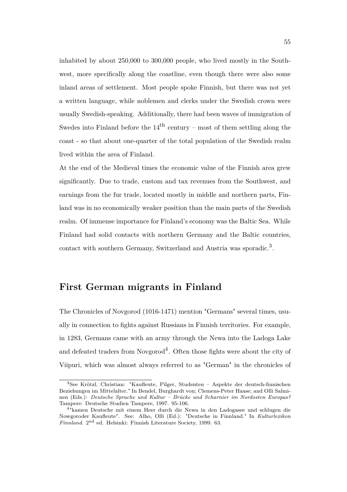inhabited by about 250,000 to 300,000 people, who lived mostly in the Southwest, more specifically along the coastline, even though there were also some inland areas of settlement. Most people spoke Finnish, but there was not yet a written language, while noblemen and clerks under the Swedish crown were usually Swedish-speaking. Additionally, there had been waves of immigration of Swedes into Finland before the  $14<sup>th</sup>$  century – most of them settling along the coast - so that about one-quarter of the total population of the Swedish realm lived within the area of Finland.

At the end of the Medieval times the economic value of the Finnish area grew significantly. Due to trade, custom and tax revenues from the Southwest, and earnings from the fur trade, located mostly in middle and northern parts, Finland was in no economically weaker position than the main parts of the Swedish realm. Of immense importance for Finland's economy was the Baltic Sea. While Finland had solid contacts with northern Germany and the Baltic countries, contact with southern Germany, Switzerland and Austria was sporadic.<sup>3</sup>.

#### **First German migrants in Finland**

The Chronicles of Novgorod (1016-1471) mention "Germans" several times, usually in connection to fights against Russians in Finnish territories. For example, in 1283, Germans came with an army through the Newa into the Ladoga Lake and defeated traders from  $Novgorod<sup>4</sup>$ . Often those fights were about the city of Viipuri, which was almost always referred to as "German" in the chronicles of

<sup>3</sup>See Krötzl, Christian: "Kaufleute, Pilger, Studenten – Aspekte der deutsch-finnischen Beziehungen im Mittelalter." In Bendel, Burghardt von; Clemens-Peter Haase; and Olli Salminen (Eds.): *Deutsche Sprache und Kultur – Brücke und Scharnier im Nordosten Europas?* Tampere: Deutsche Studien Tampere, 1997. 95-106. <sup>4</sup>"kamen Deutsche mit einem Heer durch die Newa in den Ladogasee und schlugen die

Nowgoroder Kaufleute". See: Alho, Olli (Ed.): "Deutsche in Finnland." In *Kulturlexikon Finnland*. 2nd ed. Helsinki: Finnish Literature Society, 1999. 63.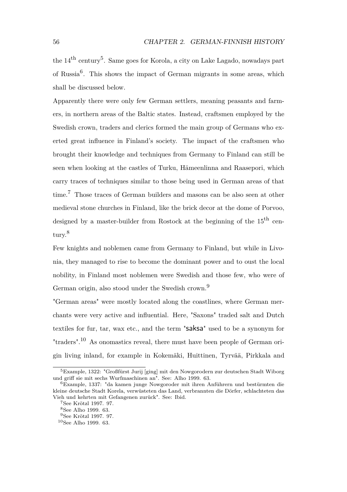the  $14<sup>th</sup>$  century<sup>5</sup>. Same goes for Korola, a city on Lake Lagado, nowadays part of Russia<sup>6</sup>. This shows the impact of German migrants in some areas, which shall be discussed below.

Apparently there were only few German settlers, meaning peasants and farmers, in northern areas of the Baltic states. Instead, craftsmen employed by the Swedish crown, traders and clerics formed the main group of Germans who exerted great influence in Finland's society. The impact of the craftsmen who brought their knowledge and techniques from Germany to Finland can still be seen when looking at the castles of Turku, Hämeenlinna and Raasepori, which carry traces of techniques similar to those being used in German areas of that time.<sup>7</sup> Those traces of German builders and masons can be also seen at other medieval stone churches in Finland, like the brick decor at the dome of Porvoo, designed by a master-builder from Rostock at the beginning of the  $15<sup>th</sup>$  century.<sup>8</sup>

Few knights and noblemen came from Germany to Finland, but while in Livonia, they managed to rise to become the dominant power and to oust the local nobility, in Finland most noblemen were Swedish and those few, who were of German origin, also stood under the Swedish crown.<sup>9</sup>

"German areas" were mostly located along the coastlines, where German merchants were very active and influential. Here, "Saxons" traded salt and Dutch textiles for fur, tar, wax etc., and the term "saksa" used to be a synonym for "traders".<sup>10</sup> As onomastics reveal, there must have been people of German origin living inland, for example in Kokemäki, Huittinen, Tyrvää, Pirkkala and

 $^{5}$ Example, 1322: "Großfürst Jurij [ging] mit den Nowgorodern zur deutschen Stadt Wiborg und griff sie mit sechs Wurfmaschinen an". See: Alho 1999. 63.

 $6$ Example, 1337: "da kamen junge Nowgoroder mit ihren Anführern und bestürmten die kleine deutsche Stadt Korela, verwüsteten das Land, verbrannten die Dörfer, schlachteten das Vieh und kehrten mit Gefangenen zurück". See: Ibid. <sup>7</sup>See Krötzl 1997. 97.

<sup>8</sup>See Alho 1999. 63.

 $^{9}$ See Krötzl 1997. 97.<br><sup>10</sup>See Alho 1999. 63.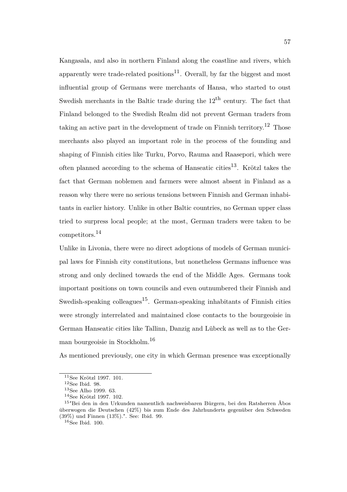Kangasala, and also in northern Finland along the coastline and rivers, which apparently were trade-related positions<sup>11</sup>. Overall, by far the biggest and most influential group of Germans were merchants of Hansa, who started to oust Swedish merchants in the Baltic trade during the  $12<sup>th</sup>$  century. The fact that Finland belonged to the Swedish Realm did not prevent German traders from taking an active part in the development of trade on Finnish territory.<sup>12</sup> Those merchants also played an important role in the process of the founding and shaping of Finnish cities like Turku, Porvo, Rauma and Raasepori, which were often planned according to the schema of Hanseatic cities<sup>13</sup>. Krötzl takes the fact that German noblemen and farmers were almost absent in Finland as a reason why there were no serious tensions between Finnish and German inhabitants in earlier history. Unlike in other Baltic countries, no German upper class tried to surpress local people; at the most, German traders were taken to be competitors.<sup>14</sup>

Unlike in Livonia, there were no direct adoptions of models of German municipal laws for Finnish city constitutions, but nonetheless Germans influence was strong and only declined towards the end of the Middle Ages. Germans took important positions on town councils and even outnumbered their Finnish and Swedish-speaking colleagues<sup>15</sup>. German-speaking inhabitants of Finnish cities were strongly interrelated and maintained close contacts to the bourgeoisie in German Hanseatic cities like Tallinn, Danzig and Lübeck as well as to the German bourgeoisie in Stockholm.<sup>16</sup>

As mentioned previously, one city in which German presence was exceptionally

<sup>&</sup>lt;sup>11</sup>See Krötzl 1997. 101. 12See Ibid. 98. 13<br>
<sup>12</sup>See Alho 1999. 63. 13<br>
<sup>14</sup>See Krötzl 1997. 102. 15"Bei den in den Urkunden namentlich nachweisbaren Bürgern, bei den Ratsherren Åbos überwogen die Deutschen (42%) bis zum Ende des Jahrhunderts gegenüber den Schweden  $(39\%)$  und Finnen  $(13\%).$ ". See: Ibid. 99.<br><sup>16</sup>See Ibid. 100.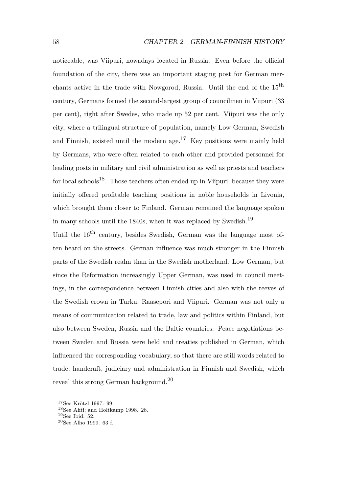noticeable, was Viipuri, nowadays located in Russia. Even before the official foundation of the city, there was an important staging post for German merchants active in the trade with Nowgorod, Russia. Until the end of the 15<sup>th</sup> century, Germans formed the second-largest group of councilmen in Viipuri (33 per cent), right after Swedes, who made up 52 per cent. Viipuri was the only city, where a trilingual structure of population, namely Low German, Swedish and Finnish, existed until the modern age.<sup>17</sup> Key positions were mainly held by Germans, who were often related to each other and provided personnel for leading posts in military and civil administration as well as priests and teachers for local schools<sup>18</sup>. Those teachers often ended up in Viipuri, because they were initially offered profitable teaching positions in noble households in Livonia, which brought them closer to Finland. German remained the language spoken in many schools until the 1840s, when it was replaced by Swedish.<sup>19</sup>

Until the  $16<sup>th</sup>$  century, besides Swedish, German was the language most often heard on the streets. German influence was much stronger in the Finnish parts of the Swedish realm than in the Swedish motherland. Low German, but since the Reformation increasingly Upper German, was used in council meetings, in the correspondence between Finnish cities and also with the reeves of the Swedish crown in Turku, Raasepori and Viipuri. German was not only a means of communication related to trade, law and politics within Finland, but also between Sweden, Russia and the Baltic countries. Peace negotiations between Sweden and Russia were held and treaties published in German, which influenced the corresponding vocabulary, so that there are still words related to trade, handcraft, judiciary and administration in Finnish and Swedish, which reveal this strong German background.<sup>20</sup>

 $^{17}\text{See Krötzl}$ 1997. 99. 18See Ahti; and Holtkamp 1998. 28. 19See Ibid. 52. 20See Alho 1999. 63 f.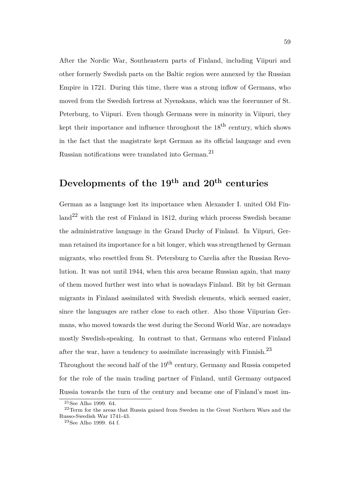After the Nordic War, Southeastern parts of Finland, including Viipuri and other formerly Swedish parts on the Baltic region were annexed by the Russian Empire in 1721. During this time, there was a strong inflow of Germans, who moved from the Swedish fortress at Nyenskans, which was the forerunner of St. Peterburg, to Viipuri. Even though Germans were in minority in Viipuri, they kept their importance and influence throughout the  $18<sup>th</sup>$  century, which shows in the fact that the magistrate kept German as its official language and even Russian notifications were translated into German.<sup>21</sup>

#### **Developments of the 19th and 20th centuries**

German as a language lost its importance when Alexander I. united Old Fin- $\text{land}^{22}$  with the rest of Finland in 1812, during which process Swedish became the administrative language in the Grand Duchy of Finland. In Viipuri, German retained its importance for a bit longer, which was strengthened by German migrants, who resettled from St. Petersburg to Carelia after the Russian Revolution. It was not until 1944, when this area became Russian again, that many of them moved further west into what is nowadays Finland. Bit by bit German migrants in Finland assimilated with Swedish elements, which seemed easier, since the languages are rather close to each other. Also those Viipurian Germans, who moved towards the west during the Second World War, are nowadays mostly Swedish-speaking. In contrast to that, Germans who entered Finland after the war, have a tendency to assimilate increasingly with Finnish.<sup>23</sup>

Throughout the second half of the  $19<sup>th</sup>$  century, Germany and Russia competed for the role of the main trading partner of Finland, until Germany outpaced Russia towards the turn of the century and became one of Finland's most im-

 $^{21}\rm{See}$  Alho 1999. 64.  $^{22}\rm{Term}$  for the areas that Russia gained from Sweden in the Great Northern Wars and the Russo-Swedish War 1741-43.

 $^{23}\mathrm{See}$  Alho 1999. 64 f.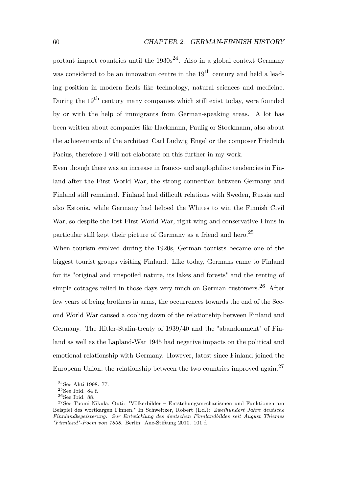portant import countries until the  $1930s<sup>24</sup>$ . Also in a global context Germany was considered to be an innovation centre in the  $19<sup>th</sup>$  century and held a leading position in modern fields like technology, natural sciences and medicine. During the  $19<sup>th</sup>$  century many companies which still exist today, were founded by or with the help of immigrants from German-speaking areas. A lot has been written about companies like Hackmann, Paulig or Stockmann, also about the achievements of the architect Carl Ludwig Engel or the composer Friedrich Pacius, therefore I will not elaborate on this further in my work.

Even though there was an increase in franco- and anglophiliac tendencies in Finland after the First World War, the strong connection between Germany and Finland still remained. Finland had difficult relations with Sweden, Russia and also Estonia, while Germany had helped the Whites to win the Finnish Civil War, so despite the lost First World War, right-wing and conservative Finns in particular still kept their picture of Germany as a friend and hero.<sup>25</sup>

When tourism evolved during the 1920s, German tourists became one of the biggest tourist groups visiting Finland. Like today, Germans came to Finland for its "original and unspoiled nature, its lakes and forests" and the renting of simple cottages relied in those days very much on German customers.<sup>26</sup> After few years of being brothers in arms, the occurrences towards the end of the Second World War caused a cooling down of the relationship between Finland and Germany. The Hitler-Stalin-treaty of 1939/40 and the "abandonment" of Finland as well as the Lapland-War 1945 had negative impacts on the political and emotional relationship with Germany. However, latest since Finland joined the European Union, the relationship between the two countries improved again.<sup>27</sup>

 $^{24}\rm{See}$  Ahti 1998. 77.  $^{25}\rm{See}$ Ibid. 84 f.  $^{26}\rm{See}$  Ibid. 88.  $^{27}\rm{See}$  Tuomi-Nikula, Outi: "Völkerbilder – Entstehungsmechanismen und Funktionen am Beispiel des wortkargen Finnen." In Schweitzer, Robert (Ed.): *Zweihundert Jahre deutsche Finnlandbegeisterung. Zur Entwicklung des deutschen Finnlandbildes seit August Thiemes "Finnland"-Poem von 1808.* Berlin: Aue-Stiftung 2010. 101 f.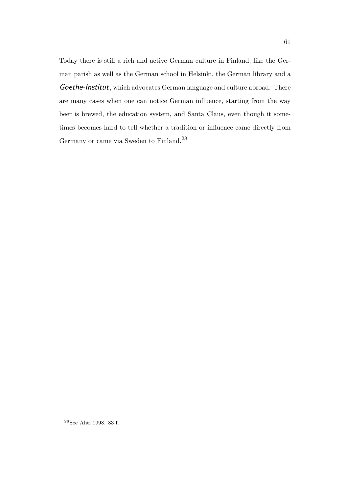Today there is still a rich and active German culture in Finland, like the German parish as well as the German school in Helsinki, the German library and a Goethe-Institut, which advocates German language and culture abroad. There are many cases when one can notice German influence, starting from the way beer is brewed, the education system, and Santa Claus, even though it sometimes becomes hard to tell whether a tradition or influence came directly from Germany or came via Sweden to Finland.<sup>28</sup>

 $28$ See Ahti 1998. 83 f.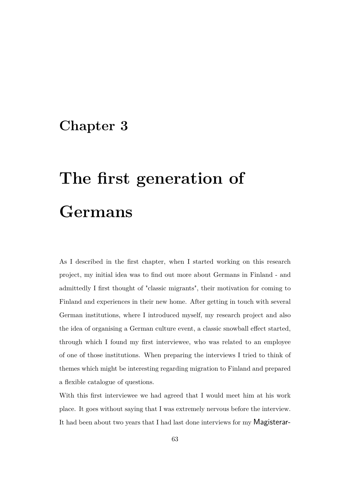## **Chapter 3**

# **The first generation of Germans**

As I described in the first chapter, when I started working on this research project, my initial idea was to find out more about Germans in Finland - and admittedly I first thought of "classic migrants", their motivation for coming to Finland and experiences in their new home. After getting in touch with several German institutions, where I introduced myself, my research project and also the idea of organising a German culture event, a classic snowball effect started, through which I found my first interviewee, who was related to an employee of one of those institutions. When preparing the interviews I tried to think of themes which might be interesting regarding migration to Finland and prepared a flexible catalogue of questions.

With this first interviewee we had agreed that I would meet him at his work place. It goes without saying that I was extremely nervous before the interview. It had been about two years that I had last done interviews for my Magisterar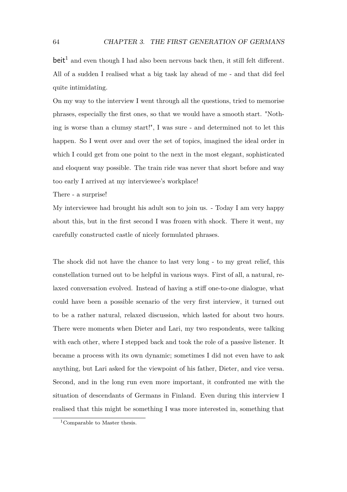$\text{beit}^1$  and even though I had also been nervous back then, it still felt different. All of a sudden I realised what a big task lay ahead of me - and that did feel quite intimidating.

On my way to the interview I went through all the questions, tried to memorise phrases, especially the first ones, so that we would have a smooth start. "Nothing is worse than a clumsy start!", I was sure - and determined not to let this happen. So I went over and over the set of topics, imagined the ideal order in which I could get from one point to the next in the most elegant, sophisticated and eloquent way possible. The train ride was never that short before and way too early I arrived at my interviewee's workplace!

There - a surprise!

My interviewee had brought his adult son to join us. - Today I am very happy about this, but in the first second I was frozen with shock. There it went, my carefully constructed castle of nicely formulated phrases.

The shock did not have the chance to last very long - to my great relief, this constellation turned out to be helpful in various ways. First of all, a natural, relaxed conversation evolved. Instead of having a stiff one-to-one dialogue, what could have been a possible scenario of the very first interview, it turned out to be a rather natural, relaxed discussion, which lasted for about two hours. There were moments when Dieter and Lari, my two respondents, were talking with each other, where I stepped back and took the role of a passive listener. It became a process with its own dynamic; sometimes I did not even have to ask anything, but Lari asked for the viewpoint of his father, Dieter, and vice versa. Second, and in the long run even more important, it confronted me with the situation of descendants of Germans in Finland. Even during this interview I realised that this might be something I was more interested in, something that

<sup>&</sup>lt;sup>1</sup>Comparable to Master thesis.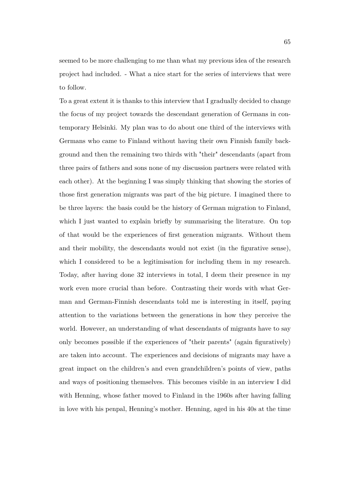seemed to be more challenging to me than what my previous idea of the research project had included. - What a nice start for the series of interviews that were to follow.

To a great extent it is thanks to this interview that I gradually decided to change the focus of my project towards the descendant generation of Germans in contemporary Helsinki. My plan was to do about one third of the interviews with Germans who came to Finland without having their own Finnish family background and then the remaining two thirds with "their" descendants (apart from three pairs of fathers and sons none of my discussion partners were related with each other). At the beginning I was simply thinking that showing the stories of those first generation migrants was part of the big picture. I imagined there to be three layers: the basis could be the history of German migration to Finland, which I just wanted to explain briefly by summarising the literature. On top of that would be the experiences of first generation migrants. Without them and their mobility, the descendants would not exist (in the figurative sense), which I considered to be a legitimisation for including them in my research. Today, after having done 32 interviews in total, I deem their presence in my work even more crucial than before. Contrasting their words with what German and German-Finnish descendants told me is interesting in itself, paying attention to the variations between the generations in how they perceive the world. However, an understanding of what descendants of migrants have to say only becomes possible if the experiences of "their parents" (again figuratively) are taken into account. The experiences and decisions of migrants may have a great impact on the children's and even grandchildren's points of view, paths and ways of positioning themselves. This becomes visible in an interview I did with Henning, whose father moved to Finland in the 1960s after having falling in love with his penpal, Henning's mother. Henning, aged in his 40s at the time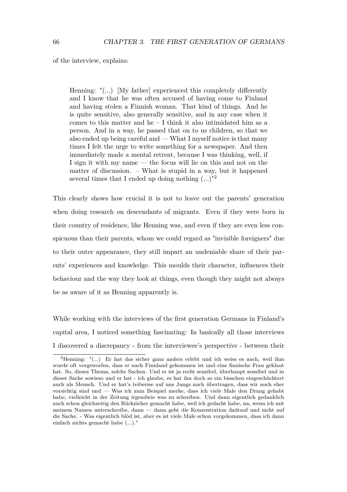of the interview, explains:

Henning: "(...) [My father] experienced this completely differently and I know that he was often accused of having come to Finland and having stolen a Finnish woman. That kind of things. And he is quite sensitive, also generally sensitive, and in any case when it comes to this matter and he – I think it also intimidated him as a person. And in a way, he passed that on to us children, so that we also ended up being careful and — What I myself notice is that many times I felt the urge to write something for a newspaper. And then immediately made a mental retreat, because I was thinking, well, if I sign it with my name — the focus will lie on this and not on the matter of discussion. – What is stupid in a way, but it happened several times that I ended up doing nothing  $(\ldots)^{n^2}$ 

This clearly shows how crucial it is not to leave out the parents' generation when doing research on descendants of migrants. Even if they were born in their country of residence, like Henning was, and even if they are even less conspicuous than their parents, whom we could regard as "invisible foreigners" due to their outer appearance, they still impart an undeniable share of their parents' experiences and knowledge. This moulds their character, influences their behaviour and the way they look at things, even though they might not always be as aware of it as Henning apparently is.

While working with the interviews of the first generation Germans in Finland's capital area, I noticed something fascinating: In basically all those interviews I discovered a discrepancy - from the interviewee's perspective - between their

<sup>2</sup>Henning: "(...) Er hat das sicher ganz anders erlebt und ich weiss es auch, weil ihm wurde oft vorgeworfen, dass er nach Finnland gekommen ist und eine finnische Frau geklaut hat. So, dieses Thema, solche Sachen. Und er ist ja recht sensibel, überhaupt sensibel und in dieser Sache sowieso und er hat - ich glaube, es hat ihn doch so ein bisschen eingeschüchtert auch als Mensch. Und er hat's teilweise auf uns Jungs auch übertragen, dass wir auch eher vorsichtig sind und — Was ich zum Beispiel merke, dass ich viele Male den Drang gehabt habe, vielleicht in der Zeitung irgendwie was zu schreiben. Und dann eigentlich gedanklich auch schon gleichzeitig den Rückzieher gemacht habe, weil ich gedacht habe, na, wenn ich mit meinem Namen unterschreibe, dann — dann geht die Konzentration dadrauf und nicht auf die Sache. - Was eigentlich blöd ist, aber es ist viele Male schon vorgekommen, dass ich dann einfach nichts gemacht habe (...)."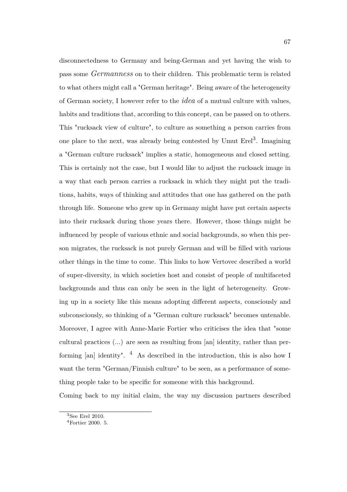disconnectedness to Germany and being-German and yet having the wish to pass some *Germanness* on to their children. This problematic term is related to what others might call a "German heritage". Being aware of the heterogeneity of German society, I however refer to the *idea* of a mutual culture with values, habits and traditions that, according to this concept, can be passed on to others. This "rucksack view of culture", to culture as something a person carries from one place to the next, was already being contested by Umut Erel<sup>3</sup>. Imagining a "German culture rucksack" implies a static, homogeneous and closed setting. This is certainly not the case, but I would like to adjust the rucksack image in a way that each person carries a rucksack in which they might put the traditions, habits, ways of thinking and attitudes that one has gathered on the path through life. Someone who grew up in Germany might have put certain aspects into their rucksack during those years there. However, those things might be influenced by people of various ethnic and social backgrounds, so when this person migrates, the rucksack is not purely German and will be filled with various other things in the time to come. This links to how Vertovec described a world of super-diversity, in which societies host and consist of people of multifaceted backgrounds and thus can only be seen in the light of heterogeneity. Growing up in a society like this means adopting different aspects, consciously and subconsciously, so thinking of a "German culture rucksack" becomes untenable. Moreover, I agree with Anne-Marie Fortier who criticises the idea that "some cultural practices (...) are seen as resulting from [an] identity, rather than performing  $[an]$  identity".  $\frac{4}{3}$  As described in the introduction, this is also how I want the term "German/Finnish culture" to be seen, as a performance of something people take to be specific for someone with this background.

Coming back to my initial claim, the way my discussion partners described

 $3$ See Erel 2010.

<sup>4</sup>Fortier 2000. 5.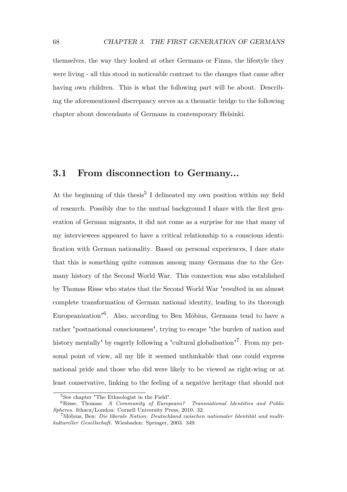themselves, the way they looked at other Germans or Finns, the lifestyle they were living - all this stood in noticeable contrast to the changes that came after having own children. This is what the following part will be about. Describing the aforementioned discrepancy serves as a thematic bridge to the following chapter about descendants of Germans in contemporary Helsinki.

#### **3.1 From disconnection to Germany...**

At the beginning of this thesis<sup>5</sup> I delineated my own position within my field of research. Possibly due to the mutual background I share with the first generation of German migrants, it did not come as a surprise for me that many of my interviewees appeared to have a critical relationship to a conscious identification with German nationality. Based on personal experiences, I dare state that this is something quite common among many Germans due to the Germany history of the Second World War. This connection was also established by Thomas Risse who states that the Second World War "resulted in an almost complete transformation of German national identity, leading to its thorough Europeanization"6. Also, according to Ben Möbius, Germans tend to have a rather "postnational consciousness", trying to escape "the burden of nation and history mentally" by eagerly following a "cultural globalisation"<sup>7</sup>. From my personal point of view, all my life it seemed unthinkable that one could express national pride and those who did were likely to be viewed as right-wing or at least conservative, linking to the feeling of a negative heritage that should not

<sup>5</sup>See chapter "The Ethnologist in the Field".

<sup>6</sup>Risse, Thomas: *A Community of Europeans? Transnational Identities and Public*

<sup>&</sup>lt;sup>7</sup> Möbius, Ben: *Die liberale Nation: Deutschland zwischen nationaler Identität und multikultureller Gesellschaft.* Wiesbaden: Springer, 2003. 349.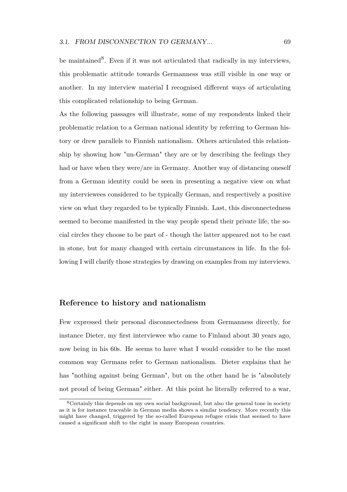be maintained<sup>8</sup>. Even if it was not articulated that radically in my interviews, this problematic attitude towards Germanness was still visible in one way or another. In my interview material I recognised different ways of articulating this complicated relationship to being German.

As the following passages will illustrate, some of my respondents linked their problematic relation to a German national identity by referring to German history or drew parallels to Finnish nationalism. Others articulated this relationship by showing how "un-German" they are or by describing the feelings they had or have when they were/are in Germany. Another way of distancing oneself from a German identity could be seen in presenting a negative view on what my interviewees considered to be typically German, and respectively a positive view on what they regarded to be typically Finnish. Last, this disconnectedness seemed to become manifested in the way people spend their private life, the social circles they choose to be part of - though the latter appeared not to be cast in stone, but for many changed with certain circumstances in life. In the following I will clarify those strategies by drawing on examples from my interviews.

#### **Reference to history and nationalism**

Few expressed their personal disconnectedness from Germanness directly, for instance Dieter, my first interviewee who came to Finland about 30 years ago, now being in his 60s. He seems to have what I would consider to be the most common way Germans refer to German nationalism. Dieter explains that he has "nothing against being German", but on the other hand he is "absolutely not proud of being German" either. At this point he literally referred to a war,

<sup>&</sup>lt;sup>8</sup>Certainly this depends on my own social background, but also the general tone in society as it is for instance traceable in German media shows a similar tendency. More recently this might have changed, triggered by the so-called European refugee crisis that seemed to have caused a significant shift to the right in many European countries.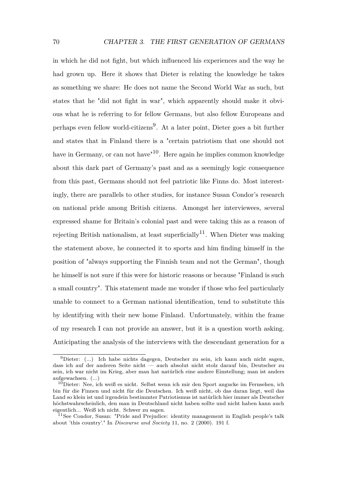in which he did not fight, but which influenced his experiences and the way he had grown up. Here it shows that Dieter is relating the knowledge he takes as something we share: He does not name the Second World War as such, but states that he "did not fight in war", which apparently should make it obvious what he is referring to for fellow Germans, but also fellow Europeans and perhaps even fellow world-citizens<sup>9</sup>. At a later point, Dieter goes a bit further and states that in Finland there is a "certain patriotism that one should not have in Germany, or can not have  $10<sup>10</sup>$ . Here again he implies common knowledge about this dark part of Germany's past and as a seemingly logic consequence from this past, Germans should not feel patriotic like Finns do. Most interestingly, there are parallels to other studies, for instance Susan Condor's research on national pride among British citizens. Amongst her interviewees, several expressed shame for Britain's colonial past and were taking this as a reason of rejecting British nationalism, at least superficially<sup>11</sup>. When Dieter was making the statement above, he connected it to sports and him finding himself in the position of "always supporting the Finnish team and not the German", though he himself is not sure if this were for historic reasons or because "Finland is such a small country". This statement made me wonder if those who feel particularly unable to connect to a German national identification, tend to substitute this by identifying with their new home Finland. Unfortunately, within the frame of my research I can not provide an answer, but it is a question worth asking. Anticipating the analysis of the interviews with the descendant generation for a

<sup>9</sup>Dieter: (...) Ich habe nichts dagegen, Deutscher zu sein, ich kann auch nicht sagen, dass ich auf der anderen Seite nicht — auch absolut nicht stolz darauf bin, Deutscher zu sein, ich war nicht im Krieg, aber man hat natürlich eine andere Einstellung; man ist anders aufgewachsen.  $(...)$ <br><sup>10</sup>Dieter: Nee, ich weiß es nicht. Selbst wenn ich mir den Sport angucke im Fernsehen, ich

bin für die Finnen und nicht für die Deutschen. Ich weiß nicht, ob das daran liegt, weil das Land so klein ist und irgendein bestimmter Patriotismus ist natürlich hier immer als Deutscher höchstwahrscheinlich, den man in Deutschland nicht haben sollte und nicht haben kann auch

 $^{11}$ See Condor, Susan: "Pride and Prejudice: identity management in English people's talk about 'this country'." In *Discourse and Society* 11, no. 2 (2000). 191 f.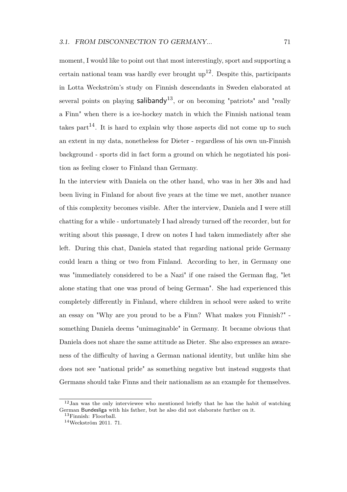moment, I would like to point out that most interestingly, sport and supporting a certain national team was hardly ever brought  $up^{12}$ . Despite this, participants in Lotta Weckström's study on Finnish descendants in Sweden elaborated at several points on playing  $salibandy^{13}$ , or on becoming "patriots" and "really a Finn" when there is a ice-hockey match in which the Finnish national team takes part<sup>14</sup>. It is hard to explain why those aspects did not come up to such an extent in my data, nonetheless for Dieter - regardless of his own un-Finnish background - sports did in fact form a ground on which he negotiated his position as feeling closer to Finland than Germany.

In the interview with Daniela on the other hand, who was in her 30s and had been living in Finland for about five years at the time we met, another nuance of this complexity becomes visible. After the interview, Daniela and I were still chatting for a while - unfortunately I had already turned off the recorder, but for writing about this passage, I drew on notes I had taken immediately after she left. During this chat, Daniela stated that regarding national pride Germany could learn a thing or two from Finland. According to her, in Germany one was "immediately considered to be a Nazi" if one raised the German flag, "let alone stating that one was proud of being German". She had experienced this completely differently in Finland, where children in school were asked to write an essay on "Why are you proud to be a Finn? What makes you Finnish?" something Daniela deems "unimaginable" in Germany. It became obvious that Daniela does not share the same attitude as Dieter. She also expresses an awareness of the difficulty of having a German national identity, but unlike him she does not see "national pride" as something negative but instead suggests that Germans should take Finns and their nationalism as an example for themselves.

<sup>12</sup>Jan was the only interviewee who mentioned briefly that he has the habit of watching German Bundesliga with his father, but he also did not elaborate further on it. <sup>13</sup>Finnish: Floorball. <sup>14</sup>Weckström 2011. 71.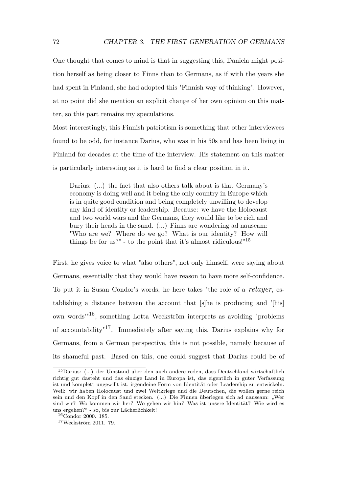One thought that comes to mind is that in suggesting this, Daniela might position herself as being closer to Finns than to Germans, as if with the years she had spent in Finland, she had adopted this "Finnish way of thinking". However, at no point did she mention an explicit change of her own opinion on this matter, so this part remains my speculations.

Most interestingly, this Finnish patriotism is something that other interviewees found to be odd, for instance Darius, who was in his 50s and has been living in Finland for decades at the time of the interview. His statement on this matter is particularly interesting as it is hard to find a clear position in it.

Darius: (...) the fact that also others talk about is that Germany's economy is doing well and it being the only country in Europe which is in quite good condition and being completely unwilling to develop any kind of identity or leadership. Because: we have the Holocaust and two world wars and the Germans, they would like to be rich and bury their heads in the sand. (...) Finns are wondering ad nauseam: "Who are we? Where do we go? What is our identity? How will things be for us?" - to the point that it's almost ridiculous!"<sup>15</sup>

First, he gives voice to what "also others", not only himself, were saying about Germans, essentially that they would have reason to have more self-confidence. To put it in Susan Condor's words, he here takes "the role of a *relayer*, establishing a distance between the account that [s]he is producing and '[his] own words'"16, something Lotta Weckström interprets as avoiding "problems of accountability"17. Immediately after saying this, Darius explains why for Germans, from a German perspective, this is not possible, namely because of its shameful past. Based on this, one could suggest that Darius could be of

 $^{15}\rm{Darius:}$   $\,(\ldots)\,$  der Umstand über den auch andere reden, dass Deutschland wirtschaftlich richtig gut dasteht und das einzige Land in Europa ist, das eigentlich in guter Verfassung ist und komplett ungewillt ist, irgendeine Form von Identität oder Leadership zu entwickeln. Weil: wir haben Holocaust und zwei Weltkriege und die Deutschen, die wollen gerne reich sein und den Kopf in den Sand stecken. (...) Die Finnen überlegen sich ad nauseam: "Wer sind wir? Wo kommen wir her? Wo gehen wir hin? Was ist unsere Identität? Wie wird es uns ergehen?" - so, bis zur Lächerlichkeit! $^{16}\mathrm{Condor}$ 2000. 185.  $^{17}\mathrm{Weckström}$ 2011. 79.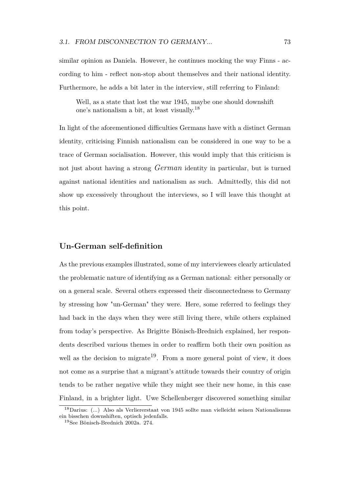similar opinion as Daniela. However, he continues mocking the way Finns - according to him - reflect non-stop about themselves and their national identity. Furthermore, he adds a bit later in the interview, still referring to Finland:

Well, as a state that lost the war 1945, maybe one should downshift one's nationalism a bit, at least visually.<sup>18</sup>

In light of the aforementioned difficulties Germans have with a distinct German identity, criticising Finnish nationalism can be considered in one way to be a trace of German socialisation. However, this would imply that this criticism is not just about having a strong *German* identity in particular, but is turned against national identities and nationalism as such. Admittedly, this did not show up excessively throughout the interviews, so I will leave this thought at this point.

# **Un-German self-definition**

As the previous examples illustrated, some of my interviewees clearly articulated the problematic nature of identifying as a German national: either personally or on a general scale. Several others expressed their disconnectedness to Germany by stressing how "un-German" they were. Here, some referred to feelings they had back in the days when they were still living there, while others explained from today's perspective. As Brigitte Bönisch-Brednich explained, her respondents described various themes in order to reaffirm both their own position as well as the decision to migrate<sup>19</sup>. From a more general point of view, it does not come as a surprise that a migrant's attitude towards their country of origin tends to be rather negative while they might see their new home, in this case Finland, in a brighter light. Uwe Schellenberger discovered something similar

<sup>18</sup>Darius: (...) Also als Verliererstaat von 1945 sollte man vielleicht seinen Nationalismus ein bisschen downshiften, optisch jedenfalls. <sup>19</sup>See Bönisch-Brednich 2002a. 274.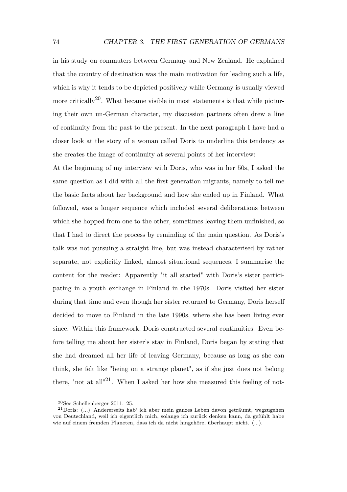in his study on commuters between Germany and New Zealand. He explained that the country of destination was the main motivation for leading such a life, which is why it tends to be depicted positively while Germany is usually viewed more critically<sup>20</sup>. What became visible in most statements is that while picturing their own un-German character, my discussion partners often drew a line of continuity from the past to the present. In the next paragraph I have had a closer look at the story of a woman called Doris to underline this tendency as she creates the image of continuity at several points of her interview:

At the beginning of my interview with Doris, who was in her 50s, I asked the same question as I did with all the first generation migrants, namely to tell me the basic facts about her background and how she ended up in Finland. What followed, was a longer sequence which included several deliberations between which she hopped from one to the other, sometimes leaving them unfinished, so that I had to direct the process by reminding of the main question. As Doris's talk was not pursuing a straight line, but was instead characterised by rather separate, not explicitly linked, almost situational sequences, I summarise the content for the reader: Apparently "it all started" with Doris's sister participating in a youth exchange in Finland in the 1970s. Doris visited her sister during that time and even though her sister returned to Germany, Doris herself decided to move to Finland in the late 1990s, where she has been living ever since. Within this framework, Doris constructed several continuities. Even before telling me about her sister's stay in Finland, Doris began by stating that she had dreamed all her life of leaving Germany, because as long as she can think, she felt like "being on a strange planet", as if she just does not belong there, "not at  $all''^{21}$ . When I asked her how she measured this feeling of not-

<sup>&</sup>lt;sup>20</sup>See Schellenberger 2011. 25.<br><sup>21</sup>Doris: (...) Andererseits hab' ich aber mein ganzes Leben davon geträumt, wegzugehen von Deutschland, weil ich eigentlich mich, solange ich zurück denken kann, da gefühlt habe wie auf einem fremden Planeten, dass ich da nicht hingehöre, überhaupt nicht. (...).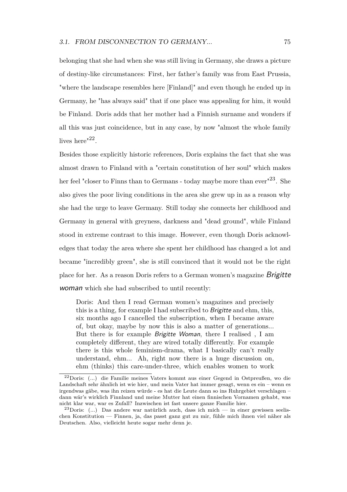belonging that she had when she was still living in Germany, she draws a picture of destiny-like circumstances: First, her father's family was from East Prussia, "where the landscape resembles here [Finland]" and even though he ended up in Germany, he "has always said" that if one place was appealing for him, it would be Finland. Doris adds that her mother had a Finnish surname and wonders if all this was just coincidence, but in any case, by now "almost the whole family lives here"<sup>22</sup>.

Besides those explicitly historic references, Doris explains the fact that she was almost drawn to Finland with a "certain constitution of her soul" which makes her feel "closer to Finns than to Germans - today maybe more than  $e^{i23}$ . She also gives the poor living conditions in the area she grew up in as a reason why she had the urge to leave Germany. Still today she connects her childhood and Germany in general with greyness, darkness and "dead ground", while Finland stood in extreme contrast to this image. However, even though Doris acknowledges that today the area where she spent her childhood has changed a lot and became "incredibly green", she is still convinced that it would not be the right place for her. As a reason Doris refers to a German women's magazine Brigitte woman which she had subscribed to until recently:

Doris: And then I read German women's magazines and precisely this is a thing, for example I had subscribed to Brigitte and ehm, this, six months ago I cancelled the subscription, when I became aware of, but okay, maybe by now this is also a matter of generations... But there is for example Brigitte Woman, there I realised , I am completely different, they are wired totally differently. For example there is this whole feminism-drama, what I basically can't really understand, ehm... Ah, right now there is a huge discussion on, ehm (thinks) this care-under-three, which enables women to work

<sup>22</sup>Doris: (...) die Familie meines Vaters kommt aus einer Gegend in Ostpreußen, wo die Landschaft sehr ähnlich ist wie hier, und mein Vater hat immer gesagt, wenn es ein – wenn es irgendwas gäbe, was ihn reizen würde - es hat die Leute dann so ins Ruhrgebiet verschlagen – dann wär's wirklich Finnland und meine Mutter hat einen finnischen Vornamen gehabt, was nicht klar war, war es Zufall? Inzwischen ist fast unsere ganze Familie hier.<br><sup>23</sup>Doris: (...) Das andere war natürlich auch, dass ich mich — in einer gewissen seelis-

chen Konstitution — Finnen, ja, das passt ganz gut zu mir, fühle mich ihnen viel näher als Deutschen. Also, vielleicht heute sogar mehr denn je.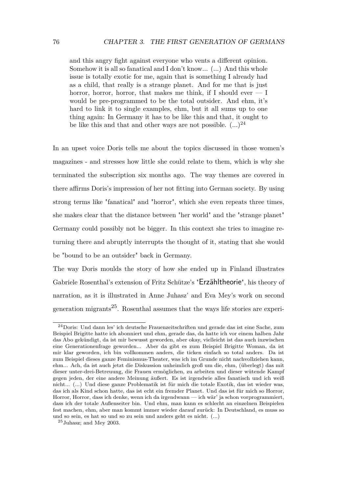and this angry fight against everyone who vents a different opinion. Somehow it is all so fanatical and I don't know... (...) And this whole issue is totally exotic for me, again that is something I already had as a child, that really is a strange planet. And for me that is just horror, horror, that makes me think, if I should ever  $-1$ would be pre-programmed to be the total outsider. And ehm, it's hard to link it to single examples, ehm, but it all sums up to one thing again: In Germany it has to be like this and that, it ought to be like this and that and other ways are not possible.  $(...)^{24}$ 

In an upset voice Doris tells me about the topics discussed in those women's magazines - and stresses how little she could relate to them, which is why she terminated the subscription six months ago. The way themes are covered in there affirms Doris's impression of her not fitting into German society. By using strong terms like "fanatical" and "horror", which she even repeats three times, she makes clear that the distance between "her world" and the "strange planet" Germany could possibly not be bigger. In this context she tries to imagine returning there and abruptly interrupts the thought of it, stating that she would be "bound to be an outsider" back in Germany.

The way Doris moulds the story of how she ended up in Finland illustrates Gabriele Rosenthal's extension of Fritz Schütze's "Erzähltheorie", his theory of narration, as it is illustrated in Anne Juhasz' and Eva Mey's work on second generation migrants<sup>25</sup>. Rosenthal assumes that the ways life stories are experi-

<sup>24</sup>Doris: Und dann les' ich deutsche Frauenzeitschriften und gerade das ist eine Sache, zum Beispiel Brigitte hatte ich abonniert und ehm, gerade das, da hatte ich vor einem halben Jahr das Abo gekündigt, da ist mir bewusst geworden, aber okay, vielleicht ist das auch inzwischen eine Generationenfrage geworden... Aber da gibt es zum Beispiel Brigitte Woman, da ist mir klar geworden, ich bin vollkommen anders, die ticken einfach so total anders. Da ist zum Beispiel dieses ganze Feminismus-Theater, was ich im Grunde nicht nachvollziehen kann, ehm... Ach, da ist auch jetzt die Diskussion unheimlich groß um die, ehm, (überlegt) das mit dieser unter-drei-Betreuung, die Frauen ermöglichen, zu arbeiten und dieser wütende Kampf gegen jeden, der eine andere Meinung äußert. Es ist irgendwie alles fanatisch und ich weiß nicht... (...) Und diese ganze Problematik ist für mich die totale Exotik, das ist wieder was, das ich als Kind schon hatte, das ist echt ein fremder Planet. Und das ist für mich so Horror, Horror, Horror, dass ich denke, wenn ich da irgendwann — ich wär' ja schon vorprogrammiert, dass ich der totale Außenseiter bin. Und ehm, man kann es schlecht an einzelnen Beispielen fest machen, ehm, aber man kommt immer wieder darauf zurück: In Deutschland, es muss so und so sein, es hat so und so zu sein und anders geht es nicht.  $(...)$   $^{25}$ Juhasz; and Mey 2003.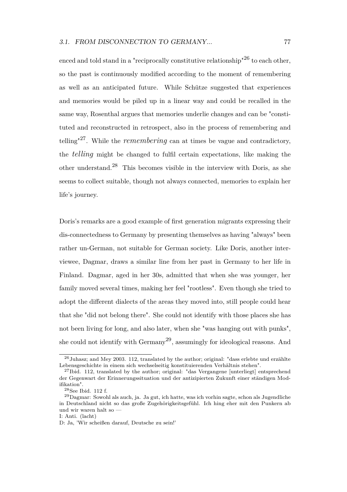enced and told stand in a "reciprocally constitutive relationship"<sup>26</sup> to each other, so the past is continuously modified according to the moment of remembering as well as an anticipated future. While Schütze suggested that experiences and memories would be piled up in a linear way and could be recalled in the same way, Rosenthal argues that memories underlie changes and can be "constituted and reconstructed in retrospect, also in the process of remembering and telling<sup>"27</sup>. While the *remembering* can at times be vague and contradictory, the *telling* might be changed to fulfil certain expectations, like making the other understand.<sup>28</sup> This becomes visible in the interview with Doris, as she seems to collect suitable, though not always connected, memories to explain her life's journey.

Doris's remarks are a good example of first generation migrants expressing their dis-connectedness to Germany by presenting themselves as having "always" been rather un-German, not suitable for German society. Like Doris, another interviewee, Dagmar, draws a similar line from her past in Germany to her life in Finland. Dagmar, aged in her 30s, admitted that when she was younger, her family moved several times, making her feel "rootless". Even though she tried to adopt the different dialects of the areas they moved into, still people could hear that she "did not belong there". She could not identify with those places she has not been living for long, and also later, when she "was hanging out with punks", she could not identify with  $\text{Germany}^{29}$ , assumingly for ideological reasons. And

 $^{26}\mathrm{Juhasz}$ ; and Mey 2003. 112, translated by the author; original: "dass erlebte und erzählte Lebensgeschichte in einem sich wechselseitig konstituierenden Verhältnis stehen". <sup>27</sup>Ibid. 112, translated by the author; original: "das Vergangene [unterliegt] entsprechend

der Gegenwart der Erinnerungssituation und der antizipierten Zukunft einer ständigen Mod-

<sup>&</sup>lt;sup>28</sup>See Ibid. 112 f.<br><sup>29</sup>Dagmar: Sowohl als auch, ja. Ja gut, ich hatte, was ich vorhin sagte, schon als Jugendliche in Deutschland nicht so das große Zugehörigkeitsgefühl. Ich hing eher mit den Punkern ab und wir waren halt so —

I: Anti. (lacht)

D: Ja, 'Wir scheißen darauf, Deutsche zu sein!'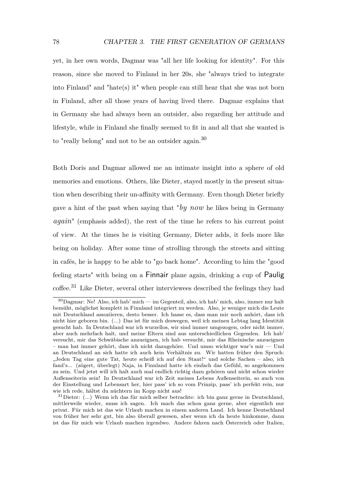yet, in her own words, Dagmar was "all her life looking for identity". For this reason, since she moved to Finland in her 20s, she "always tried to integrate into Finland" and "hate(s) it" when people can still hear that she was not born in Finland, after all those years of having lived there. Dagmar explains that in Germany she had always been an outsider, also regarding her attitude and lifestyle, while in Finland she finally seemed to fit in and all that she wanted is to "really belong" and not to be an outsider again.<sup>30</sup>

Both Doris and Dagmar allowed me an intimate insight into a sphere of old memories and emotions. Others, like Dieter, stayed mostly in the present situation when describing their un-affinity with Germany. Even though Dieter briefly gave a hint of the past when saying that "*by now* he likes being in Germany *again*" (emphasis added), the rest of the time he refers to his current point of view. At the times he is visiting Germany, Dieter adds, it feels more like being on holiday. After some time of strolling through the streets and sitting in cafés, he is happy to be able to "go back home". According to him the "good feeling starts" with being on a Finnair plane again, drinking a cup of Paulig  $\rm{cofree.}^{31}$  Like Dieter, several other interviewees described the feelings they had

<sup>30</sup>Dagmar: Ne! Also, ich hab' mich — im Gegenteil, also, ich hab' mich, also, immer nur halt bemüht, möglichst komplett in Finnland integriert zu werden. Also, je weniger mich die Leute mit Deutschland assoziieren, desto besser. Ich hasse es, dass man mir noch anhört, dass ich nicht hier geboren bin. (...) Das ist für mich deswegen, weil ich meinen Lebtag lang Identität gesucht hab. In Deutschland war ich wurzellos, wir sind immer umgezogen, oder nicht immer, aber auch mehrfach halt, und meine Eltern sind aus unterschiedlichen Gegenden. Ich hab' versucht, mir das Schwäbische anzueignen, ich hab versucht, mir das Rheinische anzueignen – man hat immer gehört, dass ich nicht dazugehöre. Und umso wichtiger war's mir — Und an Deutschland an sich hatte ich auch kein Verhältnis zu. Wir hatten früher den Spruch: "Jeden Tag eine gute Tat, heute scheiß ich auf den Staat!" und solche Sachen – also, ich fand's... (zögert, überlegt) Naja, in Finnland hatte ich einfach das Gefühl, so angekommen zu sein. Und jetzt will ich halt auch mal endlich richtig dazu gehören und nicht schon wieder Außenseiterin sein! In Deutschland war ich Zeit meines Lebens Außenseiterin, so auch von der Einstellung und Lebensart her, hier pass' ich so vom Prinzip, pass' ich perfekt rein, nur wie ich rede, hältst du nüchtern im Kopp nicht aus!<br><sup>31</sup>Dieter: (...) Wenn ich das für mich selber betrachte: ich bin ganz gerne in Deutschland,

mittlerweile wieder, muss ich sagen. Ich mach das schon ganz gerne, aber eigentlich nur privat. Für mich ist das wie Urlaub machen in einem anderen Land. Ich kenne Deutschland von früher her sehr gut, bin also überall gewesen, aber wenn ich da heute hinkomme, dann ist das für mich wie Urlaub machen irgendwo. Andere fahren nach Österreich oder Italien,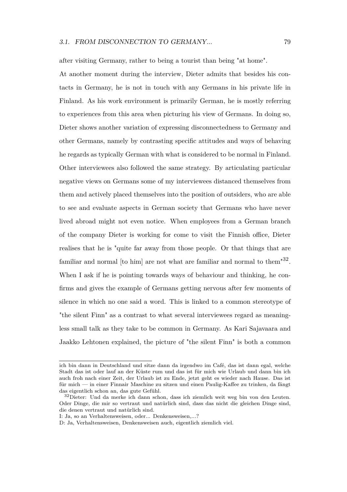after visiting Germany, rather to being a tourist than being "at home".

At another moment during the interview, Dieter admits that besides his contacts in Germany, he is not in touch with any Germans in his private life in Finland. As his work environment is primarily German, he is mostly referring to experiences from this area when picturing his view of Germans. In doing so, Dieter shows another variation of expressing disconnectedness to Germany and other Germans, namely by contrasting specific attitudes and ways of behaving he regards as typically German with what is considered to be normal in Finland. Other interviewees also followed the same strategy. By articulating particular negative views on Germans some of my interviewees distanced themselves from them and actively placed themselves into the position of outsiders, who are able to see and evaluate aspects in German society that Germans who have never lived abroad might not even notice. When employees from a German branch of the company Dieter is working for come to visit the Finnish office, Dieter realises that he is "quite far away from those people. Or that things that are familiar and normal [to him] are not what are familiar and normal to them<sup> $32$ </sup>. When I ask if he is pointing towards ways of behaviour and thinking, he confirms and gives the example of Germans getting nervous after few moments of silence in which no one said a word. This is linked to a common stereotype of "the silent Finn" as a contrast to what several interviewees regard as meaningless small talk as they take to be common in Germany. As Kari Sajavaara and Jaakko Lehtonen explained, the picture of "the silent Finn" is both a common

ich bin dann in Deutschland und sitze dann da irgendwo im Café, das ist dann egal, welche Stadt das ist oder lauf an der Küste rum und das ist für mich wie Urlaub und dann bin ich auch froh nach einer Zeit, der Urlaub ist zu Ende, jetzt geht es wieder nach Hause. Das ist für mich — in einer Finnair Maschine zu sitzen und einen Paulig-Kaffee zu trinken, da fängt

 $32$ Dieter: Und da merke ich dann schon, dass ich ziemlich weit weg bin von den Leuten. Oder Dinge, die mir so vertraut und natürlich sind, dass das nicht die gleichen Dinge sind, die denen vertraut und natürlich sind.

I: Ja, so an Verhaltensweisen, oder... Denkensweisen,...?

D: Ja, Verhaltensweisen, Denkensweisen auch, eigentlich ziemlich viel.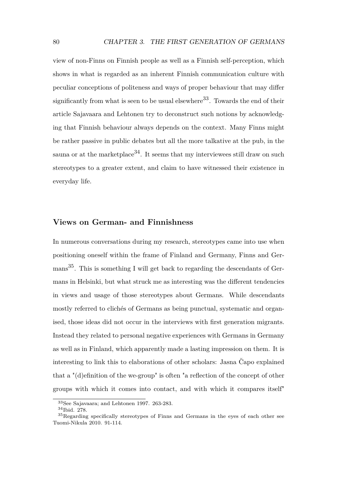view of non-Finns on Finnish people as well as a Finnish self-perception, which shows in what is regarded as an inherent Finnish communication culture with peculiar conceptions of politeness and ways of proper behaviour that may differ significantly from what is seen to be usual elsewhere<sup>33</sup>. Towards the end of their article Sajavaara and Lehtonen try to deconstruct such notions by acknowledging that Finnish behaviour always depends on the context. Many Finns might be rather passive in public debates but all the more talkative at the pub, in the sauna or at the marketplace<sup>34</sup>. It seems that my interviewees still draw on such stereotypes to a greater extent, and claim to have witnessed their existence in everyday life.

# **Views on German- and Finnishness**

In numerous conversations during my research, stereotypes came into use when positioning oneself within the frame of Finland and Germany, Finns and Germans<sup>35</sup>. This is something I will get back to regarding the descendants of Germans in Helsinki, but what struck me as interesting was the different tendencies in views and usage of those stereotypes about Germans. While descendants mostly referred to clichés of Germans as being punctual, systematic and organised, those ideas did not occur in the interviews with first generation migrants. Instead they related to personal negative experiences with Germans in Germany as well as in Finland, which apparently made a lasting impression on them. It is interesting to link this to elaborations of other scholars: Jasna Capo explained ˘ that a "(d)efinition of the we-group" is often "a reflection of the concept of other groups with which it comes into contact, and with which it compares itself"

<sup>&</sup>lt;sup>33</sup>See Sajavaara; and Lehtonen 1997. 263-283.<br><sup>34</sup>Ibid. 278.<br><sup>35</sup>Regarding specifically stereotypes of Finns and Germans in the eyes of each other see Tuomi-Nikula 2010. 91-114.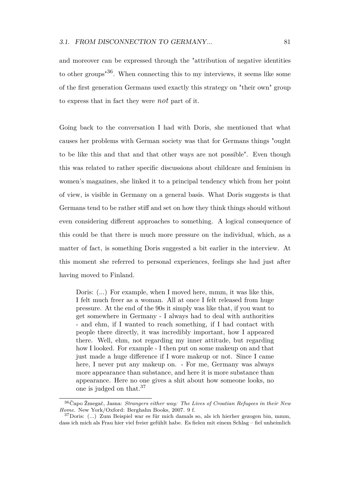and moreover can be expressed through the "attribution of negative identities to other groups"36. When connecting this to my interviews, it seems like some of the first generation Germans used exactly this strategy on "their own" group to express that in fact they were *not* part of it.

Going back to the conversation I had with Doris, she mentioned that what causes her problems with German society was that for Germans things "ought to be like this and that and that other ways are not possible". Even though this was related to rather specific discussions about childcare and feminism in women's magazines, she linked it to a principal tendency which from her point of view, is visible in Germany on a general basis. What Doris suggests is that Germans tend to be rather stiff and set on how they think things should without even considering different approaches to something. A logical consequence of this could be that there is much more pressure on the individual, which, as a matter of fact, is something Doris suggested a bit earlier in the interview. At this moment she referred to personal experiences, feelings she had just after having moved to Finland.

Doris: (...) For example, when I moved here, mmm, it was like this, I felt much freer as a woman. All at once I felt released from huge pressure. At the end of the 90s it simply was like that, if you want to get somewhere in Germany - I always had to deal with authorities - and ehm, if I wanted to reach something, if I had contact with people there directly, it was incredibly important, how I appeared there. Well, ehm, not regarding my inner attitude, but regarding how I looked. For example - I then put on some makeup on and that just made a huge difference if I wore makeup or not. Since I came here, I never put any makeup on. - For me, Germany was always more appearance than substance, and here it is more substance than appearance. Here no one gives a shit about how someone looks, no one is judged on that.<sup>37</sup>

<sup>&</sup>lt;sup>36</sup>Capo Žmegač, Jasna: *Strangers either way: The Lives of Croatian Refugees in their New Home.* New York/Oxford: Berghahn Books, 2007. 9 f.

<sup>&</sup>lt;sup>37</sup>Doris: (...) Zum Beispiel war es für mich damals so, als ich hierher gezogen bin, mmm, dass ich mich als Frau hier viel freier gefühlt habe. Es fielen mit einem Schlag – fiel unheimlich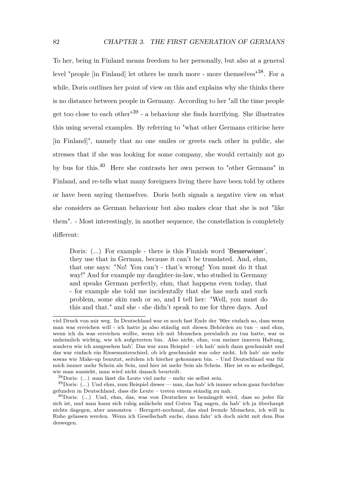To her, being in Finland means freedom to her personally, but also at a general level "people [in Finland] let others be much more - more themselves"<sup>38</sup>. For a while, Doris outlines her point of view on this and explains why she thinks there is no distance between people in Germany. According to her "all the time people get too close to each other<sup>39</sup> - a behaviour she finds horrifying. She illustrates this using several examples. By referring to "what other Germans criticise here [in Finland]", namely that no one smiles or greets each other in public, she stresses that if she was looking for some company, she would certainly not go by bus for this.<sup>40</sup> Here she contrasts her own person to "other Germans" in Finland, and re-tells what many foreigners living there have been told by others or have been saying themselves. Doris both signals a negative view on what she considers as German behaviour but also makes clear that she is not "like them". - Most interestingly, in another sequence, the constellation is completely different:

Doris: (...) For example - there is this Finnish word 'Besserwisser', they use that in German, because it can't be translated. And, ehm, that one says: "No! You can't - that's wrong! You must do it that way!" And for example my daughter-in-law, who studied in Germany and speaks German perfectly, ehm, that happens even today, that - for example she told me incidentally that she has such and such problem, some skin rash or so, and I tell her: "Well, you must do this and that." and she - she didn't speak to me for three days. And

viel Druck von mir weg. In Deutschland war es noch fast Ende der '90er einfach so, dass wenn man was erreichen will - ich hatte ja also ständig mit diesen Behörden zu tun – und ehm, wenn ich da was erreichen wollte, wenn ich mit Menschen persönlich zu tun hatte, war es unheimlich wichtig, wie ich aufgetreten bin. Also nicht, ehm, von meiner inneren Haltung, sondern wie ich ausgesehen hab'. Das war zum Beispiel – ich hab' mich dann geschminkt und das war einfach ein Riesenunterschied, ob ich geschminkt war oder nicht. Ich hab' nie mehr sowas wie Make-up benutzt, seitdem ich hierher gekommen bin. - Und Deutschland war für mich immer mehr Schein als Sein, und hier ist mehr Sein als Schein. Hier ist es so scheißegal,

wie man aussieht, man wird nicht danach beurteilt.  $38$ Doris: (...) unan lässt die Leute viel mehr – mehr sie selbst sein.  $39$ Doris: (...) Und ehm, zum Beispiel dieses — mm, das hab' ich immer schon ganz furchtbar gefund

 $^{40}$ Doris: (...) Und, ehm, das, was von Deutschen so bemängelt wird, dass so jeder für sich ist, und man kann sich ruhig anlächeln und Guten Tag sagen, da hab' ich ja überhaupt nichts dagegen, aber ansonsten – Herrgott-nochmal, das sind fremde Menschen, ich will in Ruhe gelassen werden. Wenn ich Gesellschaft suche, dann fahr' ich doch nicht mit dem Bus deswegen.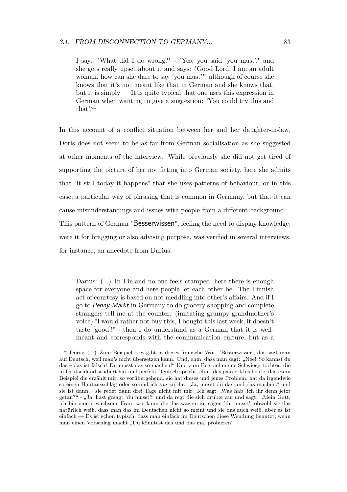I say: "What did I do wrong?" - "Yes, you said 'you must'." and she gets really upset about it and says: "Good Lord, I am an adult woman, how can she dare to say 'you must'", although of course she knows that it's not meant like that in German and she knows that, but it is simply — It is quite typical that one uses this expression in German when wanting to give a suggestion: 'You could try this and that'.<sup>41</sup>

In this account of a conflict situation between her and her daughter-in-law, Doris does not seem to be as far from German socialisation as she suggested at other moments of the interview. While previously she did not get tired of supporting the picture of her not fitting into German society, here she admits that "it still today it happens" that she uses patterns of behaviour, or in this case, a particular way of phrasing that is common in Germany, but that it can cause misunderstandings and issues with people from a different background. This pattern of German "Besserwissen", feeling the need to display knowledge, were it for bragging or also advising purpose, was verified in several interviews, for instance, an anecdote from Darius.

Darius:  $(...)$  In Finland no one feels cramped; here there is enough space for everyone and here people let each other be. The Finnish act of courtesy is based on not meddling into other's affairs. And if I go to Penny-Markt in Germany to do grocery shopping and complete strangers tell me at the counter: (imitating grumpy grandmother's voice) "I would rather not buy this, I bought this last week, it doesn't taste [good]!" - then I do understand as a German that it is wellmeant and corresponds with the communication culture, but as a

<sup>&</sup>lt;sup>41</sup>Doris:  $\ldots$ ) Zum Beispiel – es gibt ja dieses finnische Wort 'Besserwisser', das sagt man auf Deutsch, weil man's nicht übersetzen kann. Und, ehm, dass man sagt: "Nee! So kannst du das – das ist falsch! Du musst das so machen!" Und zum Beispiel meine Schwiegertochter, die in Deutschland studiert hat und perfekt Deutsch spricht, ehm, das passiert bis heute, dass zum Beispiel die erzählt mir, so vorübergehend, sie hat dieses und jenes Problem, hat da irgendwie so einen Hautausschlag oder so und ich sag zu ihr: "Ja, musst du das und das machen." und sie ist dann – sie redet dann drei Tage nicht mit mir. Ich sag: "Was hab' ich ihr denn jetzt getan?" - "Ja, hast gesagt 'du musst'." und da regt die sich drüber auf und sagt: "Mein Gott, ich bin eine erwachsene Frau, wie kann die das wagen, zu sagen 'du musst', obwohl sie das natürlich weiß, dass man das im Deutschen nicht so meint und sie das auch weiß, aber es ist einfach — Es ist schon typisch, dass man einfach im Deutschen diese Wendung benutzt, wenn man einen Vorschlag macht "Du könntest das und das mal probieren".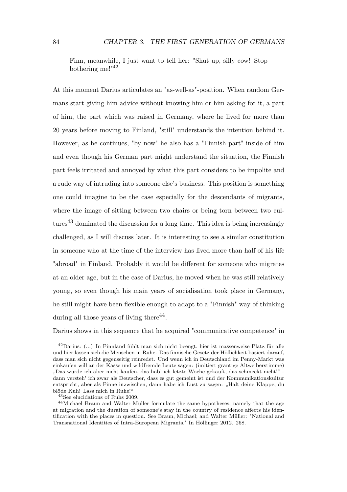Finn, meanwhile, I just want to tell her: "Shut up, silly cow! Stop bothering me!"<sup>42</sup>

At this moment Darius articulates an "as-well-as"-position. When random Germans start giving him advice without knowing him or him asking for it, a part of him, the part which was raised in Germany, where he lived for more than 20 years before moving to Finland, "still" understands the intention behind it. However, as he continues, "by now" he also has a "Finnish part" inside of him and even though his German part might understand the situation, the Finnish part feels irritated and annoyed by what this part considers to be impolite and a rude way of intruding into someone else's business. This position is something one could imagine to be the case especially for the descendants of migrants, where the image of sitting between two chairs or being torn between two cultures<sup>43</sup> dominated the discussion for a long time. This idea is being increasingly challenged, as I will discuss later. It is interesting to see a similar constitution in someone who at the time of the interview has lived more than half of his life "abroad" in Finland. Probably it would be different for someone who migrates at an older age, but in the case of Darius, he moved when he was still relatively young, so even though his main years of socialisation took place in Germany, he still might have been flexible enough to adapt to a "Finnish" way of thinking during all those years of living there<sup>44</sup>.

Darius shows in this sequence that he acquired "communicative competence" in

 $^{42}$ Darius: (...) In Finnland fühlt man sich nicht beengt, hier ist massenweise Platz für alle und hier lassen sich die Menschen in Ruhe. Das finnische Gesetz der Höflichkeit basiert darauf, dass man sich nicht gegenseitig reinredet. Und wenn ich in Deutschland im Penny-Markt was einkaufen will an der Kasse und wildfremde Leute sagen: (imitiert grantige Altweiberstimme) "Das würde ich aber nicht kaufen, das hab' ich letzte Woche gekauft, das schmeckt nicht!" dann versteh' ich zwar als Deutscher, dass es gut gemeint ist und der Kommunikationskultur entspricht, aber als Finne inzwischen, dann habe ich Lust zu sagen: "Halt deine Klappe, du blöde Kuh! Lass mich in Ruhe!"  $\,$ 

 $^{43}\rm{See}$  elucidations of Ruhs 2009.  $^{44}\rm{Michael}$  Braun and Walter Müller formulate the same hypotheses, namely that the age at migration and the duration of someone's stay in the country of residence affects his identification with the places in question. See Braun, Michael; and Walter Müller: "National and Transnational Identities of Intra-European Migrants." In Höllinger 2012. 268.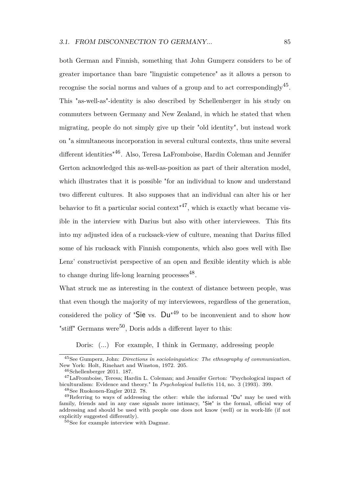both German and Finnish, something that John Gumperz considers to be of greater importance than bare "linguistic competence" as it allows a person to recognise the social norms and values of a group and to act correspondingly<sup>45</sup>. This "as-well-as"-identity is also described by Schellenberger in his study on commuters between Germany and New Zealand, in which he stated that when migrating, people do not simply give up their "old identity", but instead work on "a simultaneous incorporation in several cultural contexts, thus unite several different identities<sup>"46</sup>. Also, Teresa LaFromboise, Hardin Coleman and Jennifer Gerton acknowledged this as-well-as-position as part of their alteration model, which illustrates that it is possible "for an individual to know and understand two different cultures. It also supposes that an individual can alter his or her behavior to fit a particular social context<sup> $147$ </sup>, which is exactly what became visible in the interview with Darius but also with other interviewees. This fits into my adjusted idea of a rucksack-view of culture, meaning that Darius filled some of his rucksack with Finnish components, which also goes well with Ilse Lenz' constructivist perspective of an open and flexible identity which is able to change during life-long learning processes  $48$ .

What struck me as interesting in the context of distance between people, was that even though the majority of my interviewees, regardless of the generation, considered the policy of "Sie vs.  $Du^{\pi 49}$  to be inconvenient and to show how "stiff" Germans were<sup>50</sup>, Doris adds a different layer to this:

Doris: (...) For example, I think in Germany, addressing people

<sup>45</sup>See Gumperz, John: *Directions in socioloinguistics: The ethnography of communication.*

 $^{46}$ Schellenberger 2011. 187. <br>  $^{47}$ LaFromboise, Teresa; Hardin L. Coleman; and Jennifer Gerton: "Psychological impact of biculturalism: Evidence and theory." In *Psychological bulletin* 114, no. 3 (1993). 399.

<sup>&</sup>lt;sup>48</sup>See Ruokonen-Engler 2012. 78.<br><sup>49</sup>Referring to ways of addressing the other: while the informal "Du" may be used with family, friends and in any case signals more intimacy, "Sie" is the formal, official way of addressing and should be used with people one does not know (well) or in work-life (if not explicitly suggested differently).<br> $50$ See for example interview with Dagmar.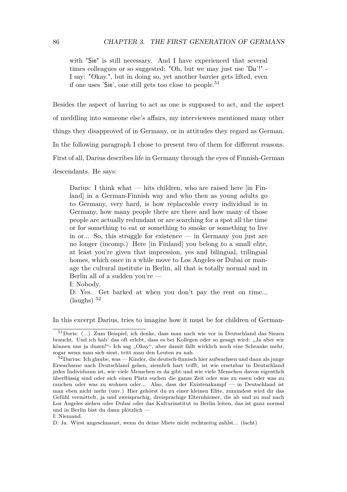with "Sie" is still necessary. And I have experienced that several times colleagues or so suggested: "Oh, but we may just use 'Du'!" - I say: "Okay.", but in doing so, yet another barrier gets lifted, even if one uses 'Sie', one still gets too close to people.<sup>51</sup>

Besides the aspect of having to act as one is supposed to act, and the aspect of meddling into someone else's affairs, my interviewees mentioned many other things they disapproved of in Germany, or in attitudes they regard as German. In the following paragraph I chose to present two of them for different reasons. First of all, Darius describes life in Germany through the eyes of Finnish-German descendants. He says:

Darius: I think what — hits children, who are raised here [in Finland] in a German-Finnish way and who then as young adults go to Germany, very hard, is how replaceable every individual is in Germany, how many people there are there and how many of those people are actually redundant or are searching for a spot all the time or for something to eat or something to smoke or something to live in or... So, this struggle for existence — in Germany you just are no longer (incomp.) Here [in Finland] you belong to a small elite, at least you're given that impression, yes and bilingual, trilingual homes, which once in a while move to Los Angeles or Dubai or manage the cultural institute in Berlin, all that is totally normal and in Berlin all of a sudden you're —

I: Nobody.

D: Yes. Get barked at when you don't pay the rent on time... (laughs) <sup>52</sup>

In this excerpt Darius, tries to imagine how it must be for children of German-

I: Niemand.

<sup>51</sup>Doris: (...) Zum Beispiel, ich denke, dass man nach wie vor in Deutschland das Siezen braucht. Und ich hab' das oft erlebt, dass es bei Kollegen oder so gesagt wird: "Ja aber wir können uns ja duzen!"- Ich sag "Okay", aber damit fällt wirklich noch eine Schranke mehr, sogar wenn man sich siezt, tritt man den Leuten zu nah.

 $52$ Darius: Ich glaube, was — Kinder, die deutsch-finnisch hier aufwachsen und dann als junge Erwachsene nach Deutschland gehen, ziemlich hart trifft, ist wie ersetzbar in Deutschland jedes Individuum ist, wie viele Menschen es da gibt und wie viele Menschen davon eigentlich überflüssig sind oder sich einen Platz suchen die ganze Zeit oder was zu essen oder was zu rauchen oder was zu wohnen oder... Also, dass der Existenzkampf — in Deutschland ist man eben nicht mehr (unv.) Hier gehörst du zu einer kleinen Elite, zumindest wird dir das Gefühl vermittelt, ja und zweisprachig, dreisprachige Elternhäuser, die ab und zu mal nach Los Angeles ziehen oder Dubai oder das Kulturinstitut in Berlin leiten, das ist ganz normal und in Berlin bist du dann plötzlich —

D: Ja. Wirst angeschnauzt, wenn du deine Miete nicht rechtzeitig zahlst... (lacht)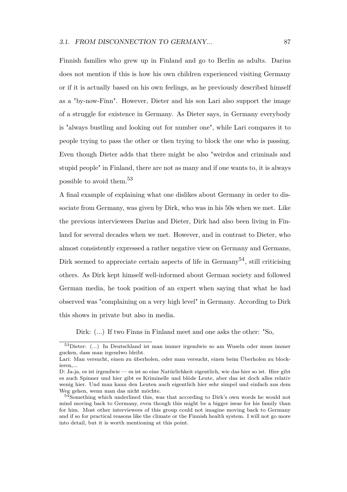Finnish families who grew up in Finland and go to Berlin as adults. Darius does not mention if this is how his own children experienced visiting Germany or if it is actually based on his own feelings, as he previously described himself as a "by-now-Finn". However, Dieter and his son Lari also support the image of a struggle for existence in Germany. As Dieter says, in Germany everybody is "always bustling and looking out for number one", while Lari compares it to people trying to pass the other or then trying to block the one who is passing. Even though Dieter adds that there might be also "weirdos and criminals and stupid people" in Finland, there are not as many and if one wants to, it is always possible to avoid them.<sup>53</sup>

A final example of explaining what one dislikes about Germany in order to dissociate from Germany, was given by Dirk, who was in his 50s when we met. Like the previous interviewees Darius and Dieter, Dirk had also been living in Finland for several decades when we met. However, and in contrast to Dieter, who almost consistently expressed a rather negative view on Germany and Germans, Dirk seemed to appreciate certain aspects of life in  $\text{Germany}^{54}$ , still criticising others. As Dirk kept himself well-informed about German society and followed German media, he took position of an expert when saying that what he had observed was "complaining on a very high level" in Germany. According to Dirk this shows in private but also in media.

Dirk:  $(...)$  If two Finns in Finland meet and one asks the other: "So,

<sup>53</sup>Dieter: (...) In Deutschland ist man immer irgendwie so am Wuseln oder muss immer gucken, dass man irgendwo bleibt.

Lari: Man versucht, einen zu überholen, oder man versucht, einen beim Überholen zu blockieren,...

D: Ja-ja, es ist irgendwie — es ist so eine Natürlichkeit eigentlich, wie das hier so ist. Hier gibt es auch Spinner und hier gibt es Kriminelle und blöde Leute, aber das ist doch alles relativ wenig hier. Und man kann den Leuten auch eigentlich hier sehr simpel und einfach aus dem

 $54$ Something which underlined this, was that according to Dirk's own words he would not mind moving back to Germany, even though this might be a bigger issue for his family than for him. Most other interviewees of this group could not imagine moving back to Germany and if so for practical reasons like the climate or the Finnish health system. I will not go more into detail, but it is worth mentioning at this point.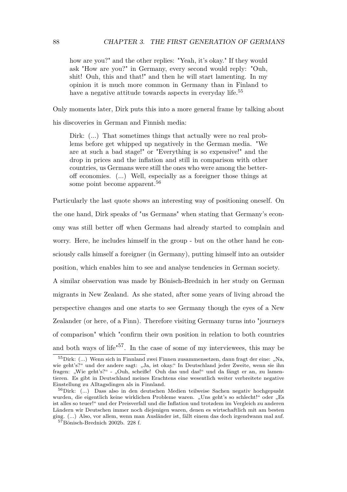how are you?" and the other replies: "Yeah, it's okay." If they would ask "How are you?" in Germany, every second would reply: "Ouh, shit! Ouh, this and that!" and then he will start lamenting. In my opinion it is much more common in Germany than in Finland to have a negative attitude towards aspects in everyday life.<sup>55</sup>

Only moments later, Dirk puts this into a more general frame by talking about

his discoveries in German and Finnish media:

Dirk:  $(...)$  That sometimes things that actually were no real problems before get whipped up negatively in the German media. "We are at such a bad stage!" or "Everything is so expensive!" and the drop in prices and the inflation and still in comparison with other countries, us Germans were still the ones who were among the betteroff economies. (...) Well, especially as a foreigner those things at some point become apparent.<sup>56</sup>

Particularly the last quote shows an interesting way of positioning oneself. On the one hand, Dirk speaks of "us Germans" when stating that Germany's economy was still better off when Germans had already started to complain and worry. Here, he includes himself in the group - but on the other hand he consciously calls himself a foreigner (in Germany), putting himself into an outsider position, which enables him to see and analyse tendencies in German society.

A similar observation was made by Bönisch-Brednich in her study on German migrants in New Zealand. As she stated, after some years of living abroad the perspective changes and one starts to see Germany though the eyes of a New Zealander (or here, of a Finn). Therefore visiting Germany turns into "journeys of comparison" which "confirm their own position in relation to both countries and both ways of life<sup> $57$ </sup>. In the case of some of my interviewees, this may be

 ${}^{55}$ Dirk: (...) Wenn sich in Finnland zwei Finnen zusammensetzen, dann fragt der eine: "Na, wie geht's?" und der andere sagt: "Ja, ist okay." In Deutschland jeder Zweite, wenn sie ihn fragen: "Wie geht's?" - "Ouh, scheiße! Ouh das und das!" und da fängt er an, zu lamentieren. Es gibt in Deutschland meines Erachtens eine wesentlich weiter verbreitete negative

 $^{56}$ Dirk: (...) Dass also in den deutschen Medien teilweise Sachen negativ hochgepusht wurden, die eigentlich keine wirklichen Probleme waren. "Uns geht's so schlecht!" oder "Es ist alles so teuer!" und der Preisverfall und die Inflation und trotzdem im Vergleich zu anderen Ländern wir Deutschen immer noch diejenigen waren, denen es wirtschaftlich mit am besten ging. (...) Also, vor allem, wenn man Ausländer ist, fällt einem das doch irgendwann mal auf.  ${}^{57}\mathrm{Bönisch-Brednich}$  2002b. 228 f.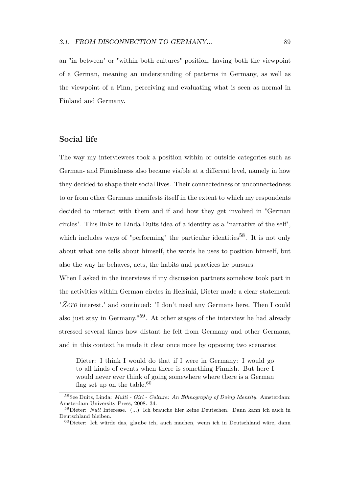an "in between" or "within both cultures" position, having both the viewpoint of a German, meaning an understanding of patterns in Germany, as well as the viewpoint of a Finn, perceiving and evaluating what is seen as normal in Finland and Germany.

# **Social life**

The way my interviewees took a position within or outside categories such as German- and Finnishness also became visible at a different level, namely in how they decided to shape their social lives. Their connectedness or unconnectedness to or from other Germans manifests itself in the extent to which my respondents decided to interact with them and if and how they get involved in "German circles". This links to Linda Duits idea of a identity as a "narrative of the self", which includes ways of "performing" the particular identities<sup>58</sup>. It is not only about what one tells about himself, the words he uses to position himself, but also the way he behaves, acts, the habits and practices he pursues.

When I asked in the interviews if my discussion partners somehow took part in the activities within German circles in Helsinki, Dieter made a clear statement: "*Zero* interest." and continued: "I don't need any Germans here. Then I could also just stay in Germany."59. At other stages of the interview he had already stressed several times how distant he felt from Germany and other Germans, and in this context he made it clear once more by opposing two scenarios:

Dieter: I think I would do that if I were in Germany: I would go to all kinds of events when there is something Finnish. But here I would never ever think of going somewhere where there is a German flag set up on the table.<sup>60</sup>

<sup>58</sup>See Duits, Linda: *Multi - Girl - Culture: An Ethnography of Doing Identity.* Amsterdam: Amsterdam University Press, 2008. 34. <sup>59</sup>Dieter: *Null* Interesse. (...) Ich brauche hier keine Deutschen. Dann kann ich auch in

Deutschland bleiben.<br><sup>60</sup>Dieter: Ich würde das, glaube ich, auch machen, wenn ich in Deutschland wäre, dann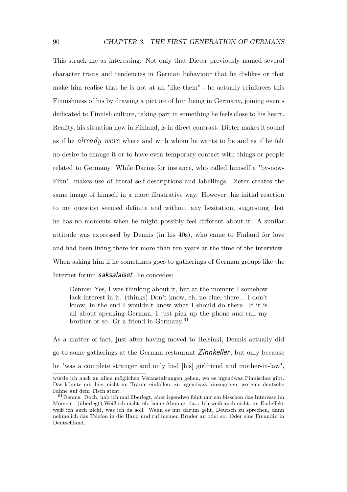This struck me as interesting: Not only that Dieter previously named several character traits and tendencies in German behaviour that he dislikes or that make him realise that he is not at all "like them" - he actually reinforces this Finnishness of his by drawing a picture of him being in Germany, joining events dedicated to Finnish culture, taking part in something he feels close to his heart. Reality, his situation now in Finland, is in direct contrast. Dieter makes it sound as if he *already were* where and with whom he wants to be and as if he felt no desire to change it or to have even temporary contact with things or people related to Germany. While Darius for instance, who called himself a "by-now-Finn", makes use of literal self-descriptions and labellings, Dieter creates the same image of himself in a more illustrative way. However, his initial reaction to my question seemed definite and without any hesitation, suggesting that he has no moments when he might possibly feel different about it. A similar attitude was expressed by Dennis (in his 40s), who came to Finland for love and had been living there for more than ten years at the time of the interview. When asking him if he sometimes goes to gatherings of German groups like the Internet forum saksalaiset, he concedes:

Dennis: Yes, I was thinking about it, but at the moment I somehow lack interest in it. (thinks) Don't know, eh, no clue, there... I don't know, in the end I wouldn't know what I should do there. If it is all about speaking German, I just pick up the phone and call my brother or so. Or a friend in Germany. $\rm ^{61}$ 

As a matter of fact, just after having moved to Helsinki, Dennis actually did go to some gatherings at the German restaurant Zinnkeller, but only because he "was a complete stranger and only had [his] girlfriend and mother-in-law",

würde ich auch zu allen möglichen Veranstaltungen gehen, wo es irgendwas Finnisches gibt. Das könnte mir hier nicht im Traum einfallen, zu irgendwas hinzugehen, wo eine deutsche

 $61$ Dennis: Doch, hab ich mal überlegt, aber irgendwo fehlt mir ein bisschen das Interesse im Moment. (überlegt) Weiß ich nicht, eh, keine Ahnung, da... Ich weiß auch nicht, im Endeffekt weiß ich auch nicht, was ich da soll. Wenn es nur darum geht, Deutsch zu sprechen, dann nehme ich das Telefon in die Hand und ruf meinen Bruder an oder so. Oder eine Freundin in Deutschland.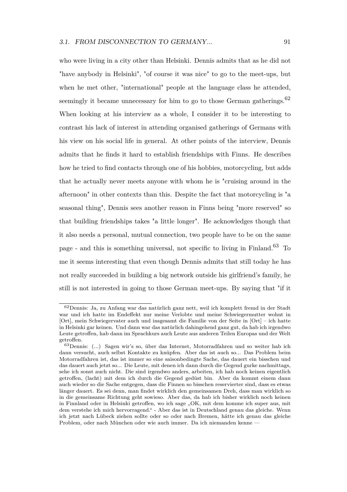who were living in a city other than Helsinki. Dennis admits that as he did not "have anybody in Helsinki", "of course it was nice" to go to the meet-ups, but when he met other, "international" people at the language class he attended, seemingly it became unnecessary for him to go to those German gatherings. $62$ When looking at his interview as a whole, I consider it to be interesting to contrast his lack of interest in attending organised gatherings of Germans with his view on his social life in general. At other points of the interview, Dennis admits that he finds it hard to establish friendships with Finns. He describes how he tried to find contacts through one of his hobbies, motorcycling, but adds that he actually never meets anyone with whom he is "cruising around in the afternoon" in other contexts than this. Despite the fact that motorcycling is "a seasonal thing", Dennis sees another reason in Finns being "more reserved" so that building friendships takes "a little longer". He acknowledges though that it also needs a personal, mutual connection, two people have to be on the same page - and this is something universal, not specific to living in Finland.<sup>63</sup> To me it seems interesting that even though Dennis admits that still today he has not really succeeded in building a big network outside his girlfriend's family, he still is not interested in going to those German meet-ups. By saying that "if it

<sup>62</sup>Dennis: Ja, zu Anfang war das natürlich ganz nett, weil ich komplett fremd in der Stadt war und ich hatte im Endeffekt nur meine Verlobte und meine Schwiegermutter wohnt in [Ort], mein Schwiegervater auch und insgesamt die Familie von der Seite in [Ort] – ich hatte in Helsinki gar keinen. Und dann war das natürlich dahingehend ganz gut, da hab ich irgendwo Leute getroffen, hab dann im Sprachkurs auch Leute aus anderen Teilen Europas und der Welt

<sup>&</sup>lt;sup>63</sup>Dennis: (...) Sagen wir's so, über das Internet, Motorradfahren und so weiter hab ich dann versucht, auch selbst Kontakte zu knüpfen. Aber das ist auch so... Das Problem beim Motorradfahren ist, das ist immer so eine saisonbedingte Sache, das dauert ein bisschen und das dauert auch jetzt so... Die Leute, mit denen ich dann durch die Gegend gurke nachmittags, sehe ich sonst auch nicht. Die sind irgendwo anders, arbeiten, ich hab noch keinen eigentlich getroffen, (lacht) mit dem ich durch die Gegend gedüst bin. Aber da kommt einem dann auch wieder so die Sache entgegen, dass die Finnen so bisschen reservierter sind, dass es etwas länger dauert. Es sei denn, man findet wirklich den gemeinsamen Dreh, dass man wirklich so in die gemeinsame Richtung geht sowieso. Aber das, da hab ich bisher wirklich noch keinen in Finnland oder in Helsinki getroffen, wo ich sage "OK, mit dem komme ich super aus, mit dem verstehe ich mich hervorragend." - Aber das ist in Deutschland genau das gleiche. Wenn ich jetzt nach Lübeck ziehen sollte oder so oder nach Bremen, hätte ich genau das gleiche Problem, oder nach München oder wie auch immer. Da ich niemanden kenne —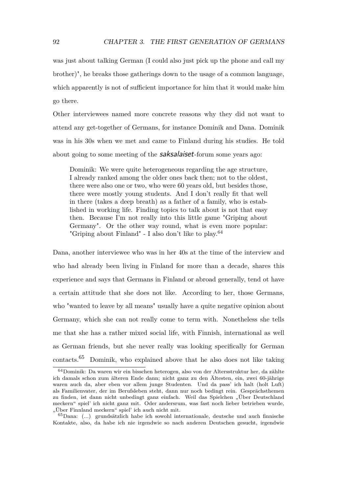was just about talking German (I could also just pick up the phone and call my brother)", he breaks those gatherings down to the usage of a common language, which apparently is not of sufficient importance for him that it would make him go there.

Other interviewees named more concrete reasons why they did not want to attend any get-together of Germans, for instance Dominik and Dana. Dominik was in his 30s when we met and came to Finland during his studies. He told about going to some meeting of the **saksalaiset**-forum some years ago:

Dominik: We were quite heterogeneous regarding the age structure, I already ranked among the older ones back then; not to the oldest, there were also one or two, who were 60 years old, but besides those, there were mostly young students. And I don't really fit that well in there (takes a deep breath) as a father of a family, who is established in working life. Finding topics to talk about is not that easy then. Because I'm not really into this little game "Griping about Germany". Or the other way round, what is even more popular: "Griping about Finland" - I also don't like to play.<sup>64</sup>

Dana, another interviewee who was in her 40s at the time of the interview and who had already been living in Finland for more than a decade, shares this experience and says that Germans in Finland or abroad generally, tend ot have a certain attitude that she does not like. According to her, those Germans, who "wanted to leave by all means" usually have a quite negative opinion about Germany, which she can not really come to term with. Nonetheless she tells me that she has a rather mixed social life, with Finnish, international as well as German friends, but she never really was looking specifically for German contacts.<sup>65</sup> Dominik, who explained above that he also does not like taking

<sup>64</sup>Dominik: Da waren wir ein bisschen heterogen, also von der Altersstruktur her, da zählte ich damals schon zum älteren Ende dann; nicht ganz zu den Ältesten, ein, zwei 60-jährige waren auch da, aber eben vor allem junge Studenten. Und da pass' ich halt (holt Luft) als Familienvater, der im Berufsleben steht, dann nur noch bedingt rein. Gesprächsthemen zu finden, ist dann nicht unbedingt ganz einfach. Weil das Spielchen "Über Deutschland meckern" spiel' ich nicht ganz mit. Oder andersrum, was fast noch lieber betrieben wurde,

 $^{65}$ Dana: (...) grundsätzlich habe ich sowohl internationale, deutsche und auch finnische Kontakte, also, da habe ich nie irgendwie so nach anderen Deutschen gesucht, irgendwie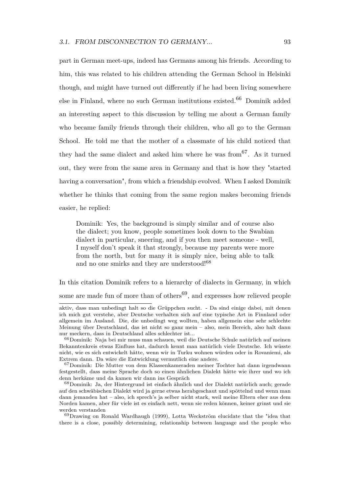part in German meet-ups, indeed has Germans among his friends. According to him, this was related to his children attending the German School in Helsinki though, and might have turned out differently if he had been living somewhere else in Finland, where no such German institutions existed.<sup>66</sup> Dominik added an interesting aspect to this discussion by telling me about a German family who became family friends through their children, who all go to the German School. He told me that the mother of a classmate of his child noticed that they had the same dialect and asked him where he was from  $67$ . As it turned out, they were from the same area in Germany and that is how they "started having a conversation", from which a friendship evolved. When I asked Dominik whether he thinks that coming from the same region makes becoming friends easier, he replied:

Dominik: Yes, the background is simply similar and of course also the dialect; you know, people sometimes look down to the Swabian dialect in particular, sneering, and if you then meet someone - well, I myself don't speak it that strongly, because my parents were more from the north, but for many it is simply nice, being able to talk and no one smirks and they are understood!<sup>68</sup>

In this citation Dominik refers to a hierarchy of dialects in Germany, in which some are made fun of more than of others<sup>69</sup>, and expresses how relieved people

aktiv, dass man unbedingt halt so die Grüppchen sucht. - Da sind einige dabei, mit denen ich mich gut verstehe, aber Deutsche verhalten sich auf eine typische Art in Finnland oder allgemein im Ausland. Die, die unbedingt weg wollten, haben allgemein eine sehr schlechte Meinung über Deutschland, das ist nicht so ganz mein – also, mein Bereich, also halt dann nur meckern, dass in Deutschland alles schlechter ist...<br><sup>66</sup>Dominik: Naja bei mir muss man schauen, weil die Deutsche Schule natürlich auf meinen

Bekanntenkreis etwas Einfluss hat, dadurch kennt man natürlich viele Deutsche. Ich wüsste nicht, wie es sich entwickelt hätte, wenn wir in Turku wohnen würden oder in Rovaniemi, als Extrem dann. Da wäre die Entwicklung vermutlich eine andere. <sup>67</sup>Dominik: Die Mutter von dem Klassenkameraden meiner Tochter hat dann irgendwann

festgestellt, dass meine Sprache doch so einen ähnlichen Dialekt hätte wie ihrer und wo ich denn herkäme und da kamen wir dann ins Gespräch<br><sup>68</sup>Dominik: Ja, der Hintergrund ist einfach ähnlich und der Dialekt natürlich auch; gerade

auf den schwäbischen Dialekt wird ja gerne etwas herabgeschaut und spöttelnd und wenn man dann jemanden hat – also, ich sprech's ja selber nicht stark, weil meine Eltern eher aus dem Norden kamen, aber für viele ist es einfach nett, wenn sie reden können, keiner grinst und sie

 $69$ Drawing on Ronald Wardhaugh (1999), Lotta Weckström elucidate that the "idea that there is a close, possibly determining, relationship between language and the people who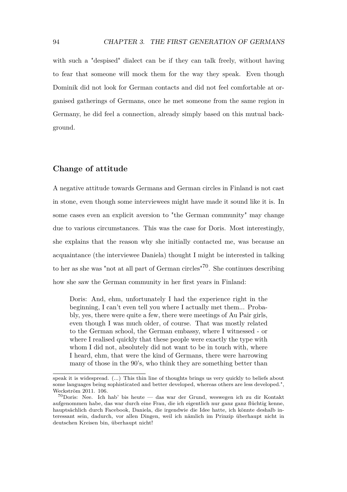with such a "despised" dialect can be if they can talk freely, without having to fear that someone will mock them for the way they speak. Even though Dominik did not look for German contacts and did not feel comfortable at organised gatherings of Germans, once he met someone from the same region in Germany, he did feel a connection, already simply based on this mutual background.

## **Change of attitude**

A negative attitude towards Germans and German circles in Finland is not cast in stone, even though some interviewees might have made it sound like it is. In some cases even an explicit aversion to "the German community" may change due to various circumstances. This was the case for Doris. Most interestingly, she explains that the reason why she initially contacted me, was because an acquaintance (the interviewee Daniela) thought I might be interested in talking to her as she was "not at all part of German circles"<sup>70</sup>. She continues describing how she saw the German community in her first years in Finland:

Doris: And, ehm, unfortunately I had the experience right in the beginning, I can't even tell you where I actually met them... Probably, yes, there were quite a few, there were meetings of Au Pair girls, even though I was much older, of course. That was mostly related to the German school, the German embassy, where I witnessed - or where I realised quickly that these people were exactly the type with whom I did not, absolutely did not want to be in touch with, where I heard, ehm, that were the kind of Germans, there were harrowing many of those in the 90's, who think they are something better than

speak it is widespread. (...) This thin line of thoughts brings us very quickly to beliefs about some languages being sophisticated and better developed, whereas others are less developed.",

 $^{70}$ Doris: Nee. Ich hab' bis heute — das war der Grund, weswegen ich zu dir Kontakt aufgenommen habe, das war durch eine Frau, die ich eigentlich nur ganz ganz flüchtig kenne, hauptsächlich durch Facebook, Daniela, die irgendwie die Idee hatte, ich könnte deshalb interessant sein, dadurch, vor allen Dingen, weil ich nämlich im Prinzip überhaupt nicht in deutschen Kreisen bin, überhaupt nicht!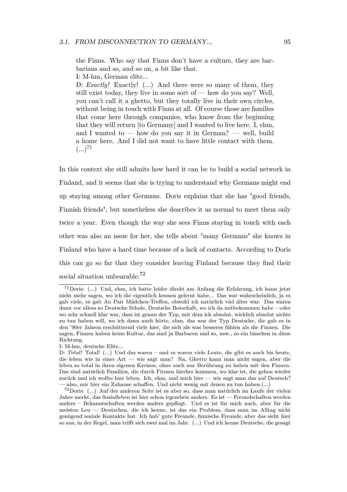#### 3.1. FROM DISCONNECTION TO GERMANY... 95

the Finns. Who say that Finns don't have a culture, they are barbarians and so, and so on, a bit like that.

I: M-hm, German elite...

D: *Exactly!* Exactly! (...) And there were so many of them, they still exist today, they live in some sort of  $-$  how do you say? Well, you can't call it a ghetto, but they totally live in their own circles, without being in touch with Finns at all. Of course those are families that come here through companies, who know from the beginning that they will return [to Germany] and I wanted to live here. I, ehm, and I wanted to — how do you say it in German? — well, build a home here. And I did not want to have little contact with them.  $(...)^{71}$ 

In this context she still admits how hard it can be to build a social network in Finland, and it seems that she is trying to understand why Germans might end up staying among other Germans. Doris explains that she has "good friends, Finnish friends", but nonetheless she describes it as normal to meet them only twice a year. Even though the way she sees Finns staying in touch with each other was also an issue for her, she tells about "many Germans" she knows in Finland who have a hard time because of a lack of contacts. According to Doris this can go so far that they consider leaving Finland because they find their social situation unbearable.<sup>72</sup>

<sup>71</sup>Doris: (...) Und, ehm, ich hatte leider direkt am Anfang die Erfahrung, ich kann jetzt nicht mehr sagen, wo ich die eigentlich kennen gelernt habe... Das war wahrscheinlich, ja es gab viele, es gab Au Pair Mädchen-Treffen, obwohl ich natürlich viel älter war. Das waren dann vor allem so Deutsche Schule, Deutsche Botschaft, wo ich da mitbekommen habe – oder wo sehr schnell klar war, dass ist genau der Typ, mit dem ich absolut, wirklich absolut nichts zu tun haben will, wo ich dann auch hörte, ehm, das war der Typ Deutsche, die gab es in den '90er Jahren erschütternd viele hier, die sich als was besseres fühlen als die Finnen. Die sagen, Finnen haben keine Kultur, das sind ja Barbaren und so, usw., so ein bisschen in diese Richtung.

I: M-hm, deutsche Elite...

D: *Total!* Total! (...) Und das waren – und es waren viele Leute, die gibt es auch bis heute, die leben wie in einer Art — wie sagt man? Na, Ghetto kann man nicht sagen, aber die leben so total in ihren eigenen Kreisen, ohne auch nur Berührung zu haben mit den Finnen. Das sind natürlich Familien, die durch Firmen hierher kommen, wo klar ist, die gehen wieder zurück und ich wollte hier leben. Ich, ehm, und mich hier — wie sagt man das auf Deutsch?

<sup>—</sup> also, mir hier ein Zuhause schaffen. Und nicht wenig mit denen zu tun haben.(...)  $72$  Doris: (...) Auf der anderen Seite ist es aber so, dass man natürlich im Laufe der vielen Jahre merkt, das Sozialleben ist hier schon irgendwie anders. Es ist — Freundschaften werden anders – Bekanntschaften werden anders gepflegt. Und es ist für mich auch, aber für die meisten Leu — Deutschen, die ich kenne, ist das ein Problem, dass man im Alltag nicht genügend soziale Kontakte hat. Ich hab' gute Freunde, finnische Freunde, aber das sieht hier so aus, in der Regel, man trifft sich zwei mal im Jahr. (...) Und ich kenne Deutsche, die gesagt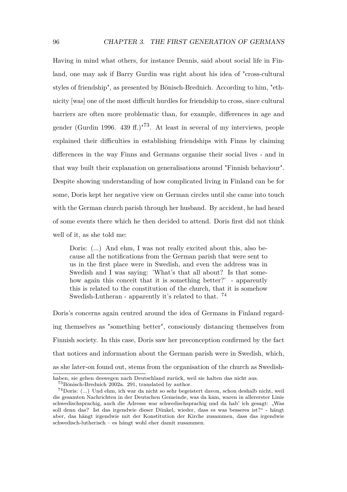Having in mind what others, for instance Dennis, said about social life in Finland, one may ask if Barry Gurdin was right about his idea of "cross-cultural styles of friendship", as presented by Bönisch-Brednich. According to him, "ethnicity [was] one of the most difficult hurdles for friendship to cross, since cultural barriers are often more problematic than, for example, differences in age and gender (Gurdin 1996. 439 ff.)<sup> $\text{r}$ 73. At least in several of my interviews, people</sup> explained their difficulties in establishing friendships with Finns by claiming differences in the way Finns and Germans organise their social lives - and in that way built their explanation on generalisations around "Finnish behaviour". Despite showing understanding of how complicated living in Finland can be for some, Doris kept her negative view on German circles until she came into touch with the German church parish through her husband. By accident, he had heard of some events there which he then decided to attend. Doris first did not think well of it, as she told me:

Doris: (...) And ehm, I was not really excited about this, also because all the notifications from the German parish that were sent to us in the first place were in Swedish, and even the address was in Swedish and I was saying: 'What's that all about? Is that somehow again this conceit that it is something better?' - apparently this is related to the constitution of the church, that it is somehow Swedish-Lutheran - apparently it's related to that. <sup>74</sup>

Doris's concerns again centred around the idea of Germans in Finland regarding themselves as "something better", consciously distancing themselves from Finnish society. In this case, Doris saw her preconception confirmed by the fact that notices and information about the German parish were in Swedish, which, as she later-on found out, stems from the organisation of the church as Swedish-

haben, sie gehen deswegen nach Deutschland zurück, weil sie halten das nicht aus.<br><sup>73</sup>Bönisch-Brednich 2002a. 291, translated by author.<br><sup>74</sup>Doris: (...) Und ehm, ich war da nicht so sehr begeistert davon, schon deshalb n

die gesamten Nachrichten in der Deutschen Gemeinde, was da kam, waren in allererster Linie schwedischsprachig, auch die Adresse war schwedischsprachig und da hab' ich gesagt: "Was soll denn das? Ist das irgendwie dieser Dünkel, wieder, dass es was besseres ist?" - hängt aber, das hängt irgendwie mit der Konstitution der Kirche zusammen, dass das irgendwie schwedisch-lutherisch – es hängt wohl eher damit zusammen.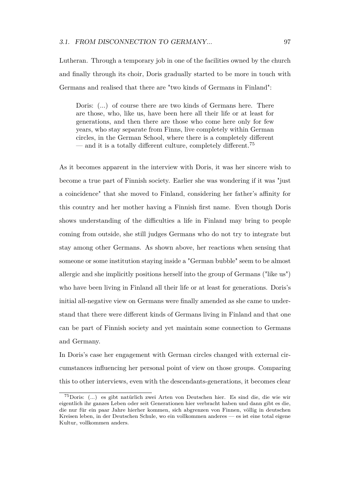Lutheran. Through a temporary job in one of the facilities owned by the church and finally through its choir, Doris gradually started to be more in touch with Germans and realised that there are "two kinds of Germans in Finland":

Doris: (...) of course there are two kinds of Germans here. There are those, who, like us, have been here all their life or at least for generations, and then there are those who come here only for few years, who stay separate from Finns, live completely within German circles, in the German School, where there is a completely different — and it is a totally different culture, completely different.<sup>75</sup>

As it becomes apparent in the interview with Doris, it was her sincere wish to become a true part of Finnish society. Earlier she was wondering if it was "just a coincidence" that she moved to Finland, considering her father's affinity for this country and her mother having a Finnish first name. Even though Doris shows understanding of the difficulties a life in Finland may bring to people coming from outside, she still judges Germans who do not try to integrate but stay among other Germans. As shown above, her reactions when sensing that someone or some institution staying inside a "German bubble" seem to be almost allergic and she implicitly positions herself into the group of Germans ("like us") who have been living in Finland all their life or at least for generations. Doris's initial all-negative view on Germans were finally amended as she came to understand that there were different kinds of Germans living in Finland and that one can be part of Finnish society and yet maintain some connection to Germans and Germany.

In Doris's case her engagement with German circles changed with external circumstances influencing her personal point of view on those groups. Comparing this to other interviews, even with the descendants-generations, it becomes clear

<sup>75</sup>Doris: (...) es gibt natürlich zwei Arten von Deutschen hier. Es sind die, die wie wir eigentlich ihr ganzes Leben oder seit Generationen hier verbracht haben und dann gibt es die, die nur für ein paar Jahre hierher kommen, sich abgrenzen von Finnen, völlig in deutschen Kreisen leben, in der Deutschen Schule, wo ein vollkommen anderes — es ist eine total eigene Kultur, vollkommen anders.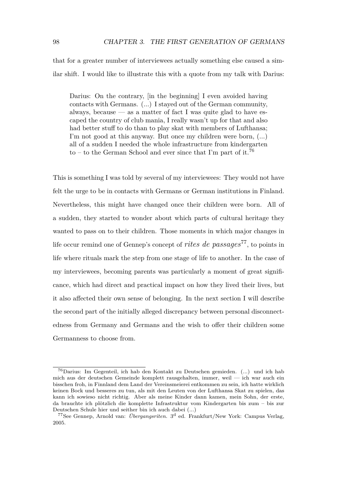that for a greater number of interviewees actually something else caused a similar shift. I would like to illustrate this with a quote from my talk with Darius:

Darius: On the contrary, [in the beginning] I even avoided having contacts with Germans. (...) I stayed out of the German community, always, because  $\sim$  as a matter of fact I was quite glad to have escaped the country of club mania, I really wasn't up for that and also had better stuff to do than to play skat with members of Lufthansa; I'm not good at this anyway. But once my children were born, (...) all of a sudden I needed the whole infrastructure from kindergarten to – to the German School and ever since that I'm part of it.<sup>76</sup>

This is something I was told by several of my interviewees: They would not have felt the urge to be in contacts with Germans or German institutions in Finland. Nevertheless, this might have changed once their children were born. All of a sudden, they started to wonder about which parts of cultural heritage they wanted to pass on to their children. Those moments in which major changes in life occur remind one of Gennep's concept of *rites de passages*<sup>77</sup>, to points in life where rituals mark the step from one stage of life to another. In the case of my interviewees, becoming parents was particularly a moment of great significance, which had direct and practical impact on how they lived their lives, but it also affected their own sense of belonging. In the next section I will describe the second part of the initially alleged discrepancy between personal disconnectedness from Germany and Germans and the wish to offer their children some Germanness to choose from.

<sup>76</sup>Darius: Im Gegenteil, ich hab den Kontakt zu Deutschen gemieden. (...) und ich hab mich aus der deutschen Gemeinde komplett rausgehalten, immer, weil — ich war auch ein bisschen froh, in Finnland dem Land der Vereinsmeierei entkommen zu sein, ich hatte wirklich keinen Bock und besseres zu tun, als mit den Leuten von der Lufthansa Skat zu spielen, das kann ich sowieso nicht richtig. Aber als meine Kinder dann kamen, mein Sohn, der erste, da brauchte ich plötzlich die komplette Infrastruktur vom Kindergarten bis zum – bis zur Deutschen Schule hier und seither bin ich auch dabei (...) <sup>77</sup>See Gennep, Arnold van: *Übergangsriten.* <sup>3</sup><sup>d</sup> ed. Frankfurt/New York: Campus Verlag,

<sup>2005.</sup>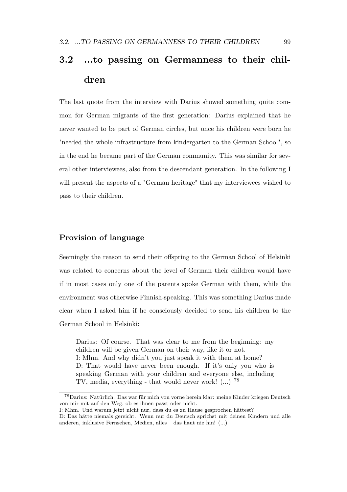# **3.2 ...to passing on Germanness to their children**

The last quote from the interview with Darius showed something quite common for German migrants of the first generation: Darius explained that he never wanted to be part of German circles, but once his children were born he "needed the whole infrastructure from kindergarten to the German School", so in the end he became part of the German community. This was similar for several other interviewees, also from the descendant generation. In the following I will present the aspects of a "German heritage" that my interviewees wished to pass to their children.

# **Provision of language**

Seemingly the reason to send their offspring to the German School of Helsinki was related to concerns about the level of German their children would have if in most cases only one of the parents spoke German with them, while the environment was otherwise Finnish-speaking. This was something Darius made clear when I asked him if he consciously decided to send his children to the German School in Helsinki:

Darius: Of course. That was clear to me from the beginning: my children will be given German on their way, like it or not. I: Mhm. And why didn't you just speak it with them at home? D: That would have never been enough. If it's only you who is speaking German with your children and everyone else, including TV, media, everything - that would never work! (...) <sup>78</sup>

<sup>78</sup>Darius: Natürlich. Das war für mich von vorne herein klar: meine Kinder kriegen Deutsch von mir mit auf den Weg, ob es ihnen passt oder nicht.

I: Mhm. Und warum jetzt nicht nur, dass du es zu Hause gesprochen hättest?

D: Das hätte niemals gereicht. Wenn nur du Deutsch sprichst mit deinen Kindern und alle anderen, inklusive Fernsehen, Medien, alles – das haut nie hin! (...)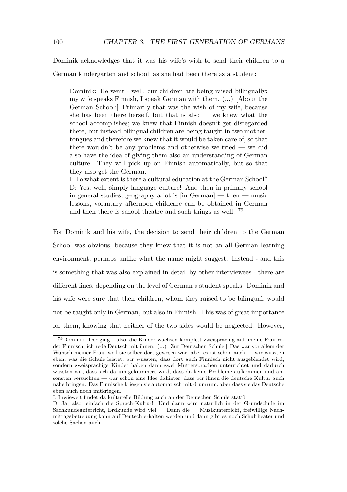Dominik acknowledges that it was his wife's wish to send their children to a German kindergarten and school, as she had been there as a student:

Dominik: He went - well, our children are being raised bilingually: my wife speaks Finnish, I speak German with them. (...) [About the German School:] Primarily that was the wish of my wife, because she has been there herself, but that is also — we knew what the school accomplishes; we knew that Finnish doesn't get disregarded there, but instead bilingual children are being taught in two mothertongues and therefore we knew that it would be taken care of, so that there wouldn't be any problems and otherwise we tried — we did also have the idea of giving them also an understanding of German culture. They will pick up on Finnish automatically, but so that they also get the German.

I: To what extent is there a cultural education at the German School? D: Yes, well, simply language culture! And then in primary school in general studies, geography a lot is  $\left| \text{in German} \right|$  — then — music lessons, voluntary afternoon childcare can be obtained in German and then there is school theatre and such things as well. <sup>79</sup>

For Dominik and his wife, the decision to send their children to the German School was obvious, because they knew that it is not an all-German learning environment, perhaps unlike what the name might suggest. Instead - and this is something that was also explained in detail by other interviewees - there are different lines, depending on the level of German a student speaks. Dominik and his wife were sure that their children, whom they raised to be bilingual, would not be taught only in German, but also in Finnish. This was of great importance for them, knowing that neither of the two sides would be neglected. However,

<sup>79</sup>Dominik: Der ging – also, die Kinder wachsen komplett zweisprachig auf, meine Frau redet Finnisch, ich rede Deutsch mit ihnen. (...) [Zur Deutschen Schule:] Das war vor allem der Wunsch meiner Frau, weil sie selber dort gewesen war, aber es ist schon auch — wir wussten eben, was die Schule leistet, wir wussten, dass dort auch Finnisch nicht ausgeblendet wird, sondern zweisprachige Kinder haben dann zwei Muttersprachen unterrichtet und dadurch wussten wir, dass sich darum gekümmert wird, dass da keine Probleme aufkommen und ansonsten versuchten — war schon eine Idee dahinter, dass wir ihnen die deutsche Kultur auch nahe bringen. Das Finnische kriegen sie automatisch mit drumrum, aber dass sie das Deutsche eben auch noch mitkriegen.

I: Inwieweit findet da kulturelle Bildung auch an der Deutschen Schule statt?

D: Ja, also, einfach die Sprach-Kultur! Und dann wird natürlich in der Grundschule im Sachkundeunterricht, Erdkunde wird viel — Dann die — Musikunterricht, freiwillige Nachmittagsbetreuung kann auf Deutsch erhalten werden und dann gibt es noch Schultheater und solche Sachen auch.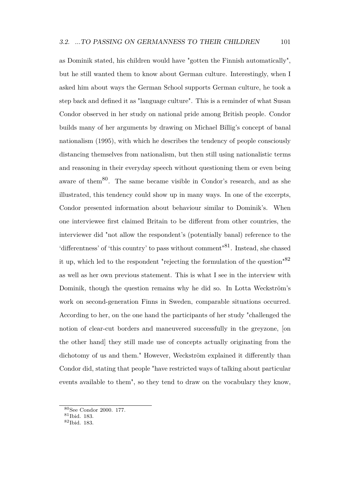as Dominik stated, his children would have "gotten the Finnish automatically", but he still wanted them to know about German culture. Interestingly, when I asked him about ways the German School supports German culture, he took a step back and defined it as "language culture". This is a reminder of what Susan Condor observed in her study on national pride among British people. Condor builds many of her arguments by drawing on Michael Billig's concept of banal nationalism (1995), with which he describes the tendency of people consciously distancing themselves from nationalism, but then still using nationalistic terms and reasoning in their everyday speech without questioning them or even being aware of them<sup>80</sup>. The same became visible in Condor's research, and as she illustrated, this tendency could show up in many ways. In one of the excerpts, Condor presented information about behaviour similar to Dominik's. When one interviewee first claimed Britain to be different from other countries, the interviewer did "not allow the respondent's (potentially banal) reference to the 'differentness' of 'this country' to pass without comment<sup>81</sup>. Instead, she chased it up, which led to the respondent "rejecting the formulation of the question" $82$ as well as her own previous statement. This is what I see in the interview with Dominik, though the question remains why he did so. In Lotta Weckström's work on second-generation Finns in Sweden, comparable situations occurred. According to her, on the one hand the participants of her study "challenged the notion of clear-cut borders and maneuvered successfully in the greyzone, [on the other hand] they still made use of concepts actually originating from the dichotomy of us and them." However, Weckström explained it differently than Condor did, stating that people "have restricted ways of talking about particular events available to them", so they tend to draw on the vocabulary they know,

<sup>80</sup>See Condor 2000. 177.<br><sup>81</sup>Ibid. 183.<br><sup>82</sup>Ibid. 183.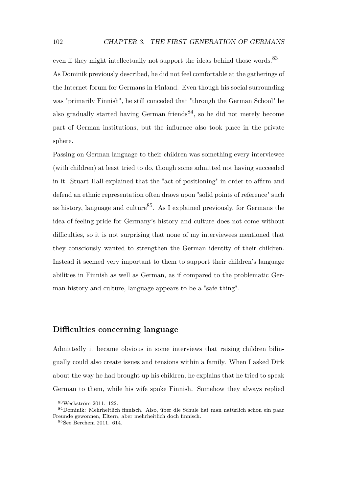even if they might intellectually not support the ideas behind those words.<sup>83</sup> As Dominik previously described, he did not feel comfortable at the gatherings of the Internet forum for Germans in Finland. Even though his social surrounding was "primarily Finnish", he still conceded that "through the German School" he also gradually started having German friends<sup>84</sup>, so he did not merely become part of German institutions, but the influence also took place in the private sphere.

Passing on German language to their children was something every interviewee (with children) at least tried to do, though some admitted not having succeeded in it. Stuart Hall explained that the "act of positioning" in order to affirm and defend an ethnic representation often draws upon "solid points of reference" such as history, language and culture<sup>85</sup>. As I explained previously, for Germans the idea of feeling pride for Germany's history and culture does not come without difficulties, so it is not surprising that none of my interviewees mentioned that they consciously wanted to strengthen the German identity of their children. Instead it seemed very important to them to support their children's language abilities in Finnish as well as German, as if compared to the problematic German history and culture, language appears to be a "safe thing".

### **Difficulties concerning language**

Admittedly it became obvious in some interviews that raising children bilingually could also create issues and tensions within a family. When I asked Dirk about the way he had brought up his children, he explains that he tried to speak German to them, while his wife spoke Finnish. Somehow they always replied

 $83$ Weckström 2011. 122.<br> $84$ Dominik: Mehrheitlich finnisch. Also, über die Schule hat man natürlich schon ein paar Freunde gewonnen, Eltern, aber mehrheitlich doch finnisch. <sup>85</sup>See Berchem 2011. 614.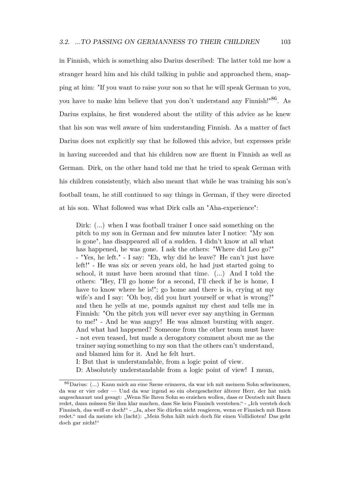in Finnish, which is something also Darius described: The latter told me how a stranger heard him and his child talking in public and approached them, snapping at him: "If you want to raise your son so that he will speak German to you, you have to make him believe that you don't understand any Finnish!"<sup>86</sup>. As Darius explains, he first wondered about the utility of this advice as he knew that his son was well aware of him understanding Finnish. As a matter of fact Darius does not explicitly say that he followed this advice, but expresses pride in having succeeded and that his children now are fluent in Finnish as well as German. Dirk, on the other hand told me that he tried to speak German with his children consistently, which also meant that while he was training his son's football team, he still continued to say things in German, if they were directed at his son. What followed was what Dirk calls an "Aha-experience":

Dirk:  $(...)$  when I was football trainer I once said something on the pitch to my son in German and few minutes later I notice: "My son is gone", has disappeared all of a sudden. I didn't know at all what has happened, he was gone. I ask the others: "Where did Leo go?" - "Yes, he left." - I say: "Eh, why did he leave? He can't just have left!" - He was six or seven years old, he had just started going to school, it must have been around that time. (...) And I told the others: "Hey, I'll go home for a second, I'll check if he is home, I have to know where he is!"; go home and there is is, crying at my wife's and I say: "Oh boy, did you hurt yourself or what is wrong?" and then he yells at me, pounds against my chest and tells me in Finnish: "On the pitch you will never ever say anything in German to me!" - And he was angry! He was almost bursting with anger. And what had happened? Someone from the other team must have - not even teased, but made a derogatory comment about me as the trainer saying something to my son that the others can't understand, and blamed him for it. And he felt hurt.

I: But that is understandable, from a logic point of view.

D: Absolutely understandable from a logic point of view! I mean,

<sup>86</sup>Darius: (...) Kann mich an eine Szene erinnern, da war ich mit meinem Sohn schwimmen, da war er vier oder — Und da war irgend so ein obergescheiter älterer Herr, der hat mich angeschnauzt und gesagt: "Wenn Sie Ihren Sohn so erziehen wollen, dass er Deutsch mit Ihnen redet, dann müssen Sie ihm klar machen, dass Sie kein Finnisch verstehen." - "Ich versteh doch Finnisch, das weiß er doch!" - "Ja, aber Sie dürfen nicht reagieren, wenn er Finnisch mit Ihnen redet." und da meinte ich (lacht): "Mein Sohn hält mich doch für einen Vollidioten! Das geht doch gar nicht!"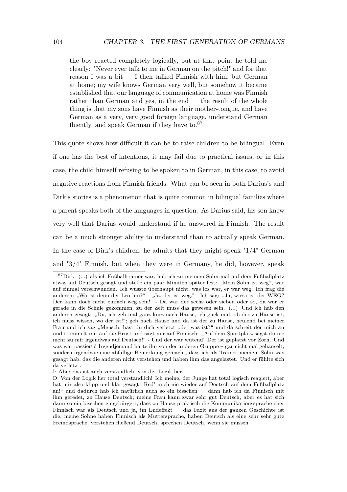the boy reacted completely logically, but at that point he told me clearly: "Never ever talk to me in German on the pitch!" and for that reason I was a bit — I then talked Finnish with him, but German at home; my wife knows German very well, but somehow it became established that our language of communication at home was Finnish rather than German and yes, in the end — the result of the whole thing is that my sons have Finnish as their mother-tongue, and have German as a very, very good foreign language, understand German fluently, and speak German if they have to.<sup>87</sup>

This quote shows how difficult it can be to raise children to be bilingual. Even if one has the best of intentions, it may fail due to practical issues, or in this case, the child himself refusing to be spoken to in German, in this case, to avoid negative reactions from Finnish friends. What can be seen in both Darius's and Dirk's stories is a phenomenon that is quite common in bilingual families where a parent speaks both of the languages in question. As Darius said, his son knew very well that Darius would understand if he answered in Finnish. The result can be a much stronger ability to understand than to actually speak German. In the case of Dirk's children, he admits that they might speak "1/4" German and "3/4" Finnish, but when they were in Germany, he did, however, speak

<sup>87</sup>Dirk: (...) als ich Fußballtrainer war, hab ich zu meinem Sohn mal auf dem Fußballplatz etwas auf Deutsch gesagt und stelle ein paar Minuten später fest: "Mein Sohn ist weg", war auf einmal verschwunden. Ich wusste überhaupt nicht, was los war, er war weg. Ich frag die anderen: "Wo ist denn der Leo hin?" - "Ja, der ist weg." - Ich sag: "Ja, wieso ist der WEG? Der kann doch nicht einfach weg sein!" - Da war der sechs oder sieben oder so, da war er gerade in die Schule gekommen, zu der Zeit muss das gewesen sein. (...) Und ich hab den anderen gesagt: "Du, ich geh mal ganz kurz nach Hause, ich guck mal, ob der zu Hause ist, ich muss wissen, wo der ist!"; geh nach Hause und da ist der zu Hause, heulend bei meiner Frau und ich sag "Mensch, hast du dich verletzt oder was ist?" und da schreit der mich an und trommelt mir auf die Brust und sagt mir auf Finnisch: "Auf dem Sportplatz sagst du nie mehr zu mir irgendwas auf Deutsch!" - Und der war wütend! Der ist geplatzt vor Zorn. Und was war passiert? Irgendjemand hatte ihn von der anderen Gruppe – gar nicht mal gehänselt, sondern irgendwie eine abfällige Bemerkung gemacht, dass ich als Trainer meinem Sohn was gesagt hab, das die anderen nicht verstehen und haben ihm das angelastet. Und er fühlte sich da verletzt.

I: Aber das ist auch verständlich, von der Logik her.

D: Von der Logik her total verständlich! Ich meine, der Junge hat total logisch reagiert, aber hat mir also klipp und klar gesagt "Red' mich nie wieder auf Deutsch auf dem Fußballplatz an!" und dadurch hab ich natürlich auch so ein bisschen — dann hab ich da Finnisch mit ihm geredet, zu Hause Deutsch; meine Frau kann zwar sehr gut Deutsch, aber es hat sich dann so ein bisschen eingebürgert, dass zu Hause praktisch die Kommunikationssprache eher Finnisch war als Deutsch und ja, im Endeffekt — das Fazit aus der ganzen Geschichte ist die, meine Söhne haben Finnisch als Muttersprache, haben Deutsch als eine sehr sehr gute Fremdsprache, verstehen fließend Deutsch, sprechen Deutsch, wenn sie müssen.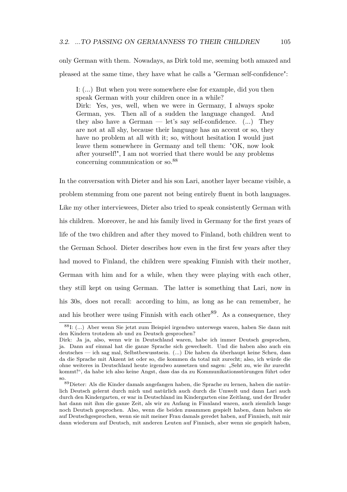only German with them. Nowadays, as Dirk told me, seeming both amazed and pleased at the same time, they have what he calls a "German self-confidence":

I: (...) But when you were somewhere else for example, did you then speak German with your children once in a while? Dirk: Yes, yes, well, when we were in Germany, I always spoke German, yes. Then all of a sudden the language changed. And they also have a German — let's say self-confidence. (...) They are not at all shy, because their language has an accent or so, they have no problem at all with it; so, without hesitation I would just leave them somewhere in Germany and tell them: "OK, now look after yourself!", I am not worried that there would be any problems concerning communication or so.<sup>88</sup>

In the conversation with Dieter and his son Lari, another layer became visible, a problem stemming from one parent not being entirely fluent in both languages. Like my other interviewees, Dieter also tried to speak consistently German with his children. Moreover, he and his family lived in Germany for the first years of life of the two children and after they moved to Finland, both children went to the German School. Dieter describes how even in the first few years after they had moved to Finland, the children were speaking Finnish with their mother, German with him and for a while, when they were playing with each other, they still kept on using German. The latter is something that Lari, now in his 30s, does not recall: according to him, as long as he can remember, he and his brother were using Finnish with each other  $89$ . As a consequence, they

<sup>88</sup>I: (...) Aber wenn Sie jetzt zum Beispiel irgendwo unterwegs waren, haben Sie dann mit den Kindern trotzdem ab und zu Deutsch gesprochen?

Dirk: Ja ja, also, wenn wir in Deutschland waren, habe ich immer Deutsch gesprochen, ja. Dann auf einmal hat die ganze Sprache sich gewechselt. Und die haben also auch ein deutsches — ich sag mal, Selbstbewusstsein. (...) Die haben da überhaupt keine Scheu, dass da die Sprache mit Akzent ist oder so, die kommen da total mit zurecht; also, ich würde die ohne weiteres in Deutschland heute irgendwo aussetzen und sagen: "Seht zu, wie ihr zurecht kommt!", da habe ich also keine Angst, dass das da zu Kommunikationsstörungen führt oder

so. $\,^{89}{\rm Dieter:}$  Als die Kinder damals angefangen haben, die Sprache zu lernen, haben die natürlich Deutsch gelernt durch mich und natürlich auch durch die Umwelt und dann Lari auch durch den Kindergarten, er war in Deutschland im Kindergarten eine Zeitlang, und der Bruder hat dann mit ihm die ganze Zeit, als wir zu Anfang in Finnland waren, auch ziemlich lange noch Deutsch gesprochen. Also, wenn die beiden zusammen gespielt haben, dann haben sie auf Deutschgesprochen, wenn sie mit meiner Frau damals geredet haben, auf Finnisch, mit mir dann wiederum auf Deutsch, mit anderen Leuten auf Finnisch, aber wenn sie gespielt haben,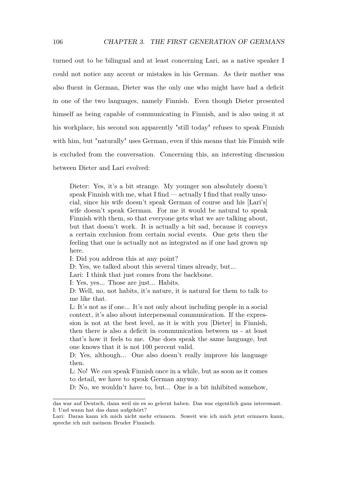turned out to be bilingual and at least concerning Lari, as a native speaker I could not notice any accent or mistakes in his German. As their mother was also fluent in German, Dieter was the only one who might have had a deficit in one of the two languages, namely Finnish. Even though Dieter presented himself as being capable of communicating in Finnish, and is also using it at his workplace, his second son apparently "still today" refuses to speak Finnish with him, but "naturally" uses German, even if this means that his Finnish wife is excluded from the conversation. Concerning this, an interesting discussion between Dieter and Lari evolved:

Dieter: Yes, it's a bit strange. My younger son absolutely doesn't speak Finnish with me, what I find — actually I find that really unsocial, since his wife doesn't speak German of course and his [Lari's] wife doesn't speak German. For me it would be natural to speak Finnish with them, so that everyone gets what we are talking about, but that doesn't work. It is actually a bit sad, because it conveys a certain exclusion from certain social events. One gets then the feeling that one is actually not as integrated as if one had grown up here.

I: Did you address this at any point?

D: Yes, we talked about this several times already, but...

Lari: I think that just comes from the backbone.

I: Yes, yes... Those are just... Habits.

D: Well, no, not habits, it's nature, it is natural for them to talk to me like that.

L: It's not as if one... It's not only about including people in a social context, it's also about interpersonal communication. If the expression is not at the best level, as it is with you [Dieter] in Finnish, then there is also a deficit in communication between us - at least that's how it feels to me. One does speak the same language, but one knows that it is not 100 percent valid.

D: Yes, although... One also doesn't really improve his language then.

L: No! We *can* speak Finnish once in a while, but as soon as it comes to detail, we have to speak German anyway.

D: No, we wouldn't have to, but... One is a bit inhibited somehow,

das war auf Deutsch, dann weil sie es so gelernt haben. Das war eigentlich ganz interessant. I: Und wann hat das dann aufgehört?

Lari: Daran kann ich mich nicht mehr erinnern. Soweit wie ich mich jetzt erinnern kann, spreche ich mit meinem Bruder Finnisch.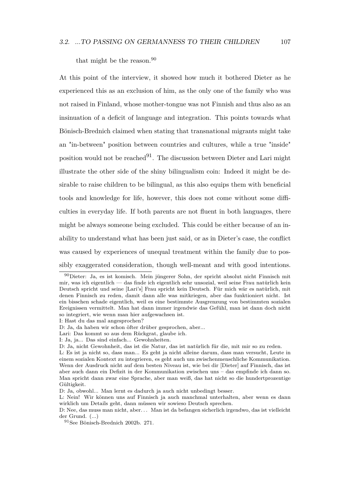that might be the reason.<sup>90</sup>

At this point of the interview, it showed how much it bothered Dieter as he experienced this as an exclusion of him, as the only one of the family who was not raised in Finland, whose mother-tongue was not Finnish and thus also as an insinuation of a deficit of language and integration. This points towards what Bönisch-Brednich claimed when stating that transnational migrants might take an "in-between" position between countries and cultures, while a true "inside" position would not be reached<sup>91</sup>. The discussion between Dieter and Lari might illustrate the other side of the shiny bilingualism coin: Indeed it might be desirable to raise children to be bilingual, as this also equips them with beneficial tools and knowledge for life, however, this does not come without some difficulties in everyday life. If both parents are not fluent in both languages, there might be always someone being excluded. This could be either because of an inability to understand what has been just said, or as in Dieter's case, the conflict was caused by experiences of unequal treatment within the family due to possibly exaggerated consideration, though well-meant and with good intentions.

- I: Hast du das mal angesprochen?
- D: Ja, da haben wir schon öfter drüber gesprochen, aber...
- Lari: Das kommt so aus dem Rückgrat, glaube ich.
- I: Ja, ja... Das sind einfach... Gewohnheiten.

<sup>90</sup>Dieter: Ja, es ist komisch. Mein jüngerer Sohn, der spricht absolut nicht Finnisch mit mir, was ich eigentlich — das finde ich eigentlich sehr unsozial, weil seine Frau natürlich kein Deutsch spricht und seine [Lari's] Frau spricht kein Deutsch. Für mich wär es natürlich, mit denen Finnisch zu reden, damit dann alle was mitkriegen, aber das funktioniert nicht. Ist ein bisschen schade eigentlich, weil es eine bestimmte Ausgrenzung von bestimmten sozialen Ereignissen vermittelt. Man hat dann immer irgendwie das Gefühl, man ist dann doch nicht so integriert, wie wenn man hier aufgewachsen ist.

D: Ja, nicht Gewohnheit, das ist die Natur, das ist natürlich für die, mit mir so zu reden. L: Es ist ja nicht so, dass man... Es geht ja nicht alleine darum, dass man versucht, Leute in einem sozialen Kontext zu integrieren, es geht auch um zwischenmenschliche Kommunikation. Wenn der Ausdruck nicht auf dem besten Niveau ist, wie bei dir [Dieter] auf Finnisch, das ist aber auch dann ein Defizit in der Kommunikation zwischen uns – das empfinde ich dann so. Man spricht dann zwar eine Sprache, aber man weiß, das hat nicht so die hundertprozentige Gültigkeit.

D: Ja, obwohl... Man lernt es dadurch ja auch nicht unbedingt besser.

L: Nein! Wir können uns auf Finnisch ja auch manchmal unterhalten, aber wenn es dann wirklich um Details geht, dann müssen wir sowieso Deutsch sprechen.

D: Nee, das muss man nicht, aber. . . Man ist da befangen sicherlich irgendwo, das ist vielleicht der Grund.  $(\ldots)$ 

 $^{91}$ See Bönisch-Brednich 2002b. 271.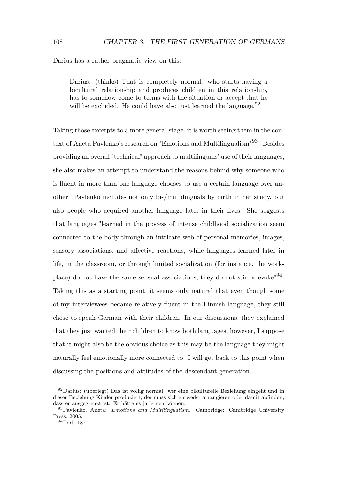Darius has a rather pragmatic view on this:

Darius: (thinks) That is completely normal: who starts having a bicultural relationship and produces children in this relationship, has to somehow come to terms with the situation or accept that he will be excluded. He could have also just learned the language.  $92$ 

Taking those excerpts to a more general stage, it is worth seeing them in the context of Aneta Pavlenko's research on "Emotions and Multilingualism"93. Besides providing an overall "technical" approach to multilinguals' use of their languages, she also makes an attempt to understand the reasons behind why someone who is fluent in more than one language chooses to use a certain language over another. Pavlenko includes not only bi-/multilinguals by birth in her study, but also people who acquired another language later in their lives. She suggests that languages "learned in the process of intense childhood socialization seem connected to the body through an intricate web of personal memories, images, sensory associations, and affective reactions, while languages learned later in life, in the classroom, or through limited socialization (for instance, the workplace) do not have the same sensual associations; they do not stir or evoke<sup> $194$ </sup>. Taking this as a starting point, it seems only natural that even though some of my interviewees became relatively fluent in the Finnish language, they still chose to speak German with their children. In our discussions, they explained that they just wanted their children to know both languages, however, I suppose that it might also be the obvious choice as this may be the language they might naturally feel emotionally more connected to. I will get back to this point when discussing the positions and attitudes of the descendant generation.

<sup>92</sup>Darius: (überlegt) Das ist völlig normal: wer eine bikulturelle Beziehung eingeht und in dieser Beziehung Kinder produziert, der muss sich entweder arrangieren oder damit abfinden, dass er ausgegrenzt ist. Er hätte es ja lernen können.<br><sup>93</sup>Pavlenko, Aneta: *Emotions and Multilingualism*. Cambridge: Cambridge University

Press, 2005.<br> $^{94}$ Ibid. 187.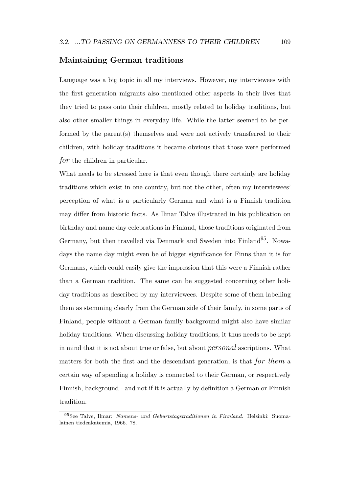### **Maintaining German traditions**

Language was a big topic in all my interviews. However, my interviewees with the first generation migrants also mentioned other aspects in their lives that they tried to pass onto their children, mostly related to holiday traditions, but also other smaller things in everyday life. While the latter seemed to be performed by the parent(s) themselves and were not actively transferred to their children, with holiday traditions it became obvious that those were performed *for* the children in particular.

What needs to be stressed here is that even though there certainly are holiday traditions which exist in one country, but not the other, often my interviewees' perception of what is a particularly German and what is a Finnish tradition may differ from historic facts. As Ilmar Talve illustrated in his publication on birthday and name day celebrations in Finland, those traditions originated from Germany, but then travelled via Denmark and Sweden into Finland<sup>95</sup>. Nowadays the name day might even be of bigger significance for Finns than it is for Germans, which could easily give the impression that this were a Finnish rather than a German tradition. The same can be suggested concerning other holiday traditions as described by my interviewees. Despite some of them labelling them as stemming clearly from the German side of their family, in some parts of Finland, people without a German family background might also have similar holiday traditions. When discussing holiday traditions, it thus needs to be kept in mind that it is not about true or false, but about *personal* ascriptions. What matters for both the first and the descendant generation, is that *for them* a certain way of spending a holiday is connected to their German, or respectively Finnish, background - and not if it is actually by definition a German or Finnish tradition.

<sup>95</sup>See Talve, Ilmar: *Namens- und Geburtstagstraditionen in Finnland.* Helsinki: Suomalainen tiedeakatemia, 1966. 78.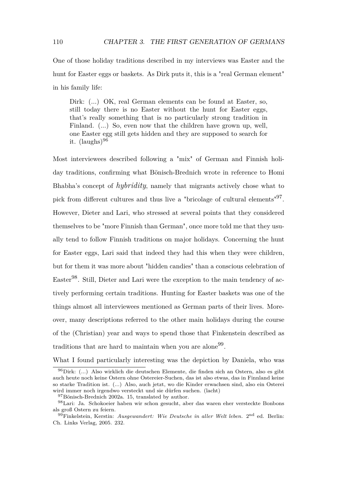One of those holiday traditions described in my interviews was Easter and the hunt for Easter eggs or baskets. As Dirk puts it, this is a "real German element" in his family life:

Dirk: (...) OK, real German elements can be found at Easter, so, still today there is no Easter without the hunt for Easter eggs, that's really something that is no particularly strong tradition in Finland.  $(...)$  So, even now that the children have grown up, well, one Easter egg still gets hidden and they are supposed to search for it.  $(laughs)<sup>96</sup>$ 

Most interviewees described following a "mix" of German and Finnish holiday traditions, confirming what Bönisch-Brednich wrote in reference to Homi Bhabha's concept of *hybridity*, namely that migrants actively chose what to pick from different cultures and thus live a "bricolage of cultural elements"97. However, Dieter and Lari, who stressed at several points that they considered themselves to be "more Finnish than German", once more told me that they usually tend to follow Finnish traditions on major holidays. Concerning the hunt for Easter eggs, Lari said that indeed they had this when they were children, but for them it was more about "hidden candies" than a conscious celebration of Easter<sup>98</sup>. Still, Dieter and Lari were the exception to the main tendency of actively performing certain traditions. Hunting for Easter baskets was one of the things almost all interviewees mentioned as German parts of their lives. Moreover, many descriptions referred to the other main holidays during the course of the (Christian) year and ways to spend those that Finkenstein described as traditions that are hard to maintain when you are alone<sup>99</sup>.

What I found particularly interesting was the depiction by Daniela, who was

<sup>96</sup>Dirk: (...) Also wirklich die deutschen Elemente, die finden sich an Ostern, also es gibt auch heute noch keine Ostern ohne Ostereier-Suchen, das ist also etwas, das in Finnland keine so starke Tradition ist. (...) Also, auch jetzt, wo die Kinder erwachsen sind, also ein Osterei

<sup>&</sup>lt;sup>97</sup>Bönisch-Brednich 2002a. 15, translated by author.  $98$ Lari: Ja. Schokoeier haben wir schon gesucht, aber das waren eher versteckte Bonbons als groß Ostern zu feiern. <sup>99</sup>Finkelstein, Kerstin: *Ausgewandert: Wie Deutsche in aller Welt leben.* <sup>2</sup>nd ed. Berlin:

Ch. Links Verlag, 2005. 232.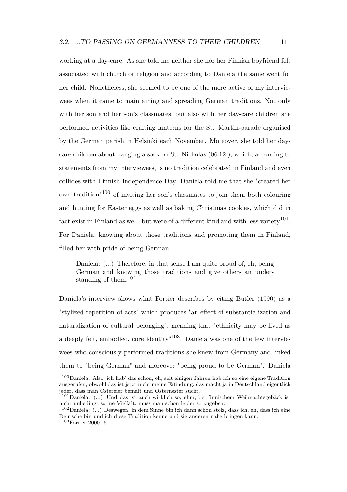working at a day-care. As she told me neither she nor her Finnish boyfriend felt associated with church or religion and according to Daniela the same went for her child. Nonetheless, she seemed to be one of the more active of my interviewees when it came to maintaining and spreading German traditions. Not only with her son and her son's classmates, but also with her day-care children she performed activities like crafting lanterns for the St. Martin-parade organised by the German parish in Helsinki each November. Moreover, she told her daycare children about hanging a sock on St. Nicholas (06.12.), which, according to statements from my interviewees, is no tradition celebrated in Finland and even collides with Finnish Independence Day. Daniela told me that she "created her own tradition"<sup>100</sup> of inviting her son's classmates to join them both colouring and hunting for Easter eggs as well as baking Christmas cookies, which did in fact exist in Finland as well, but were of a different kind and with less variety<sup>101</sup>. For Daniela, knowing about those traditions and promoting them in Finland, filled her with pride of being German:

Daniela:  $(...)$  Therefore, in that sense I am quite proud of, eh, being German and knowing those traditions and give others an understanding of them.<sup>102</sup>

Daniela's interview shows what Fortier describes by citing Butler (1990) as a "stylized repetition of acts" which produces "an effect of substantialization and naturalization of cultural belonging", meaning that "ethnicity may be lived as a deeply felt, embodied, core identity<sup>"103</sup>. Daniela was one of the few interviewees who consciously performed traditions she knew from Germany and linked them to "being German" and moreover "being proud to be German". Daniela

<sup>100</sup>Daniela: Also, ich hab' das schon, eh, seit einigen Jahren hab ich so eine eigene Tradition ausgerufen, obwohl das ist jetzt nicht meine Erfindung, das macht ja in Deutschland eigentlich jeder, dass man Ostereier bemalt und Osternester sucht.

<sup>101</sup>Daniela: (...) Und das ist auch wirklich so, ehm, bei finnischem Weihnachtsgebäck ist nicht unbedingt so 'ne Vielfalt, muss man schon leider so zugeben.

<sup>102</sup>Daniela: (...) Deswegen, in dem Sinne bin ich dann schon stolz, dass ich, eh, dass ich eine Deutsche bin und ich diese Tradition kenne und sie anderen nahe bringen kann.

<sup>103</sup>Fortier 2000. 6.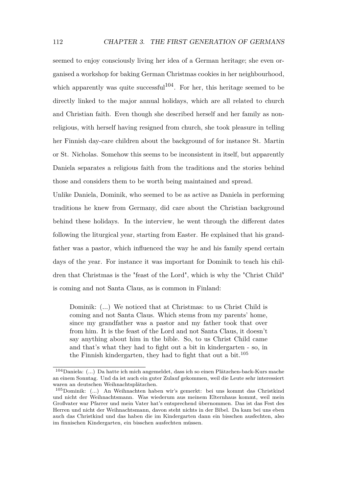seemed to enjoy consciously living her idea of a German heritage; she even organised a workshop for baking German Christmas cookies in her neighbourhood, which apparently was quite successful<sup>104</sup>. For her, this heritage seemed to be directly linked to the major annual holidays, which are all related to church and Christian faith. Even though she described herself and her family as nonreligious, with herself having resigned from church, she took pleasure in telling her Finnish day-care children about the background of for instance St. Martin or St. Nicholas. Somehow this seems to be inconsistent in itself, but apparently Daniela separates a religious faith from the traditions and the stories behind those and considers them to be worth being maintained and spread.

Unlike Daniela, Dominik, who seemed to be as active as Daniela in performing traditions he knew from Germany, did care about the Christian background behind these holidays. In the interview, he went through the different dates following the liturgical year, starting from Easter. He explained that his grandfather was a pastor, which influenced the way he and his family spend certain days of the year. For instance it was important for Dominik to teach his children that Christmas is the "feast of the Lord", which is why the "Christ Child" is coming and not Santa Claus, as is common in Finland:

Dominik: (...) We noticed that at Christmas: to us Christ Child is coming and not Santa Claus. Which stems from my parents' home, since my grandfather was a pastor and my father took that over from him. It is the feast of the Lord and not Santa Claus, it doesn't say anything about him in the bible. So, to us Christ Child came and that's what they had to fight out a bit in kindergarten - so, in the Finnish kindergarten, they had to fight that out a bit.<sup>105</sup>

 $^{104}\rm{Daniela:}$   $(\ldots)$  Da hatte ich mich angemeldet, dass ich so einen Plätzchen-back-Kurs mache an einem Sonntag. Und da ist auch ein guter Zulauf gekommen, weil die Leute sehr interessiert waren an deutschen Weihnachtsplätzchen.

<sup>105</sup>Dominik: (...) An Weihnachten haben wir's gemerkt: bei uns kommt das Christkind und nicht der Weihnachtsmann. Was wiederum aus meinem Elternhaus kommt, weil mein Großvater war Pfarrer und mein Vater hat's entsprechend übernommen. Das ist das Fest des Herren und nicht der Weihnachtsmann, davon steht nichts in der Bibel. Da kam bei uns eben auch das Christkind und das haben die im Kindergarten dann ein bisschen ausfechten, also im finnischen Kindergarten, ein bisschen ausfechten müssen.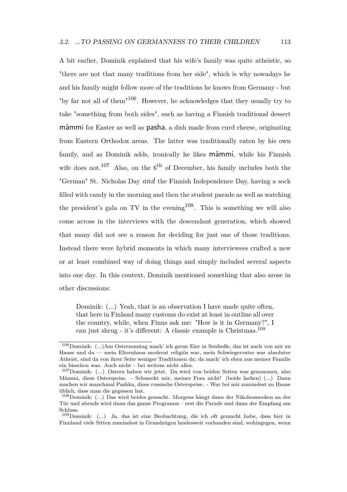A bit earlier, Dominik explained that his wife's family was quite atheistic, so "there are not that many traditions from her side", which is why nowadays he and his family might follow more of the traditions he knows from Germany - but "by far not all of them"<sup>106</sup>. However, he acknowledges that they usually try to take "something from both sides", such as having a Finnish traditional dessert mämmi for Easter as well as pasha, a dish made from curd cheese, originating from Eastern Orthodox areas. The latter was traditionally eaten by his own family, and as Dominik adds, ironically he likes mämmi, while his Finnish wife does not.<sup>107</sup> Also, on the  $6<sup>th</sup>$  of December, his family includes both the "German" St. Nicholas Day *and* the Finnish Independence Day, having a sock filled with candy in the morning and then the student parade as well as watching the president's gala on TV in the evening<sup>108</sup>. This is something we will also come across in the interviews with the descendant generation, which showed that many did not see a reason for deciding for just one of those traditions. Instead there were hybrid moments in which many interviewees crafted a new or at least combined way of doing things and simply included several aspects into one day. In this context, Dominik mentioned something that also arose in other discussions:

Dominik:  $(...)$  Yeah, that is an observation I have made quite often, that here in Finland many customs do exist at least in outline all over the country, while, when Finns ask me: "How is it in Germany?", I can just shrug - it's different: A classic example is Christmas.<sup>109</sup>

<sup>106</sup>Dominik: (...)Am Ostersonntag mach' ich gerne Eier in Senfsoße, das ist auch von mir zu Hause und da — mein Elternhaus moderat religiös war, mein Schwiegervater war absoluter Atheist, sind da von ihrer Seite weniger Traditionen da; da mach' ich eben aus meiner Familie ein bisschen was. Auch nicht – bei weitem nicht alles.

<sup>107</sup>Dominik: (...) Ostern haben wir jetzt. Da wird von beiden Seiten was genommen, also Mämmi, diese Osterspeise. - Schmeckt mir, meiner Frau nicht! (beide lachen) (...) Dann machen wir manchmal Pashka, diese russische Osterspeise. - War bei mir zumindest zu Hause üblich, dass man die gegessen hat.

<sup>108</sup>Dominik: (...) Das wird beides gemacht. Morgens hängt dann der Nikolaussocken an der Tür und abends wird dann das ganze Programm – erst die Parade und dann der Empfang am Schluss.

<sup>109</sup>Dominik: (...) Ja, das ist eine Beobachtung, die ich oft gemacht habe, dass hier in Finnland viele Sitten zumindest in Grundzügen landesweit vorhanden sind, wohingegen, wenn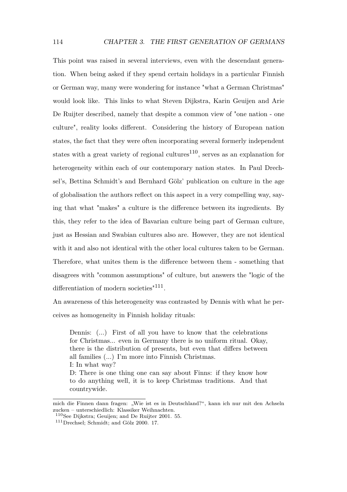This point was raised in several interviews, even with the descendant generation. When being asked if they spend certain holidays in a particular Finnish or German way, many were wondering for instance "what a German Christmas" would look like. This links to what Steven Dijkstra, Karin Geuijen and Arie De Ruijter described, namely that despite a common view of "one nation - one culture", reality looks different. Considering the history of European nation states, the fact that they were often incorporating several formerly independent states with a great variety of regional cultures<sup>110</sup>, serves as an explanation for heterogeneity within each of our contemporary nation states. In Paul Drechsel's, Bettina Schmidt's and Bernhard Gölz' publication on culture in the age of globalisation the authors reflect on this aspect in a very compelling way, saying that what "makes" a culture is the difference between its ingredients. By this, they refer to the idea of Bavarian culture being part of German culture, just as Hessian and Swabian cultures also are. However, they are not identical with it and also not identical with the other local cultures taken to be German. Therefore, what unites them is the difference between them - something that disagrees with "common assumptions" of culture, but answers the "logic of the differentiation of modern societies<sup>"111</sup>.

An awareness of this heterogeneity was contrasted by Dennis with what he perceives as homogeneity in Finnish holiday rituals:

Dennis: (...) First of all you have to know that the celebrations for Christmas... even in Germany there is no uniform ritual. Okay, there is the distribution of presents, but even that differs between all families (...) I'm more into Finnish Christmas. I: In what way?

D: There is one thing one can say about Finns: if they know how to do anything well, it is to keep Christmas traditions. And that countrywide.

mich die Finnen dann fragen: "Wie ist es in Deutschland?", kann ich nur mit den Achseln zucken – unterschiedlich: Klassiker Weihnachten.

 $^{110}\rm{See}$  Dijkstra; Geuijen; and De Ruijter 2001. 55.  $^{111}\rm{Drechsel}$ ; Schmidt; and Gölz 2000. 17.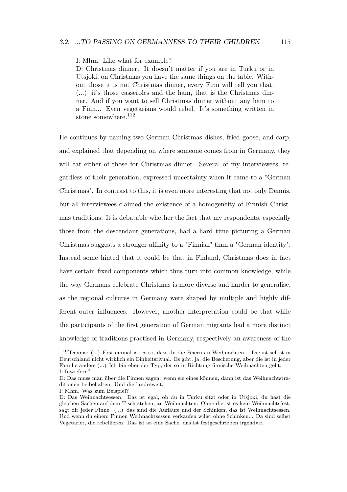I: Mhm. Like what for example?

D: Christmas dinner. It doesn't matter if you are in Turku or in Utsjoki, on Christmas you have the same things on the table. Without those it is not Christmas dinner, every Finn will tell you that. (...) it's those casseroles and the ham, that is the Christmas dinner. And if you want to sell Christmas dinner without any ham to a Finn... Even vegetarians would rebel. It's something written in stone somewhere.<sup>112</sup>

He continues by naming two German Christmas dishes, fried goose, and carp, and explained that depending on where someone comes from in Germany, they will eat either of those for Christmas dinner. Several of my interviewees, regardless of their generation, expressed uncertainty when it came to a "German Christmas". In contrast to this, it is even more interesting that not only Dennis, but all interviewees claimed the existence of a homogeneity of Finnish Christmas traditions. It is debatable whether the fact that my respondents, especially those from the descendant generations, had a hard time picturing a German Christmas suggests a stronger affinity to a "Finnish" than a "German identity". Instead some hinted that it could be that in Finland, Christmas does in fact have certain fixed components which thus turn into common knowledge, while the way Germans celebrate Christmas is more diverse and harder to generalise, as the regional cultures in Germany were shaped by multiple and highly different outer influences. However, another interpretation could be that while the participants of the first generation of German migrants had a more distinct knowledge of traditions practised in Germany, respectively an awareness of the

<sup>112</sup>Dennis: (...) Erst einmal ist es so, dass du die Feiern an Weihnachten... Die ist selbst in Deutschland nicht wirklich ein Einheitsritual. Es gibt, ja, die Bescherung, aber die ist in jeder Familie anders (...) Ich bin eher der Typ, der so in Richtung finnische Weihnachten geht. I: Inwiefern?

D: Das muss man über die Finnen sagen: wenn sie eines können, dann ist das Weihnachtstraditionen beibehalten. Und die landesweit.

I: Mhm. Was zum Beispiel?

D: Das Weihnachtsessen. Das ist egal, ob du in Turku sitzt oder in Utsjoki, du hast die gleichen Sachen auf dem Tisch stehen, an Weihnachten. Ohne die ist es kein Weihnachtsfest, sagt dir jeder Finne. (...) das sind die Aufläufe und der Schinken, das ist Weihnachtsessen. Und wenn du einem Finnen Weihnachtsessen verkaufen willst ohne Schinken... Da sind selbst Vegetarier, die rebellieren. Das ist so eine Sache, das ist festgeschrieben irgendwo.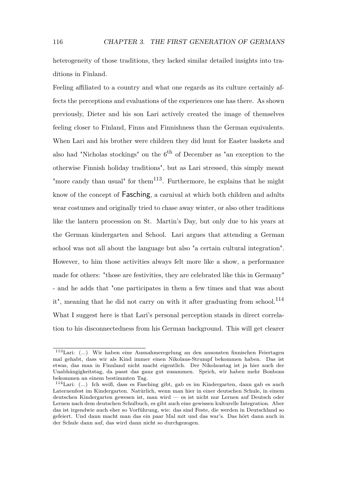heterogeneity of those traditions, they lacked similar detailed insights into traditions in Finland.

Feeling affiliated to a country and what one regards as its culture certainly affects the perceptions and evaluations of the experiences one has there. As shown previously, Dieter and his son Lari actively created the image of themselves feeling closer to Finland, Finns and Finnishness than the German equivalents. When Lari and his brother were children they did hunt for Easter baskets and also had "Nicholas stockings" on the  $6^{\text{th}}$  of December as "an exception to the otherwise Finnish holiday traditions", but as Lari stressed, this simply meant "more candy than usual" for them<sup>113</sup>. Furthermore, he explains that he might know of the concept of **Fasching**, a carnival at which both children and adults wear costumes and originally tried to chase away winter, or also other traditions like the lantern procession on St. Martin's Day, but only due to his years at the German kindergarten and School. Lari argues that attending a German school was not all about the language but also "a certain cultural integration". However, to him those activities always felt more like a show, a performance made for others: "those are festivities, they are celebrated like this in Germany" - and he adds that "one participates in them a few times and that was about it", meaning that he did not carry on with it after graduating from school.<sup>114</sup> What I suggest here is that Lari's personal perception stands in direct correlation to his disconnectedness from his German background. This will get clearer

<sup>113</sup>Lari: (...) Wir haben eine Ausnahmeregelung an den ansonsten finnischen Feiertagen mal gehabt, dass wir als Kind immer einen Nikolaus-Strumpf bekommen haben. Das ist etwas, das man in Finnland nicht macht eigentlich. Der Nikolaustag ist ja hier auch der Unabhängigkeitstag, da passt das ganz gut zusammen. Sprich, wir haben mehr Bonbons bekommen an einem bestimmten Tag.

<sup>114</sup>Lari: (...) Ich weiß, dass es Fasching gibt, gab es im Kindergarten, dann gab es auch Laternenfest im Kindergarten. Natürlich, wenn man hier in einer deutschen Schule, in einem deutschen Kindergarten gewesen ist, man wird — es ist nicht nur Lernen auf Deutsch oder Lernen nach dem deutschen Schulbuch, es gibt auch eine gewissen kulturelle Integration. Aber das ist irgendwie auch eher so Vorführung, wie: das sind Feste, die werden in Deutschland so gefeiert. Und dann macht man das ein paar Mal mit und das war's. Das hört dann auch in der Schule dann auf, das wird dann nicht so durchgezogen.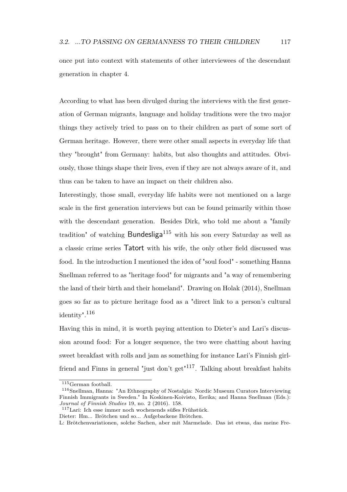once put into context with statements of other interviewees of the descendant generation in chapter 4.

According to what has been divulged during the interviews with the first generation of German migrants, language and holiday traditions were the two major things they actively tried to pass on to their children as part of some sort of German heritage. However, there were other small aspects in everyday life that they "brought" from Germany: habits, but also thoughts and attitudes. Obviously, those things shape their lives, even if they are not always aware of it, and thus can be taken to have an impact on their children also.

Interestingly, those small, everyday life habits were not mentioned on a large scale in the first generation interviews but can be found primarily within those with the descendant generation. Besides Dirk, who told me about a "family tradition" of watching  $B$ undesliga<sup>115</sup> with his son every Saturday as well as a classic crime series Tatort with his wife, the only other field discussed was food. In the introduction I mentioned the idea of "soul food" - something Hanna Snellman referred to as "heritage food" for migrants and "a way of remembering the land of their birth and their homeland". Drawing on Holak (2014), Snellman goes so far as to picture heritage food as a "direct link to a person's cultural identity".<sup>116</sup>

Having this in mind, it is worth paying attention to Dieter's and Lari's discussion around food: For a longer sequence, the two were chatting about having sweet breakfast with rolls and jam as something for instance Lari's Finnish girlfriend and Finns in general "just don't get"<sup>117</sup>. Talking about breakfast habits

 $115\,\mathrm{German}$  football. 116Snellman, Hanna: "An Ethnography of Nostalgia: Nordic Museum Curators Interviewing Finnish Immigrants in Sweden." In Koskinen-Koivisto, Eerika; and Hanna Snellman (Eds.): *Journal of Finnish Studies* 19, no. 2 (2016). 158. <sup>117</sup>Lari: Ich esse immer noch wochenends süßes Frühstück.

Dieter: Hm... Brötchen und so... Aufgebackene Brötchen.

L: Brötchenvariationen, solche Sachen, aber mit Marmelade. Das ist etwas, das meine Fre-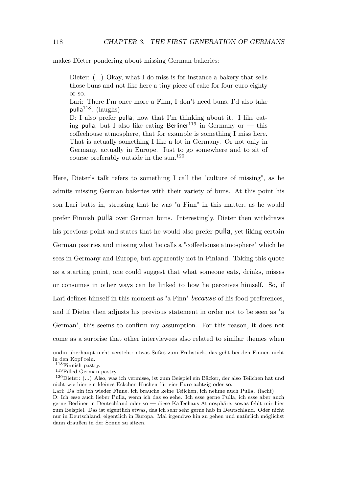makes Dieter pondering about missing German bakeries:

Dieter:  $(...)$  Okay, what I do miss is for instance a bakery that sells those buns and not like here a tiny piece of cake for four euro eighty or so.

Lari: There I'm once more a Finn, I don't need buns, I'd also take pulla<sup>118</sup>. (laughs)

D: I also prefer pulla, now that I'm thinking about it. I like eating pulla, but I also like eating Berliner<sup>119</sup> in Germany or  $-$  this coffeehouse atmosphere, that for example is something I miss here. That is actually something I like a lot in Germany. Or not only in Germany, actually in Europe. Just to go somewhere and to sit of course preferably outside in the sun.<sup>120</sup>

Here, Dieter's talk refers to something I call the "culture of missing", as he admits missing German bakeries with their variety of buns. At this point his son Lari butts in, stressing that he was "a Finn" in this matter, as he would prefer Finnish pulla over German buns. Interestingly, Dieter then withdraws his previous point and states that he would also prefer pulla, yet liking certain German pastries and missing what he calls a "coffeehouse atmosphere" which he sees in Germany and Europe, but apparently not in Finland. Taking this quote as a starting point, one could suggest that what someone eats, drinks, misses or consumes in other ways can be linked to how he perceives himself. So, if Lari defines himself in this moment as "a Finn" *because* of his food preferences, and if Dieter then adjusts his previous statement in order not to be seen as "a German", this seems to confirm my assumption. For this reason, it does not come as a surprise that other interviewees also related to similar themes when

undin überhaupt nicht versteht: etwas Süßes zum Frühstück, das geht bei den Finnen nicht in den Kopf rein.<br><sup>118</sup> Finnish pastry.

 $^{119}\rm{Filled}$  German pastry. 120 Dieter: (...) Also, was ich vermisse, ist zum Beispiel ein Bäcker, der also Teilchen hat und nicht wie hier ein kleines Eckchen Kuchen für vier Euro achtzig oder so.

Lari: Da bin ich wieder Finne, ich brauche keine Teilchen, ich nehme auch Pulla. (lacht)

D: Ich esse auch lieber Pulla, wenn ich das so sehe. Ich esse gerne Pulla, ich esse aber auch gerne Berliner in Deutschland oder so — diese Kaffeehaus-Atmosphäre, sowas fehlt mir hier zum Beispiel. Das ist eigentlich etwas, das ich sehr sehr gerne hab in Deutschland. Oder nicht nur in Deutschland, eigentlich in Europa. Mal irgendwo hin zu gehen und natürlich möglichst dann draußen in der Sonne zu sitzen.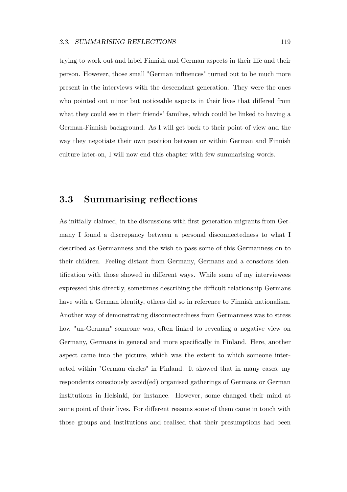trying to work out and label Finnish and German aspects in their life and their person. However, those small "German influences" turned out to be much more present in the interviews with the descendant generation. They were the ones who pointed out minor but noticeable aspects in their lives that differed from what they could see in their friends' families, which could be linked to having a German-Finnish background. As I will get back to their point of view and the way they negotiate their own position between or within German and Finnish culture later-on, I will now end this chapter with few summarising words.

## **3.3 Summarising reflections**

As initially claimed, in the discussions with first generation migrants from Germany I found a discrepancy between a personal disconnectedness to what I described as Germanness and the wish to pass some of this Germanness on to their children. Feeling distant from Germany, Germans and a conscious identification with those showed in different ways. While some of my interviewees expressed this directly, sometimes describing the difficult relationship Germans have with a German identity, others did so in reference to Finnish nationalism. Another way of demonstrating disconnectedness from Germanness was to stress how "un-German" someone was, often linked to revealing a negative view on Germany, Germans in general and more specifically in Finland. Here, another aspect came into the picture, which was the extent to which someone interacted within "German circles" in Finland. It showed that in many cases, my respondents consciously avoid(ed) organised gatherings of Germans or German institutions in Helsinki, for instance. However, some changed their mind at some point of their lives. For different reasons some of them came in touch with those groups and institutions and realised that their presumptions had been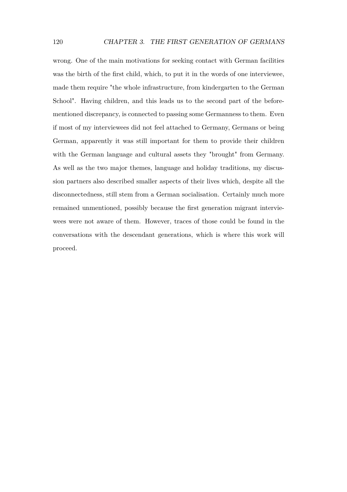wrong. One of the main motivations for seeking contact with German facilities was the birth of the first child, which, to put it in the words of one interviewee, made them require "the whole infrastructure, from kindergarten to the German School". Having children, and this leads us to the second part of the beforementioned discrepancy, is connected to passing some Germanness to them. Even if most of my interviewees did not feel attached to Germany, Germans or being German, apparently it was still important for them to provide their children with the German language and cultural assets they "brought" from Germany. As well as the two major themes, language and holiday traditions, my discussion partners also described smaller aspects of their lives which, despite all the disconnectedness, still stem from a German socialisation. Certainly much more remained unmentioned, possibly because the first generation migrant interviewees were not aware of them. However, traces of those could be found in the conversations with the descendant generations, which is where this work will proceed.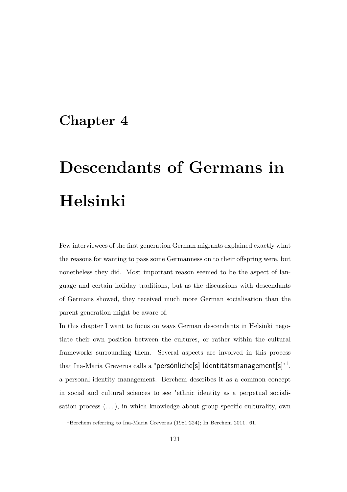# **Chapter 4**

# **Descendants of Germans in Helsinki**

Few interviewees of the first generation German migrants explained exactly what the reasons for wanting to pass some Germanness on to their offspring were, but nonetheless they did. Most important reason seemed to be the aspect of language and certain holiday traditions, but as the discussions with descendants of Germans showed, they received much more German socialisation than the parent generation might be aware of.

In this chapter I want to focus on ways German descendants in Helsinki negotiate their own position between the cultures, or rather within the cultural frameworks surrounding them. Several aspects are involved in this process that Ina-Maria Greverus calls a "**persönliche** $[\mathsf{s}]$  **ldentitätsmanagement** $[\mathsf{s}]$ **"** $^1,$ a personal identity management. Berchem describes it as a common concept in social and cultural sciences to see "ethnic identity as a perpetual socialisation process  $(\ldots)$ , in which knowledge about group-specific culturality, own

 $1_{\text{Berchem referring to Ina-Maria Greverus (1981:224); In Berchem 2011. 61.}}$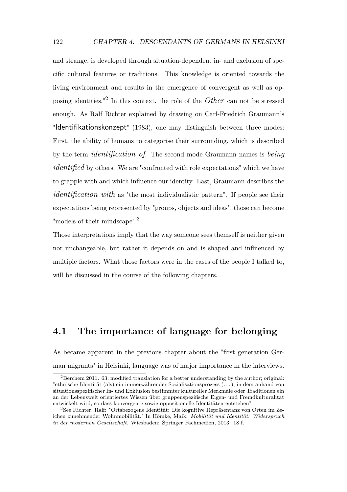and strange, is developed through situation-dependent in- and exclusion of specific cultural features or traditions. This knowledge is oriented towards the living environment and results in the emergence of convergent as well as opposing identities."<sup>2</sup> In this context, the role of the *Other* can not be stressed enough. As Ralf Richter explained by drawing on Carl-Friedrich Graumann's "Identifikationskonzept" (1983), one may distinguish between three modes: First, the ability of humans to categorise their surrounding, which is described by the term *identification of*. The second mode Graumann names is *being identified* by others. We are "confronted with role expectations" which we have to grapple with and which influence our identity. Last, Graumann describes the *identification with* as "the most individualistic pattern". If people see their expectations being represented by "groups, objects and ideas", those can become "models of their mindscape".<sup>3</sup>

Those interpretations imply that the way someone sees themself is neither given nor unchangeable, but rather it depends on and is shaped and influenced by multiple factors. What those factors were in the cases of the people I talked to, will be discussed in the course of the following chapters.

# **4.1 The importance of language for belonging**

As became apparent in the previous chapter about the "first generation German migrants" in Helsinki, language was of major importance in the interviews.

 $2B$ erchem 2011. 63, modified translation for a better understanding by the author; original: "ethnische Identität (als) ein immerwährender Sozialisationsprozess (. . . ), in dem anhand von situationsspezifischer In- und Exklusion bestimmter kultureller Merkmale oder Traditionen ein an der Lebenswelt orientiertes Wissen über gruppenspezifische Eigen- und Fremdkulturalität entwickelt wird, so dass konvergente sowie oppositionelle Identitäten entstehen". <sup>3</sup>See Richter, Ralf: "Ortsbezogene Identität: Die kognitive Repräsentanz von Orten im Ze-

ichen zunehmender Wohnmobilität." In Hömke, Maik: *Mobilität und Identität: Widerspruch in der modernen Gesellschaft.* Wiesbaden: Springer Fachmedien, 2013. 18 f.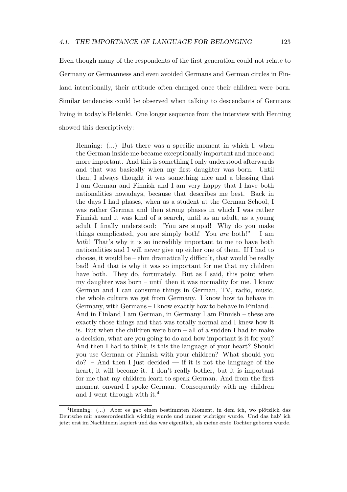Even though many of the respondents of the first generation could not relate to Germany or Germanness and even avoided Germans and German circles in Finland intentionally, their attitude often changed once their children were born. Similar tendencies could be observed when talking to descendants of Germans living in today's Helsinki. One longer sequence from the interview with Henning showed this descriptively:

Henning: (...) But there was a specific moment in which I, when the German inside me became exceptionally important and more and more important. And this is something I only understood afterwards and that was basically when my first daughter was born. Until then, I always thought it was something nice and a blessing that I am German and Finnish and I am very happy that I have both nationalities nowadays, because that describes me best. Back in the days I had phases, when as a student at the German School, I was rather German and then strong phases in which I was rather Finnish and it was kind of a search, until as an adult, as a young adult I finally understood: "You are stupid! Why do you make things complicated, you are simply both! You *are* both!" – I am *both*! That's why it is so incredibly important to me to have both nationalities and I will never give up either one of them. If I had to choose, it would be – ehm dramatically difficult, that would be really bad! And that is why it was so important for me that my children have both. They do, fortunately. But as I said, this point when my daughter was born – until then it was normality for me. I know German and I can consume things in German, TV, radio, music, the whole culture we get from Germany. I know how to behave in Germany, with Germans – I know exactly how to behave in Finland... And in Finland I am German, in Germany I am Finnish – these are exactly those things and that was totally normal and I knew how it is. But when the children were born – all of a sudden I had to make a decision, what are you going to do and how important is it for you? And then I had to think, is this the language of your heart? Should you use German or Finnish with your children? What should you  $do?$  – And then I just decided — if it is not the language of the heart, it will become it. I don't really bother, but it is important for me that my children learn to speak German. And from the first moment onward I spoke German. Consequently with my children and I went through with it.<sup>4</sup>

<sup>4</sup>Henning: (...) Aber es gab einen bestimmten Moment, in dem ich, wo plötzlich das Deutsche mir ausserordentlich wichtig wurde und immer wichtiger wurde. Und das hab' ich jetzt erst im Nachhinein kapiert und das war eigentlich, als meine erste Tochter geboren wurde.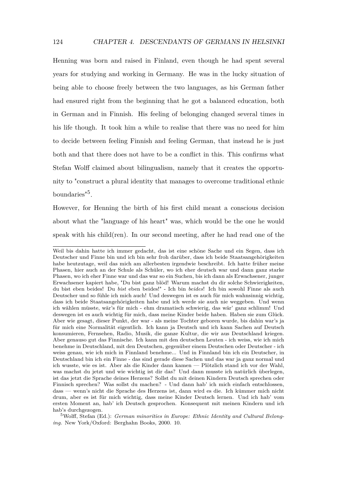Henning was born and raised in Finland, even though he had spent several years for studying and working in Germany. He was in the lucky situation of being able to choose freely between the two languages, as his German father had ensured right from the beginning that he got a balanced education, both in German and in Finnish. His feeling of belonging changed several times in his life though. It took him a while to realise that there was no need for him to decide between feeling Finnish and feeling German, that instead he is just both and that there does not have to be a conflict in this. This confirms what Stefan Wolff claimed about bilingualism, namely that it creates the opportunity to "construct a plural identity that manages to overcome traditional ethnic boundaries"5.

However, for Henning the birth of his first child meant a conscious decision about what the "language of his heart" was, which would be the one he would speak with his child(ren). In our second meeting, after he had read one of the

hab's durchgezogen. <sup>5</sup>Wolff, Stefan (Ed.): *German minorities in Europe: Ethnic Identity and Cultural Belonging.* New York/Oxford: Berghahn Books, 2000. 10.

Weil bis dahin hatte ich immer gedacht, das ist eine schöne Sache und ein Segen, dass ich Deutscher und Finne bin und ich bin sehr froh darüber, dass ich beide Staatsangehörigkeiten habe heutzutage, weil das mich am allerbesten irgendwie beschreibt. Ich hatte früher meine Phasen, hier auch an der Schule als Schüler, wo ich eher deutsch war und dann ganz starke Phasen, wo ich eher Finne war und das war so ein Suchen, bis ich dann als Erwachsener, junger Erwachsener kapiert habe, "Du bist ganz blöd! Warum machst du dir solche Schwierigkeiten, du bist eben beides! Du *bist* eben beides!" - Ich bin *beides*! Ich bin sowohl Finne als auch Deutscher und so fühle ich mich auch! Und deswegen ist es auch für mich wahnsinnig wichtig, dass ich beide Staatsangehörigkeiten habe und ich werde sie auch nie weggeben. Und wenn ich wählen müsste, wär's für mich - ehm dramatisch schwierig, das wär' ganz schlimm! Und deswegen ist es auch wichtig für mich, dass meine Kinder beide haben. Haben sie zum Glück. Aber wie gesagt, dieser Punkt, der war - als meine Tochter geboren wurde, bis dahin war's ja für mich eine Normalität eigentlich. Ich kann ja Deutsch und ich kann Sachen auf Deutsch konsumieren, Fernsehen, Radio, Musik, die ganze Kultur, die wir aus Deutschland kriegen. Aber genauso gut das Finnische. Ich kann mit den deutschen Leuten - ich weiss, wie ich mich benehme in Deutschland, mit den Deutschen, gegenüber einem Deutschen oder Deutscher - ich weiss genau, wie ich mich in Finnland benehme... Und in Finnland bin ich ein Deutscher, in Deutschland bin ich ein Finne - das sind gerade diese Sachen und das war ja ganz normal und ich wusste, wie es ist. Aber als die Kinder dann kamen — Plötzlich stand ich vor der Wahl, was machst du jetzt und wie wichtig ist dir das? Und dann musste ich natürlich überlegen, ist das jetzt die Sprache deines Herzens? Sollst du mit deinen Kindern Deutsch sprechen oder Finnisch sprechen? Was sollst du machen? - Und dann hab' ich mich einfach entschlossen, dass — wenn's nicht die Sprache des Herzens ist, dann wird es die. Ich kümmer mich nicht drum, aber es ist für mich wichtig, dass meine Kinder Deutsch lernen. Und ich hab' vom ersten Moment an, hab' ich Deutsch gesprochen. Konsequent mit meinen Kindern und ich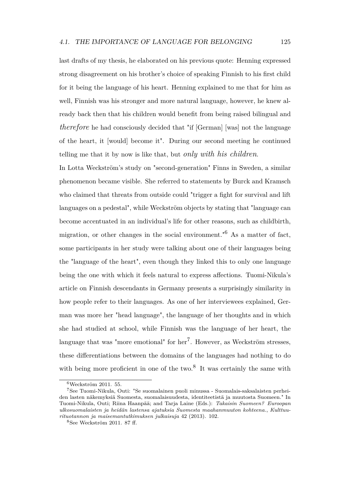last drafts of my thesis, he elaborated on his previous quote: Henning expressed strong disagreement on his brother's choice of speaking Finnish to his first child for it being the language of his heart. Henning explained to me that for him as well, Finnish was his stronger and more natural language, however, he knew already back then that his children would benefit from being raised bilingual and *therefore* he had consciously decided that "if [German] [was] not the language of the heart, it [would] become it". During our second meeting he continued telling me that it by now is like that, but *only with his children*.

In Lotta Weckström's study on "second-generation" Finns in Sweden, a similar phenomenon became visible. She referred to statements by Burck and Kramsch who claimed that threats from outside could "trigger a fight for survival and lift languages on a pedestal", while Weckström objects by stating that "language can become accentuated in an individual's life for other reasons, such as childbirth, migration, or other changes in the social environment.<sup> $6$ </sup> As a matter of fact, some participants in her study were talking about one of their languages being the "language of the heart", even though they linked this to only one language being the one with which it feels natural to express affections. Tuomi-Nikula's article on Finnish descendants in Germany presents a surprisingly similarity in how people refer to their languages. As one of her interviewees explained, German was more her "head language", the language of her thoughts and in which she had studied at school, while Finnish was the language of her heart, the language that was "more emotional" for her<sup>7</sup>. However, as Weckström stresses, these differentiations between the domains of the languages had nothing to do with being more proficient in one of the two. $8\,$  It was certainly the same with

<sup>6</sup>Weckström 2011. 55.

<sup>7</sup>See Tuomi-Nikula, Outi: "Se suomalainen puoli minussa - Suomalais-saksalaisten perheiden lasten näkemyksiä Suomesta, suomalaisuudesta, identiteetistä ja muutosta Suomeen." In Tuomi-Nikula, Outi; Riina Haanpää; and Tarja Laine (Eds.): *Takaisin Suomeen? Euroopan ulkosuomalaisten ja heidän lastensa ajatuksia Suomesta maahanmuuton kohteena.*, *Kulttuurituotannon ja maisemantutkimuksen julkaisuja* 42 (2013). 102. <sup>8</sup>See Weckström 2011. 87 ff.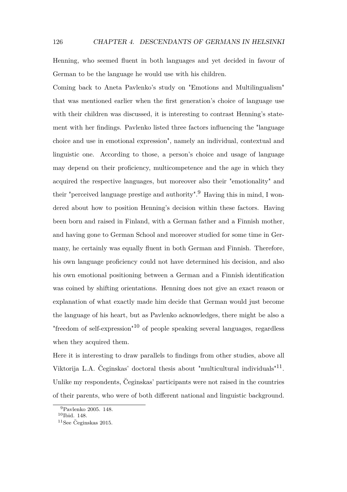Henning, who seemed fluent in both languages and yet decided in favour of German to be the language he would use with his children.

Coming back to Aneta Pavlenko's study on "Emotions and Multilingualism" that was mentioned earlier when the first generation's choice of language use with their children was discussed, it is interesting to contrast Henning's statement with her findings. Pavlenko listed three factors influencing the "language choice and use in emotional expression", namely an individual, contextual and linguistic one. According to those, a person's choice and usage of language may depend on their proficiency, multicompetence and the age in which they acquired the respective languages, but moreover also their "emotionality" and their "perceived language prestige and authority".<sup>9</sup> Having this in mind, I wondered about how to position Henning's decision within these factors. Having been born and raised in Finland, with a German father and a Finnish mother, and having gone to German School and moreover studied for some time in Germany, he certainly was equally fluent in both German and Finnish. Therefore, his own language proficiency could not have determined his decision, and also his own emotional positioning between a German and a Finnish identification was coined by shifting orientations. Henning does not give an exact reason or explanation of what exactly made him decide that German would just become the language of his heart, but as Pavlenko acknowledges, there might be also a "freedom of self-expression"<sup>10</sup> of people speaking several languages, regardless when they acquired them.

Here it is interesting to draw parallels to findings from other studies, above all Viktorija L.A. Čeginskas' doctoral thesis about "multicultural individuals" $^{11}$ . Unlike my respondents, Čeginskas' participants were not raised in the countries of their parents, who were of both different national and linguistic background.

<sup>&</sup>lt;sup>9</sup>Pavlenko 2005. 148.<br><sup>10</sup>Ibid. 148. <sup>11</sup>See Čeginskas 2015.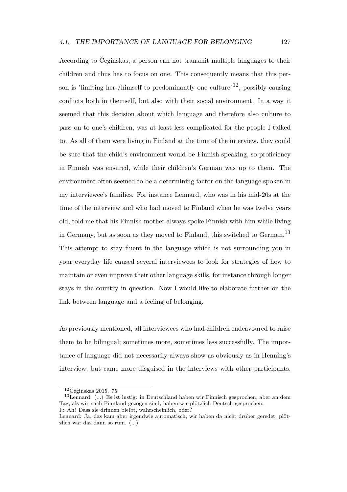According to Čeginskas, a person can not transmit multiple languages to their children and thus has to focus on one. This consequently means that this person is "limiting her-/himself to predominantly one culture"<sup>12</sup>, possibly causing conflicts both in themself, but also with their social environment. In a way it seemed that this decision about which language and therefore also culture to pass on to one's children, was at least less complicated for the people I talked to. As all of them were living in Finland at the time of the interview, they could be sure that the child's environment would be Finnish-speaking, so proficiency in Finnish was ensured, while their children's German was up to them. The environment often seemed to be a determining factor on the language spoken in my interviewee's families. For instance Lennard, who was in his mid-20s at the time of the interview and who had moved to Finland when he was twelve years old, told me that his Finnish mother always spoke Finnish with him while living in Germany, but as soon as they moved to Finland, this switched to German.<sup>13</sup> This attempt to stay fluent in the language which is not surrounding you in your everyday life caused several interviewees to look for strategies of how to maintain or even improve their other language skills, for instance through longer stays in the country in question. Now I would like to elaborate further on the link between language and a feeling of belonging.

As previously mentioned, all interviewees who had children endeavoured to raise them to be bilingual; sometimes more, sometimes less successfully. The importance of language did not necessarily always show as obviously as in Henning's interview, but came more disguised in the interviews with other participants.

<sup>13</sup>Lennard: (...) Es ist lustig: in Deutschland haben wir Finnisch gesprochen, aber an dem Tag, als wir nach Finnland gezogen sind, haben wir plötzlich Deutsch gesprochen. I.: Ah! Dass sie drinnen bleibt, wahrscheinlich, oder?

 $12$ Čeginskas 2015. 75.

Lennard: Ja, das kam aber irgendwie automatisch, wir haben da nicht drüber geredet, plötzlich war das dann so rum. (...)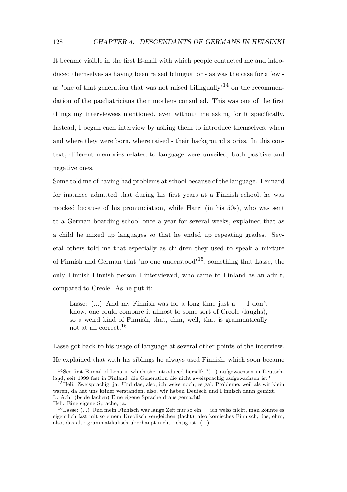It became visible in the first E-mail with which people contacted me and introduced themselves as having been raised bilingual or - as was the case for a few as "one of that generation that was not raised bilingually"<sup>14</sup> on the recommendation of the paediatricians their mothers consulted. This was one of the first things my interviewees mentioned, even without me asking for it specifically. Instead, I began each interview by asking them to introduce themselves, when and where they were born, where raised - their background stories. In this context, different memories related to language were unveiled, both positive and negative ones.

Some told me of having had problems at school because of the language. Lennard for instance admitted that during his first years at a Finnish school, he was mocked because of his pronunciation, while Harri (in his 50s), who was sent to a German boarding school once a year for several weeks, explained that as a child he mixed up languages so that he ended up repeating grades. Several others told me that especially as children they used to speak a mixture of Finnish and German that "no one understood"<sup>15</sup>, something that Lasse, the only Finnish-Finnish person I interviewed, who came to Finland as an adult, compared to Creole. As he put it:

Lasse:  $(...)$  And my Finnish was for a long time just  $a - I$  don't know, one could compare it almost to some sort of Creole (laughs), so a weird kind of Finnish, that, ehm, well, that is grammatically not at all correct.  $^{16}$ 

Lasse got back to his usage of language at several other points of the interview. He explained that with his siblings he always used Finnish, which soon became

<sup>&</sup>lt;sup>14</sup>See first E-mail of Lena in which she introduced herself:  $"(...)$  aufgewachsen in Deutsch-<br>land, seit 1999 fest in Finland, die Generation die nicht zweisprachig aufgewachsen ist."

 $15$ Heli: Zweisprachig, ja. Und das, also, ich weiss noch, es gab Probleme, weil als wir klein waren, da hat uns keiner verstanden, also, wir haben Deutsch und Finnisch dann gemixt. I.: Ach! (beide lachen) Eine eigene Sprache draus gemacht!

Heli: Eine eigene Sprache, ja.<br><sup>16</sup>Lasse: (...) Und mein Finnisch war lange Zeit nur so ein — ich weiss nicht, man könnte es eigentlich fast mit so einem Kreolisch vergleichen (lacht), also komisches Finnisch, das, ehm, also, das also grammatikalisch überhaupt nicht richtig ist. (...)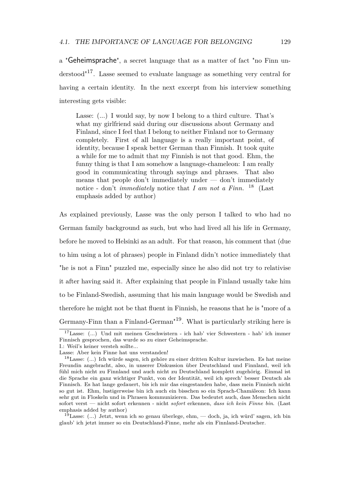a "Geheimsprache", a secret language that as a matter of fact "no Finn understood"17. Lasse seemed to evaluate language as something very central for having a certain identity. In the next excerpt from his interview something interesting gets visible:

Lasse: (...) I would say, by now I belong to a third culture. That's what my girlfriend said during our discussions about Germany and Finland, since I feel that I belong to neither Finland nor to Germany completely. First of all language is a really important point, of identity, because I speak better German than Finnish. It took quite a while for me to admit that my Finnish is not that good. Ehm, the funny thing is that I am somehow a language-chameleon: I am really good in communicating through sayings and phrases. That also means that people don't immediately under — don't immediately notice - don't *immediately* notice that *I am not a Finn.* <sup>18</sup> (Last emphasis added by author)

As explained previously, Lasse was the only person I talked to who had no German family background as such, but who had lived all his life in Germany, before he moved to Helsinki as an adult. For that reason, his comment that (due to him using a lot of phrases) people in Finland didn't notice immediately that "he is not a Finn" puzzled me, especially since he also did not try to relativise it after having said it. After explaining that people in Finland usually take him to be Finland-Swedish, assuming that his main language would be Swedish and therefore he might not be that fluent in Finnish, he reasons that he is "more of a Germany-Finn than a Finland-German"19. What is particularly striking here is

<sup>17</sup>Lasse: (...) Und mit meinen Geschwistern - ich hab' vier Schwestern - hab' ich immer Finnisch gesprochen, das wurde so zu einer Geheimsprache.

I.: Weil's keiner versteh sollte...

Lasse: Aber kein Finne hat uns verstanden!  $18$ Lasse: (...) Ich würde sagen, ich gehöre zu einer dritten Kultur inzwischen. Es hat meine Freundin angebracht, also, in unserer Diskussion über Deutschland und Finnland, weil ich fühl mich nicht zu Finnland und auch nicht zu Deutschland komplett zugehörig. Einmal ist die Sprache ein ganz wichtiger Punkt, von der Identität, weil ich sprech' besser Deutsch als Finnisch. Es hat lange gedauert, bis ich mir das eingestanden habe, dass mein Finnisch nicht so gut ist. Ehm, lustigerweise bin ich auch ein bisschen so ein Sprach-Chamäleon: Ich kann sehr gut in Floskeln und in Phrasen kommunizieren. Das bedeutet auch, dass Menschen nicht sofort verst — nicht sofort erkennen - nicht *sofort* erkennen, *dass ich kein Finne bin*. (Last

<sup>&</sup>lt;sup>19</sup>Lasse: (...) Jetzt, wenn ich so genau überlege, ehm, — doch, ja, ich würd' sagen, ich bin glaub' ich jetzt immer so ein Deutschland-Finne, mehr als ein Finnland-Deutscher.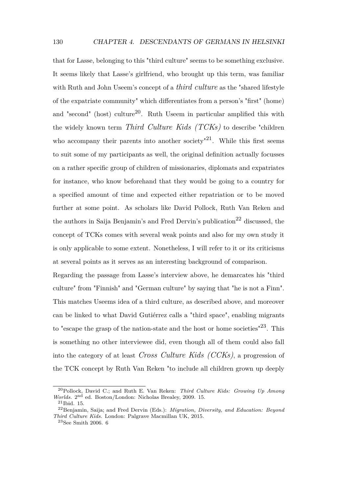that for Lasse, belonging to this "third culture" seems to be something exclusive. It seems likely that Lasse's girlfriend, who brought up this term, was familiar with Ruth and John Useem's concept of a *third culture* as the "shared lifestyle" of the expatriate community" which differentiates from a person's "first" (home) and "second" (host) culture<sup>20</sup>. Ruth Useem in particular amplified this with the widely known term *Third Culture Kids (TCKs)* to describe "children who accompany their parents into another society<sup>"21</sup>. While this first seems to suit some of my participants as well, the original definition actually focusses on a rather specific group of children of missionaries, diplomats and expatriates for instance, who know beforehand that they would be going to a country for a specified amount of time and expected either repatriation or to be moved further at some point. As scholars like David Pollock, Ruth Van Reken and the authors in Saija Benjamin's and Fred Dervin's publication<sup>22</sup> discussed, the concept of TCKs comes with several weak points and also for my own study it is only applicable to some extent. Nonetheless, I will refer to it or its criticisms at several points as it serves as an interesting background of comparison.

Regarding the passage from Lasse's interview above, he demarcates his "third culture" from "Finnish" and "German culture" by saying that "he is not a Finn". This matches Useems idea of a third culture, as described above, and moreover can be linked to what David Gutiérrez calls a "third space", enabling migrants to "escape the grasp of the nation-state and the host or home societies" $^{23}$ . This is something no other interviewee did, even though all of them could also fall into the category of at least *Cross Culture Kids (CCKs)*, a progression of the TCK concept by Ruth Van Reken "to include all children grown up deeply

<sup>&</sup>lt;sup>20</sup>Pollock, David C.; and Ruth E. Van Reken: *Third Culture Kids: Growing Up Among Worlds*. 2<sup>nd</sup> ed. Boston/London: Nicholas Brealey, 2009. 15.

<sup>&</sup>lt;sup>21</sup> Ibid. 15.<br><sup>22</sup> Benjamin, Saija; and Fred Dervin (Eds.): *Migration, Diversity, and Education: Beyond Third Culture Kids.* London: Palgrave Macmillan UK, 2015.<br><sup>23</sup>See Smith 2006. 6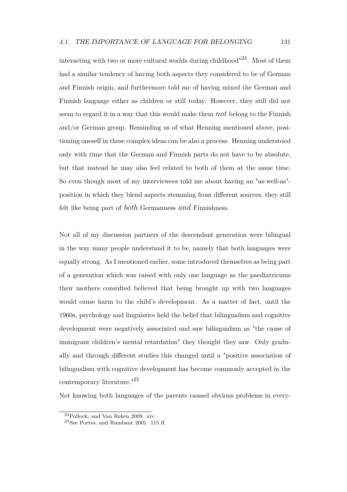interacting with two or more cultural worlds during childhood<sup> $"24$ </sup>. Most of them had a similar tendency of having both aspects they considered to be of German and Finnish origin, and furthermore told me of having mixed the German and Finnish language either as children or still today. However, they still did not seem to regard it in a way that this would make them *not* belong to the Finnish and/or German group. Reminding us of what Henning mentioned above, positioning oneself in these complex ideas can be also a process. Henning understood only with time that the German and Finnish parts do not have to be absolute, but that instead he may also feel related to both of them at the same time. So even though most of my interviewees told me about having an "as-well-as" position in which they blend aspects stemming from different sources, they still felt like being part of *both* Germanness *and* Finnishness.

Not all of my discussion partners of the descendant generation were bilingual in the way many people understand it to be, namely that both languages were equally strong. As I mentioned earlier, some introduced themselves as being part of a generation which was raised with only one language as the paediatricians their mothers consulted believed that being brought up with two languages would cause harm to the child's development. As a matter of fact, until the 1960s, psychology and linguistics held the belief that bilingualism and cognitive development were negatively associated and saw bilingualism as "the cause of immigrant children's mental retardation" they thought they saw. Only gradually and through different studies this changed until a "positive association of bilingualism with cognitive development has become commonly accepted in the contemporary literature."<sup>25</sup>

Not knowing both languages of the parents caused obvious problems in every-

 $\frac{24 \text{Pollock}}{25 \text{See Portes}}$ ; and Rumbaut 2001. 115 ff.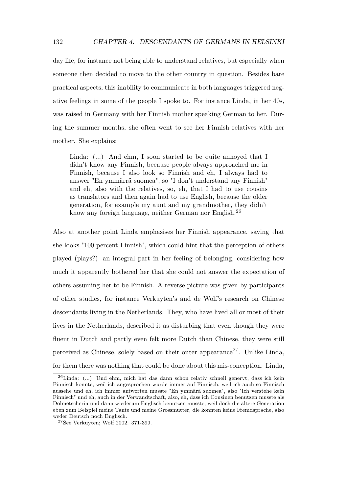day life, for instance not being able to understand relatives, but especially when someone then decided to move to the other country in question. Besides bare practical aspects, this inability to communicate in both languages triggered negative feelings in some of the people I spoke to. For instance Linda, in her 40s, was raised in Germany with her Finnish mother speaking German to her. During the summer months, she often went to see her Finnish relatives with her mother. She explains:

Linda: (...) And ehm, I soon started to be quite annoyed that I didn't know any Finnish, because people always approached me in Finnish, because I also look so Finnish and eh, I always had to answer "En ymmärrä suomea", so "I don't understand any Finnish" and eh, also with the relatives, so, eh, that I had to use cousins as translators and then again had to use English, because the older generation, for example my aunt and my grandmother, they didn't know any foreign language, neither German nor English.<sup>26</sup>

Also at another point Linda emphasises her Finnish appearance, saying that she looks "100 percent Finnish", which could hint that the perception of others played (plays?) an integral part in her feeling of belonging, considering how much it apparently bothered her that she could not answer the expectation of others assuming her to be Finnish. A reverse picture was given by participants of other studies, for instance Verkuyten's and de Wolf's research on Chinese descendants living in the Netherlands. They, who have lived all or most of their lives in the Netherlands, described it as disturbing that even though they were fluent in Dutch and partly even felt more Dutch than Chinese, they were still perceived as Chinese, solely based on their outer appearance<sup>27</sup>. Unlike Linda, for them there was nothing that could be done about this mis-conception. Linda,

<sup>26</sup>Linda: (...) Und ehm, mich hat das dann schon relativ schnell genervt, dass ich kein Finnisch konnte, weil ich angesprochen wurde immer auf Finnisch, weil ich auch so Finnisch aussehe und eh, ich immer antworten musste "En ymmärä suomea", also "Ich verstehe kein Finnisch" und eh, auch in der Verwandtschaft, also, eh, dass ich Cousinen benutzen musste als Dolmetscherin und dann wiederum Englisch benutzen musste, weil doch die ältere Generation eben zum Beispiel meine Tante und meine Grossmutter, die konnten keine Fremdsprache, also weder Deutsch noch Englisch.<br><sup>27</sup>See Verkuyten; Wolf 2002. 371-399.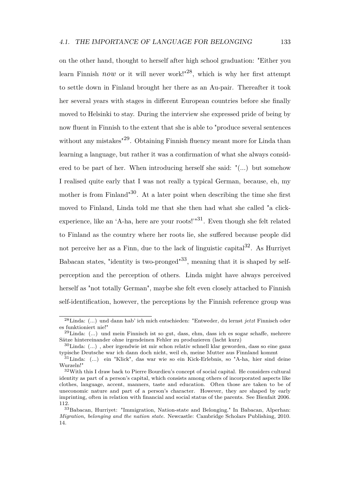on the other hand, thought to herself after high school graduation: "Either you learn Finnish *now* or it will never work!<sup>"28</sup>, which is why her first attempt to settle down in Finland brought her there as an Au-pair. Thereafter it took her several years with stages in different European countries before she finally moved to Helsinki to stay. During the interview she expressed pride of being by now fluent in Finnish to the extent that she is able to "produce several sentences without any mistakes<sup>"29</sup>. Obtaining Finnish fluency meant more for Linda than learning a language, but rather it was a confirmation of what she always considered to be part of her. When introducing herself she said: "(...) but somehow I realised quite early that I was not really a typical German, because, eh, my mother is from Finland<sup>30</sup>. At a later point when describing the time she first moved to Finland, Linda told me that she then had what she called "a clickexperience, like an 'A-ha, here are your roots!'<sup>"31</sup>. Even though she felt related to Finland as the country where her roots lie, she suffered because people did not perceive her as a Finn, due to the lack of linguistic capital<sup>32</sup>. As Hurrivet Babacan states, "identity is two-pronged"33, meaning that it is shaped by selfperception and the perception of others. Linda might have always perceived herself as "not totally German", maybe she felt even closely attached to Finnish self-identification, however, the perceptions by the Finnish reference group was

 $^{28}\mbox{Linda: } (\ldots)$ und dann hab' ich mich entschieden: "Entweder, du lernst  $jetzt$ Finnisch oder es funktioniert nie!"

 $^{29}$ Linda: (...) und mein Finnisch ist so gut, dass, ehm, dass ich es sogar schaffe, mehrere Sätze hintereinander ohne irgendeinen Fehler zu produzieren (lacht kurz)<br><sup>30</sup>Linda: (...), aber irgendwie ist mir schon relativ schnell klar geworden, dass so eine ganz

typische Deutsche war ich dann doch nicht, weil eh, meine Mutter aus Finnland kommt <sup>31</sup>Linda: (...) ein "Klick", das war wie so ein Kick-Erlebnis, so "A-ha, hier sind deine

Wurzeln!"  $\,$   $\,$   $\,$   $\,$  32With this I draw back to Pierre Bourdieu's concept of social capital. He considers cultural

identity as part of a person's capital, which consists among others of incorporated aspects like clothes, language, accent, manners, taste and education. Often those are taken to be of uneconomic nature and part of a person's character. However, they are shaped by early imprinting, often in relation with financial and social status of the parents. See Bienfait 2006.

<sup>112. 33</sup>Babacan, Hurriyet: "Immigration, Nation-state and Belonging." In Babacan, Alperhan: *Migration, belonging and the nation state.* Newcastle: Cambridge Scholars Publishing, 2010. 14.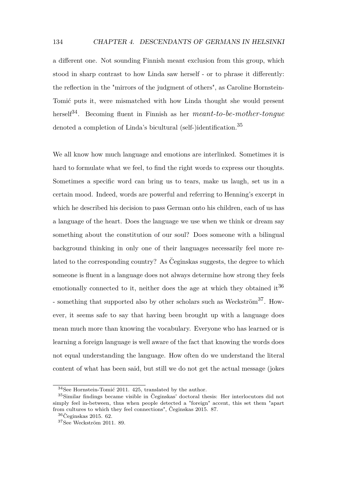a different one. Not sounding Finnish meant exclusion from this group, which stood in sharp contrast to how Linda saw herself - or to phrase it differently: the reflection in the "mirrors of the judgment of others", as Caroline Hornstein-Tomić puts it, were mismatched with how Linda thought she would present herself<sup>34</sup>. Becoming fluent in Finnish as her *meant-to-be-mother-tonque* denoted a completion of Linda's bicultural (self-)identification.<sup>35</sup>

We all know how much language and emotions are interlinked. Sometimes it is hard to formulate what we feel, to find the right words to express our thoughts. Sometimes a specific word can bring us to tears, make us laugh, set us in a certain mood. Indeed, words are powerful and referring to Henning's excerpt in which he described his decision to pass German onto his children, each of us has a language of the heart. Does the language we use when we think or dream say something about the constitution of our soul? Does someone with a bilingual background thinking in only one of their languages necessarily feel more related to the corresponding country? As Ceginskas suggests, the degree to which someone is fluent in a language does not always determine how strong they feels emotionally connected to it, neither does the age at which they obtained it  $36$ - something that supported also by other scholars such as Weckström<sup>37</sup>. However, it seems safe to say that having been brought up with a language does mean much more than knowing the vocabulary. Everyone who has learned or is learning a foreign language is well aware of the fact that knowing the words does not equal understanding the language. How often do we understand the literal content of what has been said, but still we do not get the actual message (jokes

 $34$ See Hornstein-Tomić 2011. 425, translated by the author.<br> $35$ Similar findings became visible in Čeginskas' doctoral thesis: Her interlocutors did not simply feel in-between, thus when people detected a "foreign" accent, this set them "apart from cultures to which they feel connections", Čeginskas 2015. 87.

 $36$ Čeginskas 2015. 62.

<sup>37</sup>See Weckström 2011. 89.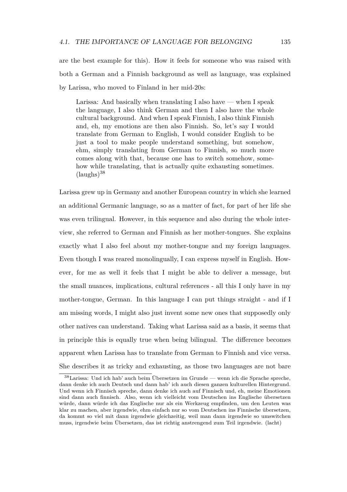are the best example for this). How it feels for someone who was raised with both a German and a Finnish background as well as language, was explained by Larissa, who moved to Finland in her mid-20s:

Larissa: And basically when translating I also have — when I speak the language, I also think German and then I also have the whole cultural background. And when I speak Finnish, I also think Finnish and, eh, my emotions are then also Finnish. So, let's say I would translate from German to English, I would consider English to be just a tool to make people understand something, but somehow, ehm, simply translating from German to Finnish, so much more comes along with that, because one has to switch somehow, somehow while translating, that is actually quite exhausting sometimes.  $(laughs)<sup>38</sup>$ 

Larissa grew up in Germany and another European country in which she learned an additional Germanic language, so as a matter of fact, for part of her life she was even trilingual. However, in this sequence and also during the whole interview, she referred to German and Finnish as her mother-tongues. She explains exactly what I also feel about my mother-tongue and my foreign languages. Even though I was reared monolingually, I can express myself in English. However, for me as well it feels that I might be able to deliver a message, but the small nuances, implications, cultural references - all this I only have in my mother-tongue, German. In this language I can put things straight - and if I am missing words, I might also just invent some new ones that supposedly only other natives can understand. Taking what Larissa said as a basis, it seems that in principle this is equally true when being bilingual. The difference becomes apparent when Larissa has to translate from German to Finnish and vice versa. She describes it as tricky and exhausting, as those two languages are not bare

<sup>38</sup>Larissa: Und ich hab' auch beim Übersetzen im Grunde — wenn ich die Sprache spreche, dann denke ich auch Deutsch und dann hab' ich auch diesen ganzen kulturellen Hintergrund. Und wenn ich Finnisch spreche, dann denke ich auch auf Finnisch und, eh, meine Emotionen sind dann auch finnisch. Also, wenn ich vielleicht vom Deutschen ins Englische übersetzen würde, dann würde ich das Englische nur als ein Werkzeug empfinden, um den Leuten was klar zu machen, aber irgendwie, ehm einfach nur so vom Deutschen ins Finnische übersetzen, da kommt so viel mit dann irgendwie gleichzeitig, weil man dann irgendwie so umswitchen muss, irgendwie beim Übersetzen, das ist richtig anstrengend zum Teil irgendwie. (lacht)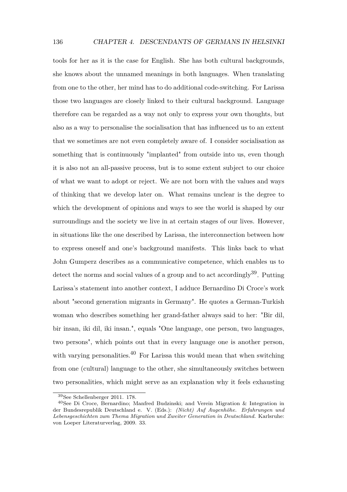tools for her as it is the case for English. She has both cultural backgrounds, she knows about the unnamed meanings in both languages. When translating from one to the other, her mind has to do additional code-switching. For Larissa those two languages are closely linked to their cultural background. Language therefore can be regarded as a way not only to express your own thoughts, but also as a way to personalise the socialisation that has influenced us to an extent that we sometimes are not even completely aware of. I consider socialisation as something that is continuously "implanted" from outside into us, even though it is also not an all-passive process, but is to some extent subject to our choice of what we want to adopt or reject. We are not born with the values and ways of thinking that we develop later on. What remains unclear is the degree to which the development of opinions and ways to see the world is shaped by our surroundings and the society we live in at certain stages of our lives. However, in situations like the one described by Larissa, the interconnection between how to express oneself and one's background manifests. This links back to what John Gumperz describes as a communicative competence, which enables us to detect the norms and social values of a group and to act accordingly  $39$ . Putting Larissa's statement into another context, I adduce Bernardino Di Croce's work about "second generation migrants in Germany". He quotes a German-Turkish woman who describes something her grand-father always said to her: "Bir dil, bir insan, iki dil, iki insan.", equals "One language, one person, two languages, two persons", which points out that in every language one is another person, with varying personalities.  $40$  For Larissa this would mean that when switching from one (cultural) language to the other, she simultaneously switches between two personalities, which might serve as an explanation why it feels exhausting

<sup>&</sup>lt;sup>39</sup>See Schellenberger 2011. 178.<br><sup>40</sup>See Di Croce, Bernardino; Manfred Budzinski; and Verein Migration & Integration in der Bundesrepublik Deutschland e. V. (Eds.): *(Nicht) Auf Augenhöhe. Erfahrungen und Lebensgeschichten zum Thema Migration und Zweiter Generation in Deutschland.* Karlsruhe: von Loeper Literaturverlag, 2009. 33.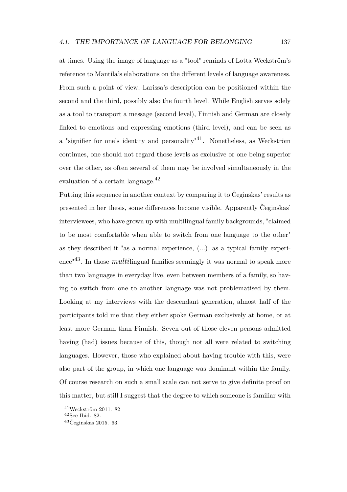at times. Using the image of language as a "tool" reminds of Lotta Weckström's reference to Mantila's elaborations on the different levels of language awareness. From such a point of view, Larissa's description can be positioned within the second and the third, possibly also the fourth level. While English serves solely as a tool to transport a message (second level), Finnish and German are closely linked to emotions and expressing emotions (third level), and can be seen as a "signifier for one's identity and personality<sup> $n41$ </sup>. Nonetheless, as Weckström continues, one should not regard those levels as exclusive or one being superior over the other, as often several of them may be involved simultaneously in the evaluation of a certain language.<sup>42</sup>

Putting this sequence in another context by comparing it to Čeginskas' results as presented in her thesis, some differences become visible. Apparently Ceginskas' ˘ interviewees, who have grown up with multilingual family backgrounds, "claimed to be most comfortable when able to switch from one language to the other" as they described it "as a normal experience, (...) as a typical family experience"43. In those *multi*lingual families seemingly it was normal to speak more than two languages in everyday live, even between members of a family, so having to switch from one to another language was not problematised by them. Looking at my interviews with the descendant generation, almost half of the participants told me that they either spoke German exclusively at home, or at least more German than Finnish. Seven out of those eleven persons admitted having (had) issues because of this, though not all were related to switching languages. However, those who explained about having trouble with this, were also part of the group, in which one language was dominant within the family. Of course research on such a small scale can not serve to give definite proof on this matter, but still I suggest that the degree to which someone is familiar with

 $^{41}$  Weckström 2011. 82  $^{42}$  See Ibid. 82.  $^{43}$  Čeginskas 2015. 63.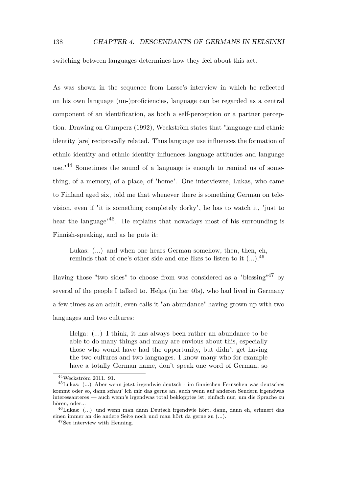switching between languages determines how they feel about this act.

As was shown in the sequence from Lasse's interview in which he reflected on his own language (un-)proficiencies, language can be regarded as a central component of an identification, as both a self-perception or a partner perception. Drawing on Gumperz (1992), Weckström states that "language and ethnic identity [are] reciprocally related. Thus language use influences the formation of ethnic identity and ethnic identity influences language attitudes and language use.<sup>"44</sup> Sometimes the sound of a language is enough to remind us of something, of a memory, of a place, of "home". One interviewee, Lukas, who came to Finland aged six, told me that whenever there is something German on television, even if "it is something completely dorky", he has to watch it, "just to hear the language<sup>"45</sup>. He explains that nowadays most of his surrounding is Finnish-speaking, and as he puts it:

Lukas:  $(...)$  and when one hears German somehow, then, then, eh, reminds that of one's other side and one likes to listen to it  $(...).<sup>46</sup>$ 

Having those "two sides" to choose from was considered as a "blessing"<sup>47</sup> by several of the people I talked to. Helga (in her 40s), who had lived in Germany a few times as an adult, even calls it "an abundance" having grown up with two languages and two cultures:

Helga: (...) I think, it has always been rather an abundance to be able to do many things and many are envious about this, especially those who would have had the opportunity, but didn't get having the two cultures and two languages. I know many who for example have a totally German name, don't speak one word of German, so

 $^{44}$ Weckström 2011. 91.  $^{45}$ Lukas: (...) Aber wenn jetzt irgendwie deutsch - im finnischen Fernsehen was deutsches kommt oder so, dann schau' ich mir das gerne an, auch wenn auf anderen Sendern irgendwas interessanteres — auch wenn's irgendwas total beklopptes ist, einfach nur, um die Sprache zu hören, oder...<br><sup>46</sup>Lukas: (...) und wenn man dann Deutsch irgendwie hört, dann, dann eh, erinnert das

einen immer an die andere Seite noch und man hört da gerne zu  $(\ldots)$ .<br><sup>47</sup>See interview with Henning.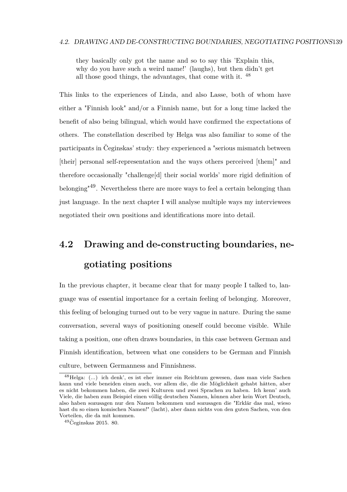#### 4.2. DRAWING AND DE-CONSTRUCTING BOUNDARIES, NEGOTIATING POSITIONS139

they basically only got the name and so to say this 'Explain this, why do you have such a weird name!' (laughs), but then didn't get all those good things, the advantages, that come with it. <sup>48</sup>

This links to the experiences of Linda, and also Lasse, both of whom have either a "Finnish look" and/or a Finnish name, but for a long time lacked the benefit of also being bilingual, which would have confirmed the expectations of others. The constellation described by Helga was also familiar to some of the participants in Ceginskas' study: they experienced a "serious mismatch between ˘ [their] personal self-representation and the ways others perceived [them]" and therefore occasionally "challenge[d] their social worlds' more rigid definition of belonging"49. Nevertheless there are more ways to feel a certain belonging than just language. In the next chapter I will analyse multiple ways my interviewees negotiated their own positions and identifications more into detail.

# **4.2 Drawing and de-constructing boundaries, negotiating positions**

In the previous chapter, it became clear that for many people I talked to, language was of essential importance for a certain feeling of belonging. Moreover, this feeling of belonging turned out to be very vague in nature. During the same conversation, several ways of positioning oneself could become visible. While taking a position, one often draws boundaries, in this case between German and Finnish identification, between what one considers to be German and Finnish culture, between Germanness and Finnishness.

<sup>48</sup>Helga: (...) ich denk', es ist eher immer ein Reichtum gewesen, dass man viele Sachen kann und viele beneiden einen auch, vor allem die, die die Möglichkeit gehabt hätten, aber es nicht bekommen haben, die zwei Kulturen und zwei Sprachen zu haben. Ich kenn' auch Viele, die haben zum Beispiel einen völlig deutschen Namen, können aber kein Wort Deutsch, also haben sozusagen nur den Namen bekommen und sozusagen die "Erklär das mal, wieso hast du so einen komischen Namen!" (lacht), aber dann nichts von den guten Sachen, von den Vorteilen, die da mit kommen.

 $49$ Čeginskas 2015. 80.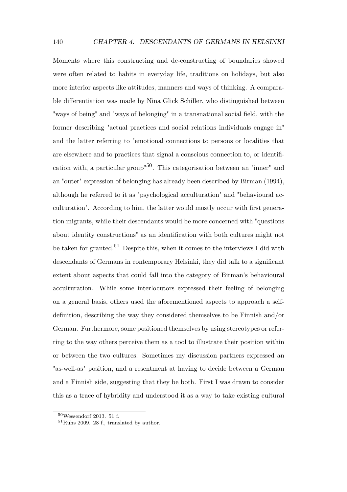Moments where this constructing and de-constructing of boundaries showed were often related to habits in everyday life, traditions on holidays, but also more interior aspects like attitudes, manners and ways of thinking. A comparable differentiation was made by Nina Glick Schiller, who distinguished between "ways of being" and "ways of belonging" in a transnational social field, with the former describing "actual practices and social relations individuals engage in" and the latter referring to "emotional connections to persons or localities that are elsewhere and to practices that signal a conscious connection to, or identification with, a particular group"50. This categorisation between an "inner" and an "outer" expression of belonging has already been described by Birman (1994), although he referred to it as "psychological acculturation" and "behavioural acculturation". According to him, the latter would mostly occur with first generation migrants, while their descendants would be more concerned with "questions about identity constructions" as an identification with both cultures might not be taken for granted.<sup>51</sup> Despite this, when it comes to the interviews I did with descendants of Germans in contemporary Helsinki, they did talk to a significant extent about aspects that could fall into the category of Birman's behavioural acculturation. While some interlocutors expressed their feeling of belonging on a general basis, others used the aforementioned aspects to approach a selfdefinition, describing the way they considered themselves to be Finnish and/or German. Furthermore, some positioned themselves by using stereotypes or referring to the way others perceive them as a tool to illustrate their position within or between the two cultures. Sometimes my discussion partners expressed an "as-well-as" position, and a resentment at having to decide between a German and a Finnish side, suggesting that they be both. First I was drawn to consider this as a trace of hybridity and understood it as a way to take existing cultural

 $^{50}$ Wessendorf 2013. 51 f.  $^{51}$ Ruhs 2009. 28 f., translated by author.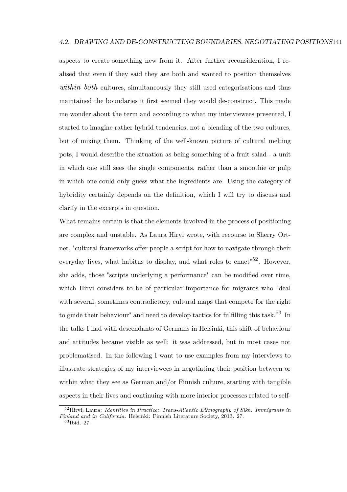aspects to create something new from it. After further reconsideration, I realised that even if they said they are both and wanted to position themselves *within both* cultures, simultaneously they still used categorisations and thus maintained the boundaries it first seemed they would de-construct. This made me wonder about the term and according to what my interviewees presented, I started to imagine rather hybrid tendencies, not a blending of the two cultures, but of mixing them. Thinking of the well-known picture of cultural melting pots, I would describe the situation as being something of a fruit salad - a unit in which one still sees the single components, rather than a smoothie or pulp in which one could only guess what the ingredients are. Using the category of hybridity certainly depends on the definition, which I will try to discuss and clarify in the excerpts in question.

What remains certain is that the elements involved in the process of positioning are complex and unstable. As Laura Hirvi wrote, with recourse to Sherry Ortner, "cultural frameworks offer people a script for how to navigate through their everyday lives, what habitus to display, and what roles to enact<sup>52</sup>. However, she adds, those "scripts underlying a performance" can be modified over time, which Hirvi considers to be of particular importance for migrants who "deal with several, sometimes contradictory, cultural maps that compete for the right to guide their behaviour" and need to develop tactics for fulfilling this task.<sup>53</sup> In the talks I had with descendants of Germans in Helsinki, this shift of behaviour and attitudes became visible as well: it was addressed, but in most cases not problematised. In the following I want to use examples from my interviews to illustrate strategies of my interviewees in negotiating their position between or within what they see as German and/or Finnish culture, starting with tangible aspects in their lives and continuing with more interior processes related to self-

<sup>52</sup>Hirvi, Laura: *Identities in Practice: Trans-Atlantic Ethnography of Sikh. Immigrants in Finland and in California.* Helsinki: Finnish Literature Society, 2013. 27. <sup>53</sup>Ibid. 27.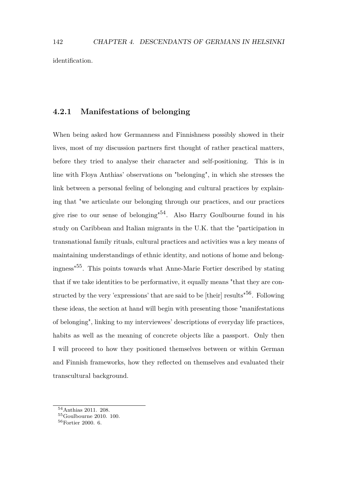identification.

## **4.2.1 Manifestations of belonging**

When being asked how Germanness and Finnishness possibly showed in their lives, most of my discussion partners first thought of rather practical matters, before they tried to analyse their character and self-positioning. This is in line with Floya Anthias' observations on "belonging", in which she stresses the link between a personal feeling of belonging and cultural practices by explaining that "we articulate our belonging through our practices, and our practices give rise to our sense of belonging"54. Also Harry Goulbourne found in his study on Caribbean and Italian migrants in the U.K. that the "participation in transnational family rituals, cultural practices and activities was a key means of maintaining understandings of ethnic identity, and notions of home and belongingness"55. This points towards what Anne-Marie Fortier described by stating that if we take identities to be performative, it equally means "that they are constructed by the very 'expressions' that are said to be [their] results<sup>56</sup>. Following these ideas, the section at hand will begin with presenting those "manifestations of belonging", linking to my interviewees' descriptions of everyday life practices, habits as well as the meaning of concrete objects like a passport. Only then I will proceed to how they positioned themselves between or within German and Finnish frameworks, how they reflected on themselves and evaluated their transcultural background.

 $^{54}$ Anthias 2011. 208.<br> $^{55}$ Goulbourne 2010. 100.<br> $^{56}$ Fortier 2000. 6.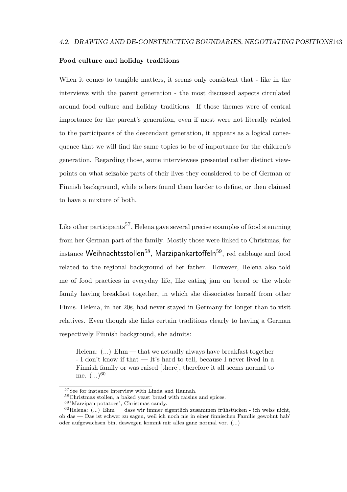#### **Food culture and holiday traditions**

When it comes to tangible matters, it seems only consistent that - like in the interviews with the parent generation - the most discussed aspects circulated around food culture and holiday traditions. If those themes were of central importance for the parent's generation, even if most were not literally related to the participants of the descendant generation, it appears as a logical consequence that we will find the same topics to be of importance for the children's generation. Regarding those, some interviewees presented rather distinct viewpoints on what seizable parts of their lives they considered to be of German or Finnish background, while others found them harder to define, or then claimed to have a mixture of both.

Like other participants<sup>57</sup>. Helena gave several precise examples of food stemming from her German part of the family. Mostly those were linked to Christmas, for instance Weihnachtsstollen<sup>58</sup>, Marzipankartoffeln<sup>59</sup>, red cabbage and food related to the regional background of her father. However, Helena also told me of food practices in everyday life, like eating jam on bread or the whole family having breakfast together, in which she dissociates herself from other Finns. Helena, in her 20s, had never stayed in Germany for longer than to visit relatives. Even though she links certain traditions clearly to having a German respectively Finnish background, she admits:

Helena: (...) Ehm — that we actually always have breakfast together - I don't know if that — It's hard to tell, because I never lived in a Finnish family or was raised [there], therefore it all seems normal to me. (...)<sup>60</sup>

 $^{57}\text{See}$  for instance interview with Linda and Hannah.<br> $^{58}\text{Christmas}$  stollen, a baked yeast bread with raisins and spices.<br> $^{59}\text{"Marzipan potatoes", Christmas candy.}$   $^{60}\text{Helena: } (\ldots)$  Ehm — dass wir immer eigentlich zusammen frühstücken - ich we ob das — Das ist schwer zu sagen, weil ich noch nie in einer finnischen Familie gewohnt hab' oder aufgewachsen bin, deswegen kommt mir alles ganz normal vor. (...)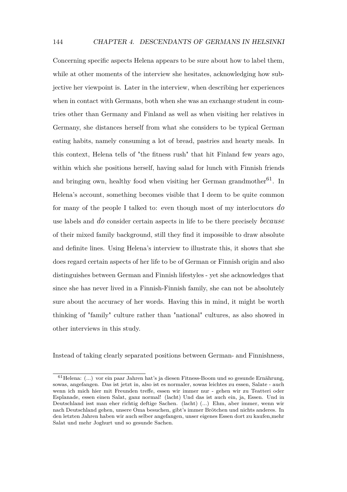Concerning specific aspects Helena appears to be sure about how to label them, while at other moments of the interview she hesitates, acknowledging how subjective her viewpoint is. Later in the interview, when describing her experiences when in contact with Germans, both when she was an exchange student in countries other than Germany and Finland as well as when visiting her relatives in Germany, she distances herself from what she considers to be typical German eating habits, namely consuming a lot of bread, pastries and hearty meals. In this context, Helena tells of "the fitness rush" that hit Finland few years ago, within which she positions herself, having salad for lunch with Finnish friends and bringing own, healthy food when visiting her German grandmother<sup>61</sup>. In Helena's account, something becomes visible that I deem to be quite common for many of the people I talked to: even though most of my interlocutors *do* use labels and *do* consider certain aspects in life to be there precisely *because* of their mixed family background, still they find it impossible to draw absolute and definite lines. Using Helena's interview to illustrate this, it shows that she does regard certain aspects of her life to be of German or Finnish origin and also distinguishes between German and Finnish lifestyles - yet she acknowledges that since she has never lived in a Finnish-Finnish family, she can not be absolutely sure about the accuracy of her words. Having this in mind, it might be worth thinking of "family" culture rather than "national" cultures, as also showed in other interviews in this study.

Instead of taking clearly separated positions between German- and Finnishness,

 $^{61}\rm{He}$ ena: (...) vor ein paar Jahren hat's ja diesen Fitness-Boom und so gesunde Ernährung, sowas, angefangen. Das ist jetzt in, also ist es normaler, sowas leichtes zu essen, Salate - auch wenn ich mich hier mit Freunden treffe, essen wir immer nur - gehen wir zu Teatteri oder Esplanade, essen einen Salat, ganz normal! (lacht) Und das ist auch ein, ja, Essen. Und in Deutschland isst man eher richtig deftige Sachen. (lacht) (...) Ehm, aber immer, wenn wir nach Deutschland gehen, unsere Oma besuchen, gibt's immer Brötchen und nichts anderes. In den letzten Jahren haben wir auch selber angefangen, unser eigenes Essen dort zu kaufen,mehr Salat und mehr Joghurt und so gesunde Sachen.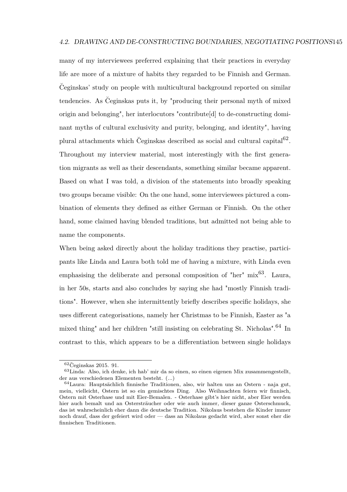many of my interviewees preferred explaining that their practices in everyday life are more of a mixture of habits they regarded to be Finnish and German. Ceginskas' study on people with multicultural background reported on similar ˘ tendencies. As Ceginskas puts it, by "producing their personal myth of mixed ˘ origin and belonging", her interlocutors "contribute[d] to de-constructing dominant myths of cultural exclusivity and purity, belonging, and identity", having plural attachments which Čeginskas described as social and cultural capital  ${}^{62}$ . Throughout my interview material, most interestingly with the first generation migrants as well as their descendants, something similar became apparent. Based on what I was told, a division of the statements into broadly speaking two groups became visible: On the one hand, some interviewees pictured a combination of elements they defined as either German or Finnish. On the other hand, some claimed having blended traditions, but admitted not being able to name the components.

When being asked directly about the holiday traditions they practise, participants like Linda and Laura both told me of having a mixture, with Linda even emphasising the deliberate and personal composition of "her" mix $63$ . Laura, in her 50s, starts and also concludes by saying she had "mostly Finnish traditions". However, when she intermittently briefly describes specific holidays, she uses different categorisations, namely her Christmas to be Finnish, Easter as "a mixed thing" and her children "still insisting on celebrating St. Nicholas".<sup>64</sup> In contrast to this, which appears to be a differentiation between single holidays

 $62$ Čeginskas 2015. 91.

<sup>63</sup>Linda: Also, ich denke, ich hab' mir da so einen, so einen eigenen Mix zusammengestellt, der aus verschiedenen Elementen besteht. (...) <sup>64</sup>Laura: Hauptsächlich finnische Traditionen, also, wir halten uns an Ostern - naja gut,

mein, vielleicht, Ostern ist so ein gemischtes Ding. Also Weihnachten feiern wir finnisch, Ostern mit Osterhase und mit Eier-Bemalen. - Osterhase gibt's hier nicht, aber Eier werden hier auch bemalt und an Ostersträucher oder wie auch immer, dieser ganze Osterschmuck, das ist wahrscheinlich eher dann die deutsche Tradition. Nikolaus bestehen die Kinder immer noch drauf, dass der gefeiert wird oder — dass an Nikolaus gedacht wird, aber sonst eher die finnischen Traditionen.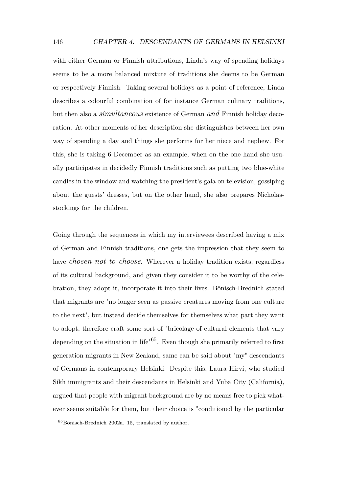with either German or Finnish attributions, Linda's way of spending holidays seems to be a more balanced mixture of traditions she deems to be German or respectively Finnish. Taking several holidays as a point of reference, Linda describes a colourful combination of for instance German culinary traditions, but then also a *simultaneous* existence of German *and* Finnish holiday decoration. At other moments of her description she distinguishes between her own way of spending a day and things she performs for her niece and nephew. For this, she is taking 6 December as an example, when on the one hand she usually participates in decidedly Finnish traditions such as putting two blue-white candles in the window and watching the president's gala on television, gossiping about the guests' dresses, but on the other hand, she also prepares Nicholasstockings for the children.

Going through the sequences in which my interviewees described having a mix of German and Finnish traditions, one gets the impression that they seem to have *chosen not to choose*. Wherever a holiday tradition exists, regardless of its cultural background, and given they consider it to be worthy of the celebration, they adopt it, incorporate it into their lives. Bönisch-Brednich stated that migrants are "no longer seen as passive creatures moving from one culture to the next", but instead decide themselves for themselves what part they want to adopt, therefore craft some sort of "bricolage of cultural elements that vary depending on the situation in life<sup>65</sup>. Even though she primarily referred to first generation migrants in New Zealand, same can be said about "my" descendants of Germans in contemporary Helsinki. Despite this, Laura Hirvi, who studied Sikh immigrants and their descendants in Helsinki and Yuba City (California), argued that people with migrant background are by no means free to pick whatever seems suitable for them, but their choice is "conditioned by the particular

 $65B\ddot{\text{o}}$ nisch-Brednich 2002a. 15, translated by author.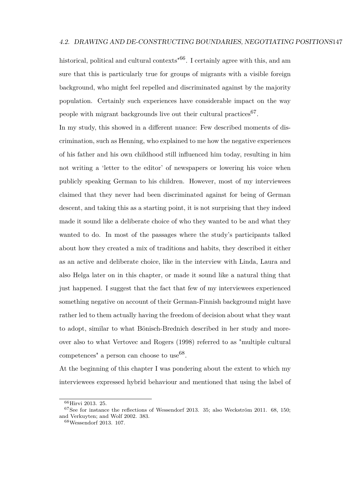historical, political and cultural contexts<sup>66</sup>. I certainly agree with this, and am sure that this is particularly true for groups of migrants with a visible foreign background, who might feel repelled and discriminated against by the majority population. Certainly such experiences have considerable impact on the way people with migrant backgrounds live out their cultural practices  $67$ .

In my study, this showed in a different nuance: Few described moments of discrimination, such as Henning, who explained to me how the negative experiences of his father and his own childhood still influenced him today, resulting in him not writing a 'letter to the editor' of newspapers or lowering his voice when publicly speaking German to his children. However, most of my interviewees claimed that they never had been discriminated against for being of German descent, and taking this as a starting point, it is not surprising that they indeed made it sound like a deliberate choice of who they wanted to be and what they wanted to do. In most of the passages where the study's participants talked about how they created a mix of traditions and habits, they described it either as an active and deliberate choice, like in the interview with Linda, Laura and also Helga later on in this chapter, or made it sound like a natural thing that just happened. I suggest that the fact that few of my interviewees experienced something negative on account of their German-Finnish background might have rather led to them actually having the freedom of decision about what they want to adopt, similar to what Bönisch-Brednich described in her study and moreover also to what Vertovec and Rogers (1998) referred to as "multiple cultural competences" a person can choose to use  $68$ .

At the beginning of this chapter I was pondering about the extent to which my interviewees expressed hybrid behaviour and mentioned that using the label of

<sup>&</sup>lt;sup>66</sup>Hirvi 2013. 25. <sup>67</sup>See for instance the reflections of Wessendorf 2013. 35; also Weckström 2011. 68, 150; and Verkuyten; and Wolf 2002. 383.  $68$ Wessendorf 2013. 107.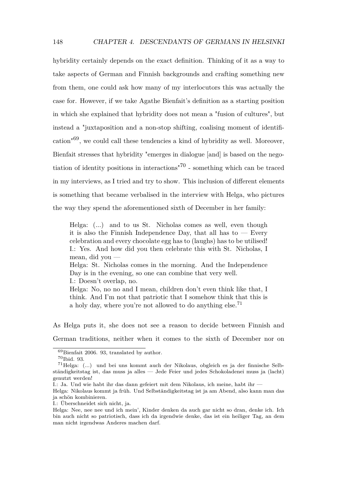hybridity certainly depends on the exact definition. Thinking of it as a way to take aspects of German and Finnish backgrounds and crafting something new from them, one could ask how many of my interlocutors this was actually the case for. However, if we take Agathe Bienfait's definition as a starting position in which she explained that hybridity does not mean a "fusion of cultures", but instead a "juxtaposition and a non-stop shifting, coalising moment of identification"69, we could call these tendencies a kind of hybridity as well. Moreover, Bienfait stresses that hybridity "emerges in dialogue [and] is based on the negotiation of identity positions in interactions $\sqrt[70]{\ }$  - something which can be traced in my interviews, as I tried and try to show. This inclusion of different elements is something that became verbalised in the interview with Helga, who pictures the way they spend the aforementioned sixth of December in her family:

Helga: (...) and to us St. Nicholas comes as well, even though it is also the Finnish Independence Day, that all has to  $-$  Every celebration and every chocolate egg has to (laughs) has to be utilised! I.: Yes. And how did you then celebrate this with St. Nicholas, I mean, did you —

Helga: St. Nicholas comes in the morning. And the Independence Day is in the evening, so one can combine that very well.

I.: Doesn't overlap, no.

Helga: No, no no and I mean, children don't even think like that, I think. And I'm not that patriotic that I somehow think that this is a holy day, where you're not allowed to do anything else.<sup>71</sup>

As Helga puts it, she does not see a reason to decide between Finnish and German traditions, neither when it comes to the sixth of December nor on

I.: Überschneidet sich nicht, ja.

<sup>&</sup>lt;sup>69</sup>Bienfait 2006. 93, translated by author.<br><sup>70</sup>Ibid. 93. <sup>71</sup>Helga: (...) und bei uns kommt auch der Nikolaus, obgleich es ja der finnische Selbständigkeitstag ist, das muss ja alles — Jede Feier und jedes Schokoladenei muss ja (lacht) genutzt werden!

I.: Ja. Und wie habt ihr das dann gefeiert mit dem Nikolaus, ich meine, habt ihr —

Helga: Nikolaus kommt ja früh. Und Selbständigkeitstag ist ja am Abend, also kann man das ja schön kombinieren.

Helga: Nee, nee nee und ich mein', Kinder denken da auch gar nicht so dran, denke ich. Ich bin auch nicht so patriotisch, dass ich da irgendwie denke, das ist ein heiliger Tag, an dem man nicht irgendwas Anderes machen darf.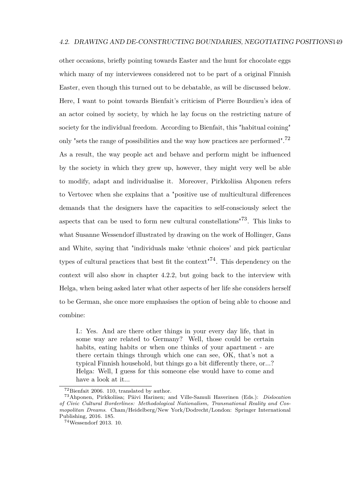other occasions, briefly pointing towards Easter and the hunt for chocolate eggs which many of my interviewees considered not to be part of a original Finnish Easter, even though this turned out to be debatable, as will be discussed below. Here, I want to point towards Bienfait's criticism of Pierre Bourdieu's idea of an actor coined by society, by which he lay focus on the restricting nature of society for the individual freedom. According to Bienfait, this "habitual coining" only "sets the range of possibilities and the way how practices are performed".<sup>72</sup> As a result, the way people act and behave and perform might be influenced by the society in which they grew up, however, they might very well be able to modify, adapt and individualise it. Moreover, Pirkkoliisa Ahponen refers to Vertovec when she explains that a "positive use of multicultural differences demands that the designers have the capacities to self-consciously select the aspects that can be used to form new cultural constellations"73. This links to what Susanne Wessendorf illustrated by drawing on the work of Hollinger, Gans and White, saying that "individuals make 'ethnic choices' and pick particular types of cultural practices that best fit the context"74. This dependency on the context will also show in chapter 4.2.2, but going back to the interview with Helga, when being asked later what other aspects of her life she considers herself to be German, she once more emphasises the option of being able to choose and combine:

I.: Yes. And are there other things in your every day life, that in some way are related to Germany? Well, those could be certain habits, eating habits or when one thinks of your apartment - are there certain things through which one can see, OK, that's not a typical Finnish household, but things go a bit differently there, or...? Helga: Well, I guess for this someone else would have to come and have a look at it...

<sup>72</sup>Bienfait 2006. 110, translated by author. <sup>73</sup>Ahponen, Pirkkoliisa; Päivi Harinen; and Ville-Samuli Haverinen (Eds.): *Dislocation of Civic Cultural Borderlines: Methodological Nationalism, Transnational Reality and Cosmopolitan Dreams*. Cham/Heidelberg/New York/Dodrecht/London: Springer International Publishing, 2016. 185. <sup>74</sup>Wessendorf 2013. 10.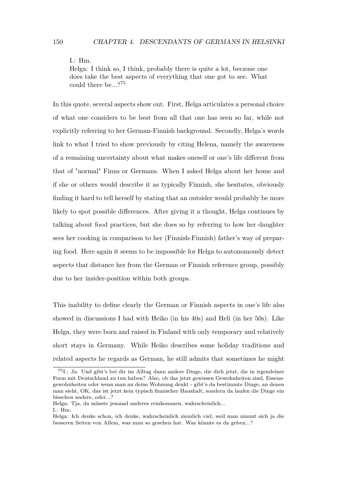I.: Hm.

Helga: I think so, I think, probably there is quite a lot, because one does take the best aspects of everything that one got to see. What could there be...?<sup>75</sup>

In this quote, several aspects show out. First, Helga articulates a personal choice of what one considers to be best from all that one has seen so far, while not explicitly referring to her German-Finnish background. Secondly, Helga's words link to what I tried to show previously by citing Helena, namely the awareness of a remaining uncertainty about what makes oneself or one's life different from that of "normal" Finns or Germans. When I asked Helga about her home and if she or others would describe it as typically Finnish, she hesitates, obviously finding it hard to tell herself by stating that an outsider would probably be more likely to spot possible differences. After giving it a thought, Helga continues by talking about food practices, but she does so by referring to how her daughter sees her cooking in comparison to her (Finnish-Finnish) father's way of preparing food. Here again it seems to be impossible for Helga to autonomously detect aspects that distance her from the German or Finnish reference group, possibly due to her insider-position within both groups.

This inability to define clearly the German or Finnish aspects in one's life also showed in discussions I had with Heiko (in his 40s) and Heli (in her 50s). Like Helga, they were born and raised in Finland with only temporary and relatively short stays in Germany. While Heiko describes some holiday traditions and related aspects he regards as German, he still admits that sometimes he might

<sup>75</sup>I.: Ja. Und gibt's bei dir im Alltag dann andere Dinge, die dich jetzt, die in irgendeiner Form mit Deutschland zu tun haben? Also, ob das jetzt gewissen Gewohnheiten sind, Essensgewohnheiten oder wenn man an deine Wohnung denkt - gibt's da bestimmte Dinge, an denen man sieht, OK, das ist jetzt kein typisch finnischer Haushalt, sondern da laufen die Dinge ein bisschen anders, oder...?

Helga: Tja, da müsste jemand anderes reinkommen, wahrscheinlich...

I.: Hm.

Helga: Ich denke schon, ich denke, wahrscheinlich ziemlich viel, weil man nimmt sich ja die besseren Seiten von Allem, was man so gesehen hat. Was könnte es da geben...?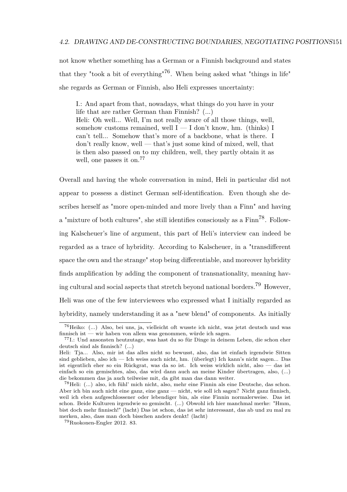not know whether something has a German or a Finnish background and states that they "took a bit of everything"<sup>76</sup>. When being asked what "things in life" she regards as German or Finnish, also Heli expresses uncertainty:

I.: And apart from that, nowadays, what things do you have in your life that are rather German than Finnish? (...) Heli: Oh well... Well, I'm not really aware of all those things, well, somehow customs remained, well  $I - I$  don't know, hm. (thinks) I can't tell... Somehow that's more of a backbone, what is there. I don't really know, well — that's just some kind of mixed, well, that is then also passed on to my children, well, they partly obtain it as well, one passes it on.<sup>77</sup>

Overall and having the whole conversation in mind, Heli in particular did not appear to possess a distinct German self-identification. Even though she describes herself as "more open-minded and more lively than a Finn" and having a "mixture of both cultures", she still identifies consciously as a  $\text{Finn}^{\text{78}}$ . Following Kalscheuer's line of argument, this part of Heli's interview can indeed be regarded as a trace of hybridity. According to Kalscheuer, in a "transdifferent space the own and the strange" stop being differentiable, and moreover hybridity finds amplification by adding the component of transnationality, meaning having cultural and social aspects that stretch beyond national borders.<sup>79</sup> However, Heli was one of the few interviewees who expressed what I initially regarded as hybridity, namely understanding it as a "new blend" of components. As initially

<sup>76</sup>Heiko: (...) Also, bei uns, ja, vielleicht oft wusste ich nicht, was jetzt deutsch und was finnisch ist — wir haben von allem was genommen, würde ich sagen. <sup>77</sup>I.: Und ansonsten heutzutage, was hast du so für Dinge in deinem Leben, die schon eher

deutsch sind als finnisch? (...)

Heli: Tja... Also, mir ist das alles nicht so bewusst, also, das ist einfach irgendwie Sitten sind geblieben, also ich — Ich weiss auch nicht, hm. (überlegt) Ich kann's nicht sagen... Das ist eigentlich eher so ein Rückgrat, was da so ist. Ich weiss wirklich nicht, also — das ist einfach so ein gemischtes, also, das wird dann auch an meine Kinder übertragen, also, (...) die bekommen das ja auch teilweise mit, da gibt man das dann weiter. <sup>78</sup>Heli: (...) also, ich fühl' mich nicht, also, mehr eine Finnin als eine Deutsche, das schon.

Aber ich bin auch nicht eine ganz, eine ganz — nicht, wie soll ich sagen? Nicht ganz finnisch, weil ich eben aufgeschlossener oder lebendiger bin, als eine Finnin normalerweise. Das ist schon. Beide Kulturen irgendwie so gemischt. (...) Obwohl ich hier manchmal merke: "Hmm, bist doch mehr finnisch!" (lacht) Das ist schon, das ist sehr interessant, das ab und zu mal zu merken, also, dass man doch bisschen anders denkt! (lacht) <sup>79</sup>Ruokonen-Engler 2012. 83.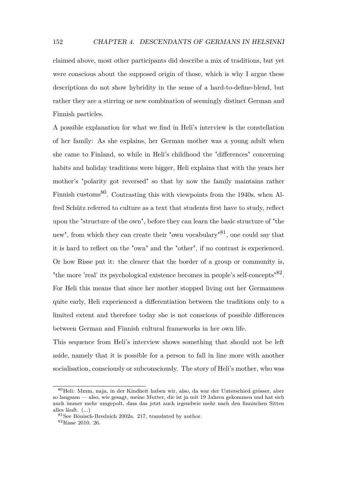claimed above, most other participants did describe a mix of traditions, but yet were conscious about the supposed origin of those, which is why I argue these descriptions do not show hybridity in the sense of a hard-to-define-blend, but rather they are a stirring or new combination of seemingly distinct German and Finnish particles.

A possible explanation for what we find in Heli's interview is the constellation of her family: As she explains, her German mother was a young adult when she came to Finland, so while in Heli's childhood the "differences" concerning habits and holiday traditions were bigger, Heli explains that with the years her mother's "polarity got reversed" so that by now the family maintains rather Finnish customs<sup>80</sup>. Contrasting this with viewpoints from the 1940s, when Alfred Schütz referred to culture as a text that students first have to study, reflect upon the "structure of the own", before they can learn the basic structure of "the new", from which they can create their "own vocabulary"<sup>81</sup>, one could say that it is hard to reflect on the "own" and the "other", if no contrast is experienced. Or how Risse put it: the clearer that the border of a group or community is, "the more 'real' its psychological existence becomes in people's self-concepts<sup>"82</sup>. For Heli this means that since her mother stopped living out her Germanness quite early, Heli experienced a differentiation between the traditions only to a limited extent and therefore today she is not conscious of possible differences between German and Finnish cultural frameworks in her own life.

This sequence from Heli's interview shows something that should not be left aside, namely that it is possible for a person to fall in line more with another socialisation, consciously or subconsciously. The story of Heli's mother, who was

<sup>80</sup>Heli: Mmm, naja, in der Kindheit haben wir, also, da war der Unterschied grösser, aber so langsam — also, wie gesagt, meine Mutter, die ist ja mit 19 Jahren gekommen und hat sich auch immer mehr umgepolt, dass das jetzt auch irgendwie mehr nach den finnischen Sitten alles läuft. $(\ldots)$ 

<sup>&</sup>lt;sup>81</sup>See Bönisch-Brednich 2002a. 217, translated by author.  $82R$  isse 2010. 26.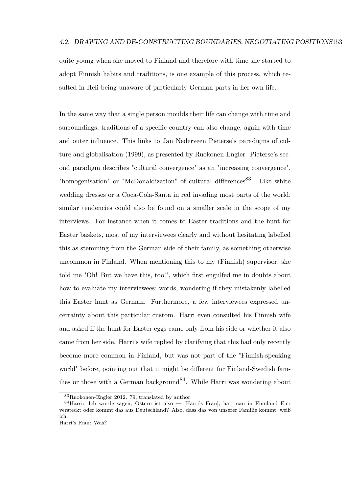quite young when she moved to Finland and therefore with time she started to adopt Finnish habits and traditions, is one example of this process, which resulted in Heli being unaware of particularly German parts in her own life.

In the same way that a single person moulds their life can change with time and surroundings, traditions of a specific country can also change, again with time and outer influence. This links to Jan Nederveen Pieterse's paradigms of culture and globalisation (1999), as presented by Ruokonen-Engler. Pieterse's second paradigm describes "cultural convergence" as an "increasing convergence", "homogenisation" or "McDonaldization" of cultural differences<sup>83</sup>. Like white wedding dresses or a Coca-Cola-Santa in red invading most parts of the world, similar tendencies could also be found on a smaller scale in the scope of my interviews. For instance when it comes to Easter traditions and the hunt for Easter baskets, most of my interviewees clearly and without hesitating labelled this as stemming from the German side of their family, as something otherwise uncommon in Finland. When mentioning this to my (Finnish) supervisor, she told me "Oh! But we have this, too!", which first engulfed me in doubts about how to evaluate my interviewees' words, wondering if they mistakenly labelled this Easter hunt as German. Furthermore, a few interviewees expressed uncertainty about this particular custom. Harri even consulted his Finnish wife and asked if the hunt for Easter eggs came only from his side or whether it also came from her side. Harri's wife replied by clarifying that this had only recently become more common in Finland, but was not part of the "Finnish-speaking world" before, pointing out that it might be different for Finland-Swedish families or those with a German background<sup>84</sup>. While Harri was wondering about

<sup>83</sup>Ruokonen-Engler 2012. 79, translated by author. <sup>84</sup>Harri: Ich würde sagen, Ostern ist also — [Harri's Frau], hat man in Finnland Eier versteckt oder kommt das aus Deutschland? Also, dass das von unserer Familie kommt, weiß ich.

Harri's Frau: Was?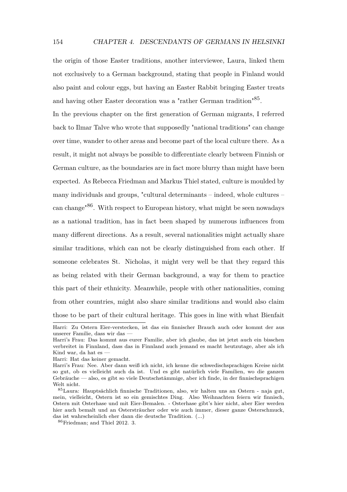the origin of those Easter traditions, another interviewee, Laura, linked them not exclusively to a German background, stating that people in Finland would also paint and colour eggs, but having an Easter Rabbit bringing Easter treats and having other Easter decoration was a "rather German tradition"<sup>85</sup>.

In the previous chapter on the first generation of German migrants, I referred back to Ilmar Talve who wrote that supposedly "national traditions" can change over time, wander to other areas and become part of the local culture there. As a result, it might not always be possible to differentiate clearly between Finnish or German culture, as the boundaries are in fact more blurry than might have been expected. As Rebecca Friedman and Markus Thiel stated, culture is moulded by many individuals and groups, "cultural determinants – indeed, whole cultures – can change"86. With respect to European history, what might be seen nowadays as a national tradition, has in fact been shaped by numerous influences from many different directions. As a result, several nationalities might actually share similar traditions, which can not be clearly distinguished from each other. If someone celebrates St. Nicholas, it might very well be that they regard this as being related with their German background, a way for them to practice this part of their ethnicity. Meanwhile, people with other nationalities, coming from other countries, might also share similar traditions and would also claim those to be part of their cultural heritage. This goes in line with what Bienfait

Harri: Zu Ostern Eier-verstecken, ist das ein finnischer Brauch auch oder kommt der aus unserer Familie, dass wir das —

Harri's Frau: Das kommt aus eurer Familie, aber ich glaube, das ist jetzt auch ein bisschen verbreitet in Finnland, dass das in Finnland auch jemand es macht heutzutage, aber als ich Kind war, da hat es -

Harri: Hat das keiner gemacht.

Harri's Frau: Nee. Aber dann weiß ich nicht, ich kenne die schwedischsprachigen Kreise nicht so gut, ob es vielleicht auch da ist. Und es gibt natürlich viele Familien, wo die ganzen Gebräuche — also, es gibt so viele Deutschstämmige, aber ich finde, in der finnischsprachigen Welt nicht. <sup>85</sup>Laura: Hauptsächlich finnische Traditionen, also, wir halten uns an Ostern - naja gut,

mein, vielleicht, Ostern ist so ein gemischtes Ding. Also Weihnachten feiern wir finnisch, Ostern mit Osterhase und mit Eier-Bemalen. - Osterhase gibt's hier nicht, aber Eier werden hier auch bemalt und an Ostersträucher oder wie auch immer, dieser ganze Osterschmuck, das ist wahrscheinlich eher dann die deutsche Tradition.  $(\ldots)$   $^{86}\rm{Friedman;}$  and Thiel 2012. 3.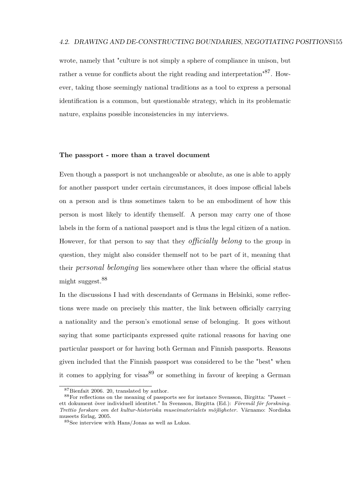wrote, namely that "culture is not simply a sphere of compliance in unison, but rather a venue for conflicts about the right reading and interpretation<sup>87</sup>. However, taking those seemingly national traditions as a tool to express a personal identification is a common, but questionable strategy, which in its problematic nature, explains possible inconsistencies in my interviews.

### **The passport - more than a travel document**

Even though a passport is not unchangeable or absolute, as one is able to apply for another passport under certain circumstances, it does impose official labels on a person and is thus sometimes taken to be an embodiment of how this person is most likely to identify themself. A person may carry one of those labels in the form of a national passport and is thus the legal citizen of a nation. However, for that person to say that they *officially belong* to the group in question, they might also consider themself not to be part of it, meaning that their *personal belonging* lies somewhere other than where the official status might suggest.<sup>88</sup>

In the discussions I had with descendants of Germans in Helsinki, some reflections were made on precisely this matter, the link between officially carrying a nationality and the person's emotional sense of belonging. It goes without saying that some participants expressed quite rational reasons for having one particular passport or for having both German and Finnish passports. Reasons given included that the Finnish passport was considered to be the "best" when it comes to applying for visas  $89$  or something in favour of keeping a German

<sup>&</sup>lt;sup>87</sup>Bienfait 2006. 20, translated by author.<br><sup>88</sup>For reflections on the meaning of passports see for instance Svensson, Birgitta: "Passet – ett dokument över individuell identitet." In Svensson, Birgitta (Ed.): *Föremål för forskning. Trettio forskare om det kultur-historiska museimaterialets möjligheter.* Värnamo: Nordiska museets förlag, 2005.  $89$ See interview with Hans/Jonas as well as Lukas.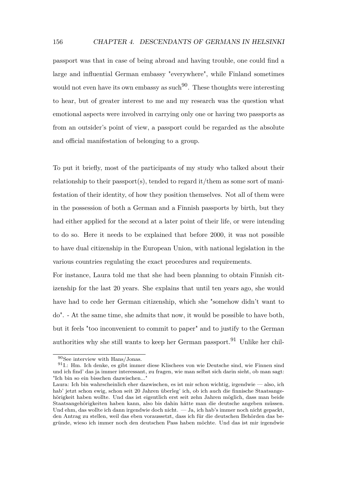passport was that in case of being abroad and having trouble, one could find a large and influential German embassy "everywhere", while Finland sometimes would not even have its own embassy as such  $90$ . These thoughts were interesting to hear, but of greater interest to me and my research was the question what emotional aspects were involved in carrying only one or having two passports as from an outsider's point of view, a passport could be regarded as the absolute and official manifestation of belonging to a group.

To put it briefly, most of the participants of my study who talked about their relationship to their passport(s), tended to regard it/them as some sort of manifestation of their identity, of how they position themselves. Not all of them were in the possession of both a German and a Finnish passports by birth, but they had either applied for the second at a later point of their life, or were intending to do so. Here it needs to be explained that before 2000, it was not possible to have dual citizenship in the European Union, with national legislation in the various countries regulating the exact procedures and requirements.

For instance, Laura told me that she had been planning to obtain Finnish citizenship for the last 20 years. She explains that until ten years ago, she would have had to cede her German citizenship, which she "somehow didn't want to do". - At the same time, she admits that now, it would be possible to have both, but it feels "too inconvenient to commit to paper" and to justify to the German authorities why she still wants to keep her German passport.<sup>91</sup> Unlike her chil-

 $^{90}\rm{See}$  interview with Hans/Jonas.  $^{91}\rm{Li}$ : Hm. Ich denke, es gibt immer diese Klischees von wie Deutsche sind, wie Finnen sind und ich find' das ja immer interessant, zu fragen, wie man selbst sich darin sieht, ob man sagt: "Ich bin so ein bisschen dazwischen..."

Laura: Ich bin wahrscheinlich eher dazwischen, es ist mir schon wichtig, irgendwie — also, ich hab' jetzt schon ewig, schon seit 20 Jahren überleg' ich, ob ich auch die finnische Staatsangehörigkeit haben wollte. Und das ist eigentlich erst seit zehn Jahren möglich, dass man beide Staatsangehörigkeiten haben kann, also bis dahin hätte man die deutsche angeben müssen. Und ehm, das wollte ich dann irgendwie doch nicht. — Ja, ich hab's immer noch nicht gepackt, den Antrag zu stellen, weil das eben voraussetzt, dass ich für die deutschen Behörden das begründe, wieso ich immer noch den deutschen Pass haben möchte. Und das ist mir irgendwie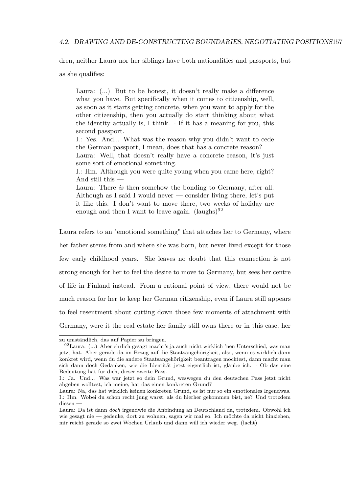## 4.2. DRAWING AND DE-CONSTRUCTING BOUNDARIES, NEGOTIATING POSITIONS157

dren, neither Laura nor her siblings have both nationalities and passports, but

as she qualifies:

Laura:  $(...)$  But to be honest, it doesn't really make a difference what you have. But specifically when it comes to citizenship, well, as soon as it starts getting concrete, when you want to apply for the other citizenship, then you actually do start thinking about what the identity actually is, I think. - If it has a meaning for you, this second passport.

I.: Yes. And... What was the reason why you didn't want to cede the German passport, I mean, does that has a concrete reason?

Laura: Well, that doesn't really have a concrete reason, it's just some sort of emotional something.

I.: Hm. Although you were quite young when you came here, right? And still this —

Laura: There *is* then somehow the bonding to Germany, after all. Although as I said I would never — consider living there, let's put it like this. I don't want to move there, two weeks of holiday are enough and then I want to leave again.  $(laughs)^{92}$ 

Laura refers to an "emotional something" that attaches her to Germany, where her father stems from and where she was born, but never lived except for those few early childhood years. She leaves no doubt that this connection is not strong enough for her to feel the desire to move to Germany, but sees her centre of life in Finland instead. From a rational point of view, there would not be much reason for her to keep her German citizenship, even if Laura still appears to feel resentment about cutting down those few moments of attachment with Germany, were it the real estate her family still owns there or in this case, her

zu umständlich, das auf Papier zu bringen.<br><sup>92</sup>Laura: (...) Aber ehrlich gesagt macht's ja auch nicht wirklich 'nen Unterschied, was man jetzt hat. Aber gerade da im Bezug auf die Staatsangehörigkeit, also, wenn es wirklich dann konkret wird, wenn du die andere Staatsangehörigkeit beantragen möchtest, dann macht man sich dann doch Gedanken, wie die Identität jetzt eigentlich ist, glaube ich. - Ob das eine Bedeutung hat für dich, dieser zweite Pass.

I.: Ja. Und... Was war jetzt so dein Grund, weswegen du den deutschen Pass jetzt nicht abgeben wolltest, ich meine, hat das einen konkreten Grund?

Laura: Na, das hat wirklich keinen konkreten Grund, es ist nur so ein emotionales Irgendwas. I.: Hm. Wobei du schon recht jung warst, als du hierher gekommen bist, ne? Und trotzdem diesen —

Laura: Da ist dann *doch* irgendwie die Anbindung an Deutschland da, trotzdem. Obwohl ich wie gesagt nie — gedenke, dort zu wohnen, sagen wir mal so. Ich möchte da nicht hinziehen, mir reicht gerade so zwei Wochen Urlaub und dann will ich wieder weg. (lacht)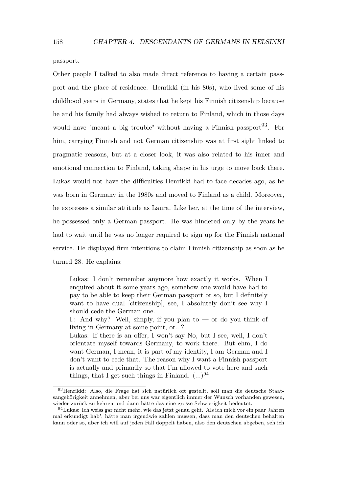passport.

Other people I talked to also made direct reference to having a certain passport and the place of residence. Henrikki (in his 80s), who lived some of his childhood years in Germany, states that he kept his Finnish citizenship because he and his family had always wished to return to Finland, which in those days would have "meant a big trouble" without having a Finnish passport<sup>93</sup>. For him, carrying Finnish and not German citizenship was at first sight linked to pragmatic reasons, but at a closer look, it was also related to his inner and emotional connection to Finland, taking shape in his urge to move back there. Lukas would not have the difficulties Henrikki had to face decades ago, as he was born in Germany in the 1980s and moved to Finland as a child. Moreover, he expresses a similar attitude as Laura. Like her, at the time of the interview, he possessed only a German passport. He was hindered only by the years he had to wait until he was no longer required to sign up for the Finnish national service. He displayed firm intentions to claim Finnish citizenship as soon as he turned 28. He explains:

Lukas: I don't remember anymore how exactly it works. When I enquired about it some years ago, somehow one would have had to pay to be able to keep their German passport or so, but I definitely want to have dual [citizenship], see, I absolutely don't see why I should cede the German one.

Lukas: If there is an offer, I won't say No, but I see, well, I don't orientate myself towards Germany, to work there. But ehm, I do want German, I mean, it is part of my identity, I am German and I don't want to cede that. The reason why I want a Finnish passport is actually and primarily so that I'm allowed to vote here and such things, that I get such things in Finland.  $(...)^{94}$ 

I.: And why? Well, simply, if you plan to — or do you think of living in Germany at some point, or...?

<sup>93</sup>Henrikki: Also, die Frage hat sich natürlich oft gestellt, soll man die deutsche Staatsangehörigkeit annehmen, aber bei uns war eigentlich immer der Wunsch vorhanden gewesen, wieder zurück zu kehren und dann hätte das eine grosse Schwierigkeit bedeutet.<br><sup>94</sup>Lukas: Ich weiss gar nicht mehr, wie das jetzt genau geht. Als ich mich vor ein paar Jahren

mal erkundigt hab', hätte man irgendwie zahlen müssen, dass man den deutschen behalten kann oder so, aber ich will auf jeden Fall doppelt haben, also den deutschen abgeben, seh ich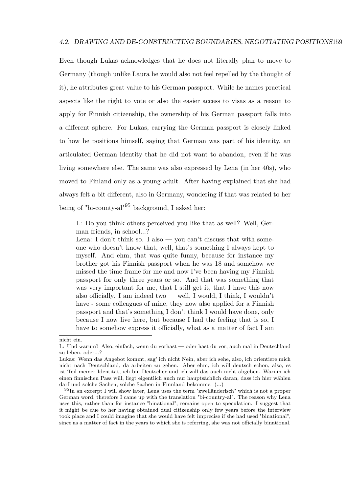Even though Lukas acknowledges that he does not literally plan to move to Germany (though unlike Laura he would also not feel repelled by the thought of it), he attributes great value to his German passport. While he names practical aspects like the right to vote or also the easier access to visas as a reason to apply for Finnish citizenship, the ownership of his German passport falls into a different sphere. For Lukas, carrying the German passport is closely linked to how he positions himself, saying that German was part of his identity, an articulated German identity that he did not want to abandon, even if he was living somewhere else. The same was also expressed by Lena (in her 40s), who moved to Finland only as a young adult. After having explained that she had always felt a bit different, also in Germany, wondering if that was related to her being of "bi-county-al"<sup>95</sup> background, I asked her:

I.: Do you think others perceived you like that as well? Well, German friends, in school...?

Lena: I don't think so. I also — you can't discuss that with someone who doesn't know that, well, that's something I always kept to myself. And ehm, that was quite funny, because for instance my brother got his Finnish passport when he was 18 and somehow we missed the time frame for me and now I've been having my Finnish passport for only three years or so. And that was something that was very important for me, that I still get it, that I have this now also officially. I am indeed two — well, I would, I think, I wouldn't have - some colleagues of mine, they now also applied for a Finnish passport and that's something I don't think I would have done, only because I now live here, but because I had the feeling that is so, I have to somehow express it officially, what as a matter of fact I am

nicht ein.

I.: Und warum? Also, einfach, wenn du vorhast — oder hast du vor, auch mal in Deutschland zu leben, oder...?

Lukas: Wenn das Angebot kommt, sag' ich nicht Nein, aber ich sehe, also, ich orientiere mich nicht nach Deutschland, da arbeiten zu gehen. Aber ehm, ich will deutsch schon, also, es ist Teil meiner Identität, ich bin Deutscher und ich will das auch nicht abgeben. Warum ich einen finnischen Pass will, liegt eigentlich auch nur hauptsächlich daran, dass ich hier wählen

 $95$ In an excerpt I will show later, Lena uses the term "zweiländerisch" which is not a proper German word, therefore I came up with the translation "bi-country-al". The reason why Lena uses this, rather than for instance "binational", remains open to speculation. I suggest that it might be due to her having obtained dual citizenship only few years before the interview took place and I could imagine that she would have felt imprecise if she had used "binational", since as a matter of fact in the years to which she is referring, she was not officially binational.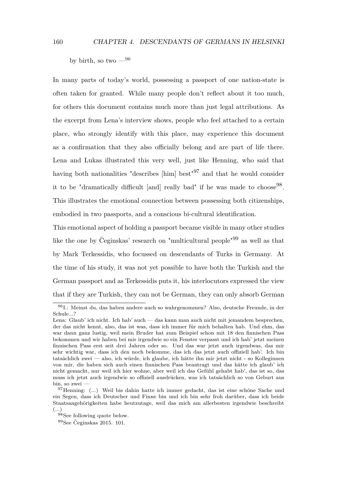# by birth, so two  $-$ <sup>96</sup>

In many parts of today's world, possessing a passport of one nation-state is often taken for granted. While many people don't reflect about it too much, for others this document contains much more than just legal attributions. As the excerpt from Lena's interview shows, people who feel attached to a certain place, who strongly identify with this place, may experience this document as a confirmation that they also officially belong and are part of life there. Lena and Lukas illustrated this very well, just like Henning, who said that having both nationalities "describes  $\left[\text{him}\right]$  best<sup> $.97$ </sup> and that he would consider it to be "dramatically difficult [and] really bad" if he was made to choose  $98$ . This illustrates the emotional connection between possessing both citizenships, embodied in two passports, and a conscious bi-cultural identification.

This emotional aspect of holding a passport became visible in many other studies like the one by Čeginskas' research on "multicultural people" $99$  as well as that by Mark Terkessidis, who focussed on descendants of Turks in Germany. At the time of his study, it was not yet possible to have both the Turkish and the German passport and as Terkessidis puts it, his interlocutors expressed the view that if they are Turkish, they can not be German, they can only absorb German

<sup>96</sup>I.: Meinst du, das haben andere auch so wahrgenommen? Also, deutsche Freunde, in der Schule...?

Lena: Glaub' ich nicht. Ich hab' auch — das kann man auch nicht mit jemandem besprechen, der das nicht kennt, also, das ist was, dass ich immer für mich behalten hab. Und ehm, das war dann ganz lustig, weil mein Bruder hat zum Beispiel schon mit 18 den finnischen Pass bekommen und wir haben bei mir irgendwie so ein Fenster verpasst und ich hab' jetzt meinen finnischen Pass erst seit drei Jahren oder so. Und das war jetzt auch irgendwas, das mir sehr wichtig war, dass ich den noch bekomme, das ich das jetzt auch offiziell hab'. Ich bin tatsächlich zwei — also, ich würde, ich glaube, ich hätte ihn mir jetzt nicht - so Kolleginnen von mir, die haben sich auch einen finnischen Pass beantragt und das hätte ich glaub' ich nicht gemacht, nur weil ich hier wohne, aber weil ich das Gefühl gehabt hab', das ist so, das muss ich jetzt auch irgendwie so offiziell ausdrücken, was ich tatsächlich so von Geburt aus

bin, so zwei — 97Henning: (...) Weil bis dahin hatte ich immer gedacht, das ist eine schöne Sache und ein Segen, dass ich Deutscher und Finne bin und ich bin sehr froh darüber, dass ich beide Staatsangehörigkeiten habe heutzutage, weil das mich am allerbesten irgendwie beschreibt (...)<br><sup>98</sup>See following quote below.<br><sup>99</sup>See Čeginskas 2015. 101.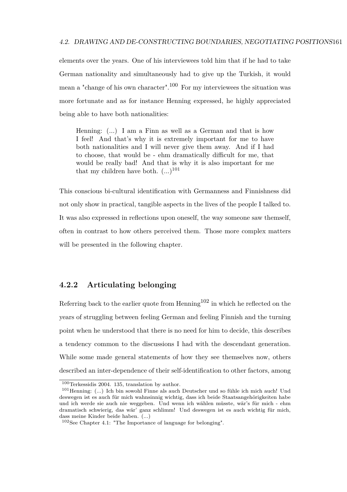elements over the years. One of his interviewees told him that if he had to take German nationality and simultaneously had to give up the Turkish, it would mean a "change of his own character".<sup>100</sup> For my interviewees the situation was more fortunate and as for instance Henning expressed, he highly appreciated being able to have both nationalities:

Henning: (...) I am a Finn as well as a German and that is how I feel! And that's why it is extremely important for me to have both nationalities and I will never give them away. And if I had to choose, that would be - ehm dramatically difficult for me, that would be really bad! And that is why it is also important for me that my children have both.  $(...)^{101}$ 

This conscious bi-cultural identification with Germanness and Finnishness did not only show in practical, tangible aspects in the lives of the people I talked to. It was also expressed in reflections upon oneself, the way someone saw themself, often in contrast to how others perceived them. Those more complex matters will be presented in the following chapter.

# **4.2.2 Articulating belonging**

Referring back to the earlier quote from Henning<sup>102</sup> in which he reflected on the years of struggling between feeling German and feeling Finnish and the turning point when he understood that there is no need for him to decide, this describes a tendency common to the discussions I had with the descendant generation. While some made general statements of how they see themselves now, others described an inter-dependence of their self-identification to other factors, among

 $^{100}\text{Terkessidis}$  2004. 135, translation by author.  $^{101}\text{Henning: } (\ldots)$  Ich bin sowohl Finne als auch Deutscher und so fühle ich mich auch! Und deswegen ist es auch für mich wahnsinnig wichtig, dass ich beide Staatsangehörigkeiten habe und ich werde sie auch nie weggeben. Und wenn ich wählen müsste, wär's für mich - ehm dramatisch schwierig, das wär' ganz schlimm! Und deswegen ist es auch wichtig für mich, dass meine Kinder beide haben. (...)

 $102$ See Chapter 4.1: "The Importance of language for belonging".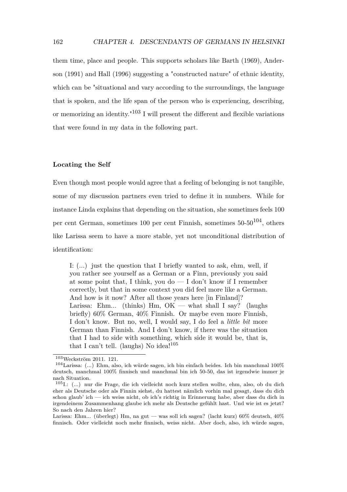them time, place and people. This supports scholars like Barth (1969), Anderson (1991) and Hall (1996) suggesting a "constructed nature" of ethnic identity, which can be "situational and vary according to the surroundings, the language that is spoken, and the life span of the person who is experiencing, describing, or memorizing an identity."<sup>103</sup> I will present the different and flexible variations that were found in my data in the following part.

#### **Locating the Self**

Even though most people would agree that a feeling of belonging is not tangible, some of my discussion partners even tried to define it in numbers. While for instance Linda explains that depending on the situation, she sometimes feels 100 per cent German, sometimes 100 per cent Finnish, sometimes  $50-50^{104}$ , others like Larissa seem to have a more stable, yet not unconditional distribution of identification:

I: (...) just the question that I briefly wanted to ask, ehm, well, if you rather see yourself as a German or a Finn, previously you said at some point that, I think, you do  $- I$  don't know if I remember correctly, but that in some context you did feel more like a German. And how is it now? After all those years here [in Finland]? Larissa: Ehm... (thinks) Hm, OK — what shall I say? (laughs briefly) 60% German, 40% Finnish. Or maybe even more Finnish, I don't know. But no, well, I would say, I do feel a *little bit* more German than Finnish. And I don't know, if there was the situation that I had to side with something, which side it would be, that is, that I can't tell. (laughs) No idea! $105$ 

 $^{103}\rm{Weckström}$ 2011. 121. 104 Larissa: (...) Ehm, also, ich würde sagen, ich bin einfach beides. Ich bin manchmal 100% deutsch, manchmal 100% finnisch und manchmal bin ich 50-50, das ist irgendwie immer je nach Situation.

<sup>105</sup>I.: (...) nur die Frage, die ich vielleicht noch kurz stellen wollte, ehm, also, ob du dich eher als Deutsche oder als Finnin siehst, du hattest nämlich vorhin mal gesagt, dass du dich schon glaub' ich — ich weiss nicht, ob ich's richtig in Erinnerung habe, aber dass du dich in irgendeinem Zusammenhang glaube ich mehr als Deutsche gefühlt hast. Und wie ist es jetzt? So nach den Jahren hier?

Larissa: Ehm... (überlegt) Hm, na gut — was soll ich sagen? (lacht kurz) 60% deutsch, 40% finnisch. Oder vielleicht noch mehr finnisch, weiss nicht. Aber doch, also, ich würde sagen,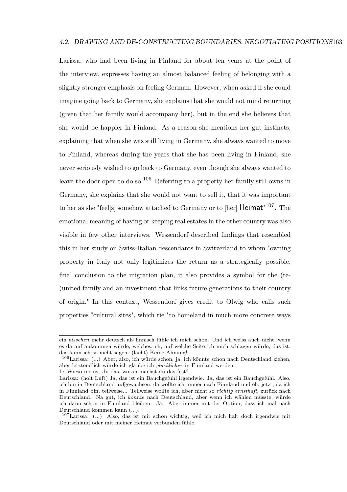Larissa, who had been living in Finland for about ten years at the point of the interview, expresses having an almost balanced feeling of belonging with a slightly stronger emphasis on feeling German. However, when asked if she could imagine going back to Germany, she explains that she would not mind returning (given that her family would accompany her), but in the end she believes that she would be happier in Finland. As a reason she mentions her gut instincts, explaining that when she was still living in Germany, she always wanted to move to Finland, whereas during the years that she has been living in Finland, she never seriously wished to go back to Germany, even though she always wanted to leave the door open to do so.<sup>106</sup> Referring to a property her family still owns in Germany, she explains that she would not want to sell it, that it was important to her as she "feel[s] somehow attached to Germany or to [her]  ${\sf Heimat}^{\rm n107}.$  The emotional meaning of having or keeping real estates in the other country was also visible in few other interviews. Wessendorf described findings that resembled this in her study on Swiss-Italian descendants in Switzerland to whom "owning property in Italy not only legitimizes the return as a strategically possible, final conclusion to the migration plan, it also provides a symbol for the (re- )united family and an investment that links future generations to their country of origin." In this context, Wessendorf gives credit to Olwig who calls such properties "cultural sites", which tie "to homeland in much more concrete ways

ein *bisschen* mehr deutsch als finnisch fühle ich mich schon. Und ich weiss auch nicht, wenn es darauf ankommen würde, welches, eh, auf welche Seite ich mich schlagen würde, das ist, das kann ich so nicht sagen. (lacht) Keine Ahnung!

<sup>106</sup>Larissa: (...) Aber, also, ich würde schon, ja, ich könnte schon nach Deutschland ziehen, aber letztendlich würde ich glaube ich *glücklicher* in Finnland werden.

I.: Wieso meinst du das, woran machst du das fest?

Larissa: (holt Luft) Ja, das ist ein Bauchgefühl irgendwie. Ja, das ist ein Bauchgefühl. Also, ich bin in Deutschland aufgewachsen, da wollte ich immer nach Finnland und eh, jetzt, da ich in Finnland bin, teilweise... Teilweise wollte ich, aber nicht so *richtig ernsthaft*, zurück nach Deutschland. Na gut, ich *könnte* nach Deutschland, aber wenn ich wählen müsste, würde ich dann schon in Finnland bleiben. Ja. Aber immer mit der Option, dass ich mal nach Deutschland kommen kann (...).

<sup>107</sup>Larissa: (...) Also, das ist mir schon wichtig, weil ich mich halt doch irgendwie mit Deutschland oder mit meiner Heimat verbunden fühle.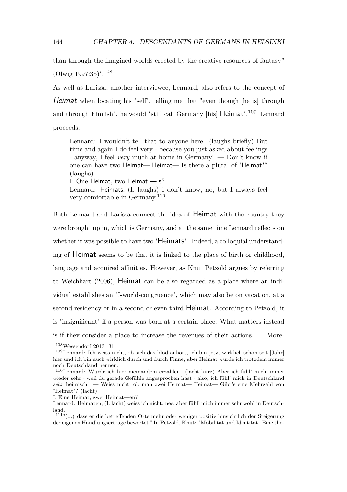than through the imagined worlds erected by the creative resources of fantasy"  $(Olwig 1997:35)$ ".<sup>108</sup>

As well as Larissa, another interviewee, Lennard, also refers to the concept of Heimat when locating his "self", telling me that "even though [he is] through and through Finnish", he would "still call Germany [his] Heimat".<sup>109</sup> Lennard proceeds:

Lennard: I wouldn't tell that to anyone here. (laughs briefly) But time and again I do feel very - because you just asked about feelings - anyway, I feel *very* much at home in Germany! — Don't know if one can have two Heimat— Heimat— Is there a plural of "Heimat"? (laughs) I: One Heimat, two Heimat — s?

Lennard: Heimats, (I. laughs) I don't know, no, but I always feel very comfortable in Germany.<sup>110</sup>

Both Lennard and Larissa connect the idea of Heimat with the country they were brought up in, which is Germany, and at the same time Lennard reflects on whether it was possible to have two "Heimats". Indeed, a colloquial understanding of Heimat seems to be that it is linked to the place of birth or childhood, language and acquired affinities. However, as Knut Petzold argues by referring to Weichhart (2006), Heimat can be also regarded as a place where an individual establishes an "I-world-congruence", which may also be on vacation, at a second residency or in a second or even third Heimat. According to Petzold, it is "insignificant" if a person was born at a certain place. What matters instead is if they consider a place to increase the revenues of their actions. $111$  More-

<sup>&</sup>lt;sup>108</sup>Wessendorf 2013. 31<br><sup>109</sup>Lennard: Ich weiss nicht, ob sich das blöd anhört, ich bin jetzt wirklich schon seit [Jahr] hier und ich bin auch wirklich durch und durch Finne, aber Heimat würde ich trotzdem immer noch Deutschland nennen.

<sup>110</sup>Lennard: Würde ich hier niemandem erzählen. (lacht kurz) Aber ich fühl' mich immer wieder sehr - weil du gerade Gefühle angesprochen hast - also, ich fühl' mich in Deutschland *sehr* heimisch! — Weiss nicht, ob man zwei Heimat— Heimat— Gibt's eine Mehrzahl von "Heimat"? (lacht)

I: Eine Heimat, zwei Heimat—en?

Lennard: Heimaten, (I. lacht) weiss ich nicht, nee, aber fühl' mich immer sehr wohl in Deutschland.

 $^{111}$ "(...) dass er die betreffenden Orte mehr oder weniger positiv hinsichtlich der Steigerung der eigenen Handlungserträge bewertet." In Petzold, Knut: "Mobilität und Identität. Eine the-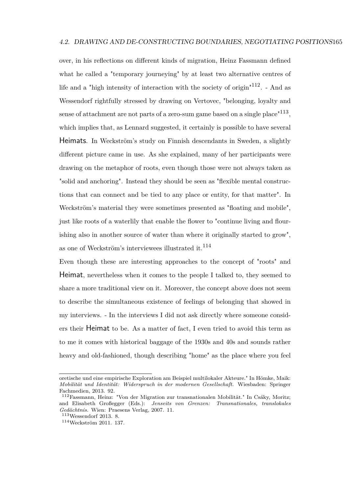over, in his reflections on different kinds of migration, Heinz Fassmann defined what he called a "temporary journeying" by at least two alternative centres of life and a "high intensity of interaction with the society of origin $112$ . - And as Wessendorf rightfully stressed by drawing on Vertovec, "belonging, loyalty and sense of attachment are not parts of a zero-sum game based on a single place<sup> $113$ </sup>, which implies that, as Lennard suggested, it certainly is possible to have several Heimats. In Weckström's study on Finnish descendants in Sweden, a slightly different picture came in use. As she explained, many of her participants were drawing on the metaphor of roots, even though those were not always taken as "solid and anchoring". Instead they should be seen as "flexible mental constructions that can connect and be tied to any place or entity, for that matter". In Weckström's material they were sometimes presented as "floating and mobile", just like roots of a waterlily that enable the flower to "continue living and flourishing also in another source of water than where it originally started to grow", as one of Weckström's interviewees illustrated it.  $^{114}$ 

Even though these are interesting approaches to the concept of "roots" and Heimat, nevertheless when it comes to the people I talked to, they seemed to share a more traditional view on it. Moreover, the concept above does not seem to describe the simultaneous existence of feelings of belonging that showed in my interviews. - In the interviews I did not ask directly where someone considers their Heimat to be. As a matter of fact, I even tried to avoid this term as to me it comes with historical baggage of the 1930s and 40s and sounds rather heavy and old-fashioned, though describing "home" as the place where you feel

oretische und eine empirische Exploration am Beispiel multilokaler Akteure." In Hömke, Maik: *Mobilität und Identität: Widerspruch in der modernen Gesellschaft.* Wiesbaden: Springer Fachmedien, 2013. 92.

<sup>112</sup>Fassmann, Heinz: "Von der Migration zur transnationalen Mobilität." In Csáky, Moritz; and Elisabeth Großegger (Eds.): *Jenseits von Grenzen: Transnationales, translokales*  $Gedächtnis.$  Wien: Praesens Verlag, 2007. 11.  $^{113}\text{Wessendorf}$  2013. 8.  $^{114}\text{Wekström}$  2011. 137.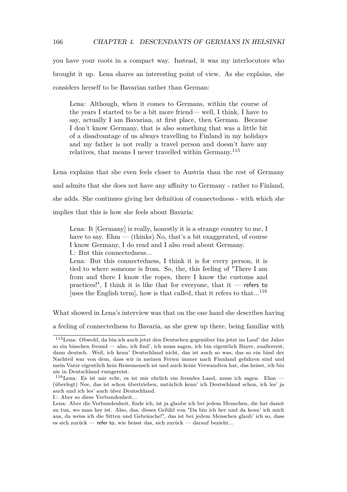you have your roots in a compact way. Instead, it was my interlocutors who brought it up. Lena shares an interesting point of view. As she explains, she considers herself to be Bavarian rather than German:

Lena: Although, when it comes to Germans, within the course of the years I started to be a bit more friend— well, I think, I have to say, actually I am Bavarian, at first place, then German. Because I don't know Germany, that is also something that was a little bit of a disadvantage of us always travelling to Finland in my holidays and my father is not really a travel person and doesn't have any relatives, that means I never travelled within Germany.<sup>115</sup>

Lena explains that she even feels closer to Austria than the rest of Germany and admits that she does not have any affinity to Germany - rather to Finland, she adds. She continues giving her definition of connectedness - with which she implies that this is how she feels about Bavaria:

Lena: It [Germany] is really, honestly it is a strange country to me, I have to say.  $Ehm$  — (thinks) No, that's a bit exaggerated, of course I know Germany, I do read and I also read about Germany. I.: But this connectedness...

Lena: But this connectedness, I think it is for every person, it is tied to where someone is from. So, the, this feeling of "There I am from and there I know the ropes, there I know the customs and practices!", I think it is like that for everyone, that it — refers to [uses the English term], how is that called, that it refers to that...<sup>116</sup>

What showed in Lena's interview was that on the one hand she describes having

a feeling of connectedness to Bavaria, as she grew up there, being familiar with

<sup>115</sup>Lena: Obwohl, da bin ich auch jetzt den Deutschen gegenüber bin jetzt im Lauf' der Jahre so ein bisschen freund — also, ich find', ich muss sagen, ich bin eigentlich Bayer, zuallererst, dann deutsch. Weil, ich kenn' Deutschland nicht, das ist auch so was, das so ein bissl der Nachteil war von dem, dass wir in meinen Ferien immer nach Finnland gefahren sind und mein Vater eigentlich kein Reisemensch ist und auch keine Verwandten hat, das heisst, ich bin nie in Deutschland rumgereist.

 $116$ Lena: Es ist mir echt, es ist mir ehrlich ein fremdes Land, muss ich sagen. Ehm  $-$ (überlegt) Nee, das ist schon übertrieben, natürlich kenn' ich Deutschland schon, ich les' ja auch und ich les' auch über Deutschland.

I.: Aber so diese Verbundenheit...

Lena: Aber die Verbundenheit, finde ich, ist ja glaube ich bei jedem Menschen, die hat damit zu tun, wo man her ist. Also, das, dieses Gefühl von "Da bin ich her und da kenn' ich mich aus, da weiss ich die Sitten und Gebräuche!", das ist bei jedem Menschen glaub' ich so, dass es sich zurück — refer to, wie heisst das, sich zurück — darauf bezieht...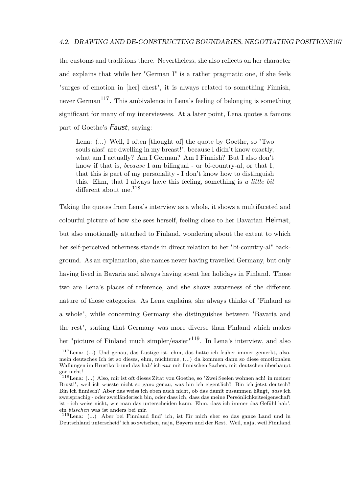the customs and traditions there. Nevertheless, she also reflects on her character and explains that while her "German I" is a rather pragmatic one, if she feels "surges of emotion in [her] chest", it is always related to something Finnish, never German<sup>117</sup>. This ambivalence in Lena's feeling of belonging is something significant for many of my interviewees. At a later point, Lena quotes a famous part of Goethe's **Faust**, saying:

Lena: (...) Well, I often [thought of] the quote by Goethe, so "Two souls alas! are dwelling in my breast!", because I didn't know exactly, what am I actually? Am I German? Am I Finnish? But I also don't know if that is, *because* I am bilingual - or bi-country-al, or that I, that this is part of my personality - I don't know how to distinguish this. Ehm, that I always have this feeling, something is *a little bit* different about me.<sup>118</sup>

Taking the quotes from Lena's interview as a whole, it shows a multifaceted and colourful picture of how she sees herself, feeling close to her Bavarian Heimat, but also emotionally attached to Finland, wondering about the extent to which her self-perceived otherness stands in direct relation to her "bi-country-al" background. As an explanation, she names never having travelled Germany, but only having lived in Bavaria and always having spent her holidays in Finland. Those two are Lena's places of reference, and she shows awareness of the different nature of those categories. As Lena explains, she always thinks of "Finland as a whole", while concerning Germany she distinguishes between "Bavaria and the rest", stating that Germany was more diverse than Finland which makes her "picture of Finland much simpler/easier<sup>"119</sup>. In Lena's interview, and also

 $117$ Lena: (...) Und genau, das Lustige ist, ehm, das hatte ich früher immer gemerkt, also, mein deutsches Ich ist so dieses, ehm, nüchterne, (...) da kommen dann so diese emotionalen Wallungen im Brustkorb und das hab' ich *nur* mit finnischen Sachen, mit deutschen überhaupt

gar nicht! <sup>118</sup>Lena: (...) Also, mir ist oft dieses Zitat von Goethe, so "Zwei Seelen wohnen ach! in meiner Brust!", weil ich wusste nicht so ganz genau, was bin ich eigentlich? Bin ich jetzt deutsch? Bin ich finnisch? Aber das weiss ich eben auch nicht, ob das damit zusammen hängt, *dass* ich zweisprachig - oder zweiländerisch bin, oder dass ich, dass das meine Persönlichkeitseigenschaft ist - ich weiss nicht, wie man das unterscheiden kann. Ehm, dass ich immer das Gefühl hab', ein  $bisschen$  was ist anders bei mir.

<sup>&</sup>lt;sup>119</sup>Lena: (...) Aber bei Finnland find' ich, ist für mich eher so das ganze Land und in Deutschland unterscheid' ich so zwischen, naja, Bayern und der Rest. Weil, naja, weil Finnland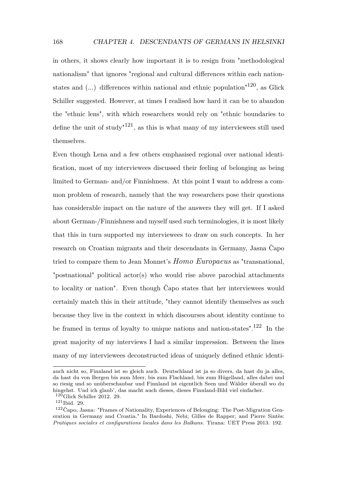in others, it shows clearly how important it is to resign from "methodological nationalism" that ignores "regional and cultural differences within each nationstates and  $(...)$  differences within national and ethnic population<sup> $120$ </sup>, as Glick Schiller suggested. However, at times I realised how hard it can be to abandon the "ethnic lens", with which researchers would rely on "ethnic boundaries to define the unit of study<sup> $121$ </sup>, as this is what many of my interviewees still used themselves.

Even though Lena and a few others emphasised regional over national identification, most of my interviewees discussed their feeling of belonging as being limited to German- and/or Finnishness. At this point I want to address a common problem of research, namely that the way researchers pose their questions has considerable impact on the nature of the answers they will get. If I asked about German-/Finnishness and myself used such terminologies, it is most likely that this in turn supported my interviewees to draw on such concepts. In her research on Croatian migrants and their descendants in Germany, Jasna Čapo tried to compare them to Jean Monnet's *Homo Europaeus* as "transnational, "postnational" political actor(s) who would rise above parochial attachments to locality or nation". Even though Capo states that her interviewees would certainly match this in their attitude, "they cannot identify themselves as such because they live in the context in which discourses about identity continue to be framed in terms of loyalty to unique nations and nation-states".<sup>122</sup> In the great majority of my interviews I had a similar impression. Between the lines many of my interviewees deconstructed ideas of uniquely defined ethnic identi-

auch nicht so, Finnland ist so gleich auch. Deutschland ist ja so divers, da hast du ja alles, da hast du von Bergen bis zum Meer, bis zum Flachland, bis zum Hügelland, alles dabei und so riesig und so unüberschaubar und Finnland ist eigentlich Seen und Wälder überall wo du hingehst. Und ich glaub', das macht auch dieses, dieses Finnland-Bild viel einfacher. $^{120}\rm{Glick}$  Schiller 2012. 29.

 $121$  [bid. 29. 122] Capo, Jasna: "Frames of Nationality, Experiences of Belonging: The Post-Migration Generation in Germany and Croatia." In Bardoshi, Nebi; Gilles de Rapper; and Pierre Sintès: *Pratiques sociales et configurations locales dans les Balkans.* Tirana: UET Press 2013. 192.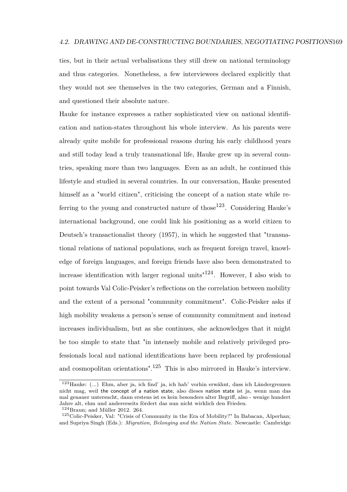ties, but in their actual verbalisations they still drew on national terminology and thus categories. Nonetheless, a few interviewees declared explicitly that they would not see themselves in the two categories, German and a Finnish, and questioned their absolute nature.

Hauke for instance expresses a rather sophisticated view on national identification and nation-states throughout his whole interview. As his parents were already quite mobile for professional reasons during his early childhood years and still today lead a truly transnational life, Hauke grew up in several countries, speaking more than two languages. Even as an adult, he continued this lifestyle and studied in several countries. In our conversation, Hauke presented himself as a "world citizen", criticising the concept of a nation state while referring to the young and constructed nature of those<sup>123</sup>. Considering Hauke's international background, one could link his positioning as a world citizen to Deutsch's transactionalist theory (1957), in which he suggested that "transnational relations of national populations, such as frequent foreign travel, knowledge of foreign languages, and foreign friends have also been demonstrated to increase identification with larger regional units<sup> $124$ </sup>. However, I also wish to point towards Val Colic-Peisker's reflections on the correlation between mobility and the extent of a personal "community commitment". Colic-Peisker asks if high mobility weakens a person's sense of community commitment and instead increases individualism, but as she continues, she acknowledges that it might be too simple to state that "in intensely mobile and relatively privileged professionals local and national identifications have been replaced by professional and cosmopolitan orientations".<sup>125</sup> This is also mirrored in Hauke's interview.

<sup>123</sup>Hauke: (...) Ehm, aber ja, ich find' ja, ich hab' vorhin erwähnt, dass ich Ländergrenzen nicht mag, weil the concept of a nation state, also dieses nation state ist ja, wenn man das mal genauer untersucht, dann erstens ist es kein besonders alter Begriff, also - wenige hundert Jahre alt, ehm und andererseits fördert das nun nicht wirklich den Frieden. $^{124}\rm{Braun;}$  and Müller 2012. 264.

 $^{125}\mathrm{Colic-Peisker.}$  Val: "Crisis of Community in the Era of Mobility?" In Babacan, Alperhan; and Supriya Singh (Eds.): *Migration, Belonging and the Nation State.* Newcastle: Cambridge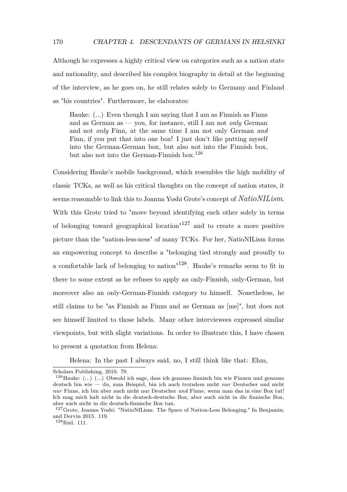Although he expresses a highly critical view on categories such as a nation state and nationality, and described his complex biography in detail at the beginning of the interview, as he goes on, he still relates solely to Germany and Finland as "his countries". Furthermore, he elaborates:

Hauke: (...) Even though I am saying that I am as Finnish as Finns and as German as — you, for instance, still I am not *only* German and not *only* Finn, at the same time I am not only German *and* Finn, if you put that into one box! I just don't like putting myself into the German-German box, but also not into the Finnish box, but also not into the German-Finnish box.<sup>126</sup>

Considering Hauke's mobile background, which resembles the high mobility of classic TCKs, as well as his critical thoughts on the concept of nation states, it seems reasonable to link this to Joanna Yoshi Grote's concept of *NatioNILism*. With this Grote tried to "move beyond identifying each other solely in terms of belonging toward geographical location<sup> $127$ </sup> and to create a more positive picture than the "nation-less-ness" of many TCKs. For her, NatioNILism forms an empowering concept to describe a "belonging tied strongly and proudly to a comfortable lack of belonging to nation"128. Hauke's remarks seem to fit in there to some extent as he refuses to apply an only-Finnish, only-German, but moreover also an only-German-Finnish category to himself. Nonetheless, he still claims to be "as Finnish as Finns and as German as [me]", but does not see himself limited to those labels. Many other interviewees expressed similar viewpoints, but with slight variations. In order to illustrate this, I have chosen to present a quotation from Helena:

Helena: In the past I always said, no, I still think like that: Ehm,

Scholars Publishing, 2010. 79.

<sup>126</sup>Hauke: (...) (...) Obwohl ich sage, dass ich genauso finnisch bin wie Finnen und genauso deutsch bin wie — du, zum Beispiel, bin ich auch trotzdem nicht *nur* Deutscher und nicht *nur* Finne, ich bin aber auch nicht nur Deutscher *und* Finne, wenn man das in eine Box tut! Ich mag mich halt nicht in die deutsch-deutsche Box, aber auch nicht in die finnische Box, aber auch nicht in die deutsch-finnische Box tun.

<sup>127</sup>Grote, Joanna Yoshi: "NatioNILism: The Space of Nation-Less Belonging." In Benjamin; and Dervin 2015. 119.

<sup>128</sup>Ibid. 111.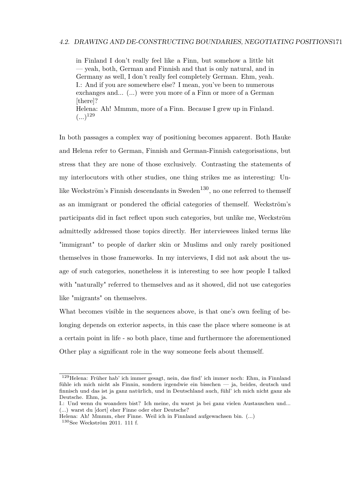in Finland I don't really feel like a Finn, but somehow a little bit — yeah, both, German and Finnish and that is only natural, and in Germany as well, I don't really feel completely German. Ehm, yeah. I.: And if you are somewhere else? I mean, you've been to numerous exchanges and... (...) were you more of a Finn or more of a German [there]?

Helena: Ah! Mmmm, more of a Finn. Because I grew up in Finland.  $(...)^{129}$ 

In both passages a complex way of positioning becomes apparent. Both Hauke and Helena refer to German, Finnish and German-Finnish categorisations, but stress that they are none of those exclusively. Contrasting the statements of my interlocutors with other studies, one thing strikes me as interesting: Unlike Weckström's Finnish descendants in Sweden<sup>130</sup>, no one referred to themself as an immigrant or pondered the official categories of themself. Weckström's participants did in fact reflect upon such categories, but unlike me, Weckström admittedly addressed those topics directly. Her interviewees linked terms like "immigrant" to people of darker skin or Muslims and only rarely positioned themselves in those frameworks. In my interviews, I did not ask about the usage of such categories, nonetheless it is interesting to see how people I talked with "naturally" referred to themselves and as it showed, did not use categories like "migrants" on themselves.

What becomes visible in the sequences above, is that one's own feeling of belonging depends on exterior aspects, in this case the place where someone is at a certain point in life - so both place, time and furthermore the aforementioned Other play a significant role in the way someone feels about themself.

<sup>129</sup>Helena: Früher hab' ich immer gesagt, nein, das find' ich immer noch: Ehm, in Finnland fühle ich mich nicht als Finnin, sondern irgendwie ein bisschen — ja, beides, deutsch und finnisch und das ist ja ganz natürlich, und in Deutschland auch, fühl' ich mich nicht ganz als Deutsche. Ehm, ja.

I.: Und wenn du woanders bist? Ich meine, du warst ja bei ganz vielen Austauschen und... (...) warst du [dort] eher Finne oder eher Deutsche?

Helena: Ah! Mmmm, eher Finne. Weil ich in Finnland aufgewachsen bin. (...) <sup>130</sup>See Weckström 2011. 111 f.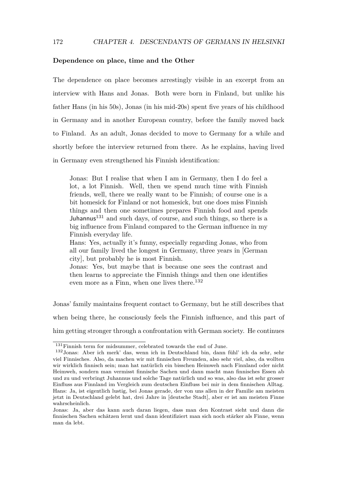### **Dependence on place, time and the Other**

The dependence on place becomes arrestingly visible in an excerpt from an interview with Hans and Jonas. Both were born in Finland, but unlike his father Hans (in his 50s), Jonas (in his mid-20s) spent five years of his childhood in Germany and in another European country, before the family moved back to Finland. As an adult, Jonas decided to move to Germany for a while and shortly before the interview returned from there. As he explains, having lived in Germany even strengthened his Finnish identification:

Jonas: But I realise that when I am in Germany, then I do feel a lot, a lot Finnish. Well, then we spend much time with Finnish friends, well, there we really want to be Finnish; of course one is a bit homesick for Finland or not homesick, but one does miss Finnish things and then one sometimes prepares Finnish food and spends Juhannus<sup>131</sup> and such days, of course, and such things, so there is a big influence from Finland compared to the German influence in my Finnish everyday life.

Hans: Yes, actually it's funny, especially regarding Jonas, who from all our family lived the longest in Germany, three years in [German city], but probably he is most Finnish.

Jonas: Yes, but maybe that is because one sees the contrast and then learns to appreciate the Finnish things and then one identifies even more as a Finn, when one lives there.<sup>132</sup>

Jonas' family maintains frequent contact to Germany, but he still describes that when being there, he consciously feels the Finnish influence, and this part of him getting stronger through a confrontation with German society. He continues

<sup>&</sup>lt;sup>131</sup>Finnish term for midsummer, celebrated towards the end of June.<br><sup>132</sup>Jonas: Aber ich merk' das, wenn ich in Deutschland bin, dann fühl' ich da sehr, sehr viel Finnisches. Also, da machen wir mit finnischen Freunden, also sehr viel, also, da wollten wir wirklich finnisch sein; man hat natürlich ein bisschen Heimweh nach Finnland oder nicht Heimweh, sondern man vermisst finnische Sachen und dann macht man finnisches Essen ab und zu und verbringt Juhannus und solche Tage natürlich und so was, also das ist sehr grosser Einfluss aus Finnland im Vergleich zum deutschen Einfluss bei mir in dem finnischen Alltag. Hans: Ja, ist eigentlich lustig, bei Jonas gerade, der von uns allen in der Familie am meisten jetzt in Deutschland gelebt hat, drei Jahre in [deutsche Stadt], aber er ist am meisten Finne wahrscheinlich.

Jonas: Ja, aber das kann auch daran liegen, dass man den Kontrast sieht und dann die finnischen Sachen schätzen lernt und dann identifiziert man sich noch stärker als Finne, wenn man da lebt.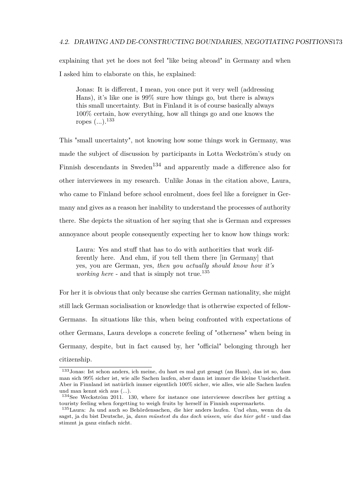explaining that yet he does not feel "like being abroad" in Germany and when I asked him to elaborate on this, he explained:

Jonas: It is different, I mean, you once put it very well (addressing Hans), it's like one is 99% sure how things go, but there is always this small uncertainty. But in Finland it is of course basically always 100% certain, how everything, how all things go and one knows the ropes  $(...).^{133}$ 

This "small uncertainty", not knowing how some things work in Germany, was made the subject of discussion by participants in Lotta Weckström's study on Finnish descendants in Sweden<sup>134</sup> and apparently made a difference also for other interviewees in my research. Unlike Jonas in the citation above, Laura, who came to Finland before school enrolment, does feel like a foreigner in Germany and gives as a reason her inability to understand the processes of authority there. She depicts the situation of her saying that she is German and expresses annoyance about people consequently expecting her to know how things work:

Laura: Yes and stuff that has to do with authorities that work differently here. And ehm, if you tell them there [in Germany] that yes, you are German, yes, *then you actually should know how it's working here* - and that is simply not true.<sup>135</sup>

For her it is obvious that only because she carries German nationality, she might still lack German socialisation or knowledge that is otherwise expected of fellow-Germans. In situations like this, when being confronted with expectations of other Germans, Laura develops a concrete feeling of "otherness" when being in Germany, despite, but in fact caused by, her "official" belonging through her citizenship.

<sup>133</sup>Jonas: Ist schon anders, ich meine, du hast es mal gut gesagt (an Hans), das ist so, dass man sich 99% sicher ist, wie alle Sachen laufen, aber dann ist immer die kleine Unsicherheit. Aber in Finnland ist natürlich immer eigentlich 100% sicher, wie alles, wie alle Sachen laufen und man kennt sich aus (...).

<sup>134</sup>See Weckström 2011. 130, where for instance one interviewee describes her getting a touristy feeling when forgetting to weigh fruits by herself in Finnish supermarkets.

<sup>135</sup>Laura: Ja und auch so Behördensachen, die hier anders laufen. Und ehm, wenn du da sagst, ja du bist Deutsche, ja, *dann müsstest du das doch wissen, wie das hier geht* - und das stimmt ja ganz einfach nicht.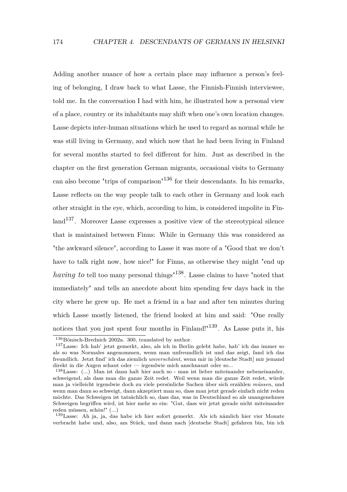Adding another nuance of how a certain place may influence a person's feeling of belonging, I draw back to what Lasse, the Finnish-Finnish interviewee, told me. In the conversation I had with him, he illustrated how a personal view of a place, country or its inhabitants may shift when one's own location changes. Lasse depicts inter-human situations which he used to regard as normal while he was still living in Germany, and which now that he had been living in Finland for several months started to feel different for him. Just as described in the chapter on the first generation German migrants, occasional visits to Germany can also become "trips of comparison"<sup>136</sup> for their descendants. In his remarks, Lasse reflects on the way people talk to each other in Germany and look each other straight in the eye, which, according to him, is considered impolite in Finland<sup>137</sup>. Moreover Lasse expresses a positive view of the stereotypical silence that is maintained between Finns: While in Germany this was considered as "the awkward silence", according to Lasse it was more of a "Good that we don't have to talk right now, how nice!" for Finns, as otherwise they might "end up *having to* tell too many personal things<sup>"138</sup>. Lasse claims to have "noted that immediately" and tells an anecdote about him spending few days back in the city where he grew up. He met a friend in a bar and after ten minutes during which Lasse mostly listened, the friend looked at him and said: "One really notices that you just spent four months in Finland!<sup> $139$ </sup>. As Lasse puts it, his

<sup>&</sup>lt;sup>136</sup>Bönisch-Brednich 2002a. 300, translated by author.<br><sup>137</sup>Lasse: Ich hab' jetzt gemerkt, also, als ich in Berlin gelebt habe, hab' ich das immer so als so was Normales angenommen, wenn man unfreundlich ist und das zeigt, fand ich das freundlich. Jetzt find' ich das ziemlich *unverschämt*, wenn mir in [deutsche Stadt] mir jemand direkt in die Augen schaut oder — irgendwie mich anschnauzt oder so...

<sup>138</sup>Lasse: (...) Man ist dann halt hier auch so - man ist lieber miteinander nebeneinander, schweigend, als dass man die ganze Zeit redet. Weil wenn man die ganze Zeit redet, würde man ja vielleicht irgendwie doch zu viele persönliche Sachen über sich erzählen *müssen*, und wenn man dann so schweigt, dann akzeptiert man so, dass man jetzt gerade einfach nicht reden möchte. Das Schweigen ist tatsächlich so, dass das, was in Deutschland so als unangenehmes Schweigen begriffen wird, ist hier mehr so ein: "Gut, dass wir jetzt gerade nicht miteinander reden müssen, schön!" (...)

<sup>139</sup>Lasse: Ah ja, ja, das habe ich hier sofort gemerkt. Als ich nämlich hier vier Monate verbracht habe und, also, am Stück, und dann nach [deutsche Stadt] gefahren bin, bin ich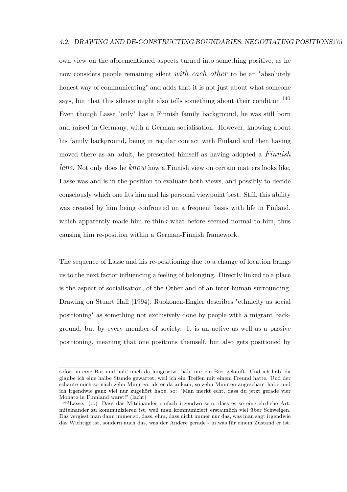own view on the aforementioned aspects turned into something positive, as he now considers people remaining silent *with each other* to be an "absolutely honest way of communicating" and adds that it is not just about what someone says, but that this silence might also tells something about their condition.  $^{140}\,$ Even though Lasse "only" has a Finnish family background, he was still born and raised in Germany, with a German socialisation. However, knowing about his family background, being in regular contact with Finland and then having moved there as an adult, he presented himself as having adopted a *Finnish lens*. Not only does he *know* how a Finnish view on certain matters looks like, Lasse was and is in the position to evaluate both views, and possibly to decide consciously which one fits him and his personal viewpoint best. Still, this ability was created by him being confronted on a frequent basis with life in Finland, which apparently made him re-think what before seemed normal to him, thus causing him re-position within a German-Finnish framework.

The sequence of Lasse and his re-positioning due to a change of location brings us to the next factor influencing a feeling of belonging. Directly linked to a place is the aspect of socialisation, of the Other and of an inter-human surrounding. Drawing on Stuart Hall (1994), Ruokonen-Engler describes "ethnicity as social positioning" as something not exclusively done by people with a migrant background, but by every member of society. It is an active as well as a passive positioning, meaning that one positions themself, but also gets positioned by

sofort in eine Bar und hab' mich da hingesetzt, hab' mir ein Bier gekauft. Und ich hab' da glaube ich eine halbe Stunde gewartet, weil ich ein Treffen mit einem Freund hatte. Und der schaute mich so nach zehn Minuten, als er da ankam, so zehn Minuten angeschaut habe und ich irgendwie ganz viel nur zugehört habe, so: "Man merkt echt, dass du jetzt gerade vier Monate in Finnland warst!" (lacht)

<sup>140</sup>Lasse: (...) Dass das Miteinander einfach irgendwo sein, dass es so eine ehrliche Art, miteinander zu kommunizieren ist, weil man kommuniziert erstaunlich viel über Schweigen. Das vergisst man dann immer so, dass, ehm, dass nicht immer nur das, was man sagt irgendwie das Wichtige ist, sondern auch das, was der Andere gerade - in was für einem Zustand er ist.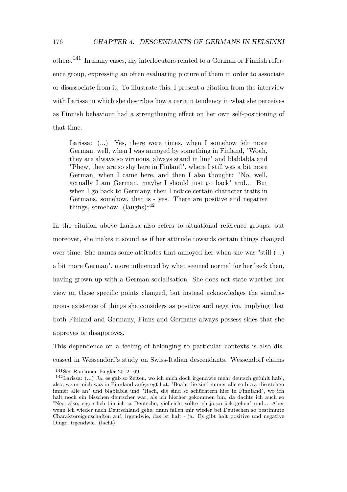others.<sup>141</sup> In many cases, my interlocutors related to a German or Finnish reference group, expressing an often evaluating picture of them in order to associate or disassociate from it. To illustrate this, I present a citation from the interview with Larissa in which she describes how a certain tendency in what she perceives as Finnish behaviour had a strengthening effect on her own self-positioning of that time.

Larissa:  $(...)$  Yes, there were times, when I somehow felt more German, well, when I was annoyed by something in Finland, "Woah, they are always so virtuous, always stand in line" and blablabla and "Phew, they are so shy here in Finland", where I still was a bit more German, when I came here, and then I also thought: "No, well, actually I am German, maybe I should just go back" and... But when I go back to Germany, then I notice certain character traits in Germans, somehow, that is - yes. There are positive and negative things, somehow.  $(laughs)^{142}$ 

In the citation above Larissa also refers to situational reference groups, but moreover, she makes it sound as if her attitude towards certain things changed over time. She names some attitudes that annoyed her when she was "still (...) a bit more German", more influenced by what seemed normal for her back then, having grown up with a German socialisation. She does not state whether her view on those specific points changed, but instead acknowledges the simultaneous existence of things she considers as positive and negative, implying that both Finland and Germany, Finns and Germans always possess sides that she approves or disapproves.

This dependence on a feeling of belonging to particular contexts is also discussed in Wessendorf's study on Swiss-Italian descendants. Wessendorf claims

 $^{141}\text{See Ruokonen-Engler 2012.}$ 69. 142 Larissa: (...) Ja, es gab so Zeiten, wo ich mich doch irgendwie mehr deutsch gefühlt hab', also, wenn mich was in Finnland aufgeregt hat, "Boah, die sind immer alle so brav, die stehen immer alle an" und blablabla und "Hach, die sind so schüchtern hier in Finnland", wo ich halt noch ein bisschen deutscher war, als ich hierher gekommen bin, da dachte ich auch so "Nee, also, eigentlich bin ich ja Deutsche, vielleicht sollte ich ja zurück gehen" und... Aber wenn ich wieder nach Deutschland gehe, dann fallen mir wieder bei Deutschen so bestimmte Charaktereigenschaften auf, irgendwie, das ist halt - ja. Es gibt halt positive und negative Dinge, irgendwie. (lacht)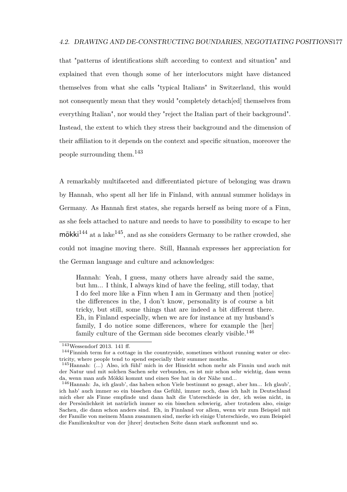that "patterns of identifications shift according to context and situation" and explained that even though some of her interlocutors might have distanced themselves from what she calls "typical Italians" in Switzerland, this would not consequently mean that they would "completely detach[ed] themselves from everything Italian", nor would they "reject the Italian part of their background". Instead, the extent to which they stress their background and the dimension of their affiliation to it depends on the context and specific situation, moreover the people surrounding them.<sup>143</sup>

A remarkably multifaceted and differentiated picture of belonging was drawn by Hannah, who spent all her life in Finland, with annual summer holidays in Germany. As Hannah first states, she regards herself as being more of a Finn, as she feels attached to nature and needs to have to possibility to escape to her mökki<sup>144</sup> at a lake<sup>145</sup>, and as she considers Germany to be rather crowded, she could not imagine moving there. Still, Hannah expresses her appreciation for the German language and culture and acknowledges:

Hannah: Yeah, I guess, many others have already said the same, but hm... I think, I always kind of have the feeling, still today, that I do feel more like a Finn when I am in Germany and then [notice] the differences in the, I don't know, personality is of course a bit tricky, but still, some things that are indeed a bit different there. Eh, in Finland especially, when we are for instance at my husband's family, I do notice some differences, where for example the [her] family culture of the German side becomes clearly visible.<sup>146</sup>

<sup>&</sup>lt;sup>143</sup>Wessendorf 2013. 141 ff.<br><sup>144</sup>Finnish term for a cottage in the countryside, sometimes without running water or electricity, where people tend to spend especially their summer months.

<sup>145</sup>Hannah: (...) Also, ich fühl' mich in der Hinsicht schon mehr als Finnin und auch mit der Natur und mit solchen Sachen sehr verbunden, es ist mir schon sehr wichtig, dass wenn da, wenn man aufs Mökki kommt und einen See hat in der Nähe und...

<sup>146</sup>Hannah: Ja, ich glaub', das haben schon Viele bestimmt so gesagt, aber hm... Ich glaub', ich hab' auch immer so ein bisschen das Gefühl, immer noch, dass ich halt in Deutschland mich eher als Finne empfinde und dann halt die Unterschiede in der, ich weiss nicht, in der Persönlichkeit ist natürlich immer so ein bisschen schwierig, aber trotzdem also, einige Sachen, die dann schon anders sind. Eh, in Finnland vor allem, wenn wir zum Beispiel mit der Familie von meinem Mann zusammen sind, merke ich einige Unterschiede, wo zum Beispiel die Familienkultur von der [ihrer] deutschen Seite dann stark aufkommt und so.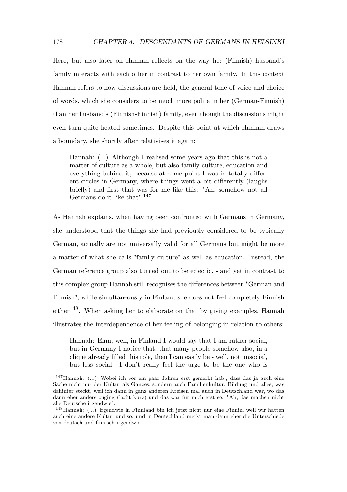Here, but also later on Hannah reflects on the way her (Finnish) husband's family interacts with each other in contrast to her own family. In this context Hannah refers to how discussions are held, the general tone of voice and choice of words, which she considers to be much more polite in her (German-Finnish) than her husband's (Finnish-Finnish) family, even though the discussions might even turn quite heated sometimes. Despite this point at which Hannah draws a boundary, she shortly after relativises it again:

Hannah: (...) Although I realised some years ago that this is not a matter of culture as a whole, but also family culture, education and everything behind it, because at some point I was in totally different circles in Germany, where things went a bit differently (laughs briefly) and first that was for me like this: "Ah, somehow not all Germans do it like that".<sup>147</sup>

As Hannah explains, when having been confronted with Germans in Germany, she understood that the things she had previously considered to be typically German, actually are not universally valid for all Germans but might be more a matter of what she calls "family culture" as well as education. Instead, the German reference group also turned out to be eclectic, - and yet in contrast to this complex group Hannah still recognises the differences between "German and Finnish", while simultaneously in Finland she does not feel completely Finnish either<sup>148</sup>. When asking her to elaborate on that by giving examples, Hannah illustrates the interdependence of her feeling of belonging in relation to others:

Hannah: Ehm, well, in Finland I would say that I am rather social, but in Germany I notice that, that many people somehow also, in a clique already filled this role, then I can easily be - well, not unsocial, but less social. I don't really feel the urge to be the one who is

 $^{147}\mathrm{Hannah:}$  (...) Wobei ich vor ein paar Jahren erst gemerkt hab', dass das ja auch eine Sache nicht nur der Kultur als Ganzes, sondern auch Familienkultur, Bildung und alles, was dahinter steckt, weil ich dann in ganz anderen Kreisen mal auch in Deutschland war, wo das dann eher anders zuging (lacht kurz) und das war für mich erst so: "Ah, das machen nicht alle Deutsche irgendwie".

<sup>148</sup>Hannah: (...) irgendwie in Finnland bin ich jetzt nicht nur eine Finnin, weil wir hatten auch eine andere Kultur und so, und in Deutschland merkt man dann eher die Unterschiede von deutsch und finnisch irgendwie.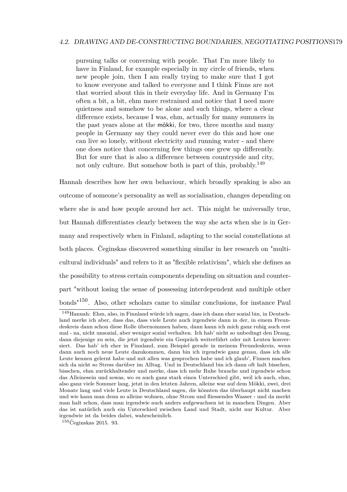## 4.2. DRAWING AND DE-CONSTRUCTING BOUNDARIES, NEGOTIATING POSITIONS179

pursuing talks or conversing with people. That I'm more likely to have in Finland, for example especially in my circle of friends, when new people join, then I am really trying to make sure that I got to know everyone and talked to everyone and I think Finns are not that worried about this in their everyday life. And in Germany I'm often a bit, a bit, ehm more restrained and notice that I need more quietness and somehow to be alone and such things, where a clear difference exists, because I was, ehm, actually for many summers in the past years alone at the mökki, for two, three months and many people in Germany say they could never ever do this and how one can live so lonely, without electricity and running water - and there one does notice that concerning few things one grew up differently. But for sure that is also a difference between countryside and city, not only culture. But somehow both is part of this, probably.<sup>149</sup>

Hannah describes how her own behaviour, which broadly speaking is also an outcome of someone's personality as well as socialisation, changes depending on where she is and how people around her act. This might be universally true, but Hannah differentiates clearly between the way she acts when she is in Germany and respectively when in Finland, adapting to the social constellations at both places. Ceginskas discovered something similar in her research on "multicultural individuals" and refers to it as "flexible relativism", which she defines as the possibility to stress certain components depending on situation and counterpart "without losing the sense of possessing interdependent and multiple other bonds"150. Also, other scholars came to similar conclusions, for instance Paul

<sup>149</sup>Hannah: Ehm, also, in Finnland würde ich sagen, dass ich dann eher sozial bin, in Deutschland merke ich aber, dass das, dass viele Leute auch irgendwie dann in der, in einem Freundeskreis dann schon diese Rolle übernommen haben, dann kann ich mich ganz ruhig auch erst mal - na, nicht unsozial, aber weniger sozial verhalten. Ich hab' nicht so unbedingt den Drang, dann diejenige zu sein, die jetzt irgendwie ein Gespräch weiterführt oder mit Leuten konversiert. Das hab' ich eher in Finnland, zum Beispiel gerade in meinem Freundeskreis, wenn dann auch noch neue Leute dazukommen, dann bin ich irgendwie ganz genau, dass ich alle Leute kennen gelernt habe und mit allen was gesprochen habe und ich glaub', Finnen machen sich da nicht so Stress darüber im Alltag. Und in Deutschland bin ich dann oft halt bisschen, bisschen, ehm zurückhaltender und merke, dass ich mehr Ruhe brauche und irgendwie schon das Alleinesein und sowas, wo es auch ganz stark einen Unterschied gibt, weil ich auch, ehm, also ganz viele Sommer lang, jetzt in den letzten Jahren, alleine war auf dem Mökki, zwei, drei Monate lang und viele Leute in Deutschland sagen, die könnten das überhaupt nicht machen und wie kann man denn so alleine wohnen, ohne Strom und fliessendes Wasser - und da merkt man halt schon, dass man irgendwie auch anders aufgewachsen ist in manchen Dingen. Aber das ist natürlich auch ein Unterschied zwischen Land und Stadt, nicht nur Kultur. Aber irgendwie ist da beides dabei, wahrscheinlich.

 $150$ Čeginskas 2015. 93.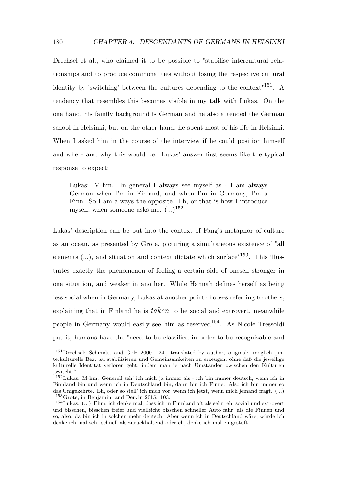Drechsel et al., who claimed it to be possible to "stabilise intercultural relationships and to produce commonalities without losing the respective cultural identity by 'switching' between the cultures depending to the context<sup> $151$ </sup>. A tendency that resembles this becomes visible in my talk with Lukas. On the one hand, his family background is German and he also attended the German school in Helsinki, but on the other hand, he spent most of his life in Helsinki. When I asked him in the course of the interview if he could position himself and where and why this would be. Lukas' answer first seems like the typical response to expect:

Lukas: M-hm. In general I always see myself as - I am always German when I'm in Finland, and when I'm in Germany, I'm a Finn. So I am always the opposite. Eh, or that is how I introduce myself, when someone asks me.  $(...)$ <sup>152</sup>

Lukas' description can be put into the context of Fang's metaphor of culture as an ocean, as presented by Grote, picturing a simultaneous existence of "all elements  $(...)$ , and situation and context dictate which surface<sup> $153$ </sup>. This illustrates exactly the phenomenon of feeling a certain side of oneself stronger in one situation, and weaker in another. While Hannah defines herself as being less social when in Germany, Lukas at another point chooses referring to others, explaining that in Finland he is *taken* to be social and extrovert, meanwhile people in Germany would easily see him as  $rese$ reserved<sup>154</sup>. As Nicole Tressoldi put it, humans have the "need to be classified in order to be recognizable and

 $151$  Drechsel; Schmidt; and Gölz 2000. 24., translated by author, original: möglich "interkulturelle Bez. zu stabilisieren und Gemeinsamkeiten zu erzeugen, ohne daß die jeweilige kulturelle Identität verloren geht, indem man je nach Umständen zwischen den Kulturen  $,\!$  switcht'."

 $^{152}\rm Lukas:$  M-hm. Generell seh' ich mich ja immer als - ich bin immer deutsch, wenn ich in Finnland bin und wenn ich in Deutschland bin, dann bin ich Finne. Also ich bin immer so das Umgekehrte. Eh, oder so stell' ich mich vor, wenn ich jetzt, wenn mich jemand fragt.  $(...)$ <sup>153</sup>Grote, in Benjamin; and Dervin 2015. 103.

 $154$ Lukas: (...) Ehm, ich denke mal, dass ich in Finnland oft als sehr, eh, sozial und extrovert und bisschen, bisschen freier und vielleicht bisschen schneller Auto fahr' als die Finnen und so, also, da bin ich in solchen mehr deutsch. Aber wenn ich in Deutschland wäre, würde ich denke ich mal sehr schnell als zurückhaltend oder eh, denke ich mal eingestuft.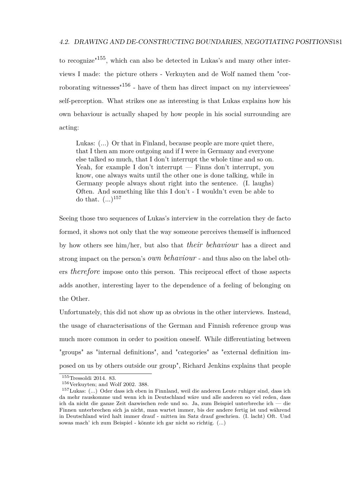to recognize"155, which can also be detected in Lukas's and many other interviews I made: the picture others - Verkuyten and de Wolf named them "corroborating witnesses<sup> $156$ </sup> - have of them has direct impact on my interviewees' self-perception. What strikes one as interesting is that Lukas explains how his own behaviour is actually shaped by how people in his social surrounding are acting:

Lukas:  $(...)$  Or that in Finland, because people are more quiet there, that I then am more outgoing and if I were in Germany and everyone else talked so much, that I don't interrupt the whole time and so on. Yeah, for example I don't interrupt — Finns don't interrupt, you know, one always waits until the other one is done talking, while in Germany people always shout right into the sentence. (I. laughs) Often. And something like this I don't-Iwouldn't even be able to do that.  $(...)^{157}$ 

Seeing those two sequences of Lukas's interview in the correlation they de facto formed, it shows not only that the way someone perceives themself is influenced by how others see him/her, but also that *their behaviour* has a direct and strong impact on the person's *own behaviour* - and thus also on the label others *therefore* impose onto this person. This reciprocal effect of those aspects adds another, interesting layer to the dependence of a feeling of belonging on the Other.

Unfortunately, this did not show up as obvious in the other interviews. Instead, the usage of characterisations of the German and Finnish reference group was much more common in order to position oneself. While differentiating between "groups" as "internal definitions", and "categories" as "external definition imposed on us by others outside our group", Richard Jenkins explains that people

<sup>&</sup>lt;sup>155</sup>Tressoldi 2014. 83.<br><sup>156</sup>Verkuyten; and Wolf 2002. 388.<br><sup>157</sup>Lukas: (...) Oder dass ich eben in Finnland, weil die anderen Leute ruhiger sind, dass ich da mehr rauskomme und wenn ich in Deutschland wäre und alle anderen so viel reden, dass ich da nicht die ganze Zeit dazwischen rede und so. Ja, zum Beispiel unterbreche ich — die Finnen unterbrechen sich ja nicht, man wartet immer, bis der andere fertig ist und während in Deutschland wird halt immer drauf - mitten im Satz drauf geschrien. (I. lacht) Oft. Und sowas mach' ich zum Beispiel - könnte ich gar nicht so richtig. (...)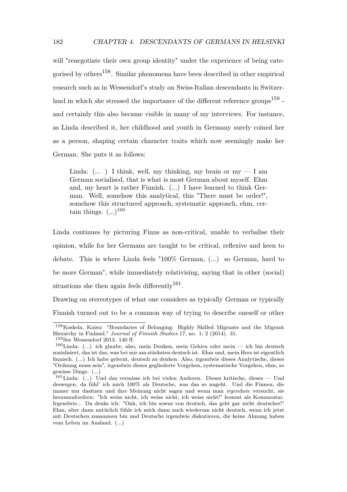will "renegotiate their own group identity" under the experience of being categorised by others<sup>158</sup>. Similar phenomena have been described in other empirical research such as in Wessendorf's study on Swiss-Italian descendants in Switzerland in which she stressed the importance of the different reference groups<sup>159</sup> and certainly this also became visible in many of my interviews. For instance, as Linda described it, her childhood and youth in Germany surely coined her as a person, shaping certain character traits which now seemingly make her German. She puts it as follows:

Linda:  $(...)$  I think, well, my thinking, my brain or my  $- I$  am German socialised, that is what is most German about myself. Ehm and, my heart is rather Finnish. (...) I have learned to think German. Well, somehow this analytical, this "There must be order!", somehow this structured approach, systematic approach, ehm, certain things.  $(...)$ <sup>160</sup>

Linda continues by picturing Finns as non-critical, unable to verbalise their opinion, while for her Germans are taught to be critical, reflexive and keen to debate. This is where Linda feels "100% German, (...) so German, hard to be more German", while immediately relativising, saying that in other (social) situations she then again feels differently<sup>161</sup>.

Drawing on stereotypes of what one considers as typically German or typically Finnish turned out to be a common way of trying to describe oneself or other

 $158$  Koskela, Kaisu: "Boundaries of Belonging: Highly Skilled Migrants and the Migrant Hierarchy in Finland." Journal of Finnish Studies 17, no. 1; 2 (2014). 31.

<sup>&</sup>lt;sup>159</sup> See Wessendorf 2013. 140 ff.<br><sup>160</sup> Linda: (...) ich glaube, also, mein Denken, mein Gehirn oder mein — ich bin deutsch sozialisiert, das ist das, was bei mir am stärksten deutsch ist. Ehm und, mein Herz ist eigentlich finnisch. (...) Ich habe gelernt, deutsch zu denken. Also, irgendwie dieses Analytische, dieses "Ordnung muss sein", irgendwie dieses gegliederte Vorgehen, systematische Vorgehen, ehm, so

gewisse Dinge. (...)<br><sup>161</sup>Linda: (...) Und das vermisse ich bei vielen Anderen. Dieses kritische, dieses — Und deswegen, da fühl' ich mich 100% als Deutsche, was das so angeht. Und die Finnen, die immer nur dasitzen und ihre Meinung nicht sagen und wenn man *irgendwie* versucht, sie herauszufordern: "Ich weiss nicht, ich weiss nicht, ich weiss nicht!" kommt als Kommentar. Irgendwie... Da denke ich: "Oah, ich bin sowas von deutsch, das geht gar nicht deutscher!" Ehm, aber dann natürlich fühle ich mich dann auch wiederum nicht deutsch, wenn ich jetzt mit Deutschen zusammen bin und Deutsche irgendwie diskutieren, die keine Ahnung haben vom Leben im Ausland. (...)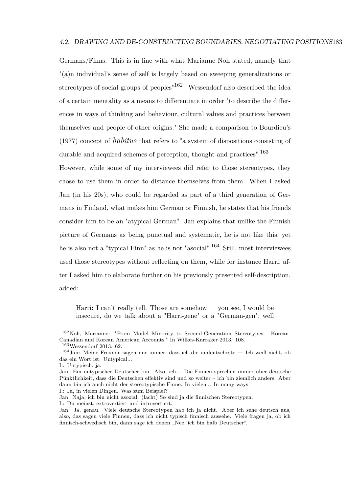Germans/Finns. This is in line with what Marianne Noh stated, namely that "(a)n individual's sense of self is largely based on sweeping generalizations or stereotypes of social groups of peoples $162$ . Wessendorf also described the idea of a certain mentality as a means to differentiate in order "to describe the differences in ways of thinking and behaviour, cultural values and practices between themselves and people of other origins." She made a comparison to Bourdieu's (1977) concept of *habitus* that refers to "a system of dispositions consisting of durable and acquired schemes of perception, thought and practices".<sup>163</sup>

However, while some of my interviewees did refer to those stereotypes, they chose to use them in order to distance themselves from them. When I asked Jan (in his 20s), who could be regarded as part of a third generation of Germans in Finland, what makes him German or Finnish, he states that his friends consider him to be an "atypical German". Jan explains that unlike the Finnish picture of Germans as being punctual and systematic, he is not like this, yet he is also not a "typical Finn" as he is not "asocial".<sup>164</sup> Still, most interviewees used those stereotypes without reflecting on them, while for instance Harri, after I asked him to elaborate further on his previously presented self-description, added:

Harri: I can't really tell. Those are somehow — you see, I would be insecure, do we talk about a "Harri-gene" or a "German-gen", well

<sup>162</sup>Noh, Marianne: "From Model Minority to Second-Generation Stereotypes. Korean-Canadian and Korean American Accounts." In Wilkes-Karraker 2013. 108. $^{163}\rm{Wessendorf}$ 2013.  $62.$ 

 $164$ Jan: Meine Freunde sagen mir immer, dass ich die undeutscheste — Ich weiß nicht, ob das ein Wort ist. Untypical...

I.: Untypisch, ja.

Jan: Ein untypischer Deutscher bin. Also, ich... Die Finnen sprechen immer über deutsche Pünktlichkeit, dass die Deutschen effektiv sind und so weiter – ich bin ziemlich anders. Aber dann bin ich auch nicht der stereotypische Finne. In vielen... In many ways.

I.: Ja, in vielen Dingen. Was zum Beispiel?

Jan: Naja, ich bin nicht asozial. (lacht) So sind ja die finnischen Stereotypen.

I.: Du meinst, extrovertiert und introvertiert.

Jan: Ja, genau. Viele deutsche Stereotypen hab ich ja nicht. Aber ich sehe deutsch aus, also, das sagen viele Finnen, dass ich nicht typisch finnisch aussehe. Viele fragen ja, ob ich finnisch-schwedisch bin, dann sage ich denen "Nee, ich bin halb Deutscher".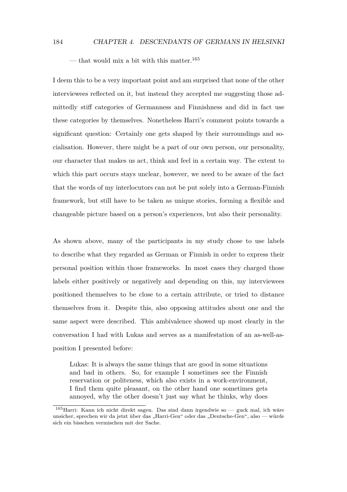— that would mix a bit with this matter.<sup>165</sup>

I deem this to be a very important point and am surprised that none of the other interviewees reflected on it, but instead they accepted me suggesting those admittedly stiff categories of Germanness and Finnishness and did in fact use these categories by themselves. Nonetheless Harri's comment points towards a significant question: Certainly one gets shaped by their surroundings and socialisation. However, there might be a part of our own person, our personality, our character that makes us act, think and feel in a certain way. The extent to which this part occurs stays unclear, however, we need to be aware of the fact that the words of my interlocutors can not be put solely into a German-Finnish framework, but still have to be taken as unique stories, forming a flexible and changeable picture based on a person's experiences, but also their personality.

As shown above, many of the participants in my study chose to use labels to describe what they regarded as German or Finnish in order to express their personal position within those frameworks. In most cases they charged those labels either positively or negatively and depending on this, my interviewees positioned themselves to be close to a certain attribute, or tried to distance themselves from it. Despite this, also opposing attitudes about one and the same aspect were described. This ambivalence showed up most clearly in the conversation I had with Lukas and serves as a manifestation of an as-well-asposition I presented before:

Lukas: It is always the same things that are good in some situations and bad in others. So, for example I sometimes see the Finnish reservation or politeness, which also exists in a work-environment, I find them quite pleasant, on the other hand one sometimes gets annoyed, why the other doesn't just say what he thinks, why does

 $^{165}\rm{Harri:}$ Kann ich nicht direkt sagen. Das sind dann irgendwie so — guck mal, ich wäre unsicher, sprechen wir da jetzt über das "Harri-Gen" oder das "Deutsche-Gen", also — würde sich ein bisschen vermischen mit der Sache.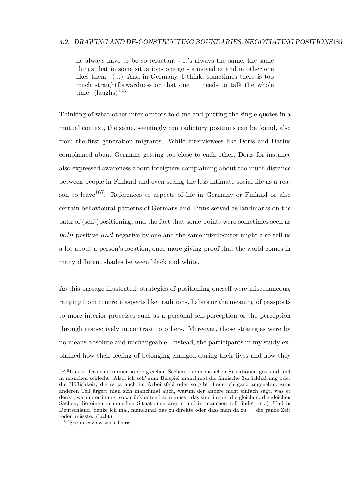#### 4.2. DRAWING AND DE-CONSTRUCTING BOUNDARIES, NEGOTIATING POSITIONS185

he always have to be so reluctant - it's always the same, the same things that in some situations one gets annoyed at and in other one likes them. (...) And in Germany, I think, sometimes there is too much straightforwardness or that one — needs to talk the whole time.  $(laughs)^{166}$ 

Thinking of what other interlocutors told me and putting the single quotes in a mutual context, the same, seemingly contradictory positions can be found, also from the first generation migrants. While interviewees like Doris and Darius complained about Germans getting too close to each other, Doris for instance also expressed awareness about foreigners complaining about too much distance between people in Finland and even seeing the less intimate social life as a reason to leave<sup>167</sup>. References to aspects of life in Germany or Finland or also certain behavioural patterns of Germans and Finns served as landmarks on the path of (self-)positioning, and the fact that some points were sometimes seen as *both* positive *and* negative by one and the same interlocutor might also tell us a lot about a person's location, once more giving proof that the world comes in many different shades between black and white.

As this passage illustrated, strategies of positioning oneself were miscellaneous, ranging from concrete aspects like traditions, habits or the meaning of passports to more interior processes such as a personal self-perception or the perception through respectively in contrast to others. Moreover, those strategies were by no means absolute and unchangeable. Instead, the participants in my study explained how their feeling of belonging changed during their lives and how they

 $^{166}\rm{Lukas:}$  Das sind immer so die gleichen Sachen, die in manchen Situationen gut sind und in manchen schlecht. Also, ich seh' zum Beispiel manchmal die finnische Zurückhaltung oder die Höflichkeit, die es ja auch im Arbeitsfeld oder so gibt, finde ich ganz angenehm, zum anderen Teil ärgert man sich manchmal auch, warum der andere nicht einfach sagt, was er denkt, warum er immer so zurückhaltend sein muss - das sind immer die gleichen, die gleichen Sachen, die einen in manchen Situationen ärgern und in manchen toll findet. (...) Und in Deutschland, denke ich mal, manchmal das zu direkte oder dass man da zu — die ganze Zeit reden müsste. (lacht)

<sup>167</sup>See interview with Doris.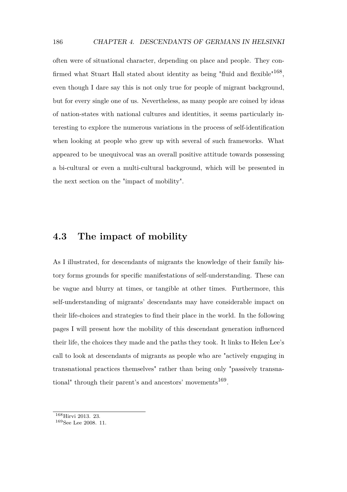often were of situational character, depending on place and people. They confirmed what Stuart Hall stated about identity as being "fluid and flexible"<sup>168</sup>, even though I dare say this is not only true for people of migrant background, but for every single one of us. Nevertheless, as many people are coined by ideas of nation-states with national cultures and identities, it seems particularly interesting to explore the numerous variations in the process of self-identification when looking at people who grew up with several of such frameworks. What appeared to be unequivocal was an overall positive attitude towards possessing a bi-cultural or even a multi-cultural background, which will be presented in the next section on the "impact of mobility".

# **4.3 The impact of mobility**

As I illustrated, for descendants of migrants the knowledge of their family history forms grounds for specific manifestations of self-understanding. These can be vague and blurry at times, or tangible at other times. Furthermore, this self-understanding of migrants' descendants may have considerable impact on their life-choices and strategies to find their place in the world. In the following pages I will present how the mobility of this descendant generation influenced their life, the choices they made and the paths they took. It links to Helen Lee's call to look at descendants of migrants as people who are "actively engaging in transnational practices themselves" rather than being only "passively transnational" through their parent's and ancestors' movements<sup>169</sup>.

 $\frac{168}{169}$ Hirvi 2013. 23.<br><sup>169</sup>See Lee 2008. 11.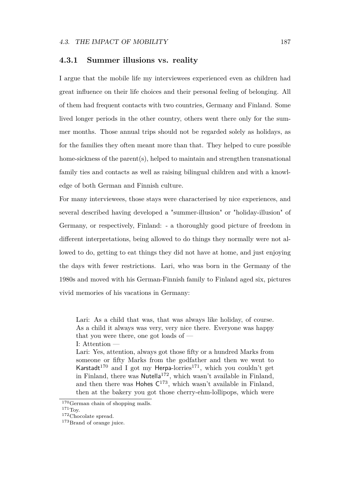#### **4.3.1 Summer illusions vs. reality**

I argue that the mobile life my interviewees experienced even as children had great influence on their life choices and their personal feeling of belonging. All of them had frequent contacts with two countries, Germany and Finland. Some lived longer periods in the other country, others went there only for the summer months. Those annual trips should not be regarded solely as holidays, as for the families they often meant more than that. They helped to cure possible home-sickness of the parent(s), helped to maintain and strengthen transnational family ties and contacts as well as raising bilingual children and with a knowledge of both German and Finnish culture.

For many interviewees, those stays were characterised by nice experiences, and several described having developed a "summer-illusion" or "holiday-illusion" of Germany, or respectively, Finland: - a thoroughly good picture of freedom in different interpretations, being allowed to do things they normally were not allowed to do, getting to eat things they did not have at home, and just enjoying the days with fewer restrictions. Lari, who was born in the Germany of the 1980s and moved with his German-Finnish family to Finland aged six, pictures vivid memories of his vacations in Germany:

Lari: As a child that was, that was always like holiday, of course. As a child it always was very, very nice there. Everyone was happy that you were there, one got loads of —

I: Attention —

Lari: Yes, attention, always got those fifty or a hundred Marks from someone or fifty Marks from the godfather and then we went to Karstadt<sup>170</sup> and I got my Herpa-lorries<sup>171</sup>, which you couldn't get in Finland, there was Nutella<sup>172</sup>, which wasn't available in Finland, and then there was Hohes  $C^{173}$ , which wasn't available in Finland, then at the bakery you got those cherry-ehm-lollipops, which were

 $170\,\mathrm{German}$  chain of shopping malls. 171Toy.<br>
172Chocolate spread. 173Brand of orange juice.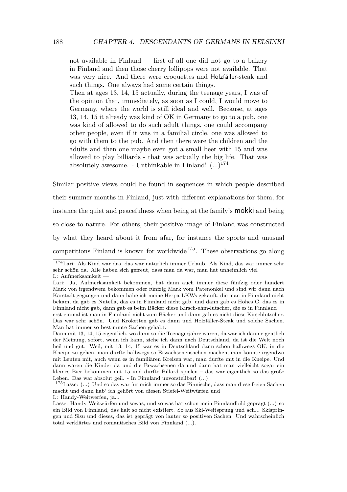not available in Finland — first of all one did not go to a bakery in Finland and then those cherry lollipops were not available. That was very nice. And there were croquettes and Holzfäller-steak and such things. One always had some certain things.

Then at ages 13, 14, 15 actually, during the teenage years, I was of the opinion that, immediately, as soon as I could, I would move to Germany, where the world is still ideal and well. Because, at ages 13, 14, 15 it already was kind of OK in Germany to go to a pub, one was kind of allowed to do such adult things, one could accompany other people, even if it was in a familial circle, one was allowed to go with them to the pub. And then there were the children and the adults and then one maybe even got a small beer with 15 and was allowed to play billiards - that was actually the big life. That was absolutely awesome. - Unthinkable in Finland!  $(...)^{174}$ 

Similar positive views could be found in sequences in which people described their summer months in Finland, just with different explanations for them, for instance the quiet and peacefulness when being at the family's mökki and being so close to nature. For others, their positive image of Finland was constructed by what they heard about it from afar, for instance the sports and unusual competitions Finland is known for worldwide<sup>175</sup>. These observations go along

I.: Handy-Weitwerfen, ja...

 $^{174}\rm{L}$ . Als Kind war das, das war natürlich immer Urlaub. Als Kind, das war immer sehr sehr schön da. Alle haben sich gefreut, dass man da war, man hat unheimlich viel — I.: Aufmerksamkeit —

Lari: Ja, Aufmerksamkeit bekommen, hat dann auch immer diese fünfzig oder hundert Mark von irgendwem bekommen oder fünfzig Mark vom Patenonkel und sind wir dann nach Karstadt gegangen und dann habe ich meine Herpa-LKWs gekauft, die man in Finnland nicht bekam, da gab es Nutella, das es in Finnland nicht gab, und dann gab es Hohes C, das es in Finnland nicht gab, dann gab es beim Bäcker diese Kirsch-ehm-lutscher, die es in Finnland erst einmal ist man in Finnland nicht zum Bäcker und dann gab es nicht diese Kirschlutscher. Das war sehr schön. Und Kroketten gab es dann und Holzfäller-Steak und solche Sachen. Man hat immer so bestimmte Sachen gehabt.

Dann mit 13, 14, 15 eigentlich, wo dann so die Teenagerjahre waren, da war ich dann eigentlich der Meinung, sofort, wenn ich kann, ziehe ich dann nach Deutschland, da ist die Welt noch heil und gut. Weil, mit 13, 14, 15 war es in Deutschland dann schon halbwegs OK, in die Kneipe zu gehen, man durfte halbwegs so Erwachsenensachen machen, man konnte irgendwo mit Leuten mit, auch wenn es in familiären Kreisen war, man durfte mit in die Kneipe. Und dann waren die Kinder da und die Erwachsenen da und dann hat man vielleicht sogar ein kleines Bier bekommen mit 15 und durfte Billard spielen – das war eigentlich so das große Leben. Das war absolut geil. - In Finnland unvorstellbar! (...)

<sup>175</sup>Lasse: (...) Und so das war für mich immer so das Finnische, dass man diese freien Sachen macht und dann hab' ich gehört von diesen Stiefel-Weitwürfen und —

Lasse: Handy-Weitwürfen und sowas, und so was hat schon mein Finnlandbild geprägt (...) so ein Bild von Finnland, das halt so nicht existiert. So aus Ski-Weitsprung und ach... Skispringen und Sisu und dieses, das ist geprägt von lauter so positiven Sachen. Und wahrscheinlich total verklärtes und romantisches Bild von Finnland (...).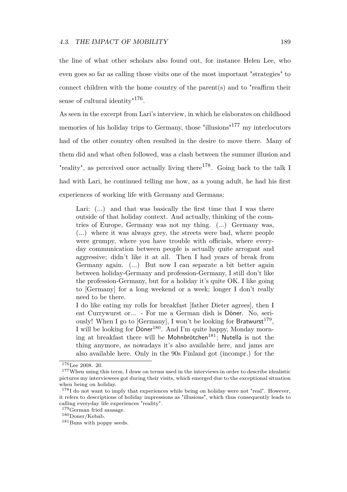the line of what other scholars also found out, for instance Helen Lee, who even goes so far as calling those visits one of the most important "strategies" to connect children with the home country of the parent(s) and to "reaffirm their sense of cultural identity<sup>"176</sup>.

As seen in the excerpt from Lari's interview, in which he elaborates on childhood memories of his holiday trips to Germany, those "illusions"<sup>177</sup> my interlocutors had of the other country often resulted in the desire to move there. Many of them did and what often followed, was a clash between the summer illusion and "reality", as perceived once actually living there<sup>178</sup>. Going back to the talk I had with Lari, he continued telling me how, as a young adult, he had his first experiences of working life with Germany and Germans:

Lari: (...) and that was basically the first time that I was there outside of that holiday context. And actually, thinking of the countries of Europe, Germany was not my thing. (...) Germany was, (...) where it was always grey, the streets were bad, where people were grumpy, where you have trouble with officials, where everyday communication between people is actually quite arrogant and aggressive; didn't like it at all. Then I had years of break from Germany again. (...) But now I can separate a bit better again between holiday-Germany and profession-Germany, I still don't like the profession-Germany, but for a holiday it's quite OK. I like going to [Germany] for a long weekend or a week; longer I don't really need to be there.

I do like eating my rolls for breakfast [father Dieter agrees], then I eat Currywurst or... - For me a German dish is Döner. No, seriously! When I go to [Germany], I won't be looking for Bratwurst<sup>179</sup>, I will be looking for Döner<sup>180</sup>. And I'm quite happy, Monday morning at breakfast there will be Mohnbrötchen<sup>181</sup>; Nutella is not the thing anymore, as nowadays it's also available here, and jams are also available here. Only in the 90s Finland got (incompr.) for the

 $^{176}\rm{Lee}$  2008. 20.  $^{177}\rm{When}$  using this term, I draw on terms used in the interviews in order to describe idealistic pictures my interviewees got during their visits, which emerged due to the exceptional situation when being on holiday.

<sup>178</sup>I do not want to imply that experiences while being on holiday were not "real". However, it refers to descriptions of holiday impressions as "illusions", which thus consequently leads to calling everyday life experiences "reality".

<sup>&</sup>lt;sup>179</sup>German fried sausage.<br><sup>180</sup>Doner/Kebab. <sup>181</sup>Buns with poppy seeds.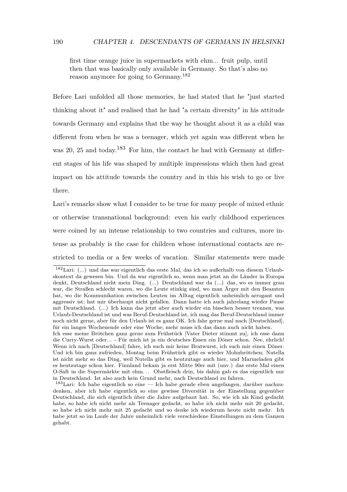first time orange juice in supermarkets with ehm... fruit pulp, until then that was basically only available in Germany. So that's also no reason anymore for going to Germany.<sup>182</sup>

Before Lari unfolded all those memories, he had stated that he "just started thinking about it" and realised that he had "a certain diversity" in his attitude towards Germany and explains that the way he thought about it as a child was different from when he was a teenager, which yet again was different when he was 20, 25 and today.<sup>183</sup> For him, the contact he had with Germany at different stages of his life was shaped by multiple impressions which then had great impact on his attitude towards the country and in this his wish to go or live there.

Lari's remarks show what I consider to be true for many people of mixed ethnic or otherwise transnational background: even his early childhood experiences were coined by an intense relationship to two countries and cultures, more intense as probably is the case for children whose international contacts are restricted to media or a few weeks of vacation. Similar statements were made

in Deutschland. Ist also auch kein Grund mehr, nach Deutschland zu fahren.

<sup>182</sup>Lari: (...) und das war eigentlich das erste Mal, das ich so außerhalb von diesem Urlaubskontext da gewesen bin. Und da war eigentlich so, wenn man jetzt an die Länder in Europa denkt, Deutschland nicht mein Ding. (...) Deutschland war da (...) das, wo es immer grau war, die Straßen schlecht waren, wo die Leute stinkig sind, wo man Ärger mit den Beamten hat, wo die Kommunikation zwischen Leuten im Alltag eigentlich unheimlich arrogant und aggressiv ist; hat mir überhaupt nicht gefallen. Dann hatte ich auch jahrelang wieder Pause mit Deutschland. (...) Ich kann das jetzt aber auch wieder ein bisschen besser trennen, was Urlaub-Deutschland ist und was Beruf-Deutschland ist, ich mag das Beruf-Deutschland immer noch nicht gerne, aber für den Urlaub ist es ganz OK. Ich fahr gerne mal nach [Deutschland], für ein langes Wochenende oder eine Woche; mehr muss ich das dann auch nicht haben. Ich esse meine Brötchen ganz gerne zum Frühstück [Vater Dieter stimmt zu], ich esse dann die Curry-Wurst oder... - Für mich ist ja ein deutsches Essen ein Döner schon. Nee, ehrlich! Wenn ich nach [Deutschland] fahre, ich such mir keine Bratwurst, ich such mir einen Döner. Und ich bin ganz zufrieden, Montag beim Frühstück gibt es wieder Mohnbrötchen; Nutella ist nicht mehr so das Ding, weil Nutella gibt es heutzutage auch hier, und Marmeladen gibt es heutzutage schon hier. Finnland bekam ja erst Mitte 90er mit (unv.) das erste Mal einen O-Saft in die Supermärkte mit ehm. . . Obstfleisch drin, bis dahin gab es das eigentlich nur

 $183$ Lari: Ich habe eigentlich so eine — Ich habe gerade eben angefangen, darüber nachzudenken, aber ich habe eigentlich so eine gewisse Diversität in der Einstellung gegenüber Deutschland, die sich eigentlich über die Jahre aufgebaut hat. So, wie ich als Kind gedacht habe, so habe ich nicht mehr als Teenager gedacht, so habe ich nicht mehr mit 20 gedacht, so habe ich nicht mehr mit 25 gedacht und so denke ich wiederum heute nicht mehr. Ich habe jetzt so im Laufe der Jahre unheimlich viele verschiedene Einstellungen zu dem Ganzen gehabt.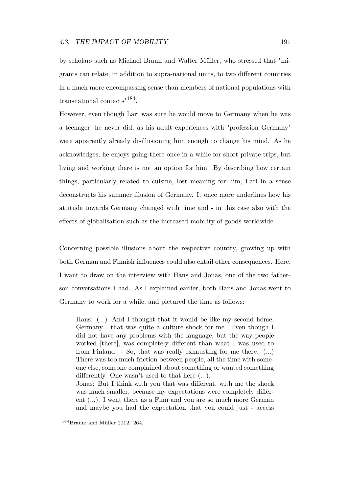by scholars such as Michael Braun and Walter Müller, who stressed that "migrants can relate, in addition to supra-national units, to two different countries in a much more encompassing sense than members of national populations with transnational contacts"184.

However, even though Lari was sure he would move to Germany when he was a teenager, he never did, as his adult experiences with "profession Germany" were apparently already disillusioning him enough to change his mind. As he acknowledges, he enjoys going there once in a while for short private trips, but living and working there is not an option for him. By describing how certain things, particularly related to cuisine, lost meaning for him, Lari in a sense deconstructs his summer illusion of Germany. It once more underlines how his attitude towards Germany changed with time and - in this case also with the effects of globalisation such as the increased mobility of goods worldwide.

Concerning possible illusions about the respective country, growing up with both German and Finnish influences could also entail other consequences. Here, I want to draw on the interview with Hans and Jonas, one of the two fatherson conversations I had. As I explained earlier, both Hans and Jonas went to Germany to work for a while, and pictured the time as follows:

Hans: (...) And I thought that it would be like my second home, Germany - that was quite a culture shock for me. Even though I did not have any problems with the language, but the way people worked [there], was completely different than what I was used to from Finland. - So, that was really exhausting for me there. (...) There was too much friction between people, all the time with someone else, someone complained about something or wanted something differently. One wasn't used to that here  $(...)$ .

Jonas: But I think with you that was different, with me the shock was much smaller, because my expectations were completely different (...). I went there as a Finn and you are so much more German and maybe you had the expectation that you could just - access

<sup>184</sup>Braun; and Müller 2012. 264.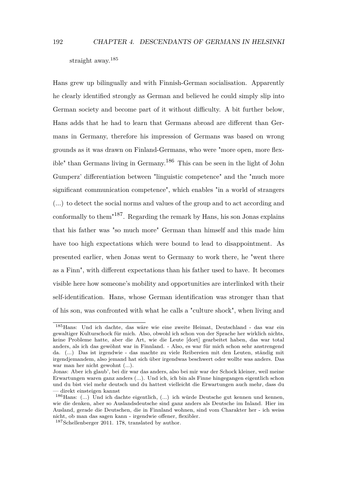straight away.<sup>185</sup>

Hans grew up bilingually and with Finnish-German socialisation. Apparently he clearly identified strongly as German and believed he could simply slip into German society and become part of it without difficulty. A bit further below, Hans adds that he had to learn that Germans abroad are different than Germans in Germany, therefore his impression of Germans was based on wrong grounds as it was drawn on Finland-Germans, who were "more open, more flexible" than Germans living in Germany.<sup>186</sup> This can be seen in the light of John Gumperz' differentiation between "linguistic competence" and the "much more significant communication competence", which enables "in a world of strangers (...) to detect the social norms and values of the group and to act according and conformally to them<sup> $187$ </sup>. Regarding the remark by Hans, his son Jonas explains that his father was "so much more" German than himself and this made him have too high expectations which were bound to lead to disappointment. As presented earlier, when Jonas went to Germany to work there, he "went there as a Finn", with different expectations than his father used to have. It becomes visible here how someone's mobility and opportunities are interlinked with their self-identification. Hans, whose German identification was stronger than that of his son, was confronted with what he calls a "culture shock", when living and

<sup>185</sup>Hans: Und ich dachte, das wäre wie eine zweite Heimat, Deutschland - das war ein gewaltiger Kulturschock für mich. Also, obwohl ich schon von der Sprache her wirklich nichts, keine Probleme hatte, aber die Art, wie die Leute [dort] gearbeitet haben, das war total anders, als ich das gewöhnt war in Finnland. - Also, es war für mich schon sehr anstrengend da. (...) Das ist irgendwie - das machte zu viele Reibereien mit den Leuten, ständig mit irgendjemandem, also jemand hat sich über irgendwas beschwert oder wollte was anders. Das war man her nicht gewohnt (...).

Jonas: Aber ich glaub', bei dir war das anders, also bei mir war der Schock kleiner, weil meine Erwartungen waren ganz anders (...). Und ich, ich bin als Finne hingegangen eigentlich schon und du bist viel mehr deutsch und du hattest vielleicht die Erwartungen auch mehr, dass du — direkt einsteigen kannst

<sup>186</sup>Hans: (...) Und ich dachte eigentlich, (...) ich würde Deutsche gut kennen und kennen, wie die denken, aber so Auslandsdeutsche sind ganz anders als Deutsche im Inland. Hier im Ausland, gerade die Deutschen, die in Finnland wohnen, sind vom Charakter her - ich weiss nicht, ob man das sagen kann - irgendwie offener, flexibler.

<sup>187</sup>Schellenberger 2011. 178, translated by author.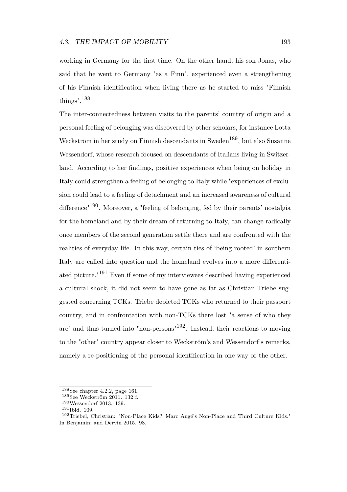working in Germany for the first time. On the other hand, his son Jonas, who said that he went to Germany "as a Finn", experienced even a strengthening of his Finnish identification when living there as he started to miss "Finnish things".<sup>188</sup>

The inter-connectedness between visits to the parents' country of origin and a personal feeling of belonging was discovered by other scholars, for instance Lotta Weckström in her study on Finnish descendants in Sweden<sup>189</sup>, but also Susanne Wessendorf, whose research focused on descendants of Italians living in Switzerland. According to her findings, positive experiences when being on holiday in Italy could strengthen a feeling of belonging to Italy while "experiences of exclusion could lead to a feeling of detachment and an increased awareness of cultural difference<sup> $190$ </sup>. Moreover, a "feeling of belonging, fed by their parents' nostalgia for the homeland and by their dream of returning to Italy, can change radically once members of the second generation settle there and are confronted with the realities of everyday life. In this way, certain ties of 'being rooted' in southern Italy are called into question and the homeland evolves into a more differentiated picture."<sup>191</sup> Even if some of my interviewees described having experienced a cultural shock, it did not seem to have gone as far as Christian Triebe suggested concerning TCKs. Triebe depicted TCKs who returned to their passport country, and in confrontation with non-TCKs there lost "a sense of who they are" and thus turned into "non-persons"192. Instead, their reactions to moving to the "other" country appear closer to Weckström's and Wessendorf's remarks, namely a re-positioning of the personal identification in one way or the other.

 $^{188}\text{See }$ chapter 4.2.2, page 161. 189<br>See Weckström 2011. 132 f. 190Wessendorf 2013. 139. 191<br/>Thid. 109. 192Triebel, Christian: "Non-Place Kids? Marc Augé's Non-Place and Third Culture Kids." In Benjamin; and Dervin 2015. 98.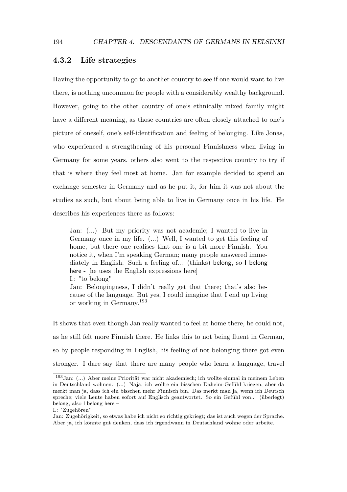### **4.3.2 Life strategies**

Having the opportunity to go to another country to see if one would want to live there, is nothing uncommon for people with a considerably wealthy background. However, going to the other country of one's ethnically mixed family might have a different meaning, as those countries are often closely attached to one's picture of oneself, one's self-identification and feeling of belonging. Like Jonas, who experienced a strengthening of his personal Finnishness when living in Germany for some years, others also went to the respective country to try if that is where they feel most at home. Jan for example decided to spend an exchange semester in Germany and as he put it, for him it was not about the studies as such, but about being able to live in Germany once in his life. He describes his experiences there as follows:

Jan: (...) But my priority was not academic; I wanted to live in Germany once in my life. (...) Well, I wanted to get this feeling of home, but there one realises that one is a bit more Finnish. You notice it, when I'm speaking German; many people answered immediately in English. Such a feeling of... (thinks) belong, so I belong here - [he uses the English expressions here] I.: "to belong" Jan: Belongingness, I didn't really get that there; that's also because of the language. But yes, I could imagine that I end up living or working in Germany.<sup>193</sup>

It shows that even though Jan really wanted to feel at home there, he could not, as he still felt more Finnish there. He links this to not being fluent in German, so by people responding in English, his feeling of not belonging there got even stronger. I dare say that there are many people who learn a language, travel

I.: "Zugehören"

 $^{193}\rm{Jan:}$   $(...)$  Aber meine Priorität war nicht akademisch; ich wollte einmal in meinem Leben in Deutschland wohnen. (...) Naja, ich wollte ein bisschen Daheim-Gefühl kriegen, aber da merkt man ja, dass ich ein bisschen mehr Finnisch bin. Das merkt man ja, wenn ich Deutsch spreche; viele Leute haben sofort auf Englisch geantwortet. So ein Gefühl von... (überlegt) belong, also I belong here –

Jan: Zugehörigkeit, so etwas habe ich nicht so richtig gekriegt; das ist auch wegen der Sprache. Aber ja, ich könnte gut denken, dass ich irgendwann in Deutschland wohne oder arbeite.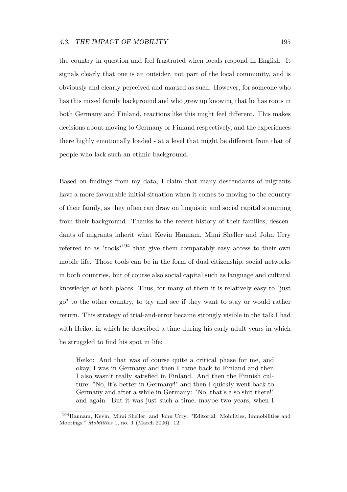the country in question and feel frustrated when locals respond in English. It signals clearly that one is an outsider, not part of the local community, and is obviously and clearly perceived and marked as such. However, for someone who has this mixed family background and who grew up knowing that he has roots in both Germany and Finland, reactions like this might feel different. This makes decisions about moving to Germany or Finland respectively, and the experiences there highly emotionally loaded - at a level that might be different from that of people who lack such an ethnic background.

Based on findings from my data, I claim that many descendants of migrants have a more favourable initial situation when it comes to moving to the country of their family, as they often can draw on linguistic and social capital stemming from their background. Thanks to the recent history of their families, descendants of migrants inherit what Kevin Hannam, Mimi Sheller and John Urry referred to as "tools"<sup>194</sup> that give them comparably easy access to their own mobile life. Those tools can be in the form of dual citizenship, social networks in both countries, but of course also social capital such as language and cultural knowledge of both places. Thus, for many of them it is relatively easy to "just go" to the other country, to try and see if they want to stay or would rather return. This strategy of trial-and-error became strongly visible in the talk I had with Heiko, in which he described a time during his early adult years in which he struggled to find his spot in life:

Heiko: And that was of course quite a critical phase for me, and okay, I was in Germany and then I came back to Finland and then I also wasn't really satisfied in Finland. And then the Finnish culture: "No, it's better in Germany!" and then I quickly went back to Germany and after a while in Germany: "No, that's also shit there!" and again. But it was just such a time, maybe two years, when I

<sup>194</sup>Hannam, Kevin; Mimi Sheller; and John Urry: "Editorial: Mobilities, Immobilities and Moorings." *Mobilities* 1, no. 1 (March 2006). 12.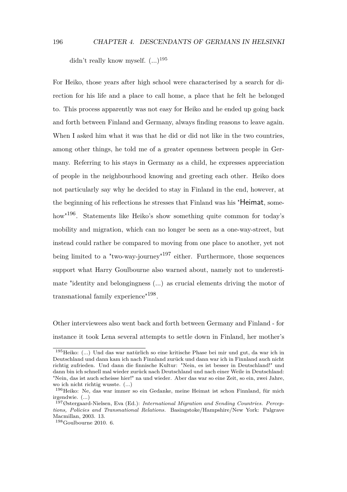didn't really know myself.  $(...)$ <sup>195</sup>

For Heiko, those years after high school were characterised by a search for direction for his life and a place to call home, a place that he felt he belonged to. This process apparently was not easy for Heiko and he ended up going back and forth between Finland and Germany, always finding reasons to leave again. When I asked him what it was that he did or did not like in the two countries, among other things, he told me of a greater openness between people in Germany. Referring to his stays in Germany as a child, he expresses appreciation of people in the neighbourhood knowing and greeting each other. Heiko does not particularly say why he decided to stay in Finland in the end, however, at the beginning of his reflections he stresses that Finland was his "**Heimat**, somehow<sup>196</sup>. Statements like Heiko's show something quite common for today's mobility and migration, which can no longer be seen as a one-way-street, but instead could rather be compared to moving from one place to another, yet not being limited to a "two-way-journey"<sup>197</sup> either. Furthermore, those sequences support what Harry Goulbourne also warned about, namely not to underestimate "identity and belongingness (...) as crucial elements driving the motor of transnational family experience<sup>"198</sup>.

Other interviewees also went back and forth between Germany and Finland - for instance it took Lena several attempts to settle down in Finland, her mother's

<sup>195</sup>Heiko: (...) Und das war natürlich so eine kritische Phase bei mir und gut, da war ich in Deutschland und dann kam ich nach Finnland zurück und dann war ich in Finnland auch nicht richtig zufrieden. Und dann die finnische Kultur: "Nein, es ist besser in Deutschland!" und dann bin ich schnell mal wieder zurück nach Deutschland und nach einer Weile in Deutschland: "Nein, das ist auch scheisse hier!" na und wieder. Aber das war so eine Zeit, so ein, zwei Jahre, wo ich nicht richtig wusste. (...)

<sup>196</sup>Heiko: Ne, das war immer so ein Gedanke, meine Heimat ist schon Finnland, für mich irgendwie. (...)

<sup>197</sup>Østergaard-Nielsen, Eva (Ed.): *International Migration and Sending Countries. Perceptions, Policies and Transnational Relations.* Basingstoke/Hampshire/New York: Palgrave Macmillan, 2003. 13.

<sup>198</sup>Goulbourne 2010. 6.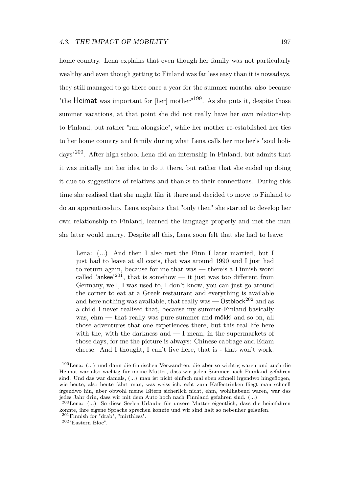home country. Lena explains that even though her family was not particularly wealthy and even though getting to Finland was far less easy than it is nowadays, they still managed to go there once a year for the summer months, also because "the  $Heimat$  was important for [her] mother"<sup>199</sup>. As she puts it, despite those summer vacations, at that point she did not really have her own relationship to Finland, but rather "ran alongside", while her mother re-established her ties to her home country and family during what Lena calls her mother's "soul holidays"200. After high school Lena did an internship in Finland, but admits that it was initially not her idea to do it there, but rather that she ended up doing it due to suggestions of relatives and thanks to their connections. During this time she realised that she might like it there and decided to move to Finland to do an apprenticeship. Lena explains that "only then" she started to develop her own relationship to Finland, learned the language properly and met the man she later would marry. Despite all this, Lena soon felt that she had to leave:

Lena:  $(...)$  And then I also met the Finn I later married, but I just had to leave at all costs, that was around 1990 and I just had to return again, because for me that was — there's a Finnish word called 'ankee'<sup>201</sup>, that is somehow — it just was too different from Germany, well, I was used to, I don't know, you can just go around the corner to eat at a Greek restaurant and everything is available and here nothing was available, that really was —  $Ostblock^{202}$  and as a child I never realised that, because my summer-Finland basically was, ehm — that really was pure summer and mökki and so on, all those adventures that one experiences there, but this real life here with the, with the darkness and  $- I$  mean, in the supermarkets of those days, for me the picture is always: Chinese cabbage and Edam cheese. And I thought, I can't live here, that is - that won't work.

<sup>199</sup>Lena: (...) und dann die finnischen Verwandten, die aber so wichtig waren und auch die Heimat war also wichtig für meine Mutter, dass wir jeden Sommer nach Finnland gefahren sind. Und das war damals, (...) man ist nicht einfach mal eben schnell irgendwo hingeflogen, wie heute, also heute fährt man, was weiss ich, echt zum Kaffeetrinken fliegt man schnell irgendwo hin, aber obwohl meine Eltern sicherlich nicht, ehm, wohlhabend waren, war das jedes Jahr drin, dass wir mit dem Auto hoch nach Finnland gefahren sind. (...)

<sup>200</sup>Lena: (...) So diese Seelen-Urlaube für unsere Mutter eigentlich, dass die heimfahren konnte, ihre eigene Sprache sprechen konnte und wir sind halt so nebenher gelaufen.  $^{201}\mathrm{Finnish}$  for "drab", "mirthless".<br> $^{202}\mathrm{''Eastern}$  Bloc".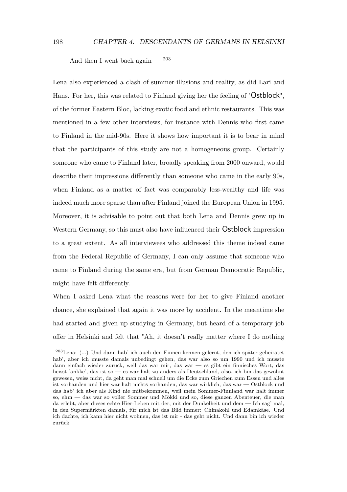And then I went back again —  $^{\rm 203}$ 

Lena also experienced a clash of summer-illusions and reality, as did Lari and Hans. For her, this was related to Finland giving her the feeling of "Ostblock", of the former Eastern Bloc, lacking exotic food and ethnic restaurants. This was mentioned in a few other interviews, for instance with Dennis who first came to Finland in the mid-90s. Here it shows how important it is to bear in mind that the participants of this study are not a homogeneous group. Certainly someone who came to Finland later, broadly speaking from 2000 onward, would describe their impressions differently than someone who came in the early 90s, when Finland as a matter of fact was comparably less-wealthy and life was indeed much more sparse than after Finland joined the European Union in 1995. Moreover, it is advisable to point out that both Lena and Dennis grew up in Western Germany, so this must also have influenced their **Ostblock** impression to a great extent. As all interviewees who addressed this theme indeed came from the Federal Republic of Germany, I can only assume that someone who came to Finland during the same era, but from German Democratic Republic, might have felt differently.

When I asked Lena what the reasons were for her to give Finland another chance, she explained that again it was more by accident. In the meantime she had started and given up studying in Germany, but heard of a temporary job offer in Helsinki and felt that "Ah, it doesn't really matter where I do nothing

<sup>203</sup>Lena: (...) Und dann hab' ich auch den Finnen kennen gelernt, den ich später geheiratet hab', aber ich musste damals unbedingt gehen, das war also so um 1990 und ich musste dann einfach wieder zurück, weil das war mir, das war — es gibt ein finnisches Wort, das heisst 'ankke', das ist so — es war halt zu anders als Deutschland, also, ich bin das gewohnt gewesen, weiss nicht, da geht man mal schnell um die Ecke zum Griechen zum Essen und alles ist vorhanden und hier war halt nichts vorhanden, das war wirklich, das war — Ostblock und das hab' ich aber als Kind nie mitbekommen, weil mein Sommer-Finnland war halt immer so, ehm — das war so voller Sommer und Mökki und so, diese ganzen Abenteuer, die man da erlebt, aber dieses echte Hier-Leben mit der, mit der Dunkelheit und dem — Ich sag' mal, in den Supermärkten damals, für mich ist das Bild immer: Chinakohl und Edamkäse. Und ich dachte, ich kann hier nicht wohnen, das ist mir - das geht nicht. Und dann bin ich wieder zurück —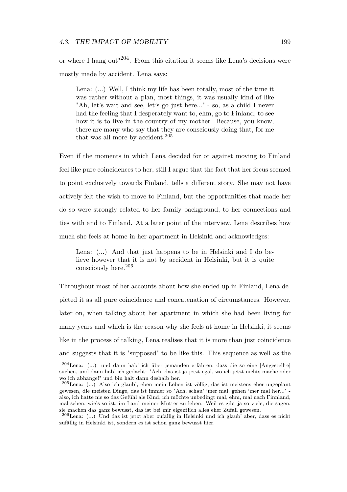or where I hang out<sup> $1204$ </sup>. From this citation it seems like Lena's decisions were mostly made by accident. Lena says:

Lena: (...) Well, I think my life has been totally, most of the time it was rather without a plan, most things, it was usually kind of like "Ah, let's wait and see, let's go just here..." - so, as a child I never had the feeling that I desperately want to, ehm, go to Finland, to see how it is to live in the country of my mother. Because, you know, there are many who say that they are consciously doing that, for me that was all more by accident.<sup>205</sup>

Even if the moments in which Lena decided for or against moving to Finland feel like pure coincidences to her, still I argue that the fact that her focus seemed to point exclusively towards Finland, tells a different story. She may not have actively felt the wish to move to Finland, but the opportunities that made her do so were strongly related to her family background, to her connections and ties with and to Finland. At a later point of the interview, Lena describes how much she feels at home in her apartment in Helsinki and acknowledges:

Lena:  $(...)$  And that just happens to be in Helsinki and I do believe however that it is not by accident in Helsinki, but it is quite consciously here.<sup>206</sup>

Throughout most of her accounts about how she ended up in Finland, Lena depicted it as all pure coincidence and concatenation of circumstances. However, later on, when talking about her apartment in which she had been living for many years and which is the reason why she feels at home in Helsinki, it seems like in the process of talking, Lena realises that it is more than just coincidence and suggests that it is "supposed" to be like this. This sequence as well as the

 $^{204}$ Lena: (...) und dann hab' ich über jemanden erfahren, dass die so eine [Angestellte] suchen, und dann hab' ich gedacht: "Ach, das ist ja jetzt egal, wo ich jetzt nichts mache oder wo ich abhänge!" und bin halt dann deshalb her.

<sup>205</sup>Lena: (...) Also ich glaub', eben mein Leben ist völlig, das ist meistens eher ungeplant gewesen, die meisten Dinge, das ist immer so "Ach, schau' 'mer mal, gehen 'mer mal her..." also, ich hatte nie so das Gefühl als Kind, ich möchte unbedingt mal, ehm, mal nach Finnland, mal sehen, wie's so ist, im Land meiner Mutter zu leben. Weil es gibt ja so viele, die sagen, sie machen das ganz bewusst, das ist bei mir eigentlich alles eher Zufall gewesen.

<sup>206</sup>Lena: (...) Und das ist jetzt aber zufällig in Helsinki und ich glaub' aber, dass es nicht zufällig in Helsinki ist, sondern es ist schon ganz bewusst hier.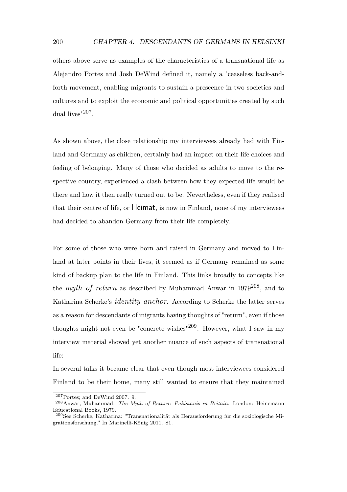others above serve as examples of the characteristics of a transnational life as Alejandro Portes and Josh DeWind defined it, namely a "ceaseless back-andforth movement, enabling migrants to sustain a prescence in two societies and cultures and to exploit the economic and political opportunities created by such dual lives"207.

As shown above, the close relationship my interviewees already had with Finland and Germany as children, certainly had an impact on their life choices and feeling of belonging. Many of those who decided as adults to move to the respective country, experienced a clash between how they expected life would be there and how it then really turned out to be. Nevertheless, even if they realised that their centre of life, or Heimat, is now in Finland, none of my interviewees had decided to abandon Germany from their life completely.

For some of those who were born and raised in Germany and moved to Finland at later points in their lives, it seemed as if Germany remained as some kind of backup plan to the life in Finland. This links broadly to concepts like the *myth of return* as described by Muhammad Anwar in  $1979^{208}$ , and to Katharina Scherke's *identity anchor*. According to Scherke the latter serves as a reason for descendants of migrants having thoughts of "return", even if those thoughts might not even be "concrete wishes"<sup>209</sup>. However, what I saw in my interview material showed yet another nuance of such aspects of transnational life:

In several talks it became clear that even though most interviewees considered Finland to be their home, many still wanted to ensure that they maintained

<sup>207</sup>Portes; and DeWind 2007. 9. <sup>208</sup>Anwar, Muhammad: *The Myth of Return: Pakistanis in Britain.* London: Heinemann Educational Books, 1979.

<sup>209</sup>See Scherke, Katharina: "Transnationalität als Herausforderung für die soziologische Migrationsforschung." In Marinelli-König 2011. 81.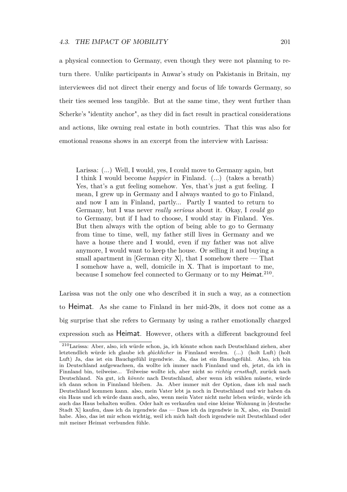a physical connection to Germany, even though they were not planning to return there. Unlike participants in Anwar's study on Pakistanis in Britain, my interviewees did not direct their energy and focus of life towards Germany, so their ties seemed less tangible. But at the same time, they went further than Scherke's "identity anchor", as they did in fact result in practical considerations and actions, like owning real estate in both countries. That this was also for emotional reasons shows in an excerpt from the interview with Larissa:

Larissa: (...) Well, I would, yes, I could move to Germany again, but I think I would become *happier* in Finland. (...) (takes a breath) Yes, that's a gut feeling somehow. Yes, that's just a gut feeling. I mean, I grew up in Germany and I always wanted to go to Finland, and now I am in Finland, partly... Partly I wanted to return to Germany, but I was never *really serious* about it. Okay, I *could* go to Germany, but if I had to choose, I would stay in Finland. Yes. But then always with the option of being able to go to Germany from time to time, well, my father still lives in Germany and we have a house there and I would, even if my father was not alive anymore, I would want to keep the house. Or selling it and buying a small apartment in [German city X], that I somehow there  $-$  That I somehow have a, well, domicile in X. That is important to me, because I somehow feel connected to Germany or to my Heimat. <sup>210</sup>.

Larissa was not the only one who described it in such a way, as a connection to Heimat. As she came to Finland in her mid-20s, it does not come as a big surprise that she refers to Germany by using a rather emotionally charged expression such as Heimat. However, others with a different background feel

<sup>210</sup>Larissa: Aber, also, ich würde schon, ja, ich könnte schon nach Deutschland ziehen, aber letztendlich würde ich glaube ich *glücklicher* in Finnland werden. (...) (holt Luft) (holt Luft) Ja, das ist ein Bauchgefühl irgendwie. Ja, das ist ein Bauchgefühl. Also, ich bin in Deutschland aufgewachsen, da wollte ich immer nach Finnland und eh, jetzt, da ich in Finnland bin, teilweise... Teilweise wollte ich, aber nicht so *richtig ernsthaft*, zurück nach Deutschland. Na gut, ich *könnte* nach Deutschland, aber wenn ich wählen müsste, würde ich dann schon in Finnland bleiben. Ja. Aber immer mit der Option, dass ich mal nach Deutschland kommen kann. also, mein Vater lebt ja noch in Deutschland und wir haben da ein Haus und ich würde dann auch, also, wenn mein Vater nicht mehr leben würde, würde ich auch das Haus behalten wollen. Oder halt es verkaufen und eine kleine Wohnung in [deutsche Stadt X] kaufen, dass ich da irgendwie das — Dass ich da irgendwie in X, also, ein Domizil habe. Also, das ist mir schon wichtig, weil ich mich halt doch irgendwie mit Deutschland oder mit meiner Heimat verbunden fühle.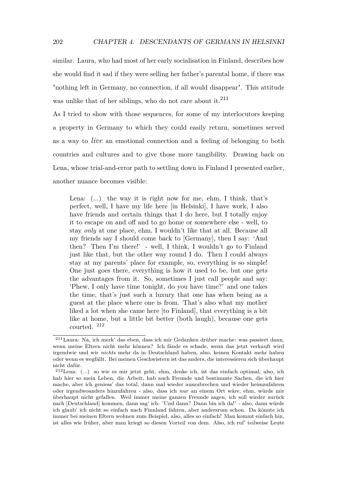similar. Laura, who had most of her early socialisation in Finland, describes how she would find it sad if they were selling her father's parental home, if there was "nothing left in Germany, no connection, if all would disappear". This attitude was unlike that of her siblings, who do not care about it.<sup>211</sup>

As I tried to show with those sequences, for some of my interlocutors keeping a property in Germany to which they could easily return, sometimes served as a way to *live* an emotional connection and a feeling of belonging to both countries and cultures and to give those more tangibility. Drawing back on Lena, whose trial-and-error path to settling down in Finland I presented earlier, another nuance becomes visible:

Lena:  $(...)$  the way it is right now for me, ehm, I think, that's perfect, well, I have my life here [in Helsinki], I have work, I also have friends and certain things that I do here, but I totally enjoy it to escape on and off and to go home or somewhere else - well, to stay *only* at one place, ehm, I wouldn't like that at all. Because all my friends say I should come back to [Germany], then I say: 'And then? Then I'm there!' - well, I think, I wouldn't go to Finland just like that, but the other way round I do. Then I could always stay at my parents' place for example, so, everything is so simple! One just goes there, everything is how it used to be, but one gets the advantages from it. So, sometimes I just call people and say: 'Phew, I only have time tonight, do you have time?' and one takes the time, that's just such a luxury that one has when being as a guest at the place where one is from. That's also what my mother liked a lot when she came here [to Finland], that everything is a bit like at home, but a little bit better (both laugh), because one gets courted. <sup>212</sup>

<sup>211</sup>Laura: Na, ich merk' das eben, dass ich mir Gedanken drüber mache: was passiert dann, wenn meine Eltern nicht mehr können? Ich fände es schade, wenn das jetzt verkauft wird irgendwie und wir *nichts* mehr da in Deutschland haben, also, keinen Kontakt mehr haben oder wenn es wegfällt. Bei meinen Geschwistern ist das anders, die interessieren sich überhaupt nicht dafür.

<sup>212</sup>Lena: (...) so wie es mir jetzt geht, ehm, denke ich, ist das einfach optimal, also, ich hab hier so mein Leben, die Arbeit, hab auch Freunde und bestimmte Sachen, die ich hier mache, aber ich geniess' das total, dann mal wieder auszubrechen und wieder heimzufahren oder irgendwoanders hinzufahren - also, dass ich *nur* an einem Ort wäre, ehm, würde mir überhaupt nicht gefallen. Weil immer meine ganzen Freunde sagen, ich soll wieder zurück nach [Deutschland] kommen, dann sag' ich: 'Und dann? Dann bin ich da!' - also, dann würde ich glaub' ich nicht so einfach nach Finnland fahren, aber andersrum schon. Da könnte ich immer bei meinen Eltern wohnen zum Beispiel, also, alles so einfach! Man kommt einfach hin, ist alles wie früher, aber man kriegt so diesen Vorteil von dem. Also, ich ruf' teilweise Leute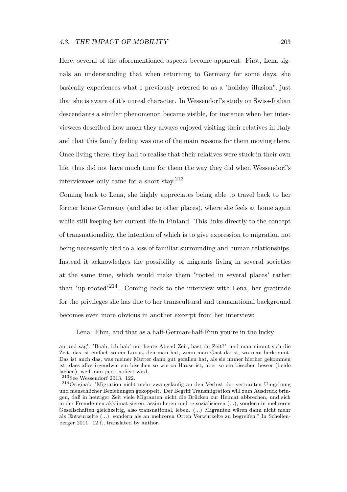Here, several of the aforementioned aspects become apparent: First, Lena signals an understanding that when returning to Germany for some days, she basically experiences what I previously referred to as a "holiday illusion", just that she is aware of it's unreal character. In Wessendorf's study on Swiss-Italian descendants a similar phenomenon became visible, for instance when her interviewees described how much they always enjoyed visiting their relatives in Italy and that this family feeling was one of the main reasons for them moving there. Once living there, they had to realise that their relatives were stuck in their own life, thus did not have much time for them the way they did when Wessendorf's interviewees only came for a short stay.<sup>213</sup>

Coming back to Lena, she highly appreciates being able to travel back to her former home Germany (and also to other places), where she feels at home again while still keeping her current life in Finland. This links directly to the concept of transnationality, the intention of which is to give expression to migration not being necessarily tied to a loss of familiar surrounding and human relationships. Instead it acknowledges the possibility of migrants living in several societies at the same time, which would make them "rooted in several places" rather than "up-rooted"<sup>214</sup>. Coming back to the interview with Lena, her gratitude for the privileges she has due to her transcultural and transnational background becomes even more obvious in another excerpt from her interview:

Lena: Ehm, and that as a half-German-half-Finn you're in the lucky

an und sag': 'Boah, ich hab' nur heute Abend Zeit, hast du Zeit?' und man nimmt sich die Zeit, das ist einfach so ein Luxus, den man hat, wenn man Gast da ist, wo man herkommt. Das ist auch das, was meiner Mutter dann gut gefallen hat, als sie immer hierher gekommen ist, dass alles irgendwie ein bisschen so wie zu Hause ist, aber so ein bisschen besser (beide lachen), weil man ja so hofiert wird. $^{213}\mathrm{See}$ Wessendorf 2013. 122.

 $214$ Original: "Migration nicht mehr zwangsläufig an den Verlust der vertrauten Umgebung und menschlicher Beziehungen gekoppelt. Der Begriff Transmigration will zum Ausdruck bringen, daß in heutiger Zeit viele Migranten nicht die Brücken zur Heimat abbrechen, und sich in der Fremde neu akklimatisieren, assimilieren und re-sozialisieren (...), sondern in mehreren Gesellschaften gleichzeitig, also transnational, leben. (...) Migranten wären dann nicht mehr als Entwurzelte (...), sondern als an mehreren Orten Verwurzelte zu begreifen." In Schellenberger 2011. 12 f., translated by author.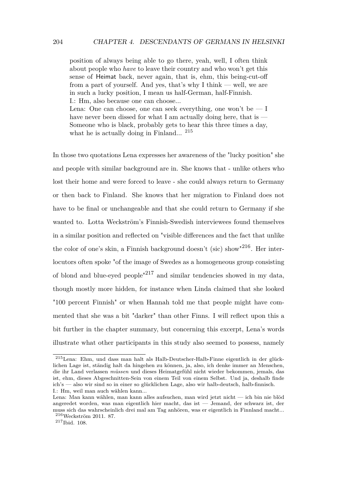position of always being able to go there, yeah, well, I often think about people who *have* to leave their country and who won't get this sense of Heimat back, never again, that is, ehm, this being-cut-off from a part of yourself. And yes, that's why I think — well, we are in such a lucky position, I mean us half-German, half-Finnish. I.: Hm, also because one can choose...

Lena: One can choose, one can seek everything, one won't be  $-1$ have never been dissed for what I am actually doing here, that is — Someone who is black, probably gets to hear this three times a day, what he is actually doing in Finland... <sup>215</sup>

In those two quotations Lena expresses her awareness of the "lucky position" she and people with similar background are in. She knows that - unlike others who lost their home and were forced to leave - she could always return to Germany or then back to Finland. She knows that her migration to Finland does not have to be final or unchangeable and that she could return to Germany if she wanted to. Lotta Weckström's Finnish-Swedish interviewees found themselves in a similar position and reflected on "visible differences and the fact that unlike the color of one's skin, a Finnish background doesn't (sic) show <sup>216</sup>. Her interlocutors often spoke "of the image of Swedes as a homogeneous group consisting of blond and blue-eyed people<sup> $217$ </sup> and similar tendencies showed in my data, though mostly more hidden, for instance when Linda claimed that she looked "100 percent Finnish" or when Hannah told me that people might have commented that she was a bit "darker" than other Finns. I will reflect upon this a bit further in the chapter summary, but concerning this excerpt, Lena's words illustrate what other participants in this study also seemed to possess, namely

<sup>215</sup>Lena: Ehm, und dass man halt als Halb-Deutscher-Halb-Finne eigentlich in der glücklichen Lage ist, ständig halt da hingehen zu können, ja, also, ich denke immer an Menschen, die ihr Land verlassen *müssen* und dieses Heimatgefühl nicht wieder bekommen, jemals, das ist, ehm, dieses Abgeschnitten-Sein von einem Teil von einem Selbst. Und ja, deshalb finde ich's — also wir sind so in einer so glücklichen Lage, also wir halb-deutsch, halb-finnisch. I.: Hm, weil man auch wählen kann...

Lena: Man kann wählen, man kann alles aufsuchen, man wird jetzt nicht — ich bin nie blöd angeredet worden, was man eigentlich hier macht, das ist — Jemand, der schwarz ist, der muss sich das wahrscheinlich drei mal am Tag anhören, was er eigentlich in Finnland macht...  $^{216}$ Weckström 2011. 87.<br><sup>217</sup>Ibid. 108.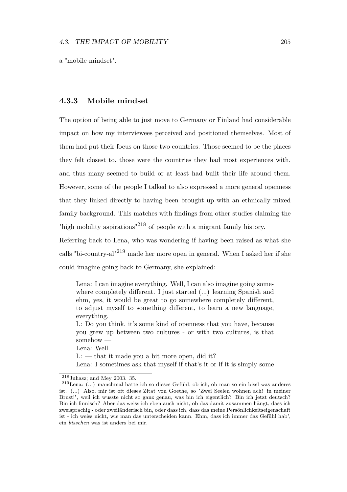a "mobile mindset".

### **4.3.3 Mobile mindset**

The option of being able to just move to Germany or Finland had considerable impact on how my interviewees perceived and positioned themselves. Most of them had put their focus on those two countries. Those seemed to be the places they felt closest to, those were the countries they had most experiences with, and thus many seemed to build or at least had built their life around them. However, some of the people I talked to also expressed a more general openness that they linked directly to having been brought up with an ethnically mixed family background. This matches with findings from other studies claiming the "high mobility aspirations"<sup>218</sup> of people with a migrant family history.

Referring back to Lena, who was wondering if having been raised as what she calls "bi-country-al"<sup>219</sup> made her more open in general. When I asked her if she could imagine going back to Germany, she explained:

Lena: I can imagine everything. Well, I can also imagine going somewhere completely different. I just started (...) learning Spanish and ehm, yes, it would be great to go somewhere completely different, to adjust myself to something different, to learn a new language, everything.

I.: Do you think, it's some kind of openness that you have, because you grew up between two cultures - or with two cultures, is that somehow —

Lena: Well.

 $I :=$  that it made you a bit more open, did it?

Lena: I sometimes ask that myself if that's it or if it is simply some

 $^{218}\mathrm{Juhasz};$  and Mey 2003. 35. 219 Lena: (...) manchmal hatte ich so dieses Gefühl, ob ich, ob man so ein bissl was anderes ist. (...) Also, mir ist oft dieses Zitat von Goethe, so "Zwei Seelen wohnen ach! in meiner Brust!", weil ich wusste nicht so ganz genau, was bin ich eigentlich? Bin ich jetzt deutsch? Bin ich finnisch? Aber das weiss ich eben auch nicht, ob das damit zusammen hängt, dass ich zweisprachig - oder zweiländerisch bin, oder dass ich, dass das meine Persönlichkeitseigenschaft ist - ich weiss nicht, wie man das unterscheiden kann. Ehm, dass ich immer das Gefühl hab', ein *bisschen* was ist anders bei mir.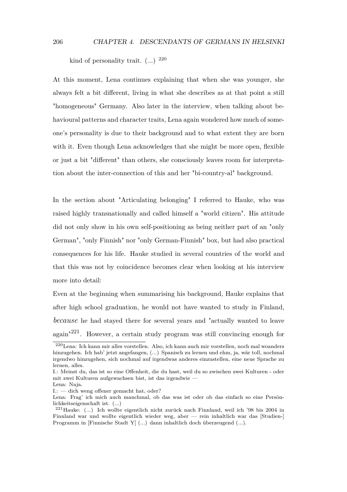kind of personality trait.  $(...)$  <sup>220</sup>

At this moment, Lena continues explaining that when she was younger, she always felt a bit different, living in what she describes as at that point a still "homogeneous" Germany. Also later in the interview, when talking about behavioural patterns and character traits, Lena again wondered how much of someone's personality is due to their background and to what extent they are born with it. Even though Lena acknowledges that she might be more open, flexible or just a bit "different" than others, she consciously leaves room for interpretation about the inter-connection of this and her "bi-country-al" background.

In the section about "Articulating belonging" I referred to Hauke, who was raised highly transnationally and called himself a "world citizen". His attitude did not only show in his own self-positioning as being neither part of an "only German", "only Finnish" nor "only German-Finnish" box, but had also practical consequences for his life. Hauke studied in several countries of the world and that this was not by coincidence becomes clear when looking at his interview more into detail:

Even at the beginning when summarising his background, Hauke explains that after high school graduation, he would not have wanted to study in Finland, *because* he had stayed there for several years and "actually wanted to leave  $a\gamma^{221}$ . However, a certain study program was still convincing enough for

<sup>220</sup>Lena: Ich kann mir alles vorstellen. Also, ich kann auch mir vorstellen, noch mal woanders hinzugehen. Ich hab' jetzt angefangen, (...) Spanisch zu lernen und ehm, ja, wär toll, nochmal irgendwo hinzugehen, sich nochmal auf irgendwas anderes einzustellen, eine neue Sprache zu lernen, alles.

I.: Meinst du, das ist so eine Offenheit, die du hast, weil du so zwischen zwei Kulturen - oder mit zwei Kulturen aufgewachsen bist, ist das irgendwie —

Lena: Naja.

I.: — dich weng offener gemacht hat, oder?

Lena: Frag' ich mich auch manchmal, ob das was ist oder ob das einfach so eine Persönlichkeitseigenschaft ist. (...)

<sup>221</sup>Hauke: (...) Ich wollte eigentlich nicht zurück nach Finnland, weil ich '98 bis 2004 in Finnland war und wollte eigentlich wieder weg, aber — rein inhaltlich war das [Studien-] Programm in [Finnische Stadt Y] (...) dann inhaltlich doch überzeugend (...).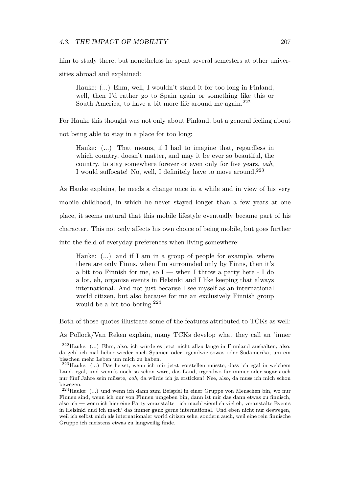him to study there, but nonetheless he spent several semesters at other univer-

sities abroad and explained:

Hauke: (...) Ehm, well, I wouldn't stand it for too long in Finland, well, then I'd rather go to Spain again or something like this or South America, to have a bit more life around me again.<sup>222</sup>

For Hauke this thought was not only about Finland, but a general feeling about

not being able to stay in a place for too long:

Hauke: (...) That means, if I had to imagine that, regardless in which country, doesn't matter, and may it be ever so beautiful, the country, to stay somewhere forever or even only for five years, *oah*, I would suffocate! No, well, I definitely have to move around.<sup>223</sup>

As Hauke explains, he needs a change once in a while and in view of his very mobile childhood, in which he never stayed longer than a few years at one place, it seems natural that this mobile lifestyle eventually became part of his character. This not only affects his own choice of being mobile, but goes further into the field of everyday preferences when living somewhere:

Hauke:  $(...)$  and if I am in a group of people for example, where there are only Finns, when I'm surrounded only by Finns, then it's a bit too Finnish for me, so  $I$  — when I throw a party here - I do a lot, eh, organise events in Helsinki and I like keeping that always international. And not just because I see myself as an international world citizen, but also because for me an exclusively Finnish group would be a bit too boring.<sup>224</sup>

Both of those quotes illustrate some of the features attributed to TCKs as well:

As Pollock/Van Reken explain, many TCKs develop what they call an "inner

<sup>222</sup>Hauke: (...) Ehm, also, ich würde es jetzt nicht allzu lange in Finnland aushalten, also, da geh' ich mal lieber wieder nach Spanien oder irgendwie sowas oder Südamerika, um ein bisschen mehr Leben um mich zu haben.

<sup>223</sup>Hauke: (...) Das heisst, wenn ich mir jetzt vorstellen müsste, dass ich egal in welchem Land, egal, und wenn's noch so schön wäre, das Land, irgendwo für immer oder sogar auch nur fünf Jahre sein müsste, *oah*, da würde ich ja ersticken! Nee, also, da muss ich mich schon bewegen.

<sup>224</sup>Hauke: (...) und wenn ich dann zum Beispiel in einer Gruppe von Menschen bin, wo nur Finnen sind, wenn ich nur von Finnen umgeben bin, dann ist mir das dann etwas zu finnisch, also ich — wenn ich hier eine Party veranstalte - ich mach' ziemlich viel eh, veranstalte Events in Helsinki und ich mach' das immer ganz gerne international. Und eben nicht nur deswegen, weil ich selbst mich als internationaler world citizen sehe, sondern auch, weil eine rein finnische Gruppe ich meistens etwas zu langweilig finde.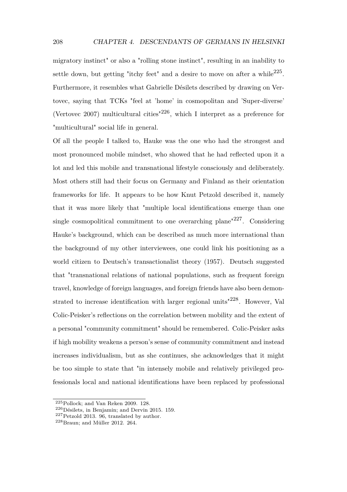migratory instinct" or also a "rolling stone instinct", resulting in an inability to settle down, but getting "itchy feet" and a desire to move on after a while  $225$ . Furthermore, it resembles what Gabrielle Désilets described by drawing on Vertovec, saying that TCKs "feel at 'home' in cosmopolitan and 'Super-diverse' (Vertovec 2007) multicultural cities<sup>"226</sup>, which I interpret as a preference for "multicultural" social life in general.

Of all the people I talked to, Hauke was the one who had the strongest and most pronounced mobile mindset, who showed that he had reflected upon it a lot and led this mobile and transnational lifestyle consciously and deliberately. Most others still had their focus on Germany and Finland as their orientation frameworks for life. It appears to be how Knut Petzold described it, namely that it was more likely that "multiple local identifications emerge than one single cosmopolitical commitment to one overarching plane" $227$ . Considering Hauke's background, which can be described as much more international than the background of my other interviewees, one could link his positioning as a world citizen to Deutsch's transactionalist theory (1957). Deutsch suggested that "transnational relations of national populations, such as frequent foreign travel, knowledge of foreign languages, and foreign friends have also been demonstrated to increase identification with larger regional units<sup>"228</sup>. However, Val Colic-Peisker's reflections on the correlation between mobility and the extent of a personal "community commitment" should be remembered. Colic-Peisker asks if high mobility weakens a person's sense of community commitment and instead increases individualism, but as she continues, she acknowledges that it might be too simple to state that "in intensely mobile and relatively privileged professionals local and national identifications have been replaced by professional

 $^{225}$ Pollock; and Van Reken 2009. 128.  $^{226}$ Désilets, in Benjamin; and Dervin 2015. 159.  $^{227}$ Petzold 2013. 96, translated by author.  $^{228}$ Braun; and Müller 2012. 264.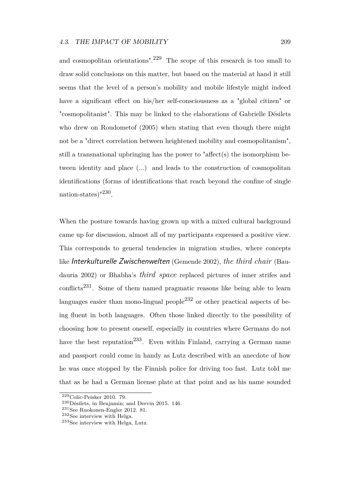and cosmopolitan orientations".<sup>229</sup> The scope of this research is too small to draw solid conclusions on this matter, but based on the material at hand it still seems that the level of a person's mobility and mobile lifestyle might indeed have a significant effect on his/her self-consciousness as a "global citizen" or "cosmopolitanist". This may be linked to the elaborations of Gabrielle Désilets who drew on Roudometof (2005) when stating that even though there might not be a "direct correlation between heightened mobility and cosmopolitanism", still a transnational upbringing has the power to "affect(s) the isomorphism between identity and place (...) and leads to the construction of cosmopolitan identifications (forms of identifications that reach beyond the confine of single nation-states)"230.

When the posture towards having grown up with a mixed cultural background came up for discussion, almost all of my participants expressed a positive view. This corresponds to general tendencies in migration studies, where concepts like Interkulturelle Zwischenwelten (Gemende 2002), *the third chair* (Baudauria 2002) or Bhabha's *third space* replaced pictures of inner strifes and conflicts<sup>231</sup>. Some of them named pragmatic reasons like being able to learn languages easier than mono-lingual people<sup>232</sup> or other practical aspects of being fluent in both languages. Often those linked directly to the possibility of choosing how to present oneself, especially in countries where Germans do not have the best reputation<sup>233</sup>. Even within Finland, carrying a German name and passport could come in handy as Lutz described with an anecdote of how he was once stopped by the Finnish police for driving too fast. Lutz told me that as he had a German license plate at that point and as his name sounded

<sup>&</sup>lt;sup>229</sup>Colic-Peisker 2010. 79.<br><sup>230</sup>Désilets, in Benjamin; and Dervin 2015. 146.<br><sup>231</sup>See Ruokonen-Engler 2012. 81.<br><sup>232</sup>See interview with Helga. 233See interview with Helga, Lutz.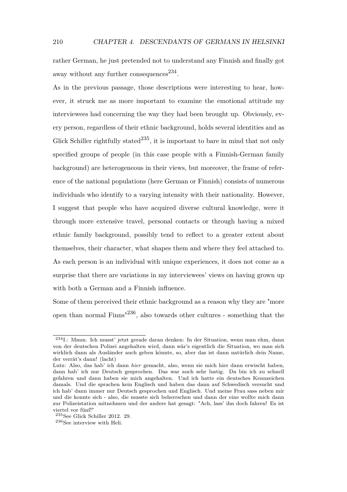rather German, he just pretended not to understand any Finnish and finally got away without any further consequences  $234$ .

As in the previous passage, those descriptions were interesting to hear, however, it struck me as more important to examine the emotional attitude my interviewees had concerning the way they had been brought up. Obviously, every person, regardless of their ethnic background, holds several identities and as Glick Schiller rightfully stated<sup>235</sup>, it is important to bare in mind that not only specified groups of people (in this case people with a Finnish-German family background) are heterogeneous in their views, but moreover, the frame of reference of the national populations (here German or Finnish) consists of numerous individuals who identify to a varying intensity with their nationality. However, I suggest that people who have acquired diverse cultural knowledge, were it through more extensive travel, personal contacts or through having a mixed ethnic family background, possibly tend to reflect to a greater extent about themselves, their character, what shapes them and where they feel attached to. As each person is an individual with unique experiences, it does not come as a surprise that there are variations in my interviewees' views on having grown up with both a German and a Finnish influence.

Some of them perceived their ethnic background as a reason why they are "more open than normal Finns"236, also towards other cultures - something that the

<sup>234</sup>I.: Mmm. Ich musst' jetzt gerade daran denken: In der Situation, wenn man ehm, dann von der deutschen Polizei angehalten wird, dann wär's eigentlich die Situation, wo man sich wirklich dann als Ausländer auch geben könnte, so, aber das ist dann natürlich dein Name, der verrät's dann! (lacht)

Lutz: Also, das hab' ich dann *hier* gemacht, also, wenn sie mich hier dann erwischt haben, dann hab' ich nur Deutsch gesprochen. Das war auch sehr lustig. Da bin ich zu schnell gefahren und dann haben sie mich angehalten. Und ich hatte ein deutsches Kennzeichen damals. Und die sprachen kein Englisch und haben das dann auf Schwedisch versucht und ich hab' dann immer nur Deutsch gesprochen und Englisch. Und meine Frau sass neben mir und die konnte sich - also, die musste sich beherrschen und dann der eine wollte mich dann zur Polizeistation mitnehmen und der andere hat gesagt: "Ach, lass' ihn doch fahren! Es ist viertel vor fünf!"

 $^{235}$ See Glick Schiller 2012. 29.<br> $^{236}$ See interview with Heli.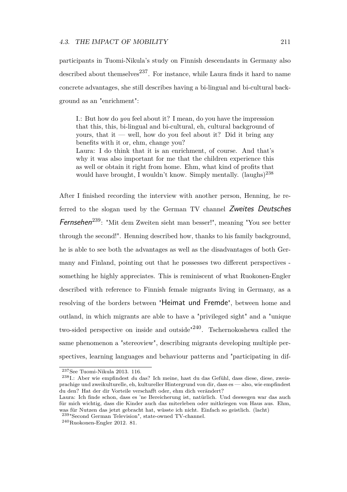participants in Tuomi-Nikula's study on Finnish descendants in Germany also described about themselves<sup>237</sup>. For instance, while Laura finds it hard to name concrete advantages, she still describes having a bi-lingual and bi-cultural background as an "enrichment":

I.: But how do *you* feel about it? I mean, do you have the impression that this, this, bi-lingual and bi-cultural, eh, cultural background of yours, that it — well, how do you feel about it? Did it bring any benefits with it or, ehm, change you? Laura: I do think that it is an enrichment, of course. And that's why it was also important for me that the children experience this as well or obtain it right from home. Ehm, what kind of profits that would have brought, I wouldn't know. Simply mentally.  $(\text{laughs})^{238}$ 

After I finished recording the interview with another person, Henning, he referred to the slogan used by the German TV channel Zweites Deutsches Fernsehen<sup>239</sup>: "Mit dem Zweiten sieht man besser!", meaning "You see better through the second!". Henning described how, thanks to his family background, he is able to see both the advantages as well as the disadvantages of both Germany and Finland, pointing out that he possesses two different perspectives something he highly appreciates. This is reminiscent of what Ruokonen-Engler described with reference to Finnish female migrants living in Germany, as a resolving of the borders between "Heimat und Fremde", between home and outland, in which migrants are able to have a "privileged sight" and a "unique two-sided perspective on inside and outside<sup>"240</sup>. Tschernokoshewa called the same phenomenon a "stereoview", describing migrants developing multiple perspectives, learning languages and behaviour patterns and "participating in dif-

 $^{237}\rm{See}$ Tuomi-Nikula 2013. 116.  $^{238}\rm{Li}$  Aber wie empfindest  $du$  das? Ich meine, hast du das Gefühl, dass diese, diese, zweisprachige und zweikulturelle, eh, kultureller Hintergrund von dir, dass es — also, wie empfindest du den? Hat der dir Vorteile verschafft oder, ehm dich verändert?

Laura: Ich finde schon, dass es 'ne Bereicherung ist, natürlich. Und deswegen war das auch für mich wichtig, dass die Kinder auch das miterleben oder mitkriegen von Haus aus. Ehm, was für Nutzen das jetzt gebracht hat, wüsste ich nicht. Einfach so geistlich. (lacht)

 $^{239}$  Second German Television", state-owned TV-channel.  $^{240}\rm{Ruokonen-Engler}$  2012. 81.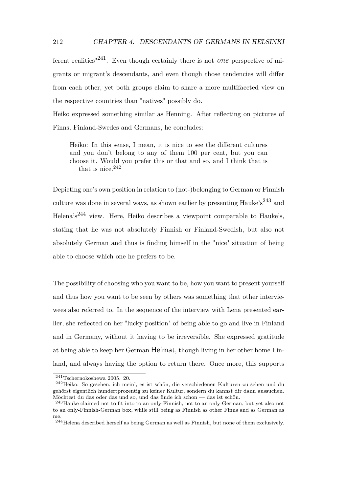ferent realities<sup> $241$ </sup>. Even though certainly there is not *one* perspective of migrants or migrant's descendants, and even though those tendencies will differ from each other, yet both groups claim to share a more multifaceted view on the respective countries than "natives" possibly do.

Heiko expressed something similar as Henning. After reflecting on pictures of Finns, Finland-Swedes and Germans, he concludes:

Heiko: In this sense, I mean, it is nice to see the different cultures and you don't belong to any of them 100 per cent, but you can choose it. Would you prefer this or that and so, and I think that is — that is nice.  $^{242}$ 

Depicting one's own position in relation to (not-)belonging to German or Finnish culture was done in several ways, as shown earlier by presenting  $Hauke's^{243}$  and Helena's<sup>244</sup> view. Here, Heiko describes a viewpoint comparable to Hauke's, stating that he was not absolutely Finnish or Finland-Swedish, but also not absolutely German and thus is finding himself in the "nice" situation of being able to choose which one he prefers to be.

The possibility of choosing who you want to be, how you want to present yourself and thus how you want to be seen by others was something that other interviewees also referred to. In the sequence of the interview with Lena presented earlier, she reflected on her "lucky position" of being able to go and live in Finland and in Germany, without it having to be irreversible. She expressed gratitude at being able to keep her German Heimat, though living in her other home Finland, and always having the option to return there. Once more, this supports

 $^{241}\rm Tschernokoshewa$  2005. 20. 242 Heiko: So gesehen, ich mein', es ist schön, die verschiedenen Kulturen zu sehen und du gehörst eigentlich hundertprozentig zu keiner Kultur, sondern du kannst dir dann aussuchen. Möchtest du das oder das und so, und das finde ich schon — das ist schön.

<sup>243</sup>Hauke claimed not to fit into to an only-Finnish, not to an only-German, but yet also not to an only-Finnish-German box, while still being as Finnish as other Finns and as German as me.

 $^{244}\mathrm{He}$ lena described herself as being German as well as Finnish, but none of them exclusively.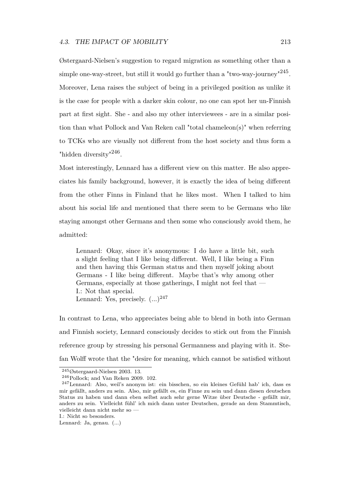Østergaard-Nielsen's suggestion to regard migration as something other than a simple one-way-street, but still it would go further than a "two-way-journey"<sup>245</sup>. Moreover, Lena raises the subject of being in a privileged position as unlike it is the case for people with a darker skin colour, no one can spot her un-Finnish part at first sight. She - and also my other interviewees - are in a similar position than what Pollock and Van Reken call "total chameleon(s)" when referring to TCKs who are visually not different from the host society and thus form a "hidden diversity"<sup>246</sup>.

Most interestingly, Lennard has a different view on this matter. He also appreciates his family background, however, it is exactly the idea of being different from the other Finns in Finland that he likes most. When I talked to him about his social life and mentioned that there seem to be Germans who like staying amongst other Germans and then some who consciously avoid them, he admitted:

Lennard: Okay, since it's anonymous: I do have a little bit, such a slight feeling that I like being different. Well, I like being a Finn and then having this German status and then myself joking about Germans - I like being different. Maybe that's why among other Germans, especially at those gatherings, I might not feel that — I.: Not that special. Lennard: Yes, precisely.  $(...)^{247}$ 

In contrast to Lena, who appreciates being able to blend in both into German and Finnish society, Lennard consciously decides to stick out from the Finnish reference group by stressing his personal Germanness and playing with it. Stefan Wolff wrote that the "desire for meaning, which cannot be satisfied without

 $^{245}\rm{Østergaard-Nielsen}$ 2003. 13. 246 Pollock; and Van Reken 2009. 102. 247<br/>Lennard: Also, weil's anonym ist: ein bisschen, so ein kleines Gefühl hab' ich, dass es mir gefällt, anders zu sein. Also, mir gefällt es, ein Finne zu sein und dann diesen deutschen Status zu haben und dann eben selbst auch sehr gerne Witze über Deutsche - gefällt mir, anders zu sein. Vielleicht fühl' ich mich dann unter Deutschen, gerade an dem Stammtisch, vielleicht dann nicht mehr so —

I.: Nicht so besonders.

Lennard: Ja, genau. (...)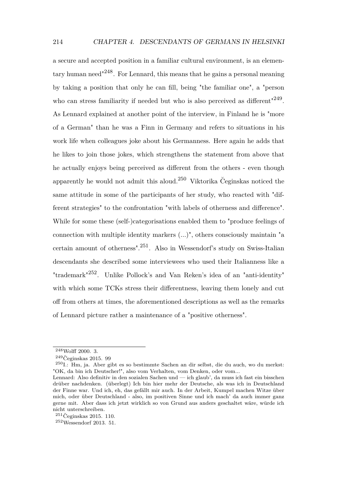a secure and accepted position in a familiar cultural environment, is an elementary human need<sup>"248</sup>. For Lennard, this means that he gains a personal meaning by taking a position that only he can fill, being "the familiar one", a "person who can stress familiarity if needed but who is also perceived as different  $249$ . As Lennard explained at another point of the interview, in Finland he is "more of a German" than he was a Finn in Germany and refers to situations in his work life when colleagues joke about his Germanness. Here again he adds that he likes to join those jokes, which strengthens the statement from above that he actually enjoys being perceived as different from the others - even though apparently he would not admit this aloud.<sup>250</sup> Viktorika Ceginskas noticed the same attitude in some of the participants of her study, who reacted with "different strategies" to the confrontation "with labels of otherness and difference". While for some these (self-)categorisations enabled them to "produce feelings of connection with multiple identity markers (...)", others consciously maintain "a certain amount of otherness".251. Also in Wessendorf's study on Swiss-Italian descendants she described some interviewees who used their Italianness like a "trademark"252. Unlike Pollock's and Van Reken's idea of an "anti-identity" with which some TCKs stress their differentness, leaving them lonely and cut off from others at times, the aforementioned descriptions as well as the remarks of Lennard picture rather a maintenance of a "positive otherness".

 $^{248}$ Wolff 2000. 3.<br> $^{249}$ Čeginskas 2015. 99

<sup>250</sup>I.: Hm, ja. Aber gibt es so bestimmte Sachen an dir selbst, die du auch, wo du merkst: "OK, da bin ich Deutscher!", also vom Verhalten, vom Denken, oder vom...

Lennard: Also definitiv in den sozialen Sachen und — ich glaub', da muss ich fast ein bisschen drüber nachdenken. (überlegt) Ich bin hier mehr der Deutsche, als was ich in Deutschland der Finne war. Und ich, eh, das gefällt mir auch. In der Arbeit, Kumpel machen Witze über mich, oder über Deutschland - also, im positiven Sinne und ich mach' da auch immer ganz gerne mit. Aber dass ich jetzt wirklich so von Grund aus anders geschaltet wäre, würde ich nicht unterschreiben.

 $251$ Čeginskas 2015. 110.

<sup>252</sup>Wessendorf 2013. 51.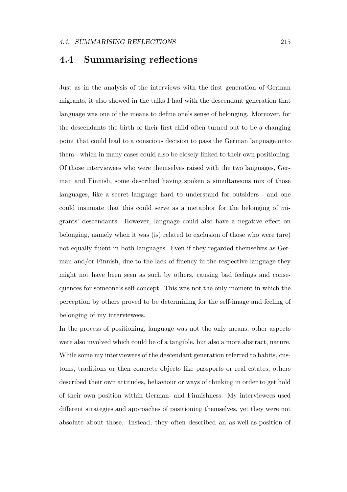# **4.4 Summarising reflections**

Just as in the analysis of the interviews with the first generation of German migrants, it also showed in the talks I had with the descendant generation that language was one of the means to define one's sense of belonging. Moreover, for the descendants the birth of their first child often turned out to be a changing point that could lead to a conscious decision to pass the German language onto them - which in many cases could also be closely linked to their own positioning. Of those interviewees who were themselves raised with the two languages, German and Finnish, some described having spoken a simultaneous mix of those languages, like a secret language hard to understand for outsiders - and one could insinuate that this could serve as a metaphor for the belonging of migrants' descendants. However, language could also have a negative effect on belonging, namely when it was (is) related to exclusion of those who were (are) not equally fluent in both languages. Even if they regarded themselves as German and/or Finnish, due to the lack of fluency in the respective language they might not have been seen as such by others, causing bad feelings and consequences for someone's self-concept. This was not the only moment in which the perception by others proved to be determining for the self-image and feeling of belonging of my interviewees.

In the process of positioning, language was not the only means; other aspects were also involved which could be of a tangible, but also a more abstract, nature. While some my interviewees of the descendant generation referred to habits, customs, traditions or then concrete objects like passports or real estates, others described their own attitudes, behaviour or ways of thinking in order to get hold of their own position within German- and Finnishness. My interviewees used different strategies and approaches of positioning themselves, yet they were not absolute about those. Instead, they often described an as-well-as-position of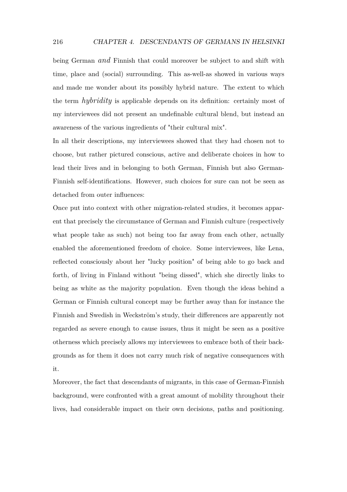being German *and* Finnish that could moreover be subject to and shift with time, place and (social) surrounding. This as-well-as showed in various ways and made me wonder about its possibly hybrid nature. The extent to which the term *hybridity* is applicable depends on its definition: certainly most of my interviewees did not present an undefinable cultural blend, but instead an awareness of the various ingredients of "their cultural mix".

In all their descriptions, my interviewees showed that they had chosen not to choose, but rather pictured conscious, active and deliberate choices in how to lead their lives and in belonging to both German, Finnish but also German-Finnish self-identifications. However, such choices for sure can not be seen as detached from outer influences:

Once put into context with other migration-related studies, it becomes apparent that precisely the circumstance of German and Finnish culture (respectively what people take as such) not being too far away from each other, actually enabled the aforementioned freedom of choice. Some interviewees, like Lena, reflected consciously about her "lucky position" of being able to go back and forth, of living in Finland without "being dissed", which she directly links to being as white as the majority population. Even though the ideas behind a German or Finnish cultural concept may be further away than for instance the Finnish and Swedish in Weckström's study, their differences are apparently not regarded as severe enough to cause issues, thus it might be seen as a positive otherness which precisely allows my interviewees to embrace both of their backgrounds as for them it does not carry much risk of negative consequences with it.

Moreover, the fact that descendants of migrants, in this case of German-Finnish background, were confronted with a great amount of mobility throughout their lives, had considerable impact on their own decisions, paths and positioning.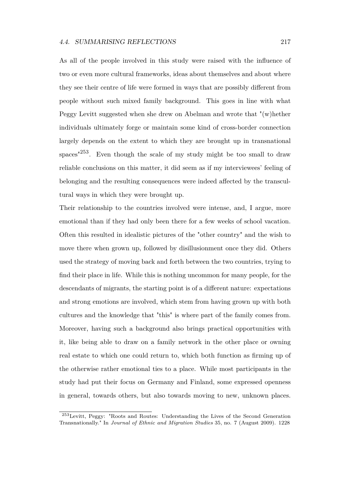As all of the people involved in this study were raised with the influence of two or even more cultural frameworks, ideas about themselves and about where they see their centre of life were formed in ways that are possibly different from people without such mixed family background. This goes in line with what Peggy Levitt suggested when she drew on Abelman and wrote that "(w)hether individuals ultimately forge or maintain some kind of cross-border connection largely depends on the extent to which they are brought up in transnational spaces<sup>1253</sup>. Even though the scale of my study might be too small to draw reliable conclusions on this matter, it did seem as if my interviewees' feeling of belonging and the resulting consequences were indeed affected by the transcultural ways in which they were brought up.

Their relationship to the countries involved were intense, and, I argue, more emotional than if they had only been there for a few weeks of school vacation. Often this resulted in idealistic pictures of the "other country" and the wish to move there when grown up, followed by disillusionment once they did. Others used the strategy of moving back and forth between the two countries, trying to find their place in life. While this is nothing uncommon for many people, for the descendants of migrants, the starting point is of a different nature: expectations and strong emotions are involved, which stem from having grown up with both cultures and the knowledge that "this" is where part of the family comes from. Moreover, having such a background also brings practical opportunities with it, like being able to draw on a family network in the other place or owning real estate to which one could return to, which both function as firming up of the otherwise rather emotional ties to a place. While most participants in the study had put their focus on Germany and Finland, some expressed openness in general, towards others, but also towards moving to new, unknown places.

<sup>253</sup>Levitt, Peggy: "Roots and Routes: Understanding the Lives of the Second Generation Transnationally." In *Journal of Ethnic and Migration Studies* 35, no. 7 (August 2009). 1228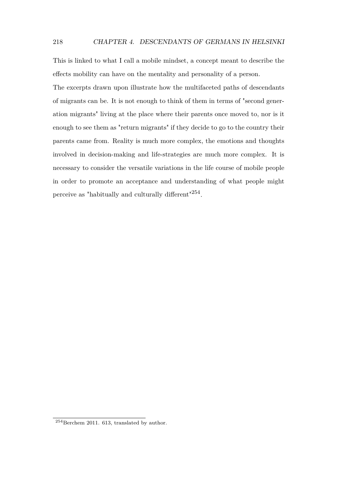This is linked to what I call a mobile mindset, a concept meant to describe the effects mobility can have on the mentality and personality of a person.

The excerpts drawn upon illustrate how the multifaceted paths of descendants of migrants can be. It is not enough to think of them in terms of "second generation migrants" living at the place where their parents once moved to, nor is it enough to see them as "return migrants" if they decide to go to the country their parents came from. Reality is much more complex, the emotions and thoughts involved in decision-making and life-strategies are much more complex. It is necessary to consider the versatile variations in the life course of mobile people in order to promote an acceptance and understanding of what people might perceive as "habitually and culturally different"254.

 $\frac{254}{P}$ Berchem 2011. 613, translated by author.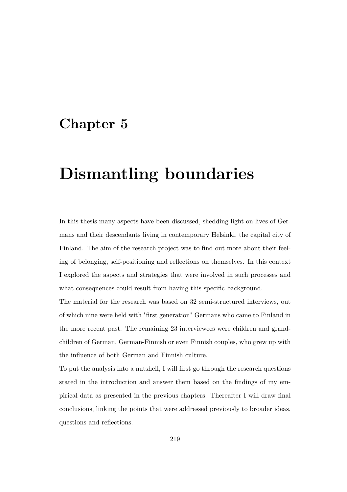## **Chapter 5**

# **Dismantling boundaries**

In this thesis many aspects have been discussed, shedding light on lives of Germans and their descendants living in contemporary Helsinki, the capital city of Finland. The aim of the research project was to find out more about their feeling of belonging, self-positioning and reflections on themselves. In this context I explored the aspects and strategies that were involved in such processes and what consequences could result from having this specific background.

The material for the research was based on 32 semi-structured interviews, out of which nine were held with "first generation" Germans who came to Finland in the more recent past. The remaining 23 interviewees were children and grandchildren of German, German-Finnish or even Finnish couples, who grew up with the influence of both German and Finnish culture.

To put the analysis into a nutshell, I will first go through the research questions stated in the introduction and answer them based on the findings of my empirical data as presented in the previous chapters. Thereafter I will draw final conclusions, linking the points that were addressed previously to broader ideas, questions and reflections.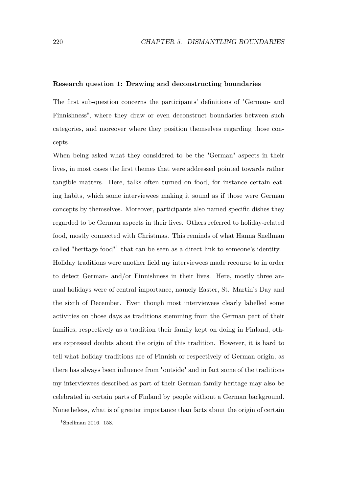#### **Research question 1: Drawing and deconstructing boundaries**

The first sub-question concerns the participants' definitions of "German- and Finnishness", where they draw or even deconstruct boundaries between such categories, and moreover where they position themselves regarding those concepts.

When being asked what they considered to be the "German" aspects in their lives, in most cases the first themes that were addressed pointed towards rather tangible matters. Here, talks often turned on food, for instance certain eating habits, which some interviewees making it sound as if those were German concepts by themselves. Moreover, participants also named specific dishes they regarded to be German aspects in their lives. Others referred to holiday-related food, mostly connected with Christmas. This reminds of what Hanna Snellman called "heritage food"<sup>1</sup> that can be seen as a direct link to someone's identity. Holiday traditions were another field my interviewees made recourse to in order to detect German- and/or Finnishness in their lives. Here, mostly three annual holidays were of central importance, namely Easter, St. Martin's Day and the sixth of December. Even though most interviewees clearly labelled some activities on those days as traditions stemming from the German part of their families, respectively as a tradition their family kept on doing in Finland, others expressed doubts about the origin of this tradition. However, it is hard to tell what holiday traditions are of Finnish or respectively of German origin, as there has always been influence from "outside" and in fact some of the traditions my interviewees described as part of their German family heritage may also be celebrated in certain parts of Finland by people without a German background. Nonetheless, what is of greater importance than facts about the origin of certain

<sup>1</sup>Snellman 2016. 158.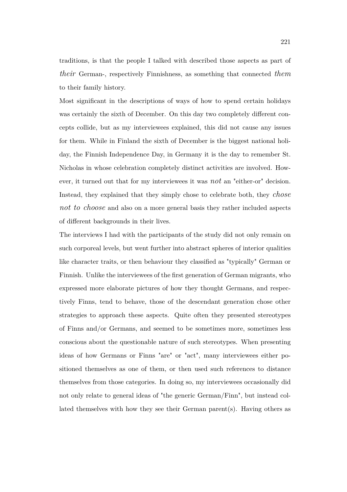traditions, is that the people I talked with described those aspects as part of *their* German-, respectively Finnishness, as something that connected *them* to their family history.

Most significant in the descriptions of ways of how to spend certain holidays was certainly the sixth of December. On this day two completely different concepts collide, but as my interviewees explained, this did not cause any issues for them. While in Finland the sixth of December is the biggest national holiday, the Finnish Independence Day, in Germany it is the day to remember St. Nicholas in whose celebration completely distinct activities are involved. However, it turned out that for my interviewees it was *not* an "either-or" decision. Instead, they explained that they simply chose to celebrate both, they *chose not to choose* and also on a more general basis they rather included aspects of different backgrounds in their lives.

The interviews I had with the participants of the study did not only remain on such corporeal levels, but went further into abstract spheres of interior qualities like character traits, or then behaviour they classified as "typically" German or Finnish. Unlike the interviewees of the first generation of German migrants, who expressed more elaborate pictures of how they thought Germans, and respectively Finns, tend to behave, those of the descendant generation chose other strategies to approach these aspects. Quite often they presented stereotypes of Finns and/or Germans, and seemed to be sometimes more, sometimes less conscious about the questionable nature of such stereotypes. When presenting ideas of how Germans or Finns "are" or "act", many interviewees either positioned themselves as one of them, or then used such references to distance themselves from those categories. In doing so, my interviewees occasionally did not only relate to general ideas of "the generic German/Finn", but instead collated themselves with how they see their German parent(s). Having others as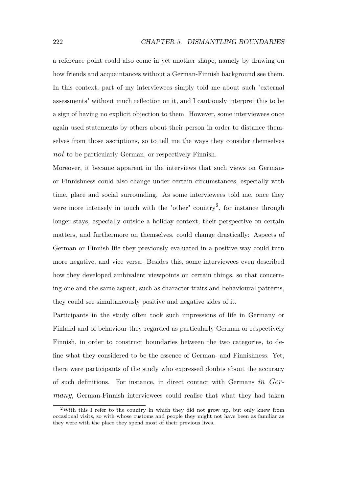a reference point could also come in yet another shape, namely by drawing on how friends and acquaintances without a German-Finnish background see them. In this context, part of my interviewees simply told me about such "external assessments" without much reflection on it, and I cautiously interpret this to be a sign of having no explicit objection to them. However, some interviewees once again used statements by others about their person in order to distance themselves from those ascriptions, so to tell me the ways they consider themselves *not* to be particularly German, or respectively Finnish.

Moreover, it became apparent in the interviews that such views on Germanor Finnishness could also change under certain circumstances, especially with time, place and social surrounding. As some interviewees told me, once they were more intensely in touch with the "other" country<sup>2</sup>, for instance through longer stays, especially outside a holiday context, their perspective on certain matters, and furthermore on themselves, could change drastically: Aspects of German or Finnish life they previously evaluated in a positive way could turn more negative, and vice versa. Besides this, some interviewees even described how they developed ambivalent viewpoints on certain things, so that concerning one and the same aspect, such as character traits and behavioural patterns, they could see simultaneously positive and negative sides of it.

Participants in the study often took such impressions of life in Germany or Finland and of behaviour they regarded as particularly German or respectively Finnish, in order to construct boundaries between the two categories, to define what they considered to be the essence of German- and Finnishness. Yet, there were participants of the study who expressed doubts about the accuracy of such definitions. For instance, in direct contact with Germans *in Germany*, German-Finnish interviewees could realise that what they had taken

<sup>2</sup>With this I refer to the country in which they did not grow up, but only knew from occasional visits, so with whose customs and people they might not have been as familiar as they were with the place they spend most of their previous lives.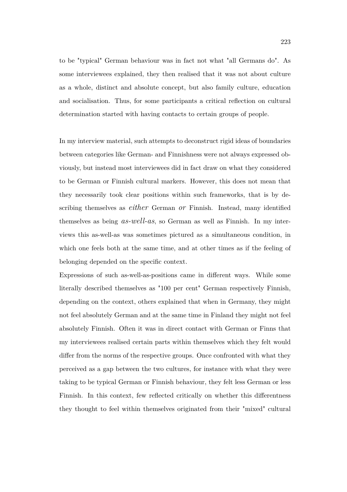to be "typical" German behaviour was in fact not what "all Germans do". As some interviewees explained, they then realised that it was not about culture as a whole, distinct and absolute concept, but also family culture, education and socialisation. Thus, for some participants a critical reflection on cultural determination started with having contacts to certain groups of people.

In my interview material, such attempts to deconstruct rigid ideas of boundaries between categories like German- and Finnishness were not always expressed obviously, but instead most interviewees did in fact draw on what they considered to be German or Finnish cultural markers. However, this does not mean that they necessarily took clear positions within such frameworks, that is by describing themselves as *either* German *or* Finnish. Instead, many identified themselves as being *as-well-as*, so German as well as Finnish. In my interviews this as-well-as was sometimes pictured as a simultaneous condition, in which one feels both at the same time, and at other times as if the feeling of belonging depended on the specific context.

Expressions of such as-well-as-positions came in different ways. While some literally described themselves as "100 per cent" German respectively Finnish, depending on the context, others explained that when in Germany, they might not feel absolutely German and at the same time in Finland they might not feel absolutely Finnish. Often it was in direct contact with German or Finns that my interviewees realised certain parts within themselves which they felt would differ from the norms of the respective groups. Once confronted with what they perceived as a gap between the two cultures, for instance with what they were taking to be typical German or Finnish behaviour, they felt less German or less Finnish. In this context, few reflected critically on whether this differentness they thought to feel within themselves originated from their "mixed" cultural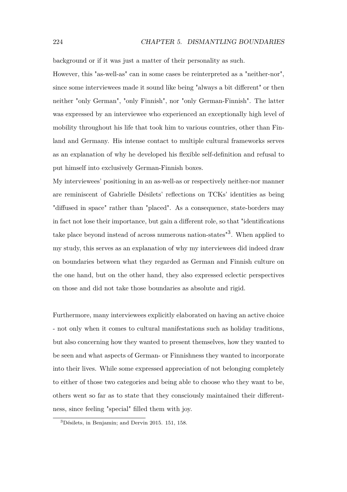background or if it was just a matter of their personality as such.

However, this "as-well-as" can in some cases be reinterpreted as a "neither-nor", since some interviewees made it sound like being "always a bit different" or then neither "only German", "only Finnish", nor "only German-Finnish". The latter was expressed by an interviewee who experienced an exceptionally high level of mobility throughout his life that took him to various countries, other than Finland and Germany. His intense contact to multiple cultural frameworks serves as an explanation of why he developed his flexible self-definition and refusal to put himself into exclusively German-Finnish boxes.

My interviewees' positioning in an as-well-as or respectively neither-nor manner are reminiscent of Gabrielle Désilets' reflections on TCKs' identities as being "diffused in space" rather than "placed". As a consequence, state-borders may in fact not lose their importance, but gain a different role, so that "identifications take place beyond instead of across numerous nation-states"3. When applied to my study, this serves as an explanation of why my interviewees did indeed draw on boundaries between what they regarded as German and Finnish culture on the one hand, but on the other hand, they also expressed eclectic perspectives on those and did not take those boundaries as absolute and rigid.

Furthermore, many interviewees explicitly elaborated on having an active choice - not only when it comes to cultural manifestations such as holiday traditions, but also concerning how they wanted to present themselves, how they wanted to be seen and what aspects of German- or Finnishness they wanted to incorporate into their lives. While some expressed appreciation of not belonging completely to either of those two categories and being able to choose who they want to be, others went so far as to state that they consciously maintained their differentness, since feeling "special" filled them with joy.

<sup>3</sup>Désilets, in Benjamin; and Dervin 2015. 151, 158.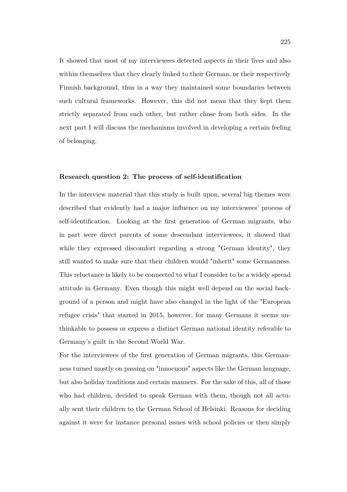It showed that most of my interviewees detected aspects in their lives and also within themselves that they clearly linked to their German, or their respectively Finnish background, thus in a way they maintained some boundaries between such cultural frameworks. However, this did not mean that they kept them strictly separated from each other, but rather chose from both sides. In the next part I will discuss the mechanisms involved in developing a certain feeling of belonging.

#### **Research question 2: The process of self-identification**

In the interview material that this study is built upon, several big themes were described that evidently had a major influence on my interviewees' process of self-identification. Looking at the first generation of German migrants, who in part were direct parents of some descendant interviewees, it showed that while they expressed discomfort regarding a strong "German identity", they still wanted to make sure that their children would "inherit" some Germanness. This reluctance is likely to be connected to what I consider to be a widely spread attitude in Germany. Even though this might well depend on the social background of a person and might have also changed in the light of the "European refugee crisis" that started in 2015, however, for many Germans it seems unthinkable to possess or express a distinct German national identity referable to Germany's guilt in the Second World War.

For the interviewees of the first generation of German migrants, this Germanness turned mostly on passing on "innocuous" aspects like the German language, but also holiday traditions and certain manners. For the sake of this, all of those who had children, decided to speak German with them, though not all actually sent their children to the German School of Helsinki. Reasons for deciding against it were for instance personal issues with school policies or then simply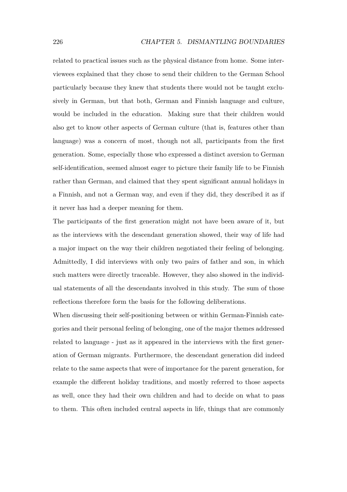related to practical issues such as the physical distance from home. Some interviewees explained that they chose to send their children to the German School particularly because they knew that students there would not be taught exclusively in German, but that both, German and Finnish language and culture, would be included in the education. Making sure that their children would also get to know other aspects of German culture (that is, features other than language) was a concern of most, though not all, participants from the first generation. Some, especially those who expressed a distinct aversion to German self-identification, seemed almost eager to picture their family life to be Finnish rather than German, and claimed that they spent significant annual holidays in a Finnish, and not a German way, and even if they did, they described it as if it never has had a deeper meaning for them.

The participants of the first generation might not have been aware of it, but as the interviews with the descendant generation showed, their way of life had a major impact on the way their children negotiated their feeling of belonging. Admittedly, I did interviews with only two pairs of father and son, in which such matters were directly traceable. However, they also showed in the individual statements of all the descendants involved in this study. The sum of those reflections therefore form the basis for the following deliberations.

When discussing their self-positioning between or within German-Finnish categories and their personal feeling of belonging, one of the major themes addressed related to language - just as it appeared in the interviews with the first generation of German migrants. Furthermore, the descendant generation did indeed relate to the same aspects that were of importance for the parent generation, for example the different holiday traditions, and mostly referred to those aspects as well, once they had their own children and had to decide on what to pass to them. This often included central aspects in life, things that are commonly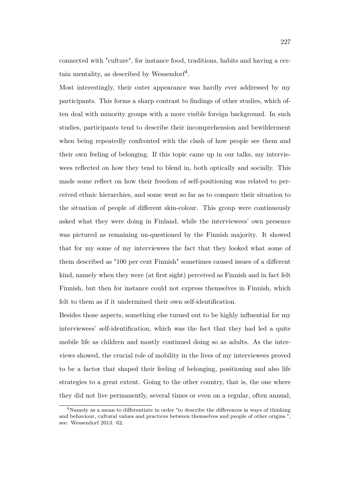connected with "culture", for instance food, traditions, habits and having a certain mentality, as described by Wessendorf<sup>4</sup>.

Most interestingly, their outer appearance was hardly ever addressed by my participants. This forms a sharp contrast to findings of other studies, which often deal with minority groups with a more visible foreign background. In such studies, participants tend to describe their incomprehension and bewilderment when being repeatedly confronted with the clash of how people see them and their own feeling of belonging. If this topic came up in our talks, my interviewees reflected on how they tend to blend in, both optically and socially. This made some reflect on how their freedom of self-positioning was related to perceived ethnic hierarchies, and some went so far as to compare their situation to the situation of people of different skin-colour. This group were continuously asked what they were doing in Finland, while the interviewees' own presence was pictured as remaining un-questioned by the Finnish majority. It showed that for my some of my interviewees the fact that they looked what some of them described as "100 per cent Finnish" sometimes caused issues of a different kind, namely when they were (at first sight) perceived as Finnish and in fact felt Finnish, but then for instance could not express themselves in Finnish, which felt to them as if it undermined their own self-identification.

Besides those aspects, something else turned out to be highly influential for my interviewees' self-identification, which was the fact that they had led a quite mobile life as children and mostly continued doing so as adults. As the interviews showed, the crucial role of mobility in the lives of my interviewees proved to be a factor that shaped their feeling of belonging, positioning and also life strategies to a great extent. Going to the other country, that is, the one where they did not live permanently, several times or even on a regular, often annual,

 $4$ Namely as a mean to differentiate in order "to describe the differences in ways of thinking and behaviour, cultural values and practices between themselves and people of other origins.", see: Wessendorf 2013. 62.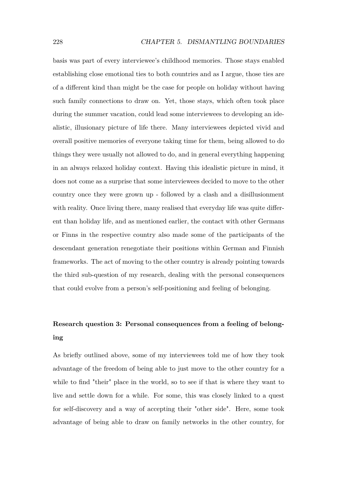basis was part of every interviewee's childhood memories. Those stays enabled establishing close emotional ties to both countries and as I argue, those ties are of a different kind than might be the case for people on holiday without having such family connections to draw on. Yet, those stays, which often took place during the summer vacation, could lead some interviewees to developing an idealistic, illusionary picture of life there. Many interviewees depicted vivid and overall positive memories of everyone taking time for them, being allowed to do things they were usually not allowed to do, and in general everything happening in an always relaxed holiday context. Having this idealistic picture in mind, it does not come as a surprise that some interviewees decided to move to the other country once they were grown up - followed by a clash and a disillusionment with reality. Once living there, many realised that everyday life was quite different than holiday life, and as mentioned earlier, the contact with other Germans or Finns in the respective country also made some of the participants of the descendant generation renegotiate their positions within German and Finnish frameworks. The act of moving to the other country is already pointing towards the third sub-question of my research, dealing with the personal consequences that could evolve from a person's self-positioning and feeling of belonging.

## **Research question 3: Personal consequences from a feeling of belonging**

As briefly outlined above, some of my interviewees told me of how they took advantage of the freedom of being able to just move to the other country for a while to find "their" place in the world, so to see if that is where they want to live and settle down for a while. For some, this was closely linked to a quest for self-discovery and a way of accepting their "other side". Here, some took advantage of being able to draw on family networks in the other country, for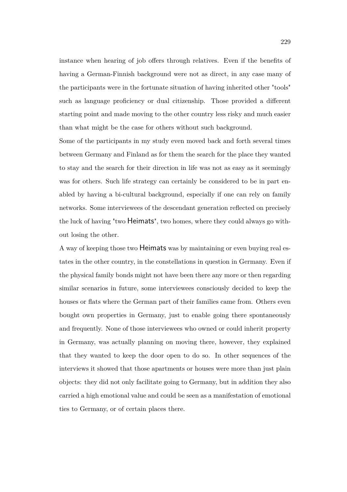instance when hearing of job offers through relatives. Even if the benefits of having a German-Finnish background were not as direct, in any case many of the participants were in the fortunate situation of having inherited other "tools" such as language proficiency or dual citizenship. Those provided a different starting point and made moving to the other country less risky and much easier than what might be the case for others without such background.

Some of the participants in my study even moved back and forth several times between Germany and Finland as for them the search for the place they wanted to stay and the search for their direction in life was not as easy as it seemingly was for others. Such life strategy can certainly be considered to be in part enabled by having a bi-cultural background, especially if one can rely on family networks. Some interviewees of the descendant generation reflected on precisely the luck of having "two Heimats", two homes, where they could always go without losing the other.

A way of keeping those two Heimats was by maintaining or even buying real estates in the other country, in the constellations in question in Germany. Even if the physical family bonds might not have been there any more or then regarding similar scenarios in future, some interviewees consciously decided to keep the houses or flats where the German part of their families came from. Others even bought own properties in Germany, just to enable going there spontaneously and frequently. None of those interviewees who owned or could inherit property in Germany, was actually planning on moving there, however, they explained that they wanted to keep the door open to do so. In other sequences of the interviews it showed that those apartments or houses were more than just plain objects: they did not only facilitate going to Germany, but in addition they also carried a high emotional value and could be seen as a manifestation of emotional ties to Germany, or of certain places there.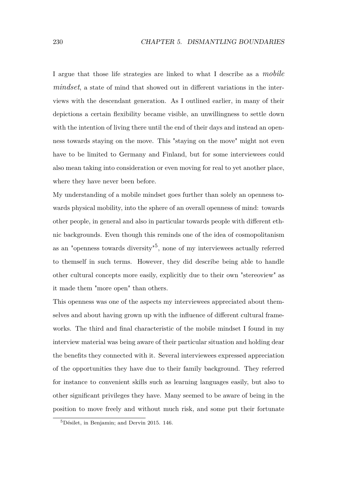I argue that those life strategies are linked to what I describe as a *mobile mindset*, a state of mind that showed out in different variations in the interviews with the descendant generation. As I outlined earlier, in many of their depictions a certain flexibility became visible, an unwillingness to settle down with the intention of living there until the end of their days and instead an openness towards staying on the move. This "staying on the move" might not even have to be limited to Germany and Finland, but for some interviewees could also mean taking into consideration or even moving for real to yet another place, where they have never been before.

My understanding of a mobile mindset goes further than solely an openness towards physical mobility, into the sphere of an overall openness of mind: towards other people, in general and also in particular towards people with different ethnic backgrounds. Even though this reminds one of the idea of cosmopolitanism as an "openness towards diversity"5, none of my interviewees actually referred to themself in such terms. However, they did describe being able to handle other cultural concepts more easily, explicitly due to their own "stereoview" as it made them "more open" than others.

This openness was one of the aspects my interviewees appreciated about themselves and about having grown up with the influence of different cultural frameworks. The third and final characteristic of the mobile mindset I found in my interview material was being aware of their particular situation and holding dear the benefits they connected with it. Several interviewees expressed appreciation of the opportunities they have due to their family background. They referred for instance to convenient skills such as learning languages easily, but also to other significant privileges they have. Many seemed to be aware of being in the position to move freely and without much risk, and some put their fortunate

 $5$ Désilet, in Benjamin; and Dervin 2015. 146.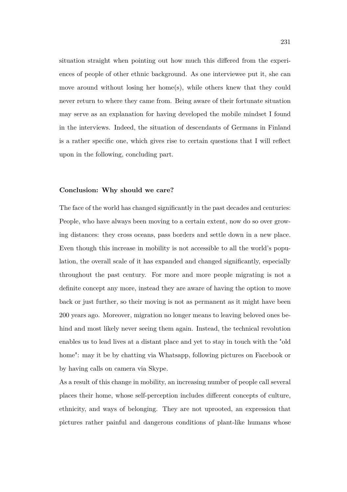situation straight when pointing out how much this differed from the experiences of people of other ethnic background. As one interviewee put it, she can move around without losing her home(s), while others knew that they could never return to where they came from. Being aware of their fortunate situation may serve as an explanation for having developed the mobile mindset I found in the interviews. Indeed, the situation of descendants of Germans in Finland is a rather specific one, which gives rise to certain questions that I will reflect upon in the following, concluding part.

#### **Conclusion: Why should we care?**

The face of the world has changed significantly in the past decades and centuries: People, who have always been moving to a certain extent, now do so over growing distances: they cross oceans, pass borders and settle down in a new place. Even though this increase in mobility is not accessible to all the world's population, the overall scale of it has expanded and changed significantly, especially throughout the past century. For more and more people migrating is not a definite concept any more, instead they are aware of having the option to move back or just further, so their moving is not as permanent as it might have been 200 years ago. Moreover, migration no longer means to leaving beloved ones behind and most likely never seeing them again. Instead, the technical revolution enables us to lead lives at a distant place and yet to stay in touch with the "old home": may it be by chatting via Whatsapp, following pictures on Facebook or by having calls on camera via Skype.

As a result of this change in mobility, an increasing number of people call several places their home, whose self-perception includes different concepts of culture, ethnicity, and ways of belonging. They are not uprooted, an expression that pictures rather painful and dangerous conditions of plant-like humans whose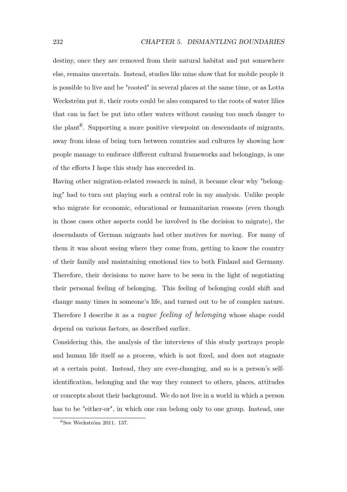destiny, once they are removed from their natural habitat and put somewhere else, remains uncertain. Instead, studies like mine show that for mobile people it is possible to live and be "rooted" in several places at the same time, or as Lotta Weckström put it, their roots could be also compared to the roots of water lilies that can in fact be put into other waters without causing too much danger to the plant<sup>6</sup>. Supporting a more positive viewpoint on descendants of migrants, away from ideas of being torn between countries and cultures by showing how people manage to embrace different cultural frameworks and belongings, is one of the efforts I hope this study has succeeded in.

Having other migration-related research in mind, it became clear why "belonging" had to turn out playing such a central role in my analysis. Unlike people who migrate for economic, educational or humanitarian reasons (even though in those cases other aspects could be involved in the decision to migrate), the descendants of German migrants had other motives for moving. For many of them it was about seeing where they come from, getting to know the country of their family and maintaining emotional ties to both Finland and Germany. Therefore, their decisions to move have to be seen in the light of negotiating their personal feeling of belonging. This feeling of belonging could shift and change many times in someone's life, and turned out to be of complex nature. Therefore I describe it as a *vague feeling of belonging* whose shape could depend on various factors, as described earlier.

Considering this, the analysis of the interviews of this study portrays people and human life itself as a process, which is not fixed, and does not stagnate at a certain point. Instead, they are ever-changing, and so is a person's selfidentification, belonging and the way they connect to others, places, attitudes or concepts about their background. We do not live in a world in which a person has to be "either-or", in which one can belong only to one group. Instead, one

 $6$ See Weckström 2011. 137.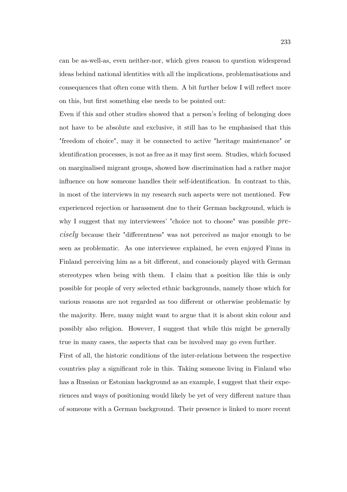can be as-well-as, even neither-nor, which gives reason to question widespread ideas behind national identities with all the implications, problematisations and consequences that often come with them. A bit further below I will reflect more on this, but first something else needs to be pointed out:

Even if this and other studies showed that a person's feeling of belonging does not have to be absolute and exclusive, it still has to be emphasised that this "freedom of choice", may it be connected to active "heritage maintenance" or identification processes, is not as free as it may first seem. Studies, which focused on marginalised migrant groups, showed how discrimination had a rather major influence on how someone handles their self-identification. In contrast to this, in most of the interviews in my research such aspects were not mentioned. Few experienced rejection or harassment due to their German background, which is why I suggest that my interviewees' "choice not to choose" was possible *precisely* because their "differentness" was not perceived as major enough to be seen as problematic. As one interviewee explained, he even enjoyed Finns in Finland perceiving him as a bit different, and consciously played with German stereotypes when being with them. I claim that a position like this is only possible for people of very selected ethnic backgrounds, namely those which for various reasons are not regarded as too different or otherwise problematic by the majority. Here, many might want to argue that it is about skin colour and possibly also religion. However, I suggest that while this might be generally true in many cases, the aspects that can be involved may go even further.

First of all, the historic conditions of the inter-relations between the respective countries play a significant role in this. Taking someone living in Finland who has a Russian or Estonian background as an example, I suggest that their experiences and ways of positioning would likely be yet of very different nature than of someone with a German background. Their presence is linked to more recent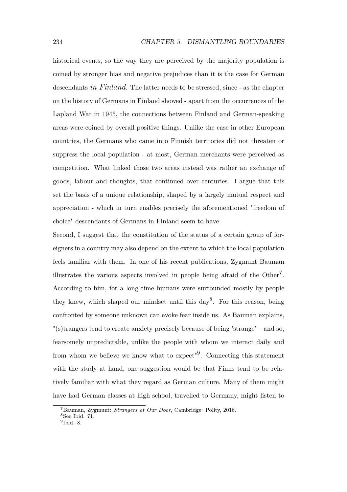historical events, so the way they are perceived by the majority population is coined by stronger bias and negative prejudices than it is the case for German descendants *in Finland*. The latter needs to be stressed, since - as the chapter on the history of Germans in Finland showed - apart from the occurrences of the Lapland War in 1945, the connections between Finland and German-speaking areas were coined by overall positive things. Unlike the case in other European countries, the Germans who came into Finnish territories did not threaten or suppress the local population - at most, German merchants were perceived as competition. What linked those two areas instead was rather an exchange of goods, labour and thoughts, that continued over centuries. I argue that this set the basis of a unique relationship, shaped by a largely mutual respect and appreciation - which in turn enables precisely the aforementioned "freedom of choice" descendants of Germans in Finland seem to have.

Second, I suggest that the constitution of the status of a certain group of foreigners in a country may also depend on the extent to which the local population feels familiar with them. In one of his recent publications, Zygmunt Bauman illustrates the various aspects involved in people being afraid of the  $\mathrm{Other}^7$ . According to him, for a long time humans were surrounded mostly by people they knew, which shaped our mindset until this day<sup>8</sup>. For this reason, being confronted by someone unknown can evoke fear inside us. As Bauman explains, "(s)trangers tend to create anxiety precisely because of being 'strange' – and so, fearsomely unpredictable, unlike the people with whom we interact daily and from whom we believe we know what to expect<sup>"9</sup>. Connecting this statement with the study at hand, one suggestion would be that Finns tend to be relatively familiar with what they regard as German culture. Many of them might have had German classes at high school, travelled to Germany, might listen to

 $^7\!$  Bauman, Zygmunt:  $\it Strangers$  at  $Our$   $Door,$  Cambridge: Polity, 2016.  $^8\!$  See Ibid. 71.

<sup>9</sup>Ibid. 8.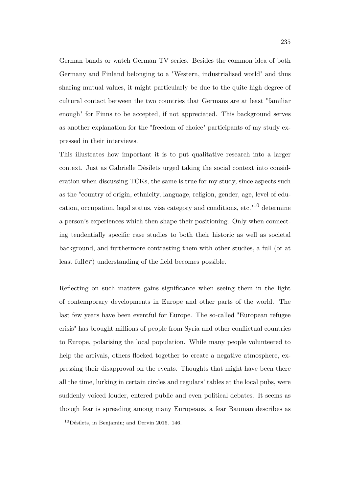German bands or watch German TV series. Besides the common idea of both Germany and Finland belonging to a "Western, industrialised world" and thus sharing mutual values, it might particularly be due to the quite high degree of cultural contact between the two countries that Germans are at least "familiar enough" for Finns to be accepted, if not appreciated. This background serves as another explanation for the "freedom of choice" participants of my study expressed in their interviews.

This illustrates how important it is to put qualitative research into a larger context. Just as Gabrielle Désilets urged taking the social context into consideration when discussing TCKs, the same is true for my study, since aspects such as the "country of origin, ethnicity, language, religion, gender, age, level of education, occupation, legal status, visa category and conditions, etc.<sup> $10$ </sup> determine a person's experiences which then shape their positioning. Only when connecting tendentially specific case studies to both their historic as well as societal background, and furthermore contrasting them with other studies, a full (or at least full*er*) understanding of the field becomes possible.

Reflecting on such matters gains significance when seeing them in the light of contemporary developments in Europe and other parts of the world. The last few years have been eventful for Europe. The so-called "European refugee crisis" has brought millions of people from Syria and other conflictual countries to Europe, polarising the local population. While many people volunteered to help the arrivals, others flocked together to create a negative atmosphere, expressing their disapproval on the events. Thoughts that might have been there all the time, lurking in certain circles and regulars' tables at the local pubs, were suddenly voiced louder, entered public and even political debates. It seems as though fear is spreading among many Europeans, a fear Bauman describes as

 $10$ Désilets, in Benjamin; and Dervin 2015. 146.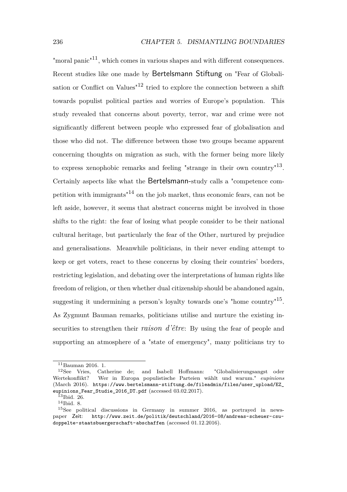"moral panic" $11$ , which comes in various shapes and with different consequences. Recent studies like one made by Bertelsmann Stiftung on "Fear of Globalisation or Conflict on Values<sup> $12$ </sup> tried to explore the connection between a shift towards populist political parties and worries of Europe's population. This study revealed that concerns about poverty, terror, war and crime were not significantly different between people who expressed fear of globalisation and those who did not. The difference between those two groups became apparent concerning thoughts on migration as such, with the former being more likely to express xenophobic remarks and feeling "strange in their own country"13. Certainly aspects like what the Bertelsmann-study calls a "competence competition with immigrants"<sup>14</sup> on the job market, thus economic fears, can not be left aside, however, it seems that abstract concerns might be involved in those shifts to the right: the fear of losing what people consider to be their national cultural heritage, but particularly the fear of the Other, nurtured by prejudice and generalisations. Meanwhile politicians, in their never ending attempt to keep or get voters, react to these concerns by closing their countries' borders, restricting legislation, and debating over the interpretations of human rights like freedom of religion, or then whether dual citizenship should be abandoned again, suggesting it undermining a person's loyalty towards one's "home country"<sup>15</sup>. As Zygmunt Bauman remarks, politicians utilise and nurture the existing insecurities to strengthen their *raison d'être*: By using the fear of people and supporting an atmosphere of a "state of emergency", many politicians try to

 $^{11}\rm{Bauman}$  2016. 1.  $^{12}\rm{See}$  Vries, Catherine de; and Isabell Hoffmann: "Globalisierungsangst oder Wertekonflikt? Wer in Europa populistische Parteien wählt und warum." *eupinions* (March 2016). https://www.bertelsmann-stiftung.de/fileadmin/files/user\_upload/EZ\_<br>eupinions\_Fear\_Studie\_2016\_DT.pdf (accessed 03.02.2017).

 $^{13}$ Ibid. 26.<br><sup>14</sup>Ibid. 8.<br><sup>15</sup>See political discussions in Germany in summer 2016, as portrayed in newspaper Zeit: http://www.zeit.de/politik/deutschland/2016-08/andreas-scheuer-csudoppelte-staatsbuergerschaft-abschaffen (accessed 01.12.2016).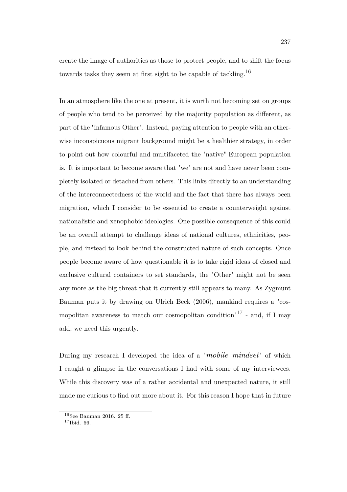create the image of authorities as those to protect people, and to shift the focus towards tasks they seem at first sight to be capable of tackling.<sup>16</sup>

In an atmosphere like the one at present, it is worth not becoming set on groups of people who tend to be perceived by the majority population as different, as part of the "infamous Other". Instead, paying attention to people with an otherwise inconspicuous migrant background might be a healthier strategy, in order to point out how colourful and multifaceted the "native" European population is. It is important to become aware that "we" are not and have never been completely isolated or detached from others. This links directly to an understanding of the interconnectedness of the world and the fact that there has always been migration, which I consider to be essential to create a counterweight against nationalistic and xenophobic ideologies. One possible consequence of this could be an overall attempt to challenge ideas of national cultures, ethnicities, people, and instead to look behind the constructed nature of such concepts. Once people become aware of how questionable it is to take rigid ideas of closed and exclusive cultural containers to set standards, the "Other" might not be seen any more as the big threat that it currently still appears to many. As Zygmunt Bauman puts it by drawing on Ulrich Beck (2006), mankind requires a "cosmopolitan awareness to match our cosmopolitan condition<sup> $17$ </sup> - and, if I may add, we need this urgently.

During my research I developed the idea of a "*mobile mindset*" of which I caught a glimpse in the conversations I had with some of my interviewees. While this discovery was of a rather accidental and unexpected nature, it still made me curious to find out more about it. For this reason I hope that in future

 $^{16}$ See Bauman 2016. 25 ff.  $^{17}$ Ibid. 66.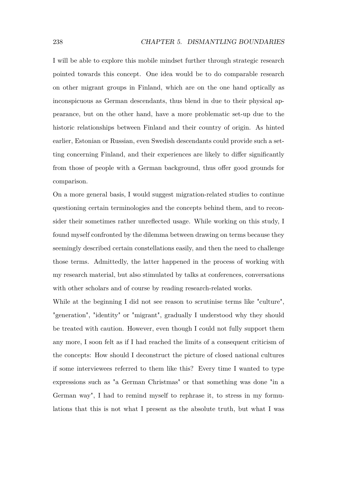I will be able to explore this mobile mindset further through strategic research pointed towards this concept. One idea would be to do comparable research on other migrant groups in Finland, which are on the one hand optically as inconspicuous as German descendants, thus blend in due to their physical appearance, but on the other hand, have a more problematic set-up due to the historic relationships between Finland and their country of origin. As hinted earlier, Estonian or Russian, even Swedish descendants could provide such a setting concerning Finland, and their experiences are likely to differ significantly from those of people with a German background, thus offer good grounds for comparison.

On a more general basis, I would suggest migration-related studies to continue questioning certain terminologies and the concepts behind them, and to reconsider their sometimes rather unreflected usage. While working on this study, I found myself confronted by the dilemma between drawing on terms because they seemingly described certain constellations easily, and then the need to challenge those terms. Admittedly, the latter happened in the process of working with my research material, but also stimulated by talks at conferences, conversations with other scholars and of course by reading research-related works.

While at the beginning I did not see reason to scrutinise terms like "culture", "generation", "identity" or "migrant", gradually I understood why they should be treated with caution. However, even though I could not fully support them any more, I soon felt as if I had reached the limits of a consequent criticism of the concepts: How should I deconstruct the picture of closed national cultures if some interviewees referred to them like this? Every time I wanted to type expressions such as "a German Christmas" or that something was done "in a German way", I had to remind myself to rephrase it, to stress in my formulations that this is not what I present as the absolute truth, but what I was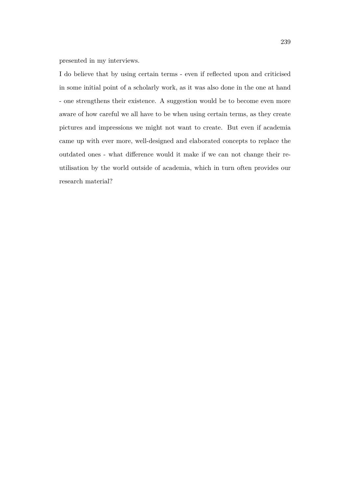presented in my interviews.

I do believe that by using certain terms - even if reflected upon and criticised in some initial point of a scholarly work, as it was also done in the one at hand - one strengthens their existence. A suggestion would be to become even more aware of how careful we all have to be when using certain terms, as they create pictures and impressions we might not want to create. But even if academia came up with ever more, well-designed and elaborated concepts to replace the outdated ones - what difference would it make if we can not change their reutilisation by the world outside of academia, which in turn often provides our research material?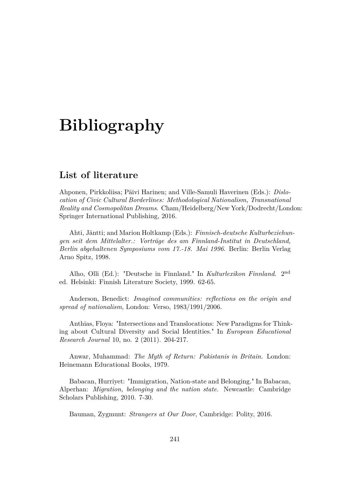## **Bibliography**

### **List of literature**

Ahponen, Pirkkoliisa; Päivi Harinen; and Ville-Samuli Haverinen (Eds.): *Dislocation of Civic Cultural Borderlines: Methodological Nationalism, Transnational Reality and Cosmopolitan Dreams*. Cham/Heidelberg/New York/Dodrecht/London: Springer International Publishing, 2016.

Ahti, Jäntti; and Marion Holtkamp (Eds.): *Finnisch-deutsche Kulturbeziehungen seit dem Mittelalter.: Vorträge des am Finnland-Institut in Deutschland, Berlin abgehaltenen Symposiums vom 17.-18. Mai 1996*. Berlin: Berlin Verlag Arno Spitz, 1998.

Alho, Olli (Ed.): "Deutsche in Finnland." In *Kulturlexikon Finnland*. 2nd ed. Helsinki: Finnish Literature Society, 1999. 62-65.

Anderson, Benedict: *Imagined communities: reflections on the origin and spread of nationalism*, London: Verso, 1983/1991/2006.

Anthias, Floya: "Intersections and Translocations: New Paradigms for Thinking about Cultural Diversity and Social Identities." In *European Educational Research Journal* 10, no. 2 (2011). 204-217.

Anwar, Muhammad: *The Myth of Return: Pakistanis in Britain.* London: Heinemann Educational Books, 1979.

Babacan, Hurriyet: "Immigration, Nation-state and Belonging." In Babacan, Alperhan: *Migration, belonging and the nation state.* Newcastle: Cambridge Scholars Publishing, 2010. 7-30.

Bauman, Zygmunt: *Strangers at Our Door*, Cambridge: Polity, 2016.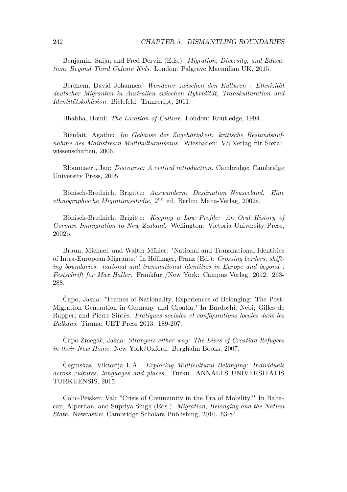Benjamin, Saija; and Fred Dervin (Eds.): *Migration, Diversity, and Education: Beyond Third Culture Kids.* London: Palgrave Macmillan UK, 2015.

Berchem, David Johannes: *Wanderer zwischen den Kulturen : Ethnizität deutscher Migranten in Australien zwischen Hybridität, Transkulturation und Identitätskohäsion.* Bielefeld: Transcript, 2011.

Bhabha, Homi: *The Location of Culture.* London: Routledge, 1994.

Bienfait, Agathe: *Im Gehäuse der Zugehörigkeit: kritische Bestandsaufnahme des Mainstream-Multikulturalismus.* Wiesbaden: VS Verlag für Sozialwissenschaften, 2006.

Blommaert, Jan: *Discourse: A critical introduction.* Cambridge: Cambridge University Press, 2005.

Bönisch-Brednich, Brigitte: *Auswandern: Destination Neuseeland. Eine ethnographische Migrationsstudie.* 2nd ed. Berlin: Mana-Verlag, 2002a.

Bönisch-Brednich, Brigitte: *Keeping a Low Profile: An Oral History of German Immigration to New Zealand.* Wellington: Victoria University Press, 2002b.

Braun, Michael; and Walter Müller: "National and Transnational Identities of Intra-European Migrants." In Höllinger, Franz (Ed.): *Crossing borders, shifting boundaries: national and transnational identities in Europe and beyond ; Festschrift for Max Haller.* Frankfurt/New York: Campus Verlag, 2012. 263- 288.

Capo, Jasna: "Frames of Nationality, Experiences of Belonging: The Post- ˘ Migration Generation in Germany and Croatia." In Bardoshi, Nebi; Gilles de Rapper; and Pierre Sintès: *Pratiques sociales et configurations locales dans les Balkans.* Tirana: UET Press 2013. 189-207.

Capo Žmega˘c, Jasna: ˘ *Strangers either way: The Lives of Croatian Refugees in their New Home.* New York/Oxford: Berghahn Books, 2007.

Čeginskas, Viktorija L.A.: *Exploring Multicultural Belonging: Individuals across cultures, languages and places.* Turku: ANNALES UNIVERSITATIS TURKUENSIS, 2015.

Colic-Peisker, Val: "Crisis of Community in the Era of Mobility?" In Babacan, Alperhan; and Supriya Singh (Eds.): *Migration, Belonging and the Nation State.* Newcastle: Cambridge Scholars Publishing, 2010. 63-84.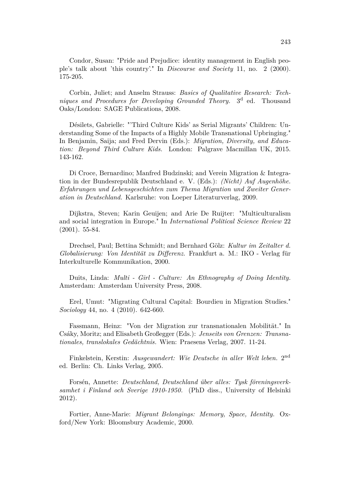Condor, Susan: "Pride and Prejudice: identity management in English people's talk about 'this country'." In *Discourse and Society* 11, no. 2 (2000). 175-205.

Corbin, Juliet; and Anselm Strauss: *Basics of Qualitative Research: Techniques and Procedures for Developing Grounded Theory.* 3<sup>d</sup> ed. Thousand Oaks/London: SAGE Publications, 2008.

Désilets, Gabrielle: "'Third Culture Kids' as Serial Migrants' Children: Understanding Some of the Impacts of a Highly Mobile Transnational Upbringing." In Benjamin, Saija; and Fred Dervin (Eds.): *Migration, Diversity, and Education: Beyond Third Culture Kids.* London: Palgrave Macmillan UK, 2015. 143-162.

Di Croce, Bernardino; Manfred Budzinski; and Verein Migration & Integration in der Bundesrepublik Deutschland e. V. (Eds.): *(Nicht) Auf Augenhöhe. Erfahrungen und Lebensgeschichten zum Thema Migration und Zweiter Generation in Deutschland.* Karlsruhe: von Loeper Literaturverlag, 2009.

Dijkstra, Steven; Karin Geuijen; and Arie De Ruijter: "Multiculturalism and social integration in Europe." In *International Political Science Review* 22 (2001). 55-84.

Drechsel, Paul; Bettina Schmidt; and Bernhard Gölz: *Kultur im Zeitalter d. Globalisierung: Von Identität zu Differenz.* Frankfurt a. M.: IKO - Verlag für Interkulturelle Kommunikation, 2000.

Duits, Linda: *Multi - Girl - Culture: An Ethnography of Doing Identity.* Amsterdam: Amsterdam University Press, 2008.

Erel, Umut: "Migrating Cultural Capital: Bourdieu in Migration Studies." *Sociology* 44, no. 4 (2010). 642-660.

Fassmann, Heinz: "Von der Migration zur transnationalen Mobilität." In Csáky, Moritz; and Elisabeth Großegger (Eds.): *Jenseits von Grenzen: Transnationales, translokales Gedächtnis.* Wien: Praesens Verlag, 2007. 11-24.

Finkelstein, Kerstin: *Ausgewandert: Wie Deutsche in aller Welt leben.* 2nd ed. Berlin: Ch. Links Verlag, 2005.

Forsén, Annette: *Deutschland, Deutschland über alles: Tysk föreningsverksamhet i Finland och Sverige 1910-1950.* (PhD diss., University of Helsinki 2012).

Fortier, Anne-Marie: *Migrant Belongings: Memory, Space, Identity.* Oxford/New York: Bloomsbury Academic, 2000.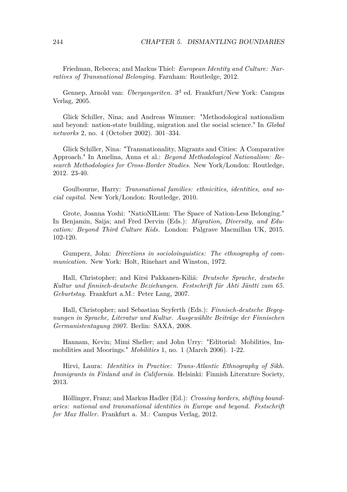Friedman, Rebecca; and Markus Thiel: *European Identity and Culture: Narratives of Transnational Belonging.* Farnham: Routledge, 2012.

Gennep, Arnold van: *Übergangsriten.* 3<sup>d</sup> ed. Frankfurt/New York: Campus Verlag, 2005.

Glick Schiller, Nina; and Andreas Wimmer: "Methodological nationalism and beyond: nation-state building, migration and the social science." In *Global networks* 2, no. 4 (October 2002). 301–334.

Glick Schiller, Nina: "Transnationality, Migrants and Cities: A Comparative Approach." In Amelina, Anna et al.: *Beyond Methodological Nationalism: Research Methodologies for Cross-Border Studies.* New York/London: Routledge, 2012. 23-40.

Goulbourne, Harry: *Transnational families: ethnicities, identities, and social capital.* New York/London: Routledge, 2010.

Grote, Joanna Yoshi: "NatioNILism: The Space of Nation-Less Belonging." In Benjamin, Saija; and Fred Dervin (Eds.): *Migration, Diversity, and Education: Beyond Third Culture Kids.* London: Palgrave Macmillan UK, 2015. 102-120.

Gumperz, John: *Directions in socioloinguistics: The ethnography of communication.* New York: Holt, Rinehart and Winston, 1972.

Hall, Christopher; and Kirsi Pakkanen-Kiliä: *Deutsche Sprache, deutsche Kultur und finnisch-deutsche Beziehungen. Festschrift für Ahti Jäntti zum 65. Geburtstag.* Frankfurt a.M.: Peter Lang, 2007.

Hall, Christopher; and Sebastian Seyferth (Eds.): *Finnisch-deutsche Begegnungen in Sprache, Literatur und Kultur. Ausgewählte Beiträge der Finnischen Germanistentagung 2007.* Berlin: SAXA, 2008.

Hannam, Kevin; Mimi Sheller; and John Urry: "Editorial: Mobilities, Immobilities and Moorings." *Mobilities* 1, no. 1 (March 2006). 1-22.

Hirvi, Laura: *Identities in Practice: Trans-Atlantic Ethnography of Sikh. Immigrants in Finland and in California.* Helsinki: Finnish Literature Society, 2013.

Höllinger, Franz; and Markus Hadler (Ed.): *Crossing borders, shifting boundaries: national and transnational identities in Europe and beyond. Festschrift for Max Haller.* Frankfurt a. M.: Campus Verlag, 2012.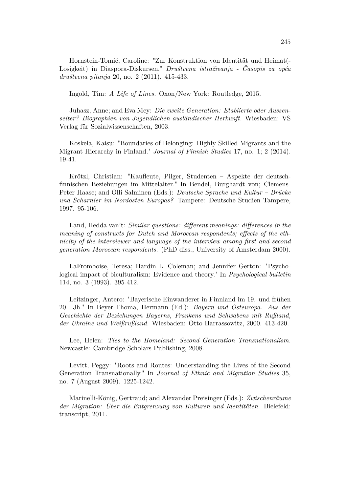Hornstein-Tomić, Caroline: "Zur Konstruktion von Identität und Heimat(- Losigkeit) in Diaspora-Diskursen." *Društvena istraživanja - Časopis za opća društvena pitanja* 20, no. 2 (2011). 415-433.

Ingold, Tim: *A Life of Lines.* Oxon/New York: Routledge, 2015.

Juhasz, Anne; and Eva Mey: *Die zweite Generation: Etablierte oder Aussenseiter? Biographien von Jugendlichen ausländischer Herkunft.* Wiesbaden: VS Verlag für Sozialwissenschaften, 2003.

Koskela, Kaisu: "Boundaries of Belonging: Highly Skilled Migrants and the Migrant Hierarchy in Finland." *Journal of Finnish Studies* 17, no. 1; 2 (2014). 19-41.

Krötzl, Christian: "Kaufleute, Pilger, Studenten – Aspekte der deutschfinnischen Beziehungen im Mittelalter." In Bendel, Burghardt von; Clemens-Peter Haase; and Olli Salminen (Eds.): *Deutsche Sprache und Kultur – Brücke und Scharnier im Nordosten Europas?* Tampere: Deutsche Studien Tampere, 1997. 95-106.

Land, Hedda van't: *Similar questions: different meanings: differences in the meaning of constructs for Dutch and Moroccan respondents; effects of the ethnicity of the interviewer and language of the interview among first and second generation Moroccan respondents.* (PhD diss., University of Amsterdam 2000).

LaFromboise, Teresa; Hardin L. Coleman; and Jennifer Gerton: "Psychological impact of biculturalism: Evidence and theory." In *Psychological bulletin* 114, no. 3 (1993). 395-412.

Leitzinger, Antero: "Bayerische Einwanderer in Finnland im 19. und frühen 20. Jh." In Beyer-Thoma, Hermann (Ed.): *Bayern und Osteuropa. Aus der Geschichte der Beziehungen Bayerns, Frankens und Schwabens mit Rußland, der Ukraine und Weißrußland.* Wiesbaden: Otto Harrassowitz, 2000. 413-420.

Lee, Helen: *Ties to the Homeland: Second Generation Transnationalism.* Newcastle: Cambridge Scholars Publishing, 2008.

Levitt, Peggy: "Roots and Routes: Understanding the Lives of the Second Generation Transnationally." In *Journal of Ethnic and Migration Studies* 35, no. 7 (August 2009). 1225-1242.

Marinelli-König, Gertraud; and Alexander Preisinger (Eds.): *Zwischenräume der Migration: Über die Entgrenzung von Kulturen und Identitäten.* Bielefeld: transcript, 2011.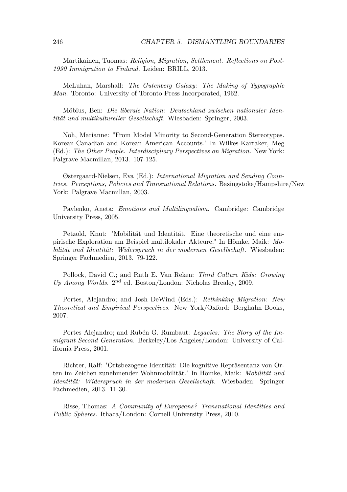Martikainen, Tuomas: *Religion, Migration, Settlement. Reflections on Post-1990 Immigration to Finland.* Leiden: BRILL, 2013.

McLuhan, Marshall: *The Gutenberg Galaxy: The Making of Typographic Man.* Toronto: University of Toronto Press Incorporated, 1962.

Möbius, Ben: *Die liberale Nation: Deutschland zwischen nationaler Identität und multikultureller Gesellschaft.* Wiesbaden: Springer, 2003.

Noh, Marianne: "From Model Minority to Second-Generation Stereotypes. Korean-Canadian and Korean American Accounts." In Wilkes-Karraker, Meg (Ed.): *The Other People. Interdiscipliary Perspectives on Migration.* New York: Palgrave Macmillan, 2013. 107-125.

Østergaard-Nielsen, Eva (Ed.): *International Migration and Sending Countries. Perceptions, Policies and Transnational Relations.* Basingstoke/Hampshire/New York: Palgrave Macmillan, 2003.

Pavlenko, Aneta: *Emotions and Multilingualism.* Cambridge: Cambridge University Press, 2005.

Petzold, Knut: "Mobilität und Identität. Eine theoretische und eine empirische Exploration am Beispiel multilokaler Akteure." In Hömke, Maik: *Mobilität und Identität: Widerspruch in der modernen Gesellschaft.* Wiesbaden: Springer Fachmedien, 2013. 79-122.

Pollock, David C.; and Ruth E. Van Reken: *Third Culture Kids: Growing Up Among Worlds.* 2nd ed. Boston/London: Nicholas Brealey, 2009.

Portes, Alejandro; and Josh DeWind (Eds.): *Rethinking Migration: New Theoretical and Empirical Perspectives.* New York/Oxford: Berghahn Books, 2007.

Portes Alejandro; and Rubén G. Rumbaut: *Legacies: The Story of the Immigrant Second Generation.* Berkeley/Los Angeles/London: University of California Press, 2001.

Richter, Ralf: "Ortsbezogene Identität: Die kognitive Repräsentanz von Orten im Zeichen zunehmender Wohnmobilität." In Hömke, Maik: *Mobilität und Identität: Widerspruch in der modernen Gesellschaft.* Wiesbaden: Springer Fachmedien, 2013. 11-30.

Risse, Thomas: *A Community of Europeans? Transnational Identities and Public Spheres.* Ithaca/London: Cornell University Press, 2010.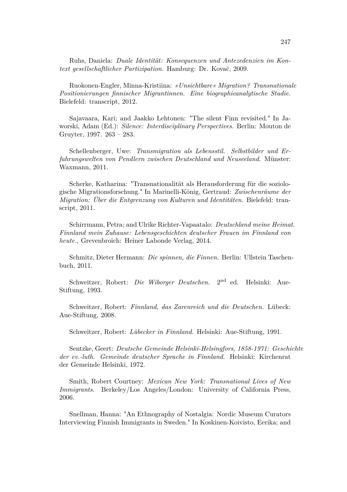Ruhs, Daniela: *Duale Identität: Konsequenzen und Antezedenzien im Kontext gesellschaftlicher Partizipation.* Hamburg: Dr. Kovač, 2009.

Ruokonen-Engler, Minna-Kristiina: *»Unsichtbare« Migration? Transnationale Positionierungen finnischer Migrantinnen. Eine biographieanalytische Studie.* Bielefeld: transcript, 2012.

Sajavaara, Kari; and Jaakko Lehtonen: "The silent Finn revisited." In Jaworski, Adam (Ed.): *Silence: Interdisciplinary Perspectives.* Berlin: Mouton de Gruyter, 1997. 263 – 283.

Schellenberger, Uwe: *Transmigration als Lebensstil. Selbstbilder und Erfahrungswelten von Pendlern zwischen Deutschland und Neuseeland.* Münster: Waxmann, 2011.

Scherke, Katharina: "Transnationalität als Herausforderung für die soziologische Migrationsforschung." In Marinelli-König, Gertraud: *Zwischenräume der Migration: Über die Entgrenzung von Kulturen und Identitäten.* Bielefeld: transcript, 2011.

Schirrmann, Petra; and Ulrike Richter-Vapaatalo: *Deutschland meine Heimat. Finnland mein Zuhause: Lebensgeschichten deutscher Frauen im Finnland von heute.*, Grevenbroich: Heiner Labonde Verlag, 2014.

Schmitz, Dieter Hermann: *Die spinnen, die Finnen.* Berlin: Ullstein Taschenbuch, 2011.

Schweitzer, Robert: *Die Wiborger Deutschen.* 2nd ed. Helsinki: Aue-Stiftung, 1993.

Schweitzer, Robert: *Finnland, das Zarenreich und die Deutschen.* Lübeck: Aue-Stiftung, 2008.

Schweitzer, Robert: *Lübecker in Finnland.* Helsinki: Aue-Stiftung, 1991.

Sentzke, Geert: *Deutsche Gemeinde Helsinki-Helsingfors, 1858-1971: Geschichte der ev.-luth. Gemeinde deutscher Sprache in Finnland.* Helsinki: Kirchenrat der Gemeinde Helsinki, 1972.

Smith, Robert Courtney: *Mexican New York: Transnational Lives of New Immigrants.* Berkeley/Los Angeles/London: University of California Press, 2006.

Snellman, Hanna: "An Ethnography of Nostalgia: Nordic Museum Curators Interviewing Finnish Immigrants in Sweden." In Koskinen-Koivisto, Eerika; and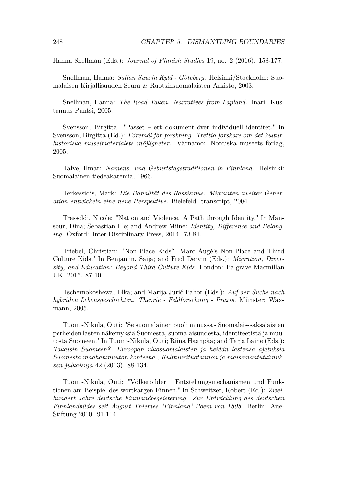Hanna Snellman (Eds.): *Journal of Finnish Studies* 19, no. 2 (2016). 158-177.

Snellman, Hanna: *Sallan Suurin Kylä - Göteborg.* Helsinki/Stockholm: Suomalaisen Kirjallisuuden Seura & Ruotsinsuomalaisten Arkisto, 2003.

Snellman, Hanna: *The Road Taken. Narratives from Lapland.* Inari: Kustannus Puntsi, 2005.

Svensson, Birgitta: "Passet – ett dokument över individuell identitet." In Svensson, Birgitta (Ed.): *Föremål för forskning. Trettio forskare om det kulturhistoriska museimaterialets möjligheter.* Värnamo: Nordiska museets förlag, 2005.

Talve, Ilmar: *Namens- und Geburtstagstraditionen in Finnland.* Helsinki: Suomalainen tiedeakatemia, 1966.

Terkessidis, Mark: *Die Banalität des Rassismus: Migranten zweiter Generation entwickeln eine neue Perspektive.* Bielefeld: transcript, 2004.

Tressoldi, Nicole: "Nation and Violence. A Path through Identity." In Mansour, Dina; Sebastian Ille; and Andrew Miine: *Identity, Difference and Belonging.* Oxford: Inter-Disciplinary Press, 2014. 73-84.

Triebel, Christian: "Non-Place Kids? Marc Augé's Non-Place and Third Culture Kids." In Benjamin, Saija; and Fred Dervin (Eds.): *Migration, Diversity, and Education: Beyond Third Culture Kids.* London: Palgrave Macmillan UK, 2015. 87-101.

Tschernokoshewa, Elka; and Marija Jurić Pahor (Eds.): *Auf der Suche nach hybriden Lebensgeschichten. Theorie - Feldforschung - Praxis.* Münster: Waxmann, 2005.

Tuomi-Nikula, Outi: "Se suomalainen puoli minussa - Suomalais-saksalaisten perheiden lasten näkemyksiä Suomesta, suomalaisuudesta, identiteetistä ja muutosta Suomeen." In Tuomi-Nikula, Outi; Riina Haanpää; and Tarja Laine (Eds.): *Takaisin Suomeen? Euroopan ulkosuomalaisten ja heidän lastensa ajatuksia Suomesta maahanmuuton kohteena.*, *Kulttuurituotannon ja maisemantutkimuksen julkaisuja* 42 (2013). 88-134.

Tuomi-Nikula, Outi: "Völkerbilder – Entstehungsmechanismen und Funktionen am Beispiel des wortkargen Finnen." In Schweitzer, Robert (Ed.): *Zweihundert Jahre deutsche Finnlandbegeisterung. Zur Entwicklung des deutschen Finnlandbildes seit August Thiemes "Finnland"-Poem von 1808.* Berlin: Aue-Stiftung 2010. 91-114.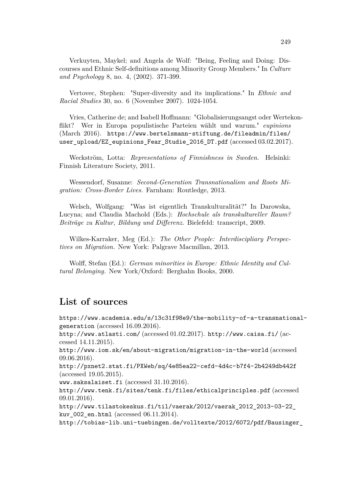Verkuyten, Maykel; and Angela de Wolf: "Being, Feeling and Doing: Discourses and Ethnic Self-definitions among Minority Group Members." In *Culture and Psychology* 8, no. 4, (2002). 371-399.

Vertovec, Stephen: "Super-diversity and its implications." In *Ethnic and Racial Studies* 30, no. 6 (November 2007). 1024-1054.

Vries, Catherine de; and Isabell Hoffmann: "Globalisierungsangst oder Wertekonflikt? Wer in Europa populistische Parteien wählt und warum." *eupinions* (March 2016). https://www.bertelsmann-stiftung.de/fileadmin/files/ user\_upload/EZ\_eupinions\_Fear\_Studie\_2016\_DT.pdf (accessed 03.02.2017).

Weckström, Lotta: *Representations of Finnishness in Sweden.* Helsinki: Finnish Literature Society, 2011.

Wessendorf, Susanne: *Second-Generation Transnationalism and Roots Migration: Cross-Border Lives.* Farnham: Routledge, 2013.

Welsch, Wolfgang: "Was ist eigentlich Transkulturalität?" In Darowska, Lucyna; and Claudia Machold (Eds.): *Hochschule als transkultureller Raum? Beiträge zu Kultur, Bildung und Differenz.* Bielefeld: transcript, 2009.

Wilkes-Karraker, Meg (Ed.): *The Other People: Interdiscipliary Perspectives on Migration.* New York: Palgrave Macmillan, 2013.

Wolff, Stefan (Ed.): *German minorities in Europe: Ethnic Identity and Cultural Belonging.* New York/Oxford: Berghahn Books, 2000.

### **List of sources**

https://www.academia.edu/s/13c31f98e9/the-mobility-of-a-transnationalgeneration (accessed 16.09.2016). http://www.atlasti.com/ (accessed 01.02.2017). http://www.caisa.fi/ (accessed 14.11.2015). http://www.iom.sk/en/about-migration/migration-in-the-world (accessed 09.06.2016). http://pxnet2.stat.fi/PXWeb/sq/4e85ea22-cefd-4d4c-b7f4-2b4249db442f (accessed 19.05.2015). www.saksalaiset.fi (accessed 31.10.2016). http://www.tenk.fi/sites/tenk.fi/files/ethicalprinciples.pdf (accessed 09.01.2016). http://www.tilastokeskus.fi/til/vaerak/2012/vaerak\_2012\_2013-03-22\_ kuv 002 en.html (accessed 06.11.2014). http://tobias-lib.uni-tuebingen.de/volltexte/2012/6072/pdf/Bausinger\_